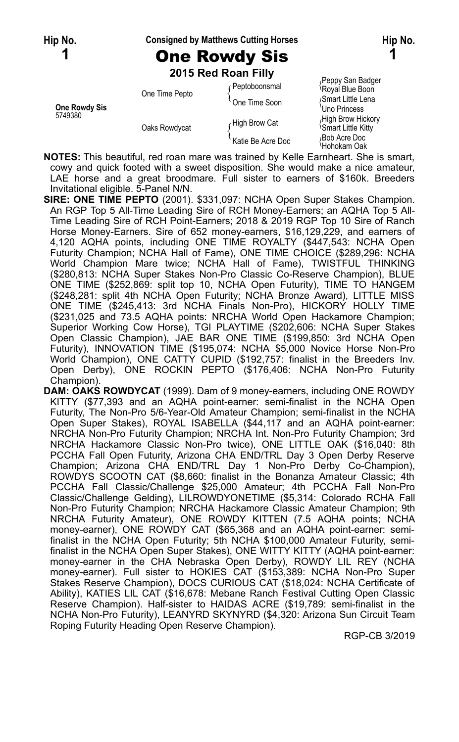#### **Hip No. Consigned by Matthews Cutting Horses Hip No.**

# **1** One Rowdy Sis **1**

**2015 Red Roan Filly**

|                          |                | zu ib Red Roan Filly |                                                      |
|--------------------------|----------------|----------------------|------------------------------------------------------|
|                          | One Time Pepto | Peptoboonsmal        | Peppy San Badger<br>Royal Blue Boon                  |
| One Rowdy Sis<br>5749380 |                | One Time Soon        | Smart Little Lena<br>Uno Princess                    |
|                          | Oaks Rowdycat  | High Brow Cat        | High Brow Hickory<br><sup>1</sup> Smart Little Kitty |
|                          |                | Katie Be Acre Doc    | Bob Acre Doc<br>≀Hohokam Oak                         |

**NOTES:** This beautiful, red roan mare was trained by Kelle Earnheart. She is smart, cowy and quick footed with a sweet disposition. She would make a nice amateur, LAE horse and a great broodmare. Full sister to earners of \$160k. Breeders Invitational eligible. 5-Panel N/N.

**SIRE: ONE TIME PEPTO** (2001). \$331,097: NCHA Open Super Stakes Champion. An RGP Top 5 All-Time Leading Sire of RCH Money-Earners; an AQHA Top 5 All-Time Leading Sire of RCH Point-Earners; 2018 & 2019 RGP Top 10 Sire of Ranch Horse Money-Earners. Sire of 652 money-earners, \$16,129,229, and earners of 4,120 AQHA points, including ONE TIME ROYALTY (\$447,543: NCHA Open Futurity Champion; NCHA Hall of Fame), ONE TIME CHOICE (\$289,296: NCHA World Champion Mare twice; NCHA Hall of Fame), TWISTFUL THINKING (\$280,813: NCHA Super Stakes Non-Pro Classic Co-Reserve Champion), BLUE ONE TIME (\$252,869: split top 10, NCHA Open Futurity), TIME TO HANGEM (\$248,281: split 4th NCHA Open Futurity; NCHA Bronze Award), LITTLE MISS ONE TIME (\$245,413: 3rd NCHA Finals Non-Pro), HICKORY HOLLY TIME (\$231,025 and 73.5 AQHA points: NRCHA World Open Hackamore Champion; Superior Working Cow Horse), TGI PLAYTIME (\$202,606: NCHA Super Stakes Open Classic Champion), JAE BAR ONE TIME (\$199,850: 3rd NCHA Open Futurity), INNOVATION TIME (\$195,074: NCHA \$5,000 Novice Horse Non-Pro World Champion), ONE CATTY CUPID (\$192,757: finalist in the Breeders Inv. Open Derby), ONE ROCKIN PEPTO (\$176,406: NCHA Non-Pro Futurity Champion).

**DAM: OAKS ROWDYCAT** (1999). Dam of 9 money-earners, including ONE ROWDY KITTY (\$77,393 and an AQHA point-earner: semi-finalist in the NCHA Open Futurity, The Non-Pro 5/6-Year-Old Amateur Champion; semi-finalist in the NCHA Open Super Stakes), ROYAL ISABELLA (\$44,117 and an AQHA point-earner: NRCHA Non-Pro Futurity Champion; NRCHA Int. Non-Pro Futurity Champion; 3rd NRCHA Hackamore Classic Non-Pro twice), ONE LITTLE OAK (\$16,040: 8th PCCHA Fall Open Futurity, Arizona CHA END/TRL Day 3 Open Derby Reserve Champion; Arizona CHA END/TRL Day 1 Non-Pro Derby Co-Champion), ROWDYS SCOOTN CAT (\$8,660: finalist in the Bonanza Amateur Classic; 4th PCCHA Fall Classic/Challenge \$25,000 Amateur; 4th PCCHA Fall Non-Pro Classic/Challenge Gelding), LILROWDYONETIME (\$5,314: Colorado RCHA Fall Non-Pro Futurity Champion; NRCHA Hackamore Classic Amateur Champion; 9th NRCHA Futurity Amateur), ONE ROWDY KITTEN (7.5 AQHA points; NCHA money-earner), ONE ROWDY CAT (\$65,368 and an AQHA point-earner: semifinalist in the NCHA Open Futurity; 5th NCHA \$100,000 Amateur Futurity, semifinalist in the NCHA Open Super Stakes), ONE WITTY KITTY (AQHA point-earner: money-earner in the CHA Nebraska Open Derby), ROWDY LIL REY (NCHA money-earner). Full sister to HOKIES CAT (\$153,389: NCHA Non-Pro Super Stakes Reserve Champion), DOCS CURIOUS CAT (\$18,024: NCHA Certificate of Ability), KATIES LIL CAT (\$16,678: Mebane Ranch Festival Cutting Open Classic Reserve Champion). Half-sister to HAIDAS ACRE (\$19,789: semi-finalist in the NCHA Non-Pro Futurity), LEANYRD SKYNYRD (\$4,320: Arizona Sun Circuit Team Roping Futurity Heading Open Reserve Champion).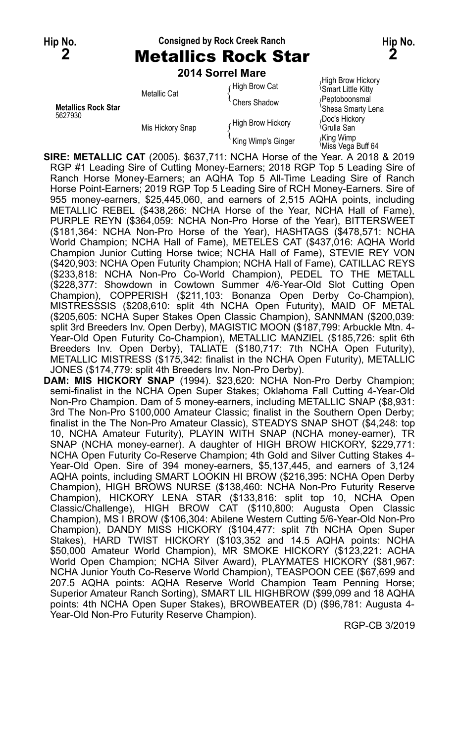### **Hip No. Consigned by Rock Creek Ranch Hip No.**

**2** Metallics Rock Star **2**

| 2014 Sorrel Mare |  |  |
|------------------|--|--|
|                  |  |  |

|                                       | LU IT JUITEI MAIG |                    |                                                |
|---------------------------------------|-------------------|--------------------|------------------------------------------------|
| <b>Metallics Rock Star</b><br>5627930 | Metallic Cat      | High Brow Cat      | High Brow Hickory<br><b>Smart Little Kitty</b> |
|                                       |                   | Chers Shadow       | /Peptoboonsmal<br>'Shesa Smarty Lena           |
|                                       | Mis Hickory Snap  | High Brow Hickory  | Doc's Hickory<br><sup>∖</sup> Grulla San       |
|                                       |                   | King Wimp's Ginger | King Wimp،<br>Miss Vega Buff 64                |

**SIRE: METALLIC CAT** (2005). \$637,711: NCHA Horse of the Year. A 2018 & 2019 RGP #1 Leading Sire of Cutting Money-Earners; 2018 RGP Top 5 Leading Sire of Ranch Horse Money-Earners; an AQHA Top 5 All-Time Leading Sire of Ranch Horse Point-Earners; 2019 RGP Top 5 Leading Sire of RCH Money-Earners. Sire of 955 money-earners, \$25,445,060, and earners of 2,515 AQHA points, including METALLIC REBEL (\$438,266: NCHA Horse of the Year, NCHA Hall of Fame), PURPLE REYN (\$364,059: NCHA Non-Pro Horse of the Year), BITTERSWEET (\$181,364: NCHA Non-Pro Horse of the Year), HASHTAGS (\$478,571: NCHA World Champion; NCHA Hall of Fame), METELES CAT (\$437,016: AQHA World Champion Junior Cutting Horse twice; NCHA Hall of Fame), STEVIE REY VON (\$420,903: NCHA Open Futurity Champion; NCHA Hall of Fame), CATILLAC REYS (\$233,818: NCHA Non-Pro Co-World Champion), PEDEL TO THE METALL (\$228,377: Showdown in Cowtown Summer 4/6-Year-Old Slot Cutting Open Champion), COPPERISH (\$211,103: Bonanza Open Derby Co-Champion), MISTRESSSIS (\$208,610: split 4th NCHA Open Futurity), MAID OF METAL (\$205,605: NCHA Super Stakes Open Classic Champion), SANNMAN (\$200,039: split 3rd Breeders Inv. Open Derby), MAGISTIC MOON (\$187,799: Arbuckle Mtn. 4- Year-Old Open Futurity Co-Champion), METALLIC MANZIEL (\$185,726: split 6th Breeders Inv. Open Derby), TALIATE (\$180,717: 7th NCHA Open Futurity), METALLIC MISTRESS (\$175,342: finalist in the NCHA Open Futurity), METALLIC JONES (\$174,779: split 4th Breeders Inv. Non-Pro Derby).

**DAM: MIS HICKORY SNAP** (1994). \$23,620: NCHA Non-Pro Derby Champion; semi-finalist in the NCHA Open Super Stakes; Oklahoma Fall Cutting 4-Year-Old Non-Pro Champion. Dam of 5 money-earners, including METALLIC SNAP (\$8,931: 3rd The Non-Pro \$100,000 Amateur Classic; finalist in the Southern Open Derby; finalist in the The Non-Pro Amateur Classic), STEADYS SNAP SHOT (\$4,248: top 10, NCHA Amateur Futurity), PLAYIN WITH SNAP (NCHA money-earner), TR SNAP (NCHA money-earner). A daughter of HIGH BROW HICKORY, \$229,771: NCHA Open Futurity Co-Reserve Champion; 4th Gold and Silver Cutting Stakes 4- Year-Old Open. Sire of 394 money-earners, \$5,137,445, and earners of 3,124 AQHA points, including SMART LOOKIN HI BROW (\$216,395: NCHA Open Derby Champion), HIGH BROWS NURSE (\$138,460: NCHA Non-Pro Futurity Reserve Champion), HICKORY LENA STAR (\$133,816: split top 10, NCHA Open Classic/Challenge), HIGH BROW CAT (\$110,800: Augusta Open Classic Champion), MS I BROW (\$106,304: Abilene Western Cutting 5/6-Year-Old Non-Pro Champion), DANDY MISS HICKORY (\$104,477: split 7th NCHA Open Super Stakes), HARD TWIST HICKORY (\$103,352 and 14.5 AQHA points: NCHA \$50,000 Amateur World Champion), MR SMOKE HICKORY (\$123,221: ACHA World Open Champion; NCHA Silver Award), PLAYMATES HICKORY (\$81,967: NCHA Junior Youth Co-Reserve World Champion), TEASPOON CEE (\$67,699 and 207.5 AQHA points: AQHA Reserve World Champion Team Penning Horse; Superior Amateur Ranch Sorting), SMART LIL HIGHBROW (\$99,099 and 18 AQHA points: 4th NCHA Open Super Stakes), BROWBEATER (D) (\$96,781: Augusta 4- Year-Old Non-Pro Futurity Reserve Champion).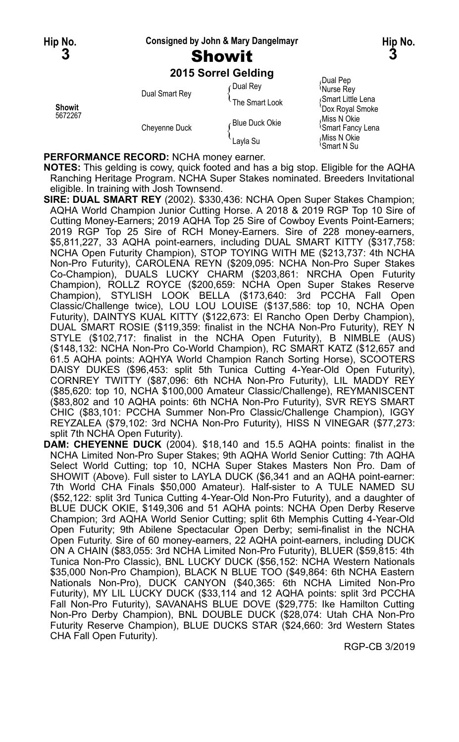#### **Hip No. Consigned by John & Mary Dangelmayr Hip No.**

# **2015 Sorrel Gelding**

| Showit<br>5672267 | Dual Smart Rey | Dual Rev<br>The Smart Look  | Dual Pep<br>Nurse Rey<br>Smart Little Lena<br>'Dox Royal Smoke             |
|-------------------|----------------|-----------------------------|----------------------------------------------------------------------------|
|                   | Cheyenne Duck  | ∠Blue Duck Okie<br>Layla Su | Miss N Okie<br><sup>l</sup> Smart Fancy Lena<br>Miss N Okie<br>'Smart N Su |

**PERFORMANCE RECORD:** NCHA money earner.

**NOTES:** This gelding is cowy, quick footed and has a big stop. Eligible for the AQHA Ranching Heritage Program. NCHA Super Stakes nominated. Breeders Invitational eligible. In training with Josh Townsend.

- **SIRE: DUAL SMART REY** (2002). \$330,436: NCHA Open Super Stakes Champion; AQHA World Champion Junior Cutting Horse. A 2018 & 2019 RGP Top 10 Sire of Cutting Money-Earners; 2019 AQHA Top 25 Sire of Cowboy Events Point-Earners; 2019 RGP Top 25 Sire of RCH Money-Earners. Sire of 228 money-earners, \$5,811,227, 33 AQHA point-earners, including DUAL SMART KITTY (\$317,758: NCHA Open Futurity Champion), STOP TOYING WITH ME (\$213,737: 4th NCHA Non-Pro Futurity), CAROLENA REYN (\$209,095: NCHA Non-Pro Super Stakes Co-Champion), DUALS LUCKY CHARM (\$203,861: NRCHA Open Futurity Champion), ROLLZ ROYCE (\$200,659: NCHA Open Super Stakes Reserve Champion), STYLISH LOOK BELLA (\$173,640: 3rd PCCHA Fall Open Classic/Challenge twice), LOU LOU LOUISE (\$137,586: top 10, NCHA Open Futurity), DAINTYS KUAL KITTY (\$122,673: El Rancho Open Derby Champion), DUAL SMART ROSIE (\$119,359: finalist in the NCHA Non-Pro Futurity), REY N STYLE (\$102,717: finalist in the NCHA Open Futurity), B NIMBLE (AUS) (\$148,132: NCHA Non-Pro Co-World Champion), RC SMART KATZ (\$12,657 and 61.5 AQHA points: AQHYA World Champion Ranch Sorting Horse), SCOOTERS DAISY DUKES (\$96,453: split 5th Tunica Cutting 4-Year-Old Open Futurity), CORNREY TWITTY (\$87,096: 6th NCHA Non-Pro Futurity), LIL MADDY REY (\$85,620: top 10, NCHA \$100,000 Amateur Classic/Challenge), REYMANISCENT (\$83,802 and 10 AQHA points: 6th NCHA Non-Pro Futurity), SVR REYS SMART CHIC (\$83,101: PCCHA Summer Non-Pro Classic/Challenge Champion), IGGY REYZALEA (\$79,102: 3rd NCHA Non-Pro Futurity), HISS N VINEGAR (\$77,273: split 7th NCHA Open Futurity).
- **DAM: CHEYENNE DUCK** (2004). \$18,140 and 15.5 AQHA points: finalist in the NCHA Limited Non-Pro Super Stakes; 9th AQHA World Senior Cutting: 7th AQHA Select World Cutting; top 10, NCHA Super Stakes Masters Non Pro. Dam of SHOWIT (Above). Full sister to LAYLA DUCK (\$6,341 and an AQHA point-earner: 7th World CHA Finals \$50,000 Amateur). Half-sister to A TULE NAMED SU (\$52,122: split 3rd Tunica Cutting 4-Year-Old Non-Pro Futurity), and a daughter of BLUE DUCK OKIE, \$149,306 and 51 AQHA points: NCHA Open Derby Reserve Champion; 3rd AQHA World Senior Cutting; split 6th Memphis Cutting 4-Year-Old Open Futurity; 9th Abilene Spectacular Open Derby; semi-finalist in the NCHA Open Futurity. Sire of 60 money-earners, 22 AQHA point-earners, including DUCK ON A CHAIN (\$83,055: 3rd NCHA Limited Non-Pro Futurity), BLUER (\$59,815: 4th Tunica Non-Pro Classic), BNL LUCKY DUCK (\$56,152: NCHA Western Nationals \$35,000 Non-Pro Champion), BLACK N BLUE TOO (\$49,864: 6th NCHA Eastern Nationals Non-Pro), DUCK CANYON (\$40,365: 6th NCHA Limited Non-Pro Futurity), MY LIL LUCKY DUCK (\$33,114 and 12 AQHA points: split 3rd PCCHA Fall Non-Pro Futurity), SAVANAHS BLUE DOVE (\$29,775: Ike Hamilton Cutting Non-Pro Derby Champion), BNL DOUBLE DUCK (\$28,074: Utah CHA Non-Pro Futurity Reserve Champion), BLUE DUCKS STAR (\$24,660: 3rd Western States CHA Fall Open Futurity).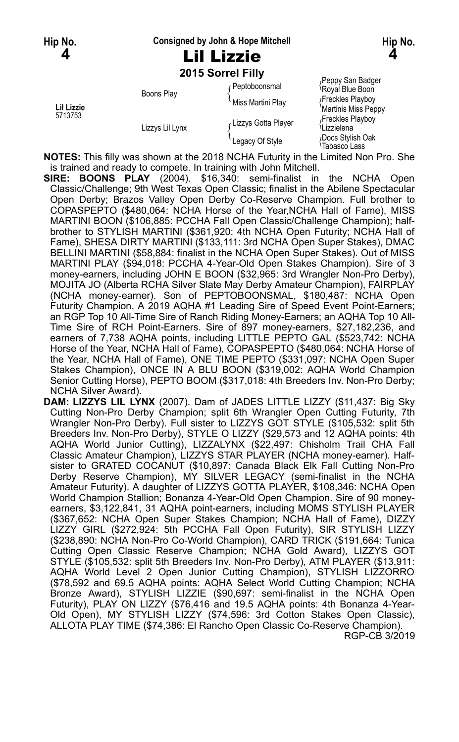#### **Hip No. Consigned by John & Hope Mitchell Hip No.**

### **2015 Sorrel Filly**

|                       | ZU 19 SUITEL FIIIV |                       |                                              |
|-----------------------|--------------------|-----------------------|----------------------------------------------|
| Lil Lizzie<br>5713753 | Boons Play         | Peptoboonsmal         | Peppy San Badger<br>Royal Blue Boon          |
|                       |                    | Miss Martini Plav     | Freckles Playboy<br>Martinis Miss Peppy      |
|                       | Lizzys Lil Lynx    | Lizzys Gotta Player ، | Freckles Playboy<br><sup>{</sup> Lizzielena} |
|                       |                    | Legacy Of Style       | Docs Stylish Oak<br>Tabasco Lass             |

**NOTES:** This filly was shown at the 2018 NCHA Futurity in the Limited Non Pro. She is trained and ready to compete. In training with John Mitchell.

**SIRE: BOONS PLAY** (2004). \$16,340: semi-finalist in the NCHA Open Classic/Challenge; 9th West Texas Open Classic; finalist in the Abilene Spectacular Open Derby; Brazos Valley Open Derby Co-Reserve Champion. Full brother to COPASPEPTO (\$480,064: NCHA Horse of the Year,NCHA Hall of Fame), MISS MARTINI BOON (\$106,885: PCCHA Fall Open Classic/Challenge Champion); halfbrother to STYLISH MARTINI (\$361,920: 4th NCHA Open Futurity; NCHA Hall of Fame), SHESA DIRTY MARTINI (\$133,111: 3rd NCHA Open Super Stakes), DMAC BELLINI MARTINI (\$58,884: finalist in the NCHA Open Super Stakes). Out of MISS MARTINI PLAY (\$94,018: PCCHA 4-Year-Old Open Stakes Champion). Sire of 3 money-earners, including JOHN E BOON (\$32,965: 3rd Wrangler Non-Pro Derby), MOJITA JO (Alberta RCHA Silver Slate May Derby Amateur Champion), FAIRPLAY (NCHA money-earner). Son of PEPTOBOONSMAL, \$180,487: NCHA Open Futurity Champion. A 2019 AQHA #1 Leading Sire of Speed Event Point-Earners; an RGP Top 10 All-Time Sire of Ranch Riding Money-Earners; an AQHA Top 10 All-Time Sire of RCH Point-Earners. Sire of 897 money-earners, \$27,182,236, and earners of 7,738 AQHA points, including LITTLE PEPTO GAL (\$523,742: NCHA Horse of the Year, NCHA Hall of Fame), COPASPEPTO (\$480,064: NCHA Horse of the Year, NCHA Hall of Fame), ONE TIME PEPTO (\$331,097: NCHA Open Super Stakes Champion), ONCE IN A BLU BOON (\$319,002: AQHA World Champion Senior Cutting Horse), PEPTO BOOM (\$317,018: 4th Breeders Inv. Non-Pro Derby; NCHA Silver Award).

**DAM: LIZZYS LIL LYNX** (2007). Dam of JADES LITTLE LIZZY (\$11,437: Big Sky Cutting Non-Pro Derby Champion; split 6th Wrangler Open Cutting Futurity, 7th Wrangler Non-Pro Derby). Full sister to LIZZYS GOT STYLE (\$105,532: split 5th Breeders Inv. Non-Pro Derby), STYLE O LIZZY (\$29,573 and 12 AQHA points: 4th AQHA World Junior Cutting), LIZZALYNX (\$22,497: Chisholm Trail CHA Fall Classic Amateur Champion), LIZZYS STAR PLAYER (NCHA money-earner). Halfsister to GRATED COCANUT (\$10,897: Canada Black Elk Fall Cutting Non-Pro Derby Reserve Champion), MY SILVER LEGACY (semi-finalist in the NCHA Amateur Futurity). A daughter of LIZZYS GOTTA PLAYER, \$108,346: NCHA Open World Champion Stallion; Bonanza 4-Year-Old Open Champion. Sire of 90 moneyearners, \$3,122,841, 31 AQHA point-earners, including MOMS STYLISH PLAYER (\$367,652: NCHA Open Super Stakes Champion; NCHA Hall of Fame), DIZZY LIZZY GIRL (\$272,924: 5th PCCHA Fall Open Futurity), SIR STYLISH LIZZY (\$238,890: NCHA Non-Pro Co-World Champion), CARD TRICK (\$191,664: Tunica Cutting Open Classic Reserve Champion; NCHA Gold Award), LIZZYS GOT STYLE (\$105,532: split 5th Breeders Inv. Non-Pro Derby), ATM PLAYER (\$13,911: AQHA World Level 2 Open Junior Cutting Champion), STYLISH LIZZORRO (\$78,592 and 69.5 AQHA points: AQHA Select World Cutting Champion; NCHA Bronze Award), STYLISH LIZZIE (\$90,697: semi-finalist in the NCHA Open Futurity), PLAY ON LIZZY (\$76,416 and 19.5 AQHA points: 4th Bonanza 4-Year-Old Open), MY STYLISH LIZZY (\$74,596: 3rd Cotton Stakes Open Classic), ALLOTA PLAY TIME (\$74,386: El Rancho Open Classic Co-Reserve Champion). RGP-CB 3/2019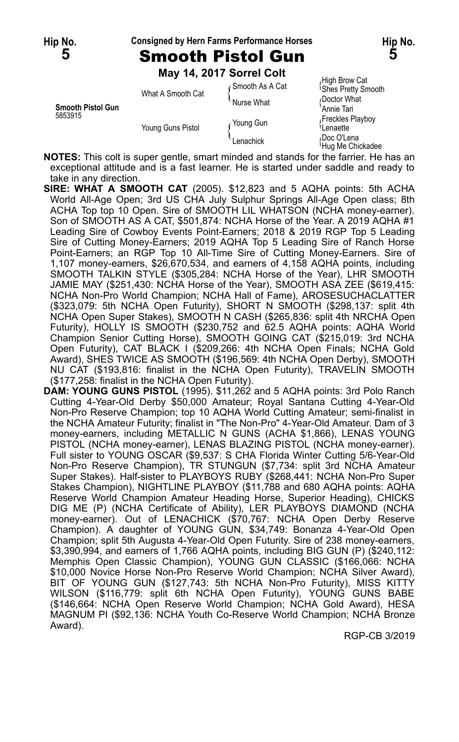### **Hip No. Consigned by Hern Farms Performance Horses Hip No.**



**May 14, 2017 Sorrel Colt**

| <b>Smooth Pistol Gun</b><br>5853915 | What A Smooth Cat | ⊆Smooth As A Cat<br>Nurse What | High Brow Cat<br><b>Shes Pretty Smooth</b><br>Doctor What |
|-------------------------------------|-------------------|--------------------------------|-----------------------------------------------------------|
|                                     | Young Guns Pistol | Young Gun                      | Annie Tari<br>Freckles Playboy<br>Lenaette                |
|                                     |                   | Lenachick                      | Doc O'Lena<br><sup>1</sup> Hug Me Chickadee               |

**NOTES:** This colt is super gentle, smart minded and stands for the farrier. He has an exceptional attitude and is a fast learner. He is started under saddle and ready to take in any direction.

- **SIRE: WHAT A SMOOTH CAT** (2005). \$12,823 and 5 AQHA points: 5th ACHA World All-Age Open; 3rd US CHA July Sulphur Springs All-Age Open class; 8th ACHA Top top 10 Open. Sire of SMOOTH LIL WHATSON (NCHA money-earner). Son of SMOOTH AS A CAT, \$501,874: NCHA Horse of the Year. A 2019 AQHA #1 Leading Sire of Cowboy Events Point-Earners; 2018 & 2019 RGP Top 5 Leading Sire of Cutting Money-Earners; 2019 AQHA Top 5 Leading Sire of Ranch Horse Point-Earners; an RGP Top 10 All-Time Sire of Cutting Money-Earners. Sire of 1,107 money-earners, \$26,670,534, and earners of 4,158 AQHA points, including SMOOTH TALKIN STYLE (\$305,284: NCHA Horse of the Year), LHR SMOOTH JAMIE MAY (\$251,430: NCHA Horse of the Year), SMOOTH ASA ZEE (\$619,415: NCHA Non-Pro World Champion; NCHA Hall of Fame), AROSESUCHACLATTER (\$323,079: 5th NCHA Open Futurity), SHORT N SMOOTH (\$298,137: split 4th NCHA Open Super Stakes), SMOOTH N CASH (\$265,836: split 4th NRCHA Open Futurity), HOLLY IS SMOOTH (\$230,752 and 62.5 AQHA points: AQHA World Champion Senior Cutting Horse), SMOOTH GOING CAT (\$215,019: 3rd NCHA Open Futurity), CAT BLACK I (\$209,266: 4th NCHA Open Finals; NCHA Gold Award), SHES TWICE AS SMOOTH (\$196,569: 4th NCHA Open Derby), SMOOTH NU CAT (\$193,816: finalist in the NCHA Open Futurity), TRAVELIN SMOOTH (\$177,258: finalist in the NCHA Open Futurity).
- **DAM: YOUNG GUNS PISTOL** (1995). \$11,262 and 5 AQHA points: 3rd Polo Ranch Cutting 4-Year-Old Derby \$50,000 Amateur; Royal Santana Cutting 4-Year-Old Non-Pro Reserve Champion; top 10 AQHA World Cutting Amateur; semi-finalist in the NCHA Amateur Futurity; finalist in "The Non-Pro" 4-Year-Old Amateur. Dam of 3 money-earners, including METALLIC N GUNS (ACHA \$1,866), LENAS YOUNG PISTOL (NCHA money-earner), LENAS BLAZING PISTOL (NCHA money-earner). Full sister to YOUNG OSCAR (\$9,537: S CHA Florida Winter Cutting 5/6-Year-Old Non-Pro Reserve Champion), TR STUNGUN (\$7,734: split 3rd NCHA Amateur Super Stakes). Half-sister to PLAYBOYS RUBY (\$268,441: NCHA Non-Pro Super Stakes Champion), NIGHTLINE PLAYBOY (\$11,788 and 680 AQHA points: AQHA Reserve World Champion Amateur Heading Horse, Superior Heading), CHICKS DIG ME (P) (NCHA Certificate of Ability), LER PLAYBOYS DIAMOND (NCHA money-earner). Out of LENACHICK (\$70,767: NCHA Open Derby Reserve Champion). A daughter of YOUNG GUN, \$34,749: Bonanza 4-Year-Old Open Champion; split 5th Augusta 4-Year-Old Open Futurity. Sire of 238 money-earners, \$3,390,994, and earners of 1,766 AQHA points, including BIG GUN (P) (\$240,112: Memphis Open Classic Champion), YOUNG GUN CLASSIC (\$166,066: NCHA \$10,000 Novice Horse Non-Pro Reserve World Champion; NCHA Silver Award), BIT OF YOUNG GUN (\$127,743: 5th NCHA Non-Pro Futurity), MISS KITTY WILSON (\$116,779: split 6th NCHA Open Futurity), YOUNG GUNS BABE (\$146,664: NCHA Open Reserve World Champion; NCHA Gold Award), HESA MAGNUM PI (\$92,136: NCHA Youth Co-Reserve World Champion; NCHA Bronze Award).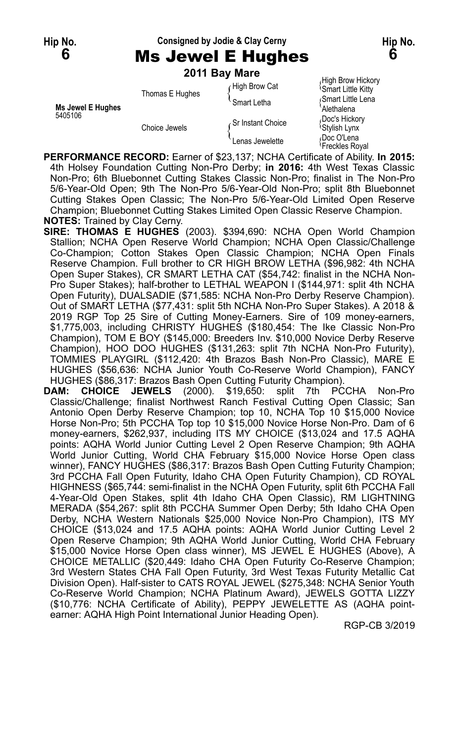# **Hip No. Consigned by Jodie & Clay Cerny Hip No.**

**6** Ms Jewel E Hughes **6**

|                   |                 | 2011 Bay Mare     |                                                      |
|-------------------|-----------------|-------------------|------------------------------------------------------|
|                   | Thomas E Hughes | ∩High Brow Cat    | High Brow Hickory<br><sup>1</sup> Smart Little Kitty |
| Ms Jewel E Hughes |                 | Smart Letha       | Smart Little Lena<br>Alethalena                      |
| 5405106           | Choice Jewels   | Sr Instant Choice | Doc's Hickory<br><sup>l</sup> Stylish Lynx           |
|                   |                 | Lenas Jewelette   | Doc O'Lena<br><sup>{</sup> Freckles Royal            |

**PERFORMANCE RECORD:** Earner of \$23,137; NCHA Certificate of Ability. **In 2015:** 4th Holsey Foundation Cutting Non-Pro Derby; **in 2016:** 4th West Texas Classic Non-Pro; 6th Bluebonnet Cutting Stakes Classic Non-Pro; finalist in The Non-Pro 5/6-Year-Old Open; 9th The Non-Pro 5/6-Year-Old Non-Pro; split 8th Bluebonnet Cutting Stakes Open Classic; The Non-Pro 5/6-Year-Old Limited Open Reserve Champion; Bluebonnet Cutting Stakes Limited Open Classic Reserve Champion. **NOTES:** Trained by Clay Cerny.

**SIRE: THOMAS E HUGHES** (2003). \$394,690: NCHA Open World Champion Stallion; NCHA Open Reserve World Champion; NCHA Open Classic/Challenge Co-Champion; Cotton Stakes Open Classic Champion; NCHA Open Finals Reserve Champion. Full brother to CR HIGH BROW LETHA (\$96,982: 4th NCHA Open Super Stakes), CR SMART LETHA CAT (\$54,742: finalist in the NCHA Non-Pro Super Stakes); half-brother to LETHAL WEAPON I (\$144,971: split 4th NCHA Open Futurity), DUALSADIE (\$71,585: NCHA Non-Pro Derby Reserve Champion). Out of SMART LETHA (\$77,431: split 5th NCHA Non-Pro Super Stakes). A 2018 & 2019 RGP Top 25 Sire of Cutting Money-Earners. Sire of 109 money-earners, \$1,775,003, including CHRISTY HUGHES (\$180,454: The Ike Classic Non-Pro Champion), TOM E BOY (\$145,000: Breeders Inv. \$10,000 Novice Derby Reserve Champion), HOO DOO HUGHES (\$131,263: split 7th NCHA Non-Pro Futurity), TOMMIES PLAYGIRL (\$112,420: 4th Brazos Bash Non-Pro Classic), MARE E HUGHES (\$56,636: NCHA Junior Youth Co-Reserve World Champion), FANCY HUGHES (\$86,317: Brazos Bash Open Cutting Futurity Champion).

**DAM: CHOICE JEWELS** (2000). \$19,650: split 7th PCCHA Non-Pro Classic/Challenge; finalist Northwest Ranch Festival Cutting Open Classic; San Antonio Open Derby Reserve Champion; top 10, NCHA Top 10 \$15,000 Novice Horse Non-Pro; 5th PCCHA Top top 10 \$15,000 Novice Horse Non-Pro. Dam of 6 money-earners, \$262,937, including ITS MY CHOICE (\$13,024 and 17.5 AQHA points: AQHA World Junior Cutting Level 2 Open Reserve Champion; 9th AQHA World Junior Cutting, World CHA February \$15,000 Novice Horse Open class winner), FANCY HUGHES (\$86,317: Brazos Bash Open Cutting Futurity Champion; 3rd PCCHA Fall Open Futurity, Idaho CHA Open Futurity Champion), CD ROYAL HIGHNESS (\$65,744: semi-finalist in the NCHA Open Futurity, split 6th PCCHA Fall 4-Year-Old Open Stakes, split 4th Idaho CHA Open Classic), RM LIGHTNING MERADA (\$54,267: split 8th PCCHA Summer Open Derby; 5th Idaho CHA Open Derby, NCHA Western Nationals \$25,000 Novice Non-Pro Champion), ITS MY CHOICE (\$13,024 and 17.5 AQHA points: AQHA World Junior Cutting Level 2 Open Reserve Champion; 9th AQHA World Junior Cutting, World CHA February \$15,000 Novice Horse Open class winner), MS JEWEL E HUGHES (Above), A CHOICE METALLIC (\$20,449: Idaho CHA Open Futurity Co-Reserve Champion; 3rd Western States CHA Fall Open Futurity, 3rd West Texas Futurity Metallic Cat Division Open). Half-sister to CATS ROYAL JEWEL (\$275,348: NCHA Senior Youth Co-Reserve World Champion; NCHA Platinum Award), JEWELS GOTTA LIZZY (\$10,776: NCHA Certificate of Ability), PEPPY JEWELETTE AS (AQHA pointearner: AQHA High Point International Junior Heading Open).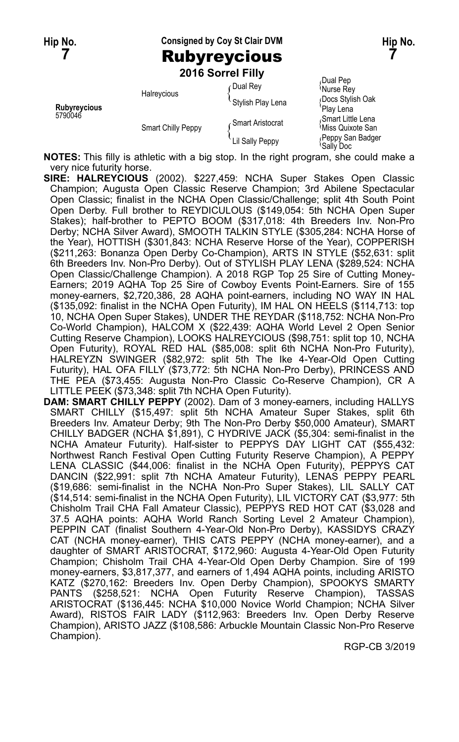**Hip No. Consigned by Coy St Clair DVM Hip No. 7** Rubyreycious **7**

**2016 Sorrel Filly**

| Rubyreycious<br>5790046 | Halreycious               | ∩Dual Rey         | Dual Pep<br>Murse Rey                              |
|-------------------------|---------------------------|-------------------|----------------------------------------------------|
|                         |                           | Stylish Play Lena | Docs Stylish Oak<br>'Plav Lena                     |
|                         | <b>Smart Chilly Peppy</b> | ∠Smart Aristocrat | Smart Little Lena<br><sup>1</sup> Miss Quixote San |
|                         |                           | Lil Sally Peppy   | Peppy San Badger<br>'Sally Doc                     |

**NOTES:** This filly is athletic with a big stop. In the right program, she could make a very nice futurity horse.

- **SIRE: HALREYCIOUS** (2002). \$227,459: NCHA Super Stakes Open Classic Champion; Augusta Open Classic Reserve Champion; 3rd Abilene Spectacular Open Classic; finalist in the NCHA Open Classic/Challenge; split 4th South Point Open Derby. Full brother to REYDICULOUS (\$149,054: 5th NCHA Open Super Stakes); half-brother to PEPTO BOOM (\$317,018: 4th Breeders Inv. Non-Pro Derby; NCHA Silver Award), SMOOTH TALKIN STYLE (\$305,284: NCHA Horse of the Year), HOTTISH (\$301,843: NCHA Reserve Horse of the Year), COPPERISH (\$211,263: Bonanza Open Derby Co-Champion), ARTS IN STYLE (\$52,631: split 6th Breeders Inv. Non-Pro Derby). Out of STYLISH PLAY LENA (\$289,524: NCHA Open Classic/Challenge Champion). A 2018 RGP Top 25 Sire of Cutting Money-Earners; 2019 AQHA Top 25 Sire of Cowboy Events Point-Earners. Sire of 155 money-earners, \$2,720,386, 28 AQHA point-earners, including NO WAY IN HAL (\$135,092: finalist in the NCHA Open Futurity), IM HAL ON HEELS (\$114,713: top 10, NCHA Open Super Stakes), UNDER THE REYDAR (\$118,752: NCHA Non-Pro Co-World Champion), HALCOM X (\$22,439: AQHA World Level 2 Open Senior Cutting Reserve Champion), LOOKS HALREYCIOUS (\$98,751: split top 10, NCHA Open Futurity), ROYAL RED HAL (\$85,008: split 6th NCHA Non-Pro Futurity), HALREYZN SWINGER (\$82,972: split 5th The Ike 4-Year-Old Open Cutting Futurity), HAL OFA FILLY (\$73,772: 5th NCHA Non-Pro Derby), PRINCESS AND THE PEA (\$73,455: Augusta Non-Pro Classic Co-Reserve Champion), CR A LITTLE PEEK (\$73,348: split 7th NCHA Open Futurity).
- **DAM: SMART CHILLY PEPPY** (2002). Dam of 3 money-earners, including HALLYS SMART CHILLY (\$15,497: split 5th NCHA Amateur Super Stakes, split 6th Breeders Inv. Amateur Derby; 9th The Non-Pro Derby \$50,000 Amateur), SMART CHILLY BADGER (NCHA \$1,891), C HYDRIVE JACK (\$5,304: semi-finalist in the NCHA Amateur Futurity). Half-sister to PEPPYS DAY LIGHT CAT (\$55,432: Northwest Ranch Festival Open Cutting Futurity Reserve Champion), A PEPPY LENA CLASSIC (\$44,006: finalist in the NCHA Open Futurity), PEPPYS CAT DANCIN (\$22,991: split 7th NCHA Amateur Futurity), LENAS PEPPY PEARL (\$19,686: semi-finalist in the NCHA Non-Pro Super Stakes), LIL SALLY CAT (\$14,514: semi-finalist in the NCHA Open Futurity), LIL VICTORY CAT (\$3,977: 5th Chisholm Trail CHA Fall Amateur Classic), PEPPYS RED HOT CAT (\$3,028 and 37.5 AQHA points: AQHA World Ranch Sorting Level 2 Amateur Champion), PEPPIN CAT (finalist Southern 4-Year-Old Non-Pro Derby), KASSIDYS CRAZY CAT (NCHA money-earner), THIS CATS PEPPY (NCHA money-earner), and a daughter of SMART ARISTOCRAT, \$172,960: Augusta 4-Year-Old Open Futurity Champion; Chisholm Trail CHA 4-Year-Old Open Derby Champion. Sire of 199 money-earners, \$3,817,377, and earners of 1,494 AQHA points, including ARISTO KATZ (\$270,162: Breeders Inv. Open Derby Champion), SPOOKYS SMARTY PANTS (\$258,521: NCHA Open Futurity Reserve Champion), TASSAS ARISTOCRAT (\$136,445: NCHA \$10,000 Novice World Champion; NCHA Silver Award), RISTOS FAIR LADY (\$112,963: Breeders Inv. Open Derby Reserve Champion), ARISTO JAZZ (\$108,586: Arbuckle Mountain Classic Non-Pro Reserve Champion).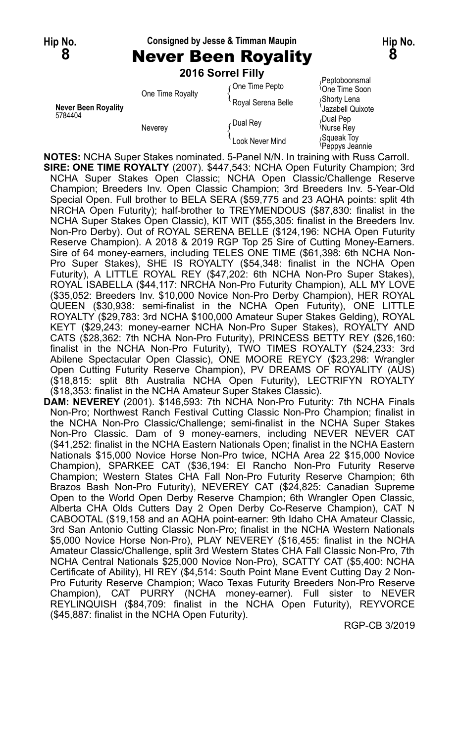#### **Hip No. Consigned by Jesse & Timman Maupin Hip No.**

**8** Never Been Royality **8**

|                            |                  | 2016 Sorrel Filly  |                                             |
|----------------------------|------------------|--------------------|---------------------------------------------|
|                            | One Time Royalty | One Time Pepto     | Peptoboonsmal<br><sup>l</sup> One Time Soon |
| <b>Never Been Royality</b> |                  | Royal Serena Belle | ∫Shorty Lena<br>Jazabell Quixote            |
| 5784404                    | Neverey          | Dual Rey           | Dual Pep،<br><sup>{</sup> Nurse Rev         |
|                            |                  | Look Never Mind    | Squeak Toy<br>Peppys Jeannie                |

**NOTES:** NCHA Super Stakes nominated. 5-Panel N/N. In training with Russ Carroll. **SIRE: ONE TIME ROYALTY** (2007). \$447,543: NCHA Open Futurity Champion; 3rd NCHA Super Stakes Open Classic; NCHA Open Classic/Challenge Reserve Champion; Breeders Inv. Open Classic Champion; 3rd Breeders Inv. 5-Year-Old Special Open. Full brother to BELA SERA (\$59,775 and 23 AQHA points: split 4th NRCHA Open Futurity); half-brother to TREYMENDOUS (\$87,830: finalist in the NCHA Super Stakes Open Classic), KIT WIT (\$55,305: finalist in the Breeders Inv. Non-Pro Derby). Out of ROYAL SERENA BELLE (\$124,196: NCHA Open Futurity Reserve Champion). A 2018 & 2019 RGP Top 25 Sire of Cutting Money-Earners. Sire of 64 money-earners, including TELES ONE TIME (\$61,398: 6th NCHA Non-Pro Super Stakes), SHE IS ROYALTY (\$54,348: finalist in the NCHA Open Futurity), A LITTLE ROYAL REY (\$47,202: 6th NCHA Non-Pro Super Stakes), ROYAL ISABELLA (\$44,117: NRCHA Non-Pro Futurity Champion), ALL MY LOVE (\$35,052: Breeders Inv. \$10,000 Novice Non-Pro Derby Champion), HER ROYAL QUEEN (\$30,938: semi-finalist in the NCHA Open Futurity), ONE LITTLE ROYALTY (\$29,783: 3rd NCHA \$100,000 Amateur Super Stakes Gelding), ROYAL KEYT (\$29,243: money-earner NCHA Non-Pro Super Stakes), ROYALTY AND CATS (\$28,362: 7th NCHA Non-Pro Futurity), PRINCESS BETTY REY (\$26,160: finalist in the NCHA Non-Pro Futurity), TWO TIMES ROYALTY (\$24,233: 3rd Abilene Spectacular Open Classic), ONE MOORE REYCY (\$23,298: Wrangler Open Cutting Futurity Reserve Champion), PV DREAMS OF ROYALITY (AUS) (\$18,815: split 8th Australia NCHA Open Futurity), LECTRIFYN ROYALTY (\$18,353: finalist in the NCHA Amateur Super Stakes Classic).

**DAM: NEVEREY** (2001). \$146,593: 7th NCHA Non-Pro Futurity: 7th NCHA Finals Non-Pro; Northwest Ranch Festival Cutting Classic Non-Pro Champion; finalist in the NCHA Non-Pro Classic/Challenge; semi-finalist in the NCHA Super Stakes Non-Pro Classic. Dam of 9 money-earners, including NEVER NEVER CAT (\$41,252: finalist in the NCHA Eastern Nationals Open; finalist in the NCHA Eastern Nationals \$15,000 Novice Horse Non-Pro twice, NCHA Area 22 \$15,000 Novice Champion), SPARKEE CAT (\$36,194: El Rancho Non-Pro Futurity Reserve Champion; Western States CHA Fall Non-Pro Futurity Reserve Champion; 6th Brazos Bash Non-Pro Futurity), NEVEREY CAT (\$24,825: Canadian Supreme Open to the World Open Derby Reserve Champion; 6th Wrangler Open Classic, Alberta CHA Olds Cutters Day 2 Open Derby Co-Reserve Champion), CAT N CABOOTAL (\$19,158 and an AQHA point-earner: 9th Idaho CHA Amateur Classic, 3rd San Antonio Cutting Classic Non-Pro; finalist in the NCHA Western Nationals \$5,000 Novice Horse Non-Pro), PLAY NEVEREY (\$16,455: finalist in the NCHA Amateur Classic/Challenge, split 3rd Western States CHA Fall Classic Non-Pro, 7th NCHA Central Nationals \$25,000 Novice Non-Pro), SCATTY CAT (\$5,400: NCHA Certificate of Ability), HI REY (\$4,514: South Point Mane Event Cutting Day 2 Non-Pro Futurity Reserve Champion; Waco Texas Futurity Breeders Non-Pro Reserve Champion), CAT PURRY (NCHA money-earner). Full sister to NEVER REYLINQUISH (\$84,709: finalist in the NCHA Open Futurity), REYVORCE (\$45,887: finalist in the NCHA Open Futurity).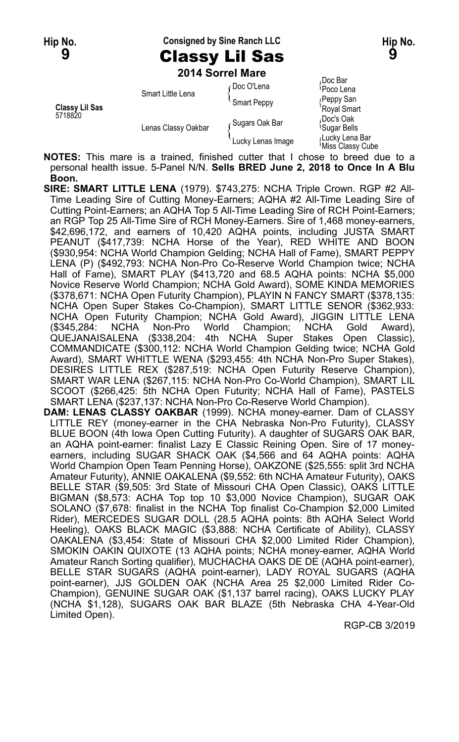**Hip No. Consigned by Sine Ranch LLC Hip No. Hip No. 9** Classy Lil Sas **9**

Doc Bar

**2014 Sorrel Mare**

| Classy Lil Sas<br>5718820 | Smart Little Lena   | ∠Doc O'Lena       | <sup>≀</sup> Poco Lena                |
|---------------------------|---------------------|-------------------|---------------------------------------|
|                           |                     | Smart Peppy       | Reppy San                             |
|                           |                     |                   | 'Royal Smart                          |
|                           | Lenas Classy Oakbar | Sugars Oak Bar    | Doc's Oak<br><sup>l</sup> Sugar Bells |
|                           |                     | Lucky Lenas Image | Lucky Lena Bar<br>Miss Classy Cube    |

**Notify Script Williss Classy Cube**<br>**NOTES:** This mare is a trained, finished cutter that I chose to breed due to a personal health issue. 5-Panel N/N. **Sells BRED June 2, 2018 to Once In A Blu Boon.**

**SIRE: SMART LITTLE LENA** (1979). \$743,275: NCHA Triple Crown. RGP #2 All-Time Leading Sire of Cutting Money-Earners; AQHA #2 All-Time Leading Sire of Cutting Point-Earners; an AQHA Top 5 All-Time Leading Sire of RCH Point-Earners; an RGP Top 25 All-Time Sire of RCH Money-Earners. Sire of 1,468 money-earners, \$42,696,172, and earners of 10,420 AQHA points, including JUSTA SMART PEANUT (\$417,739: NCHA Horse of the Year), RED WHITE AND BOON (\$930,954: NCHA World Champion Gelding; NCHA Hall of Fame), SMART PEPPY LENA (P) (\$492,793: NCHA Non-Pro Co-Reserve World Champion twice; NCHA Hall of Fame), SMART PLAY (\$413,720 and 68.5 AQHA points: NCHA \$5,000 Novice Reserve World Champion; NCHA Gold Award), SOME KINDA MEMORIES (\$378,671: NCHA Open Futurity Champion), PLAYIN N FANCY SMART (\$378,135: NCHA Open Super Stakes Co-Champion), SMART LITTLE SENOR (\$362,933: NCHA Open Futurity Champion; NCHA Gold Award), JIGGIN LITTLE LENA (\$345,284: NCHA Non-Pro World Champion; NCHA Gold Award), QUEJANAISALENA (\$338,204: 4th NCHA Super Stakes Open Classic), COMMANDICATE (\$300,112: NCHA World Champion Gelding twice; NCHA Gold Award), SMART WHITTLE WENA (\$293,455: 4th NCHA Non-Pro Super Stakes), DESIRES LITTLE REX (\$287,519: NCHA Open Futurity Reserve Champion), SMART WAR LENA (\$267,115: NCHA Non-Pro Co-World Champion), SMART LIL SCOOT (\$266,425: 5th NCHA Open Futurity; NCHA Hall of Fame), PASTELS SMART LENA (\$237,137: NCHA Non-Pro Co-Reserve World Champion). **DAM: LENAS CLASSY OAKBAR** (1999). NCHA money-earner. Dam of CLASSY LITTLE REY (money-earner in the CHA Nebraska Non-Pro Futurity), CLASSY BLUE BOON (4th Iowa Open Cutting Futurity). A daughter of SUGARS OAK BAR, an AQHA point-earner: finalist Lazy E Classic Reining Open. Sire of 17 money-

earners, including SUGAR SHACK OAK (\$4,566 and 64 AQHA points: AQHA World Champion Open Team Penning Horse), OAKZONE (\$25,555: split 3rd NCHA Amateur Futurity), ANNIE OAKALENA (\$9,552: 6th NCHA Amateur Futurity), OAKS BELLE STAR (\$9,505: 3rd State of Missouri CHA Open Classic), OAKS LITTLE BIGMAN (\$8,573: ACHA Top top 10 \$3,000 Novice Champion), SUGAR OAK SOLANO (\$7,678: finalist in the NCHA Top finalist Co-Champion \$2,000 Limited Rider), MERCEDES SUGAR DOLL (28.5 AQHA points: 8th AQHA Select World Heeling), OAKS BLACK MAGIC (\$3,888: NCHA Certificate of Ability), CLASSY OAKALENA (\$3,454: State of Missouri CHA \$2,000 Limited Rider Champion), SMOKIN OAKIN QUIXOTE (13 AQHA points; NCHA money-earner, AQHA World Amateur Ranch Sorting qualifier), MUCHACHA OAKS DE DE (AQHA point-earner), BELLE STAR SUGARS (AQHA point-earner), LADY ROYAL SUGARS (AQHA point-earner), JJS GOLDEN OAK (NCHA Area 25 \$2,000 Limited Rider Co-Champion), GENUINE SUGAR OAK (\$1,137 barrel racing), OAKS LUCKY PLAY (NCHA \$1,128), SUGARS OAK BAR BLAZE (5th Nebraska CHA 4-Year-Old Limited Open).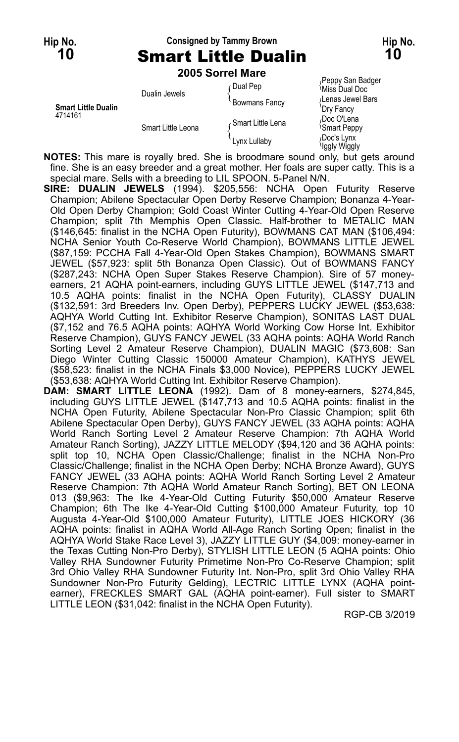# **Hip No. Consigned by Tammy Brown Hip No. 10** Smart Little Dualin **10**

**2005 Sorrel Mare**

| <b>Smart Little Dualin</b><br>4714161 | Dualin Jewels      | Dual Pep             | Peppy San Badger<br><sup>{</sup> Miss Dual Doc |
|---------------------------------------|--------------------|----------------------|------------------------------------------------|
|                                       |                    | <b>Bowmans Fancy</b> | Lenas Jewel Bars<br>`Dry Fancy                 |
|                                       | Smart Little Leona | ∠Smart Little Lena   | Doc O'Lena<br><b>Smart Peppy</b>               |
|                                       |                    | Lynx Lullaby         | Doc's Lynx<br>Iggly Wiggly                     |

**NOTES:** This mare is royally bred. She is broodmare sound only, but gets around fine. She is an easy breeder and a great mother. Her foals are super catty. This is a special mare. Sells with a breeding to LIL SPOON. 5-Panel N/N.

**SIRE: DUALIN JEWELS** (1994). \$205,556: NCHA Open Futurity Reserve Champion; Abilene Spectacular Open Derby Reserve Champion; Bonanza 4-Year-Old Open Derby Champion; Gold Coast Winter Cutting 4-Year-Old Open Reserve Champion; split 7th Memphis Open Classic. Half-brother to METALIC MAN (\$146,645: finalist in the NCHA Open Futurity), BOWMANS CAT MAN (\$106,494: NCHA Senior Youth Co-Reserve World Champion), BOWMANS LITTLE JEWEL (\$87,159: PCCHA Fall 4-Year-Old Open Stakes Champion), BOWMANS SMART JEWEL (\$57,923: split 5th Bonanza Open Classic). Out of BOWMANS FANCY (\$287,243: NCHA Open Super Stakes Reserve Champion). Sire of 57 moneyearners, 21 AQHA point-earners, including GUYS LITTLE JEWEL (\$147,713 and 10.5 AQHA points: finalist in the NCHA Open Futurity), CLASSY DUALIN (\$132,591: 3rd Breeders Inv. Open Derby), PEPPERS LUCKY JEWEL (\$53,638: AQHYA World Cutting Int. Exhibitor Reserve Champion), SONITAS LAST DUAL (\$7,152 and 76.5 AQHA points: AQHYA World Working Cow Horse Int. Exhibitor Reserve Champion), GUYS FANCY JEWEL (33 AQHA points: AQHA World Ranch Sorting Level 2 Amateur Reserve Champion), DUALIN MAGIC (\$73,608: San Diego Winter Cutting Classic 150000 Amateur Champion), KATHYS JEWEL (\$58,523: finalist in the NCHA Finals \$3,000 Novice), PEPPERS LUCKY JEWEL (\$53,638: AQHYA World Cutting Int. Exhibitor Reserve Champion).

**DAM: SMART LITTLE LEONA** (1992). Dam of 8 money-earners, \$274,845, including GUYS LITTLE JEWEL (\$147,713 and 10.5 AQHA points: finalist in the NCHA Open Futurity, Abilene Spectacular Non-Pro Classic Champion; split 6th Abilene Spectacular Open Derby), GUYS FANCY JEWEL (33 AQHA points: AQHA World Ranch Sorting Level 2 Amateur Reserve Champion: 7th AQHA World Amateur Ranch Sorting), JAZZY LITTLE MELODY (\$94,120 and 36 AQHA points: split top 10, NCHA Open Classic/Challenge; finalist in the NCHA Non-Pro Classic/Challenge; finalist in the NCHA Open Derby; NCHA Bronze Award), GUYS FANCY JEWEL (33 AQHA points: AQHA World Ranch Sorting Level 2 Amateur Reserve Champion: 7th AQHA World Amateur Ranch Sorting), BET ON LEONA 013 (\$9,963: The Ike 4-Year-Old Cutting Futurity \$50,000 Amateur Reserve Champion; 6th The Ike 4-Year-Old Cutting \$100,000 Amateur Futurity, top 10 Augusta 4-Year-Old \$100,000 Amateur Futurity), LITTLE JOES HICKORY (36 AQHA points: finalist in AQHA World All-Age Ranch Sorting Open; finalist in the AQHYA World Stake Race Level 3), JAZZY LITTLE GUY (\$4,009: money-earner in the Texas Cutting Non-Pro Derby), STYLISH LITTLE LEON (5 AQHA points: Ohio Valley RHA Sundowner Futurity Primetime Non-Pro Co-Reserve Champion; split 3rd Ohio Valley RHA Sundowner Futurity Int. Non-Pro, split 3rd Ohio Valley RHA Sundowner Non-Pro Futurity Gelding), LECTRIC LITTLE LYNX (AQHA pointearner), FRECKLES SMART GAL (AQHA point-earner). Full sister to SMART LITTLE LEON (\$31,042: finalist in the NCHA Open Futurity).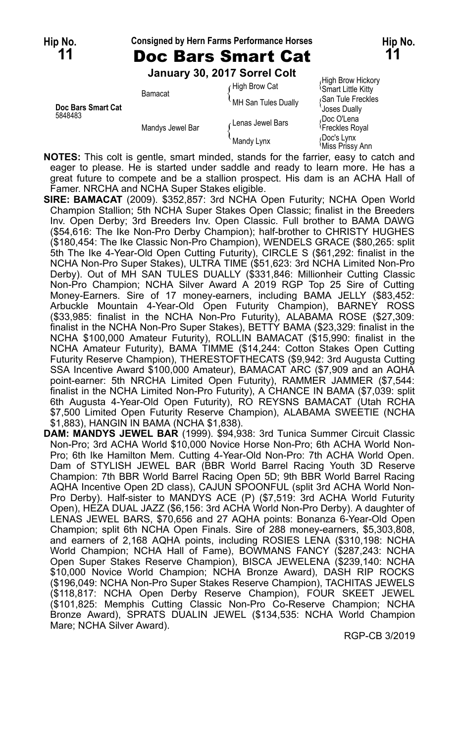### **Hip No. Consigned by Hern Farms Performance Horses Hip No. 11** Doc Bars Smart Cat **11**

**January 30, 2017 Sorrel Colt**

|                               |                  | January JU, ZUTT JUNET CUIL |                                                |
|-------------------------------|------------------|-----------------------------|------------------------------------------------|
| Doc Bars Smart Cat<br>5848483 | Bamacat          | High Brow Cat               | High Brow Hickory<br><b>Smart Little Kitty</b> |
|                               |                  | MH San Tules Dually         | San Tule Freckles<br><b>Joses Dually</b>       |
|                               | Mandys Jewel Bar | Lenas Jewel Bars            | Doc O'Lena<br><sup>{</sup> Freckles Royal      |
|                               |                  | Mandy Lynx                  | Doc's Lynx<br><sup>≀</sup> Miss Prissy Ann     |

- **NOTES:** This colt is gentle, smart minded, stands for the farrier, easy to catch and eager to please. He is started under saddle and ready to learn more. He has a great future to compete and be a stallion prospect. His dam is an ACHA Hall of Famer. NRCHA and NCHA Super Stakes eligible.
- **SIRE: BAMACAT** (2009). \$352,857: 3rd NCHA Open Futurity; NCHA Open World Champion Stallion; 5th NCHA Super Stakes Open Classic; finalist in the Breeders Inv. Open Derby; 3rd Breeders Inv. Open Classic. Full brother to BAMA DAWG (\$54,616: The Ike Non-Pro Derby Champion); half-brother to CHRISTY HUGHES (\$180,454: The Ike Classic Non-Pro Champion), WENDELS GRACE (\$80,265: split 5th The Ike 4-Year-Old Open Cutting Futurity), CIRCLE S (\$61,292: finalist in the NCHA Non-Pro Super Stakes), ULTRA TIME (\$51,623: 3rd NCHA Limited Non-Pro Derby). Out of MH SAN TULES DUALLY (\$331,846: Millionheir Cutting Classic Non-Pro Champion; NCHA Silver Award A 2019 RGP Top 25 Sire of Cutting Money-Earners. Sire of 17 money-earners, including BAMA JELLY (\$83,452: Arbuckle Mountain 4-Year-Old Open Futurity Champion), BARNEY ROSS (\$33,985: finalist in the NCHA Non-Pro Futurity), ALABAMA ROSE (\$27,309: finalist in the NCHA Non-Pro Super Stakes), BETTY BAMA (\$23,329: finalist in the NCHA \$100,000 Amateur Futurity), ROLLIN BAMACAT (\$15,990: finalist in the NCHA Amateur Futurity), BAMA TIMME (\$14,244: Cotton Stakes Open Cutting Futurity Reserve Champion), THERESTOFTHECATS (\$9,942: 3rd Augusta Cutting SSA Incentive Award \$100,000 Amateur), BAMACAT ARC (\$7,909 and an AQHA point-earner: 5th NRCHA Limited Open Futurity), RAMMER JAMMER (\$7,544: finalist in the NCHA Limited Non-Pro Futurity), A CHANCE IN BAMA (\$7,039: split 6th Augusta 4-Year-Old Open Futurity), RO REYSNS BAMACAT (Utah RCHA \$7,500 Limited Open Futurity Reserve Champion), ALABAMA SWEETIE (NCHA \$1,883), HANGIN IN BAMA (NCHA \$1,838).
- **DAM: MANDYS JEWEL BAR** (1999). \$94,938: 3rd Tunica Summer Circuit Classic Non-Pro; 3rd ACHA World \$10,000 Novice Horse Non-Pro; 6th ACHA World Non-Pro; 6th Ike Hamilton Mem. Cutting 4-Year-Old Non-Pro: 7th ACHA World Open. Dam of STYLISH JEWEL BAR (BBR World Barrel Racing Youth 3D Reserve Champion: 7th BBR World Barrel Racing Open 5D; 9th BBR World Barrel Racing AQHA Incentive Open 2D class), CAJUN SPOONFUL (split 3rd ACHA World Non-Pro Derby). Half-sister to MANDYS ACE (P) (\$7,519: 3rd ACHA World Futurity Open), HEZA DUAL JAZZ (\$6,156: 3rd ACHA World Non-Pro Derby). A daughter of LENAS JEWEL BARS, \$70,656 and 27 AQHA points: Bonanza 6-Year-Old Open Champion; split 6th NCHA Open Finals. Sire of 288 money-earners, \$5,303,808, and earners of 2,168 AQHA points, including ROSIES LENA (\$310,198: NCHA World Champion; NCHA Hall of Fame), BOWMANS FANCY (\$287,243: NCHA Open Super Stakes Reserve Champion), BISCA JEWELENA (\$239,140: NCHA \$10,000 Novice World Champion; NCHA Bronze Award), DASH RIP ROCKS (\$196,049: NCHA Non-Pro Super Stakes Reserve Champion), TACHITAS JEWELS (\$118,817: NCHA Open Derby Reserve Champion), FOUR SKEET JEWEL (\$101,825: Memphis Cutting Classic Non-Pro Co-Reserve Champion; NCHA Bronze Award), SPRATS DUALIN JEWEL (\$134,535: NCHA World Champion Mare; NCHA Silver Award).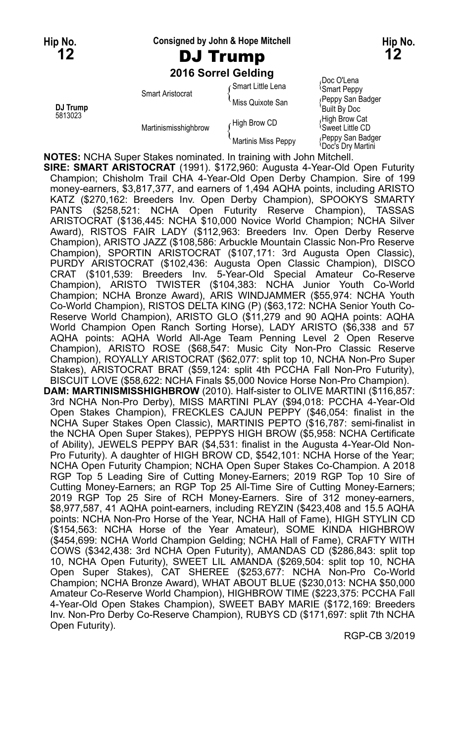**Hip No. Consigned by John & Hope Mitchell Hip No.**

# **12** DJ Trump **12**

**2016 Sorrel Gelding**

|                     |                         | <b>LUTU JULICI OCIUIIU</b> |                                                    |
|---------------------|-------------------------|----------------------------|----------------------------------------------------|
|                     | <b>Smart Aristocrat</b> | Gmart Little Lena          | Doc O'Lena<br><b>Smart Peppy</b>                   |
| DJ Trump<br>5813023 |                         | Miss Quixote San           | (Peppy San Badger<br>'Built By Doc                 |
|                     | Martinismisshighbrow    | High Brow CD               | High Brow Cat<br><sup>≀</sup> Sweet Little CD      |
|                     |                         | Martinis Miss Peppy        | Peppy San Badger<br><sup>1</sup> Doc's Drv Martini |

**NOTES:** NCHA Super Stakes nominated. In training with John Mitchell.

**SIRE: SMART ARISTOCRAT** (1991). \$172,960: Augusta 4-Year-Old Open Futurity Champion; Chisholm Trail CHA 4-Year-Old Open Derby Champion. Sire of 199 money-earners, \$3,817,377, and earners of 1,494 AQHA points, including ARISTO KATZ (\$270,162: Breeders Inv. Open Derby Champion), SPOOKYS SMARTY PANTS (\$258,521: NCHA Open Futurity Reserve Champion), TASSAS ARISTOCRAT (\$136,445: NCHA \$10,000 Novice World Champion; NCHA Silver Award), RISTOS FAIR LADY (\$112,963: Breeders Inv. Open Derby Reserve Champion), ARISTO JAZZ (\$108,586: Arbuckle Mountain Classic Non-Pro Reserve Champion), SPORTIN ARISTOCRAT (\$107,171: 3rd Augusta Open Classic), PURDY ARISTOCRAT (\$102,436: Augusta Open Classic Champion), DISCO CRAT (\$101,539: Breeders Inv. 5-Year-Old Special Amateur Co-Reserve Champion), ARISTO TWISTER (\$104,383: NCHA Junior Youth Co-World Champion; NCHA Bronze Award), ARIS WINDJAMMER (\$55,974: NCHA Youth Co-World Champion), RISTOS DELTA KING (P) (\$63,172: NCHA Senior Youth Co-Reserve World Champion), ARISTO GLO (\$11,279 and 90 AQHA points: AQHA World Champion Open Ranch Sorting Horse), LADY ARISTO (\$6,338 and 57 AQHA points: AQHA World All-Age Team Penning Level 2 Open Reserve Champion), ARISTO ROSE (\$68,547: Music City Non-Pro Classic Reserve Champion), ROYALLY ARISTOCRAT (\$62,077: split top 10, NCHA Non-Pro Super Stakes), ARISTOCRAT BRAT (\$59,124: split 4th PCCHA Fall Non-Pro Futurity), BISCUIT LOVE (\$58,622: NCHA Finals \$5,000 Novice Horse Non-Pro Champion). **DAM: MARTINISMISSHIGHBROW** (2010). Half-sister to OLIVE MARTINI (\$116,857: 3rd NCHA Non-Pro Derby), MISS MARTINI PLAY (\$94,018: PCCHA 4-Year-Old Open Stakes Champion), FRECKLES CAJUN PEPPY (\$46,054: finalist in the NCHA Super Stakes Open Classic), MARTINIS PEPTO (\$16,787: semi-finalist in the NCHA Open Super Stakes), PEPPYS HIGH BROW (\$5,958: NCHA Certificate of Ability), JEWELS PEPPY BAR (\$4,531: finalist in the Augusta 4-Year-Old Non-Pro Futurity). A daughter of HIGH BROW CD, \$542,101: NCHA Horse of the Year; NCHA Open Futurity Champion; NCHA Open Super Stakes Co-Champion. A 2018 RGP Top 5 Leading Sire of Cutting Money-Earners; 2019 RGP Top 10 Sire of Cutting Money-Earners; an RGP Top 25 All-Time Sire of Cutting Money-Earners; 2019 RGP Top 25 Sire of RCH Money-Earners. Sire of 312 money-earners, \$8,977,587, 41 AQHA point-earners, including REYZIN (\$423,408 and 15.5 AQHA points: NCHA Non-Pro Horse of the Year, NCHA Hall of Fame), HIGH STYLIN CD (\$154,563: NCHA Horse of the Year Amateur), SOME KINDA HIGHBROW (\$454,699: NCHA World Champion Gelding; NCHA Hall of Fame), CRAFTY WITH COWS (\$342,438: 3rd NCHA Open Futurity), AMANDAS CD (\$286,843: split top 10, NCHA Open Futurity), SWEET LIL AMANDA (\$269,504: split top 10, NCHA Open Super Stakes), CAT SHEREE (\$253,677: NCHA Non-Pro Co-World Champion; NCHA Bronze Award), WHAT ABOUT BLUE (\$230,013: NCHA \$50,000 Amateur Co-Reserve World Champion), HIGHBROW TIME (\$223,375: PCCHA Fall 4-Year-Old Open Stakes Champion), SWEET BABY MARIE (\$172,169: Breeders Inv. Non-Pro Derby Co-Reserve Champion), RUBYS CD (\$171,697: split 7th NCHA Open Futurity).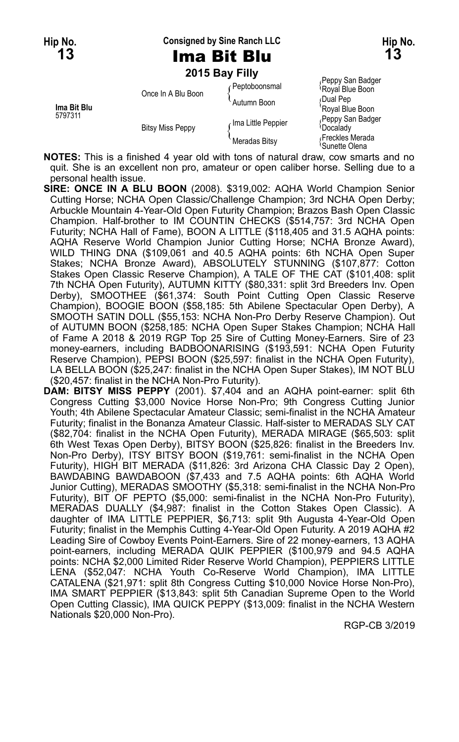**Hip No. Consigned by Sine Ranch LLC Hip No.**

**2015 Bay Filly**

|                        |                         |                    | Peppy San Badger                          |
|------------------------|-------------------------|--------------------|-------------------------------------------|
| Ima Bit Blu<br>5797311 | Once In A Blu Boon      | Peptoboonsmal      | Royal Blue Boon                           |
|                        |                         | Autumn Boon        | ∫Dual Pep<br>'Royal Blue Boon             |
|                        | <b>Bitsy Miss Peppy</b> | Ima Little Peppier | Peppy San Badger<br><sup>{</sup> Docalady |
|                        |                         | Meradas Bitsy      | Freckles Merada<br>\Sunette Olena         |

**NOTES:** This is a finished 4 year old with tons of natural draw, cow smarts and no quit. She is an excellent non pro, amateur or open caliber horse. Selling due to a personal health issue.

**SIRE: ONCE IN A BLU BOON** (2008). \$319,002: AQHA World Champion Senior Cutting Horse; NCHA Open Classic/Challenge Champion; 3rd NCHA Open Derby; Arbuckle Mountain 4-Year-Old Open Futurity Champion; Brazos Bash Open Classic Champion. Half-brother to IM COUNTIN CHECKS (\$514,757: 3rd NCHA Open Futurity; NCHA Hall of Fame), BOON A LITTLE (\$118,405 and 31.5 AQHA points: AQHA Reserve World Champion Junior Cutting Horse; NCHA Bronze Award), WILD THING DNA (\$109,061 and 40.5 AQHA points: 6th NCHA Open Super Stakes; NCHA Bronze Award), ABSOLUTELY STUNNING (\$107,877: Cotton Stakes Open Classic Reserve Champion), A TALE OF THE CAT (\$101,408: split 7th NCHA Open Futurity), AUTUMN KITTY (\$80,331: split 3rd Breeders Inv. Open Derby), SMOOTHEE (\$61,374: South Point Cutting Open Classic Reserve Champion), BOOGIE BOON (\$58,185: 5th Abilene Spectacular Open Derby), A SMOOTH SATIN DOLL (\$55,153: NCHA Non-Pro Derby Reserve Champion). Out of AUTUMN BOON (\$258,185: NCHA Open Super Stakes Champion; NCHA Hall of Fame A 2018 & 2019 RGP Top 25 Sire of Cutting Money-Earners. Sire of 23 money-earners, including BADBOONARISING (\$193,591: NCHA Open Futurity Reserve Champion), PEPSI BOON (\$25,597: finalist in the NCHA Open Futurity), LA BELLA BOON (\$25,247: finalist in the NCHA Open Super Stakes), IM NOT BLU (\$20,457: finalist in the NCHA Non-Pro Futurity).

**DAM: BITSY MISS PEPPY** (2001). \$7,404 and an AQHA point-earner: split 6th Congress Cutting \$3,000 Novice Horse Non-Pro; 9th Congress Cutting Junior Youth; 4th Abilene Spectacular Amateur Classic; semi-finalist in the NCHA Amateur Futurity; finalist in the Bonanza Amateur Classic. Half-sister to MERADAS SLY CAT (\$82,704: finalist in the NCHA Open Futurity), MERADA MIRAGE (\$65,503: split 6th West Texas Open Derby), BITSY BOON (\$25,826: finalist in the Breeders Inv. Non-Pro Derby), ITSY BITSY BOON (\$19,761: semi-finalist in the NCHA Open Futurity), HIGH BIT MERADA (\$11,826: 3rd Arizona CHA Classic Day 2 Open), BAWDABING BAWDABOON (\$7,433 and 7.5 AQHA points: 6th AQHA World Junior Cutting), MERADAS SMOOTHY (\$5,318: semi-finalist in the NCHA Non-Pro Futurity), BIT OF PEPTO (\$5,000: semi-finalist in the NCHA Non-Pro Futurity), MERADAS DUALLY (\$4,987: finalist in the Cotton Stakes Open Classic). A daughter of IMA LITTLE PEPPIER, \$6,713: split 9th Augusta 4-Year-Old Open Futurity; finalist in the Memphis Cutting 4-Year-Old Open Futurity. A 2019 AQHA #2 Leading Sire of Cowboy Events Point-Earners. Sire of 22 money-earners, 13 AQHA point-earners, including MERADA QUIK PEPPIER (\$100,979 and 94.5 AQHA points: NCHA \$2,000 Limited Rider Reserve World Champion), PEPPIERS LITTLE LENA (\$52,047: NCHA Youth Co-Reserve World Champion), IMA LITTLE CATALENA (\$21,971: split 8th Congress Cutting \$10,000 Novice Horse Non-Pro), IMA SMART PEPPIER (\$13,843: split 5th Canadian Supreme Open to the World Open Cutting Classic), IMA QUICK PEPPY (\$13,009: finalist in the NCHA Western Nationals \$20,000 Non-Pro).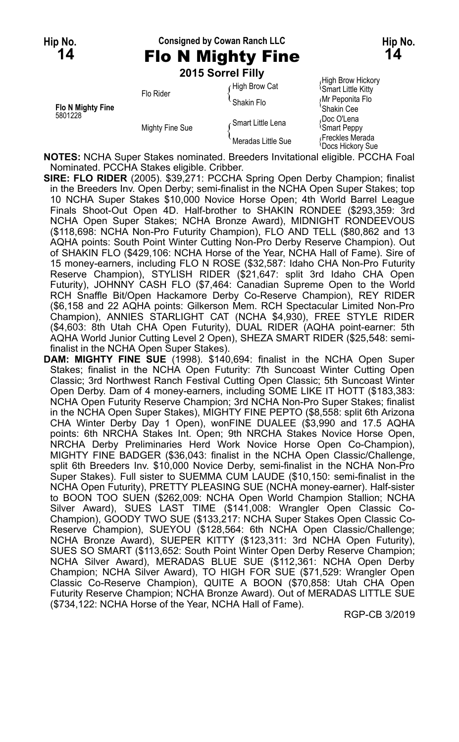# **Hip No. Consigned by Cowan Ranch LLC Hip No. 14** Flo N Mighty Fine **14**

**2015 Sorrel Filly**

|                          | Flo Rider       | High Brow Cat      | High Brow Hickory<br><b>Smart Little Kitty</b>   |
|--------------------------|-----------------|--------------------|--------------------------------------------------|
| <b>Flo N Mighty Fine</b> |                 | Shakin Flo         | ∫Mr Peponita Flo<br>'Shakin Cee                  |
| 5801228                  | Mighty Fine Sue | ∠Smart Little Lena | Doc O'Lena،<br><b>Smart Peppy</b>                |
|                          |                 | Meradas Little Sue | Freckles Merada<br><sup>1</sup> Docs Hickorv Sue |

**NOTES:** NCHA Super Stakes nominated. Breeders Invitational eligible. PCCHA Foal Nominated. PCCHA Stakes eligible. Cribber.

- **SIRE: FLO RIDER** (2005). \$39,271: PCCHA Spring Open Derby Champion; finalist in the Breeders Inv. Open Derby; semi-finalist in the NCHA Open Super Stakes; top 10 NCHA Super Stakes \$10,000 Novice Horse Open; 4th World Barrel League Finals Shoot-Out Open 4D. Half-brother to SHAKIN RONDEE (\$293,359: 3rd NCHA Open Super Stakes; NCHA Bronze Award), MIDNIGHT RONDEEVOUS (\$118,698: NCHA Non-Pro Futurity Champion), FLO AND TELL (\$80,862 and 13 AQHA points: South Point Winter Cutting Non-Pro Derby Reserve Champion). Out of SHAKIN FLO (\$429,106: NCHA Horse of the Year, NCHA Hall of Fame). Sire of 15 money-earners, including FLO N ROSE (\$32,587: Idaho CHA Non-Pro Futurity Reserve Champion), STYLISH RIDER (\$21,647: split 3rd Idaho CHA Open Futurity), JOHNNY CASH FLO (\$7,464: Canadian Supreme Open to the World RCH Snaffle Bit/Open Hackamore Derby Co-Reserve Champion), REY RIDER (\$6,158 and 22 AQHA points: Gilkerson Mem. RCH Spectacular Limited Non-Pro Champion), ANNIES STARLIGHT CAT (NCHA \$4,930), FREE STYLE RIDER (\$4,603: 8th Utah CHA Open Futurity), DUAL RIDER (AQHA point-earner: 5th AQHA World Junior Cutting Level 2 Open), SHEZA SMART RIDER (\$25,548: semifinalist in the NCHA Open Super Stakes).
- **DAM: MIGHTY FINE SUE** (1998). \$140,694: finalist in the NCHA Open Super Stakes; finalist in the NCHA Open Futurity: 7th Suncoast Winter Cutting Open Classic; 3rd Northwest Ranch Festival Cutting Open Classic; 5th Suncoast Winter Open Derby. Dam of 4 money-earners, including SOME LIKE IT HOTT (\$183,383: NCHA Open Futurity Reserve Champion; 3rd NCHA Non-Pro Super Stakes; finalist in the NCHA Open Super Stakes), MIGHTY FINE PEPTO (\$8,558: split 6th Arizona CHA Winter Derby Day 1 Open), wonFINE DUALEE (\$3,990 and 17.5 AQHA points: 6th NRCHA Stakes Int. Open; 9th NRCHA Stakes Novice Horse Open, NRCHA Derby Preliminaries Herd Work Novice Horse Open Co-Champion), MIGHTY FINE BADGER (\$36,043: finalist in the NCHA Open Classic/Challenge, split 6th Breeders Inv. \$10,000 Novice Derby, semi-finalist in the NCHA Non-Pro Super Stakes). Full sister to SUEMMA CUM LAUDE (\$10,150: semi-finalist in the NCHA Open Futurity), PRETTY PLEASING SUE (NCHA money-earner). Half-sister to BOON TOO SUEN (\$262,009: NCHA Open World Champion Stallion; NCHA Silver Award), SUES LAST TIME (\$141,008: Wrangler Open Classic Co-Champion), GOODY TWO SUE (\$133,217: NCHA Super Stakes Open Classic Co-Reserve Champion), SUEYOU (\$128,564: 6th NCHA Open Classic/Challenge; NCHA Bronze Award), SUEPER KITTY (\$123,311: 3rd NCHA Open Futurity), SUES SO SMART (\$113,652: South Point Winter Open Derby Reserve Champion; NCHA Silver Award), MERADAS BLUE SUE (\$112,361: NCHA Open Derby Champion; NCHA Silver Award), TO HIGH FOR SUE (\$71,529: Wrangler Open Classic Co-Reserve Champion), QUITE A BOON (\$70,858: Utah CHA Open Futurity Reserve Champion; NCHA Bronze Award). Out of MERADAS LITTLE SUE (\$734,122: NCHA Horse of the Year, NCHA Hall of Fame).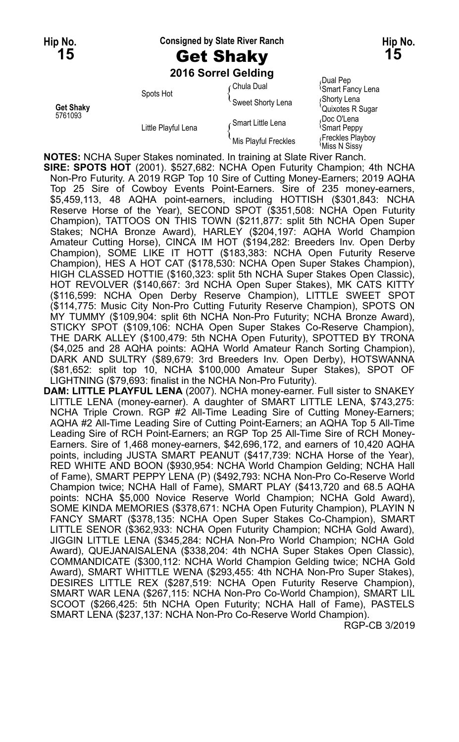#### **Hip No. Consigned by Slate River Ranch Hip No.**

# **15** Get Shaky **15**

**2016 Sorrel Gelding**

5761093<br>Doc O'Lena (Doc O'Lena {<br>Smart Little Lena {{Smart Little Lena {}  $\ell$  Mis Playful Freckles  $\ell$  Freckles Playboy  $\ell$  Miss N Sissy

of the Common Control of Chula Dual Pep Chula Dual Pep Chula Dual Pep Chula Dual Pep Chula Chula Chula Chula C<br>Chula Dual Chula Chula Chula Chula Chula Chula Chula Chula Chula Chula Chula Chula Chula Chula Chula Chula Chu Smart Fancy Lena Spots Hot **Spots Hot** Sweet Shorty Lena Set Shaky<br>Sweet Shorty Lena (Shorty Lena <sub>{ S</sub>horty Lena <sub>Quixotes</sub> R Sugar

**NOTES:** NCHA Super Stakes nominated. In training at Slate River Ranch.

**SIRE: SPOTS HOT** (2001). \$527,682: NCHA Open Futurity Champion; 4th NCHA Non-Pro Futurity. A 2019 RGP Top 10 Sire of Cutting Money-Earners; 2019 AQHA Top 25 Sire of Cowboy Events Point-Earners. Sire of 235 money-earners, \$5,459,113, 48 AQHA point-earners, including HOTTISH (\$301,843: NCHA Reserve Horse of the Year), SECOND SPOT (\$351,508: NCHA Open Futurity Champion), TATTOOS ON THIS TOWN (\$211,877: split 5th NCHA Open Super Stakes; NCHA Bronze Award), HARLEY (\$204,197: AQHA World Champion Amateur Cutting Horse), CINCA IM HOT (\$194,282: Breeders Inv. Open Derby Champion), SOME LIKE IT HOTT (\$183,383: NCHA Open Futurity Reserve Champion), HES A HOT CAT (\$178,530: NCHA Open Super Stakes Champion), HIGH CLASSED HOTTIE (\$160,323: split 5th NCHA Super Stakes Open Classic), HOT REVOLVER (\$140,667: 3rd NCHA Open Super Stakes), MK CATS KITTY (\$116,599: NCHA Open Derby Reserve Champion), LITTLE SWEET SPOT (\$114,775: Music City Non-Pro Cutting Futurity Reserve Champion), SPOTS ON MY TUMMY (\$109,904: split 6th NCHA Non-Pro Futurity; NCHA Bronze Award), STICKY SPOT (\$109,106: NCHA Open Super Stakes Co-Reserve Champion), THE DARK ALLEY (\$100,479: 5th NCHA Open Futurity), SPOTTED BY TRONA (\$4,025 and 28 AQHA points: AQHA World Amateur Ranch Sorting Champion), DARK AND SULTRY (\$89,679: 3rd Breeders Inv. Open Derby), HOTSWANNA (\$81,652: split top 10, NCHA \$100,000 Amateur Super Stakes), SPOT OF LIGHTNING (\$79,693: finalist in the NCHA Non-Pro Futurity).

**DAM: LITTLE PLAYFUL LENA** (2007). NCHA money-earner. Full sister to SNAKEY LITTLE LENA (money-earner). A daughter of SMART LITTLE LENA, \$743,275: NCHA Triple Crown. RGP #2 All-Time Leading Sire of Cutting Money-Earners; AQHA #2 All-Time Leading Sire of Cutting Point-Earners; an AQHA Top 5 All-Time Leading Sire of RCH Point-Earners; an RGP Top 25 All-Time Sire of RCH Money-Earners. Sire of 1,468 money-earners, \$42,696,172, and earners of 10,420 AQHA points, including JUSTA SMART PEANUT (\$417,739: NCHA Horse of the Year), RED WHITE AND BOON (\$930,954: NCHA World Champion Gelding; NCHA Hall of Fame), SMART PEPPY LENA (P) (\$492,793: NCHA Non-Pro Co-Reserve World Champion twice; NCHA Hall of Fame), SMART PLAY (\$413,720 and 68.5 AQHA points: NCHA \$5,000 Novice Reserve World Champion; NCHA Gold Award), SOME KINDA MEMORIES (\$378,671: NCHA Open Futurity Champion), PLAYIN N FANCY SMART (\$378,135: NCHA Open Super Stakes Co-Champion), SMART LITTLE SENOR (\$362,933: NCHA Open Futurity Champion; NCHA Gold Award), JIGGIN LITTLE LENA (\$345,284: NCHA Non-Pro World Champion; NCHA Gold Award), QUEJANAISALENA (\$338,204: 4th NCHA Super Stakes Open Classic), COMMANDICATE (\$300,112: NCHA World Champion Gelding twice; NCHA Gold Award), SMART WHITTLE WENA (\$293,455: 4th NCHA Non-Pro Super Stakes), DESIRES LITTLE REX (\$287,519: NCHA Open Futurity Reserve Champion), SMART WAR LENA (\$267,115: NCHA Non-Pro Co-World Champion), SMART LIL SCOOT (\$266,425: 5th NCHA Open Futurity; NCHA Hall of Fame), PASTELS SMART LENA (\$237,137: NCHA Non-Pro Co-Reserve World Champion).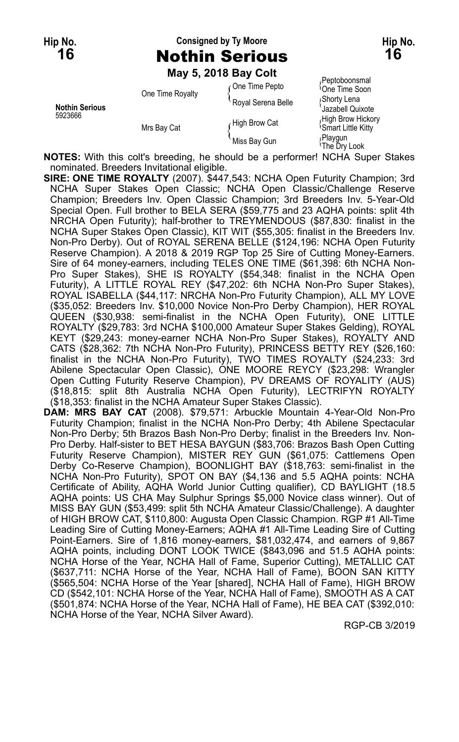# **Hip No. Consigned by Ty Moore Hip No. 16** Nothin Serious **16**

**May 5, 2018 Bay Colt**

| <b>Nothin Serious</b><br>5923666 | One Time Royalty<br>Mrs Bay Cat | One Time Pepto     | Peptoboonsmal<br><sup>1</sup> One Time Soon       |
|----------------------------------|---------------------------------|--------------------|---------------------------------------------------|
|                                  |                                 | Royal Serena Belle | Shorty Lena<br>Jazabell Quixote                   |
|                                  |                                 | High Brow Cat      | High Brow Hickory<br><b>Smart Little Kitty</b>    |
|                                  |                                 | Miss Bay Gun       | <sub>(</sub> Playgun<br><sup>{</sup> The Dry Look |

**NOTES:** With this colt's breeding, he should be a performer! NCHA Super Stakes nominated. Breeders Invitational eligible.

- **SIRE: ONE TIME ROYALTY** (2007). \$447,543: NCHA Open Futurity Champion; 3rd NCHA Super Stakes Open Classic; NCHA Open Classic/Challenge Reserve Champion; Breeders Inv. Open Classic Champion; 3rd Breeders Inv. 5-Year-Old Special Open. Full brother to BELA SERA (\$59,775 and 23 AQHA points: split 4th NRCHA Open Futurity); half-brother to TREYMENDOUS (\$87,830: finalist in the NCHA Super Stakes Open Classic), KIT WIT (\$55,305: finalist in the Breeders Inv. Non-Pro Derby). Out of ROYAL SERENA BELLE (\$124,196: NCHA Open Futurity Reserve Champion). A 2018 & 2019 RGP Top 25 Sire of Cutting Money-Earners. Sire of 64 money-earners, including TELES ONE TIME (\$61,398: 6th NCHA Non-Pro Super Stakes), SHE IS ROYALTY (\$54,348: finalist in the NCHA Open Futurity), A LITTLE ROYAL REY (\$47,202: 6th NCHA Non-Pro Super Stakes), ROYAL ISABELLA (\$44,117: NRCHA Non-Pro Futurity Champion), ALL MY LOVE (\$35,052: Breeders Inv. \$10,000 Novice Non-Pro Derby Champion), HER ROYAL QUEEN (\$30,938: semi-finalist in the NCHA Open Futurity), ONE LITTLE ROYALTY (\$29,783: 3rd NCHA \$100,000 Amateur Super Stakes Gelding), ROYAL KEYT (\$29,243: money-earner NCHA Non-Pro Super Stakes), ROYALTY AND CATS (\$28,362: 7th NCHA Non-Pro Futurity), PRINCESS BETTY REY (\$26,160: finalist in the NCHA Non-Pro Futurity), TWO TIMES ROYALTY (\$24,233: 3rd Abilene Spectacular Open Classic), ONE MOORE REYCY (\$23,298: Wrangler Open Cutting Futurity Reserve Champion), PV DREAMS OF ROYALITY (AUS) (\$18,815: split 8th Australia NCHA Open Futurity), LECTRIFYN ROYALTY (\$18,353: finalist in the NCHA Amateur Super Stakes Classic).
- **DAM: MRS BAY CAT** (2008). \$79,571: Arbuckle Mountain 4-Year-Old Non-Pro Futurity Champion; finalist in the NCHA Non-Pro Derby; 4th Abilene Spectacular Non-Pro Derby; 5th Brazos Bash Non-Pro Derby; finalist in the Breeders Inv. Non-Pro Derby. Half-sister to BET HESA BAYGUN (\$83,706: Brazos Bash Open Cutting Futurity Reserve Champion), MISTER REY GUN (\$61,075: Cattlemens Open Derby Co-Reserve Champion), BOONLIGHT BAY (\$18,763: semi-finalist in the NCHA Non-Pro Futurity), SPOT ON BAY (\$4,136 and 5.5 AQHA points: NCHA Certificate of Ability, AQHA World Junior Cutting qualifier), CD BAYLIGHT (18.5 AQHA points: US CHA May Sulphur Springs \$5,000 Novice class winner). Out of MISS BAY GUN (\$53,499: split 5th NCHA Amateur Classic/Challenge). A daughter of HIGH BROW CAT, \$110,800: Augusta Open Classic Champion. RGP #1 All-Time Leading Sire of Cutting Money-Earners; AQHA #1 All-Time Leading Sire of Cutting Point-Earners. Sire of 1,816 money-earners, \$81,032,474, and earners of 9,867 AQHA points, including DONT LOOK TWICE (\$843,096 and 51.5 AQHA points: NCHA Horse of the Year, NCHA Hall of Fame, Superior Cutting), METALLIC CAT (\$637,711: NCHA Horse of the Year, NCHA Hall of Fame), BOON SAN KITTY (\$565,504: NCHA Horse of the Year [shared], NCHA Hall of Fame), HIGH BROW CD (\$542,101: NCHA Horse of the Year, NCHA Hall of Fame), SMOOTH AS A CAT (\$501,874: NCHA Horse of the Year, NCHA Hall of Fame), HE BEA CAT (\$392,010: NCHA Horse of the Year, NCHA Silver Award).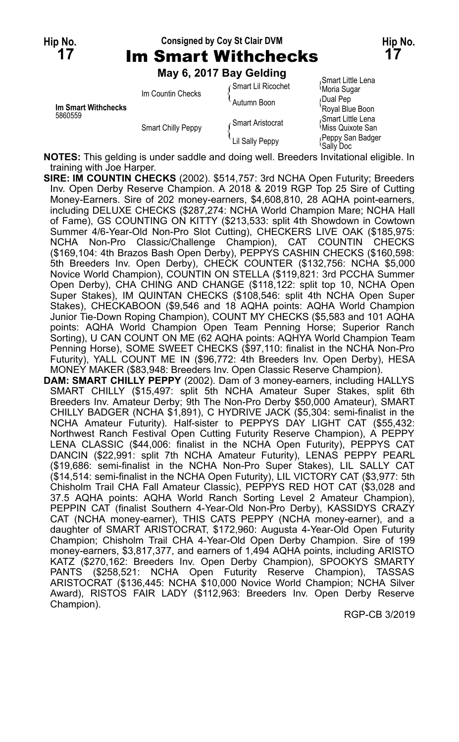# **Hip No. Consigned by Coy St Clair DVM Hip No. 17** Im Smart Withchecks **17**

**May 6, 2017 Bay Gelding**

|                            | Im Countin Checks  | ⊊Smart Lil Ricochet | Smart Little Lena<br>Moria Sugar                   |
|----------------------------|--------------------|---------------------|----------------------------------------------------|
| <b>Im Smart Withchecks</b> |                    | Autumn Boon         | Dual Pep<br>'Royal Blue Boon                       |
| 5860559                    | Smart Chilly Peppy | √ Smart Aristocrat  | Smart Little Lena<br><sup>1</sup> Miss Quixote San |
|                            |                    | Lil Sally Peppy     | Peppy San Badger<br>'Sally Doc                     |

**NOTES:** This gelding is under saddle and doing well. Breeders Invitational eligible. In training with Joe Harper.

- **SIRE: IM COUNTIN CHECKS** (2002). \$514,757: 3rd NCHA Open Futurity; Breeders Inv. Open Derby Reserve Champion. A 2018 & 2019 RGP Top 25 Sire of Cutting Money-Earners. Sire of 202 money-earners, \$4,608,810, 28 AQHA point-earners, including DELUXE CHECKS (\$287,274: NCHA World Champion Mare; NCHA Hall of Fame), GS COUNTING ON KITTY (\$213,533: split 4th Showdown in Cowtown Summer 4/6-Year-Old Non-Pro Slot Cutting), CHECKERS LIVE OAK (\$185,975: NCHA Non-Pro Classic/Challenge Champion), CAT COUNTIN CHECKS (\$169,104: 4th Brazos Bash Open Derby), PEPPYS CASHIN CHECKS (\$160,598: 5th Breeders Inv. Open Derby), CHECK COUNTER (\$132,756: NCHA \$5,000 Novice World Champion), COUNTIN ON STELLA (\$119,821: 3rd PCCHA Summer Open Derby), CHA CHING AND CHANGE (\$118,122: split top 10, NCHA Open Super Stakes), IM QUINTAN CHECKS (\$108,546: split 4th NCHA Open Super Stakes), CHECKABOON (\$9,546 and 18 AQHA points: AQHA World Champion Junior Tie-Down Roping Champion), COUNT MY CHECKS (\$5,583 and 101 AQHA points: AQHA World Champion Open Team Penning Horse; Superior Ranch Sorting), U CAN COUNT ON ME (62 AQHA points: AQHYA World Champion Team Penning Horse), SOME SWEET CHECKS (\$97,110: finalist in the NCHA Non-Pro Futurity), YALL COUNT ME IN (\$96,772: 4th Breeders Inv. Open Derby), HESA MONEY MAKER (\$83,948: Breeders Inv. Open Classic Reserve Champion).
- **DAM: SMART CHILLY PEPPY** (2002). Dam of 3 money-earners, including HALLYS SMART CHILLY (\$15,497: split 5th NCHA Amateur Super Stakes, split 6th Breeders Inv. Amateur Derby; 9th The Non-Pro Derby \$50,000 Amateur), SMART CHILLY BADGER (NCHA \$1,891), C HYDRIVE JACK (\$5,304: semi-finalist in the NCHA Amateur Futurity). Half-sister to PEPPYS DAY LIGHT CAT (\$55,432: Northwest Ranch Festival Open Cutting Futurity Reserve Champion), A PEPPY LENA CLASSIC (\$44,006: finalist in the NCHA Open Futurity), PEPPYS CAT DANCIN (\$22,991: split 7th NCHA Amateur Futurity), LENAS PEPPY PEARL (\$19,686: semi-finalist in the NCHA Non-Pro Super Stakes), LIL SALLY CAT (\$14,514: semi-finalist in the NCHA Open Futurity), LIL VICTORY CAT (\$3,977: 5th Chisholm Trail CHA Fall Amateur Classic), PEPPYS RED HOT CAT (\$3,028 and 37.5 AQHA points: AQHA World Ranch Sorting Level 2 Amateur Champion), PEPPIN CAT (finalist Southern 4-Year-Old Non-Pro Derby), KASSIDYS CRAZY CAT (NCHA money-earner), THIS CATS PEPPY (NCHA money-earner), and a daughter of SMART ARISTOCRAT, \$172,960: Augusta 4-Year-Old Open Futurity Champion; Chisholm Trail CHA 4-Year-Old Open Derby Champion. Sire of 199 money-earners, \$3,817,377, and earners of 1,494 AQHA points, including ARISTO KATZ (\$270,162: Breeders Inv. Open Derby Champion), SPOOKYS SMARTY PANTS (\$258,521: NCHA Open Futurity Reserve Champion), TASSAS ARISTOCRAT (\$136,445: NCHA \$10,000 Novice World Champion; NCHA Silver Award), RISTOS FAIR LADY (\$112,963: Breeders Inv. Open Derby Reserve Champion).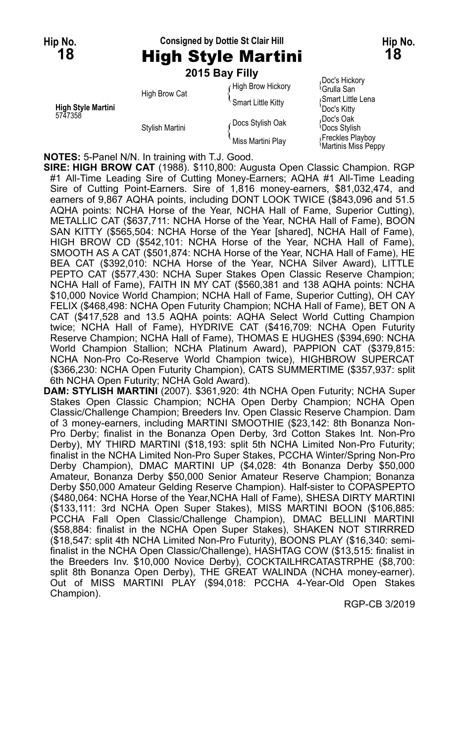# **Hip No. Consigned by Dottie St Clair Hill Hip No.**

## **18** High Style Martini **18 2015 Bay Filly**

| <b>High Style Martini</b><br>5747358 | High Brow Cat   | High Brow Hickory<br>Smart Little Kitty | Doc's Hickory<br><sup>∖</sup> Grulla San<br>Smart Little Lena<br>'Doc's Kitty |
|--------------------------------------|-----------------|-----------------------------------------|-------------------------------------------------------------------------------|
|                                      | Stylish Martini | Docs Stylish Oak                        | Doc's Oak<br><b>Docs Stylish</b>                                              |
|                                      |                 | Miss Martini Plav                       | Freckles Playboy<br>Martinis Miss Peppy                                       |

**NOTES:** 5-Panel N/N. In training with T.J. Good.

**SIRE: HIGH BROW CAT** (1988). \$110,800: Augusta Open Classic Champion. RGP #1 All-Time Leading Sire of Cutting Money-Earners; AQHA #1 All-Time Leading Sire of Cutting Point-Earners. Sire of 1,816 money-earners, \$81,032,474, and earners of 9,867 AQHA points, including DONT LOOK TWICE (\$843,096 and 51.5 AQHA points: NCHA Horse of the Year, NCHA Hall of Fame, Superior Cutting), METALLIC CAT (\$637,711: NCHA Horse of the Year, NCHA Hall of Fame), BOON SAN KITTY (\$565,504: NCHA Horse of the Year [shared], NCHA Hall of Fame), HIGH BROW CD (\$542,101: NCHA Horse of the Year, NCHA Hall of Fame), SMOOTH AS A CAT (\$501,874: NCHA Horse of the Year, NCHA Hall of Fame), HE BEA CAT (\$392,010: NCHA Horse of the Year, NCHA Silver Award), LITTLE PEPTO CAT (\$577,430: NCHA Super Stakes Open Classic Reserve Champion; NCHA Hall of Fame), FAITH IN MY CAT (\$560,381 and 138 AQHA points: NCHA \$10,000 Novice World Champion; NCHA Hall of Fame, Superior Cutting), OH CAY FELIX (\$468,498: NCHA Open Futurity Champion; NCHA Hall of Fame), BET ON A CAT (\$417,528 and 13.5 AQHA points: AQHA Select World Cutting Champion twice; NCHA Hall of Fame), HYDRIVE CAT (\$416,709: NCHA Open Futurity Reserve Champion; NCHA Hall of Fame), THOMAS E HUGHES (\$394,690: NCHA World Champion Stallion; NCHA Platinum Award), PAPPION CAT (\$379,815: NCHA Non-Pro Co-Reserve World Champion twice), HIGHBROW SUPERCAT (\$366,230: NCHA Open Futurity Champion), CATS SUMMERTIME (\$357,937: split 6th NCHA Open Futurity; NCHA Gold Award).

**DAM: STYLISH MARTINI** (2007). \$361,920: 4th NCHA Open Futurity; NCHA Super Stakes Open Classic Champion; NCHA Open Derby Champion; NCHA Open Classic/Challenge Champion; Breeders Inv. Open Classic Reserve Champion. Dam of 3 money-earners, including MARTINI SMOOTHIE (\$23,142: 8th Bonanza Non-Pro Derby; finalist in the Bonanza Open Derby, 3rd Cotton Stakes Int. Non-Pro Derby), MY THIRD MARTINI (\$18,193: split 5th NCHA Limited Non-Pro Futurity; finalist in the NCHA Limited Non-Pro Super Stakes, PCCHA Winter/Spring Non-Pro Derby Champion), DMAC MARTINI UP (\$4,028: 4th Bonanza Derby \$50,000 Amateur, Bonanza Derby \$50,000 Senior Amateur Reserve Champion; Bonanza Derby \$50,000 Amateur Gelding Reserve Champion). Half-sister to COPASPEPTO (\$480,064: NCHA Horse of the Year,NCHA Hall of Fame), SHESA DIRTY MARTINI (\$133,111: 3rd NCHA Open Super Stakes), MISS MARTINI BOON (\$106,885: PCCHA Fall Open Classic/Challenge Champion), DMAC BELLINI MARTINI (\$58,884: finalist in the NCHA Open Super Stakes), SHAKEN NOT STIRRRED (\$18,547: split 4th NCHA Limited Non-Pro Futurity), BOONS PLAY (\$16,340: semifinalist in the NCHA Open Classic/Challenge), HASHTAG COW (\$13,515: finalist in the Breeders Inv. \$10,000 Novice Derby), COCKTAILHRCATASTRPHE (\$8,700: split 8th Bonanza Open Derby), THE GREAT WALINDA (NCHA money-earner). Out of MISS MARTINI PLAY (\$94,018: PCCHA 4-Year-Old Open Stakes Champion).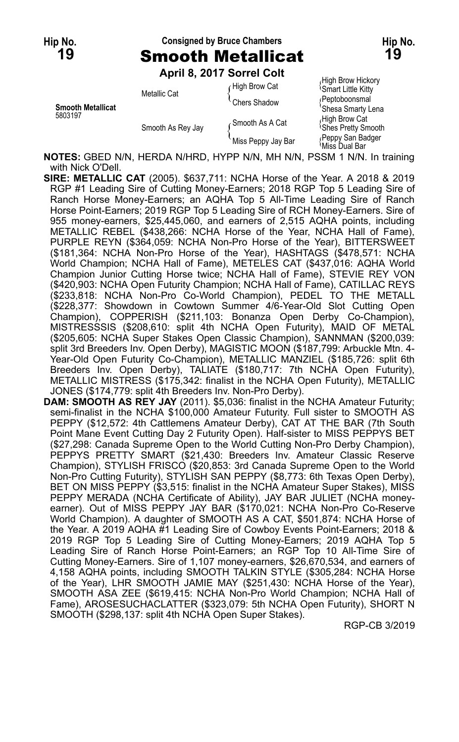### **Hip No. Consigned by Bruce Chambers Hip No. 19** Smooth Metallicat **19**

**April 8, 2017 Sorrel Colt**

|                                     |                   | ANIII 0, 40 I JULIU VUIL |                                                |
|-------------------------------------|-------------------|--------------------------|------------------------------------------------|
| <b>Smooth Metallicat</b><br>5803197 | Metallic Cat      | High Brow Cat            | High Brow Hickory<br><b>Smart Little Kitty</b> |
|                                     |                   | Chers Shadow             | (Peptoboonsmal<br>'Shesa Smarty Lena           |
|                                     | Smooth As Rey Jay | ∠Smooth As A Cat         | High Brow Cat<br><b>Shes Pretty Smooth</b>     |
|                                     |                   | Miss Peppy Jay Bar       | Peppy San Badger<br>Miss Dual Bar              |

**NOTES:** GBED N/N, HERDA N/HRD, HYPP N/N, MH N/N, PSSM 1 N/N. In training with Nick O'Dell.

- **SIRE: METALLIC CAT** (2005). \$637,711: NCHA Horse of the Year. A 2018 & 2019 RGP #1 Leading Sire of Cutting Money-Earners; 2018 RGP Top 5 Leading Sire of Ranch Horse Money-Earners; an AQHA Top 5 All-Time Leading Sire of Ranch Horse Point-Earners; 2019 RGP Top 5 Leading Sire of RCH Money-Earners. Sire of 955 money-earners, \$25,445,060, and earners of 2,515 AQHA points, including METALLIC REBEL (\$438,266: NCHA Horse of the Year, NCHA Hall of Fame), PURPLE REYN (\$364,059: NCHA Non-Pro Horse of the Year), BITTERSWEET (\$181,364: NCHA Non-Pro Horse of the Year), HASHTAGS (\$478,571: NCHA World Champion; NCHA Hall of Fame), METELES CAT (\$437,016: AQHA World Champion Junior Cutting Horse twice; NCHA Hall of Fame), STEVIE REY VON (\$420,903: NCHA Open Futurity Champion; NCHA Hall of Fame), CATILLAC REYS (\$233,818: NCHA Non-Pro Co-World Champion), PEDEL TO THE METALL (\$228,377: Showdown in Cowtown Summer 4/6-Year-Old Slot Cutting Open Champion), COPPERISH (\$211,103: Bonanza Open Derby Co-Champion), MISTRESSSIS (\$208,610: split 4th NCHA Open Futurity), MAID OF METAL (\$205,605: NCHA Super Stakes Open Classic Champion), SANNMAN (\$200,039: split 3rd Breeders Inv. Open Derby), MAGISTIC MOON (\$187,799: Arbuckle Mtn. 4- Year-Old Open Futurity Co-Champion), METALLIC MANZIEL (\$185,726: split 6th Breeders Inv. Open Derby), TALIATE (\$180,717: 7th NCHA Open Futurity), METALLIC MISTRESS (\$175,342: finalist in the NCHA Open Futurity), METALLIC JONES (\$174,779: split 4th Breeders Inv. Non-Pro Derby).
- **DAM: SMOOTH AS REY JAY** (2011). \$5,036: finalist in the NCHA Amateur Futurity; semi-finalist in the NCHA \$100,000 Amateur Futurity. Full sister to SMOOTH AS PEPPY (\$12,572: 4th Cattlemens Amateur Derby), CAT AT THE BAR (7th South Point Mane Event Cutting Day 2 Futurity Open). Half-sister to MISS PEPPYS BET (\$27,298: Canada Supreme Open to the World Cutting Non-Pro Derby Champion), PEPPYS PRETTY SMART (\$21,430: Breeders Inv. Amateur Classic Reserve Champion), STYLISH FRISCO (\$20,853: 3rd Canada Supreme Open to the World Non-Pro Cutting Futurity), STYLISH SAN PEPPY (\$8,773: 6th Texas Open Derby), BET ON MISS PEPPY (\$3,515: finalist in the NCHA Amateur Super Stakes), MISS PEPPY MERADA (NCHA Certificate of Ability), JAY BAR JULIET (NCHA moneyearner). Out of MISS PEPPY JAY BAR (\$170,021: NCHA Non-Pro Co-Reserve World Champion). A daughter of SMOOTH AS A CAT, \$501,874: NCHA Horse of the Year. A 2019 AQHA #1 Leading Sire of Cowboy Events Point-Earners; 2018 & 2019 RGP Top 5 Leading Sire of Cutting Money-Earners; 2019 AQHA Top 5 Leading Sire of Ranch Horse Point-Earners; an RGP Top 10 All-Time Sire of Cutting Money-Earners. Sire of 1,107 money-earners, \$26,670,534, and earners of 4,158 AQHA points, including SMOOTH TALKIN STYLE (\$305,284: NCHA Horse of the Year), LHR SMOOTH JAMIE MAY (\$251,430: NCHA Horse of the Year), SMOOTH ASA ZEE (\$619,415: NCHA Non-Pro World Champion; NCHA Hall of Fame), AROSESUCHACLATTER (\$323,079: 5th NCHA Open Futurity), SHORT N SMOOTH (\$298,137: split 4th NCHA Open Super Stakes).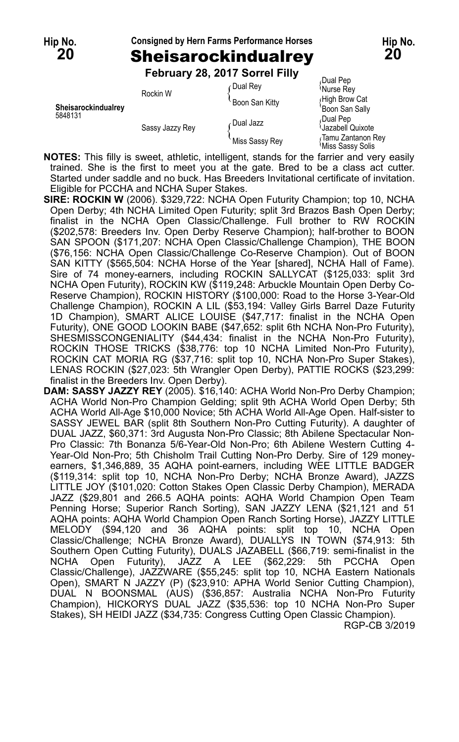# **Hip No. Consigned by Hern Farms Performance Horses Hip No. 20** Sheisarockindualrey **20**

**February 28, 2017 Sorrel Filly**

|                     | Rockin W        | r Dual Rev     | Dual Pep<br>Nurse Rey                 |
|---------------------|-----------------|----------------|---------------------------------------|
| Sheisarockindualrev |                 | Boon San Kitty | High Brow Cat                         |
| 5848131             | Sassy Jazzy Rey |                | Boon San Sally<br>Dual Pep،           |
|                     |                 | ∠Dual Jazz     | Jazabell Quixote                      |
|                     |                 | Miss Sassy Rey | Tamu Zantanon Rey<br>Miss Sassy Solis |

**NOTES:** This filly is sweet, athletic, intelligent, stands for the farrier and very easily trained. She is the first to meet you at the gate. Bred to be a class act cutter. Started under saddle and no buck. Has Breeders Invitational certificate of invitation. Eligible for PCCHA and NCHA Super Stakes.

- **SIRE: ROCKIN W** (2006). \$329,722: NCHA Open Futurity Champion; top 10, NCHA Open Derby; 4th NCHA Limited Open Futurity; split 3rd Brazos Bash Open Derby; finalist in the NCHA Open Classic/Challenge. Full brother to RW ROCKIN (\$202,578: Breeders Inv. Open Derby Reserve Champion); half-brother to BOON SAN SPOON (\$171,207: NCHA Open Classic/Challenge Champion), THE BOON (\$76,156: NCHA Open Classic/Challenge Co-Reserve Champion). Out of BOON SAN KITTY (\$565,504: NCHA Horse of the Year [shared], NCHA Hall of Fame). Sire of 74 money-earners, including ROCKIN SALLYCAT (\$125,033: split 3rd NCHA Open Futurity), ROCKIN KW (\$119,248: Arbuckle Mountain Open Derby Co-Reserve Champion), ROCKIN HISTORY (\$100,000: Road to the Horse 3-Year-Old Challenge Champion), ROCKIN A LIL (\$53,194: Valley Girls Barrel Daze Futurity 1D Champion), SMART ALICE LOUISE (\$47,717: finalist in the NCHA Open Futurity), ONE GOOD LOOKIN BABE (\$47,652: split 6th NCHA Non-Pro Futurity), SHESMISSCONGENIALITY (\$44,434: finalist in the NCHA Non-Pro Futurity), ROCKIN THOSE TRICKS (\$38,776: top 10 NCHA Limited Non-Pro Futurity), ROCKIN CAT MORIA RG (\$37,716: split top 10, NCHA Non-Pro Super Stakes), LENAS ROCKIN (\$27,023: 5th Wrangler Open Derby), PATTIE ROCKS (\$23,299: finalist in the Breeders Inv. Open Derby).
- **DAM: SASSY JAZZY REY** (2005). \$16,140: ACHA World Non-Pro Derby Champion; ACHA World Non-Pro Champion Gelding; split 9th ACHA World Open Derby; 5th ACHA World All-Age \$10,000 Novice; 5th ACHA World All-Age Open. Half-sister to SASSY JEWEL BAR (split 8th Southern Non-Pro Cutting Futurity). A daughter of DUAL JAZZ, \$60,371: 3rd Augusta Non-Pro Classic; 8th Abilene Spectacular Non-Pro Classic: 7th Bonanza 5/6-Year-Old Non-Pro; 6th Abilene Western Cutting 4- Year-Old Non-Pro; 5th Chisholm Trail Cutting Non-Pro Derby. Sire of 129 moneyearners, \$1,346,889, 35 AQHA point-earners, including WEE LITTLE BADGER (\$119,314: split top 10, NCHA Non-Pro Derby; NCHA Bronze Award), JAZZS LITTLE JOY (\$101,020: Cotton Stakes Open Classic Derby Champion), MERADA JAZZ (\$29,801 and 266.5 AQHA points: AQHA World Champion Open Team Penning Horse; Superior Ranch Sorting), SAN JAZZY LENA (\$21,121 and 51 AQHA points: AQHA World Champion Open Ranch Sorting Horse), JAZZY LITTLE MELODY (\$94,120 and 36 AQHA points: split top 10, NCHA Open Classic/Challenge; NCHA Bronze Award), DUALLYS IN TOWN (\$74,913: 5th Southern Open Cutting Futurity), DUALS JAZABELL (\$66,719: semi-finalist in the NCHA Open Futurity), JAZZ A LEE (\$62,229: 5th PCCHA Open Classic/Challenge), JAZZWARE (\$55,245: split top 10, NCHA Eastern Nationals Open), SMART N JAZZY (P) (\$23,910: APHA World Senior Cutting Champion), DUAL N BOONSMAL (AUS) (\$36,857: Australia NCHA Non-Pro Futurity Champion), HICKORYS DUAL JAZZ (\$35,536: top 10 NCHA Non-Pro Super Stakes), SH HEIDI JAZZ (\$34,735: Congress Cutting Open Classic Champion). RGP-CB 3/2019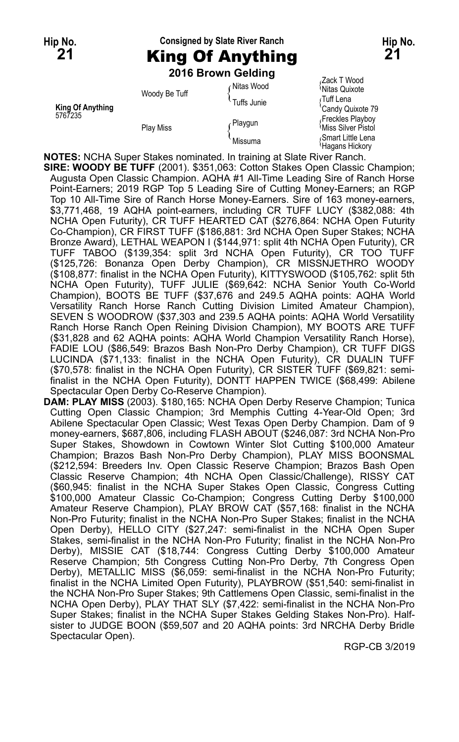## **Hip No. Consigned by Slate River Ranch Hip No. 21** King Of Anything **21 2016 Brown Gelding**

Transack T Wood<br>Fixture in Mitas Quixote Woody Be Tuff **Miltas Wood Miltas Quixote** ( <sup>Nitas</sup> Quixote )<br>Tuffs Junie { Tuff Lena Tuff Lena **King Of Anything** Candy Quixote 79 5767235 Freckles Playboy<br>Freckles Playboy Playe (Playgun Mics Music Silver Playboy) Play Miss Miss Miss Miss Miss Silver Pistol ( The Missuma Miss Silver Pistol ( Smart Little Lena Mi<br>Missuma Missuma ( Hagans Hickory

**NOTES:** NCHA Super Stakes nominated. In training at Slate River Ranch.

**SIRE: WOODY BE TUFF** (2001). \$351,063: Cotton Stakes Open Classic Champion; Augusta Open Classic Champion. AQHA #1 All-Time Leading Sire of Ranch Horse Point-Earners; 2019 RGP Top 5 Leading Sire of Cutting Money-Earners; an RGP Top 10 All-Time Sire of Ranch Horse Money-Earners. Sire of 163 money-earners, \$3,771,468, 19 AQHA point-earners, including CR TUFF LUCY (\$382,088: 4th NCHA Open Futurity), CR TUFF HEARTED CAT (\$276,864: NCHA Open Futurity Co-Champion), CR FIRST TUFF (\$186,881: 3rd NCHA Open Super Stakes; NCHA Bronze Award), LETHAL WEAPON I (\$144,971: split 4th NCHA Open Futurity), CR TUFF TABOO (\$139,354: split 3rd NCHA Open Futurity), CR TOO TUFF (\$125,726: Bonanza Open Derby Champion), CR MISSNJETHRO WOODY (\$108,877: finalist in the NCHA Open Futurity), KITTYSWOOD (\$105,762: split 5th NCHA Open Futurity), TUFF JULIE (\$69,642: NCHA Senior Youth Co-World Champion), BOOTS BE TUFF (\$37,676 and 249.5 AQHA points: AQHA World Versatility Ranch Horse Ranch Cutting Division Limited Amateur Champion), SEVEN S WOODROW (\$37,303 and 239.5 AQHA points: AQHA World Versatility Ranch Horse Ranch Open Reining Division Champion), MY BOOTS ARE TUFF (\$31,828 and 62 AQHA points: AQHA World Champion Versatility Ranch Horse), FADIE LOU (\$86,549: Brazos Bash Non-Pro Derby Champion), CR TUFF DIGS LUCINDA (\$71,133: finalist in the NCHA Open Futurity), CR DUALIN TUFF (\$70,578: finalist in the NCHA Open Futurity), CR SISTER TUFF (\$69,821: semifinalist in the NCHA Open Futurity), DONTT HAPPEN TWICE (\$68,499: Abilene Spectacular Open Derby Co-Reserve Champion).

**DAM: PLAY MISS** (2003). \$180,165: NCHA Open Derby Reserve Champion; Tunica Cutting Open Classic Champion; 3rd Memphis Cutting 4-Year-Old Open; 3rd Abilene Spectacular Open Classic; West Texas Open Derby Champion. Dam of 9 money-earners, \$687,806, including FLASH ABOUT (\$246,087: 3rd NCHA Non-Pro Super Stakes, Showdown in Cowtown Winter Slot Cutting \$100,000 Amateur Champion; Brazos Bash Non-Pro Derby Champion), PLAY MISS BOONSMAL (\$212,594: Breeders Inv. Open Classic Reserve Champion; Brazos Bash Open Classic Reserve Champion; 4th NCHA Open Classic/Challenge), RISSY CAT (\$60,945: finalist in the NCHA Super Stakes Open Classic, Congress Cutting \$100,000 Amateur Classic Co-Champion; Congress Cutting Derby \$100,000 Amateur Reserve Champion), PLAY BROW CAT (\$57,168: finalist in the NCHA Non-Pro Futurity; finalist in the NCHA Non-Pro Super Stakes; finalist in the NCHA Open Derby), HELLO CITY (\$27,247: semi-finalist in the NCHA Open Super Stakes, semi-finalist in the NCHA Non-Pro Futurity; finalist in the NCHA Non-Pro Derby), MISSIE CAT (\$18,744: Congress Cutting Derby \$100,000 Amateur Reserve Champion; 5th Congress Cutting Non-Pro Derby, 7th Congress Open Derby), METALLIC MISS (\$6,059: semi-finalist in the NCHA Non-Pro Futurity; finalist in the NCHA Limited Open Futurity), PLAYBROW (\$51,540: semi-finalist in the NCHA Non-Pro Super Stakes; 9th Cattlemens Open Classic, semi-finalist in the NCHA Open Derby), PLAY THAT SLY (\$7,422: semi-finalist in the NCHA Non-Pro Super Stakes; finalist in the NCHA Super Stakes Gelding Stakes Non-Pro). Halfsister to JUDGE BOON (\$59,507 and 20 AQHA points: 3rd NRCHA Derby Bridle Spectacular Open).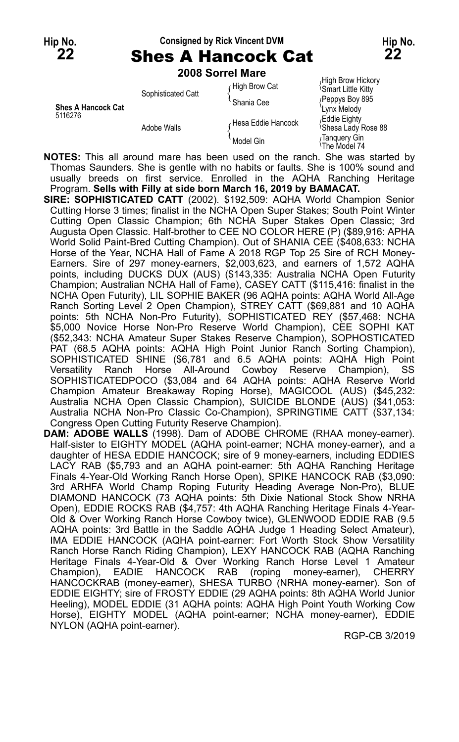### **Hip No. Consigned by Rick Vincent DVM Hip No.**

**22** Shes A Hancock Cat **22 2008 Sorrel Mare**

| <b>Shes A Hancock Cat</b><br>5116276 | Sophisticated Catt | High Brow Cat<br>∙Shania Cee | High Brow Hickory<br><b>Smart Little Kitty</b><br>Peppys Boy 895<br>'Lynx Melody |
|--------------------------------------|--------------------|------------------------------|----------------------------------------------------------------------------------|
|                                      | Adobe Walls        | Hesa Eddie Hancock           | Eddie Eightv،<br><b>Shesa Lady Rose 88</b>                                       |
|                                      |                    | Model Gin                    | Tanguery Gin<br><sup>1</sup> The Model 74                                        |

**NOTES:** This all around mare has been used on the ranch. She was started by Thomas Saunders. She is gentle with no habits or faults. She is 100% sound and usually breeds on first service. Enrolled in the AQHA Ranching Heritage Program. **Sells with Filly at side born March 16, 2019 by BAMACAT.**

**SIRE: SOPHISTICATED CATT** (2002). \$192,509: AQHA World Champion Senior Cutting Horse 3 times; finalist in the NCHA Open Super Stakes; South Point Winter Cutting Open Classic Champion; 6th NCHA Super Stakes Open Classic; 3rd Augusta Open Classic. Half-brother to CEE NO COLOR HERE (P) (\$89,916: APHA World Solid Paint-Bred Cutting Champion). Out of SHANIA CEE (\$408,633: NCHA Horse of the Year, NCHA Hall of Fame A 2018 RGP Top 25 Sire of RCH Money-Earners. Sire of 297 money-earners, \$2,003,623, and earners of 1,572 AQHA points, including DUCKS DUX (AUS) (\$143,335: Australia NCHA Open Futurity Champion; Australian NCHA Hall of Fame), CASEY CATT (\$115,416: finalist in the NCHA Open Futurity), LIL SOPHIE BAKER (96 AQHA points: AQHA World All-Age Ranch Sorting Level 2 Open Champion), STREY CATT (\$69,881 and 10 AQHA points: 5th NCHA Non-Pro Futurity), SOPHISTICATED REY (\$57,468: NCHA \$5,000 Novice Horse Non-Pro Reserve World Champion), CEE SOPHI KAT (\$52,343: NCHA Amateur Super Stakes Reserve Champion), SOPHOSTICATED PAT (68.5 AQHA points: AQHA High Point Junior Ranch Sorting Champion), SOPHISTICATED SHINE (\$6,781 and 6.5 AQHA points: AQHA High Point Versatility Ranch Horse All-Around Cowboy Reserve Champion), SS SOPHISTICATEDPOCO (\$3,084 and 64 AQHA points: AQHA Reserve World Champion Amateur Breakaway Roping Horse), MAGICOOL (AUS) (\$45,232: Australia NCHA Open Classic Champion), SUICIDE BLONDE (AUS) (\$41,053: Australia NCHA Non-Pro Classic Co-Champion), SPRINGTIME CATT (\$37,134: Congress Open Cutting Futurity Reserve Champion).

**DAM: ADOBE WALLS** (1998). Dam of ADOBE CHROME (RHAA money-earner). Half-sister to EIGHTY MODEL (AQHA point-earner; NCHA money-earner), and a daughter of HESA EDDIE HANCOCK; sire of 9 money-earners, including EDDIES LACY RAB (\$5,793 and an AQHA point-earner: 5th AQHA Ranching Heritage Finals 4-Year-Old Working Ranch Horse Open), SPIKE HANCOCK RAB (\$3,090: 3rd ARHFA World Champ Roping Futurity Heading Average Non-Pro), BLUE DIAMOND HANCOCK (73 AQHA points: 5th Dixie National Stock Show NRHA Open), EDDIE ROCKS RAB (\$4,757: 4th AQHA Ranching Heritage Finals 4-Year-Old & Over Working Ranch Horse Cowboy twice), GLENWOOD EDDIE RAB (9.5 AQHA points: 3rd Battle in the Saddle AQHA Judge 1 Heading Select Amateur), IMA EDDIE HANCOCK (AQHA point-earner: Fort Worth Stock Show Versatility Ranch Horse Ranch Riding Champion), LEXY HANCOCK RAB (AQHA Ranching Heritage Finals 4-Year-Old & Over Working Ranch Horse Level 1 Amateur Champion), EADIE HANCOCK RAB (roping money-earner), CHERRY HANCOCKRAB (money-earner), SHESA TURBO (NRHA money-earner). Son of EDDIE EIGHTY; sire of FROSTY EDDIE (29 AQHA points: 8th AQHA World Junior Heeling), MODEL EDDIE (31 AQHA points: AQHA High Point Youth Working Cow Horse), EIGHTY MODEL (AQHA point-earner; NCHA money-earner), EDDIE NYLON (AQHA point-earner).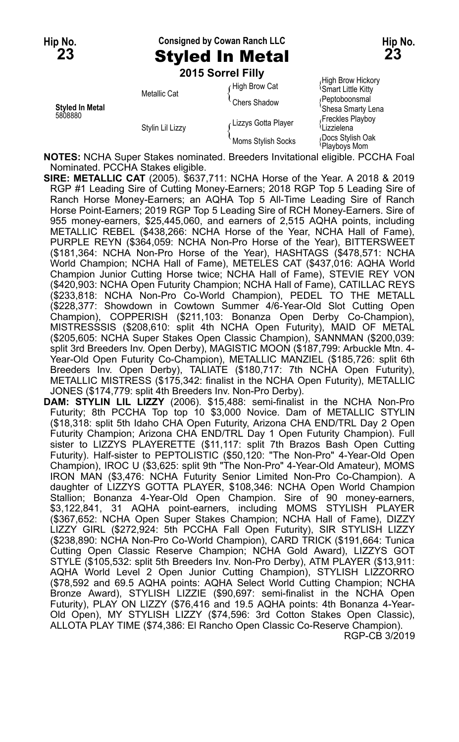**Hip No. Consigned by Cowan Ranch LLC Hip No. 23** Styled In Metal **23**

**2015 Sorrel Filly**

| <b>Styled In Metal</b><br>5808880 | Metallic Cat     | High Brow Cat       | High Brow Hickory<br><b>Smart Little Kitty</b> |
|-----------------------------------|------------------|---------------------|------------------------------------------------|
|                                   |                  | Chers Shadow        | (Peptoboonsmal<br>'Shesa Smarty Lena           |
|                                   | Stylin Lil Lizzy | Lizzys Gotta Player | Freckles Playboy<br><sup>\</sup> Lizzielena    |
|                                   |                  | Moms Stylish Socks  | Docs Stylish Oak<br>Playboys Mom               |

**NOTES:** NCHA Super Stakes nominated. Breeders Invitational eligible. PCCHA Foal Nominated. PCCHA Stakes eligible.

**SIRE: METALLIC CAT** (2005). \$637,711: NCHA Horse of the Year. A 2018 & 2019 RGP #1 Leading Sire of Cutting Money-Earners; 2018 RGP Top 5 Leading Sire of Ranch Horse Money-Earners; an AQHA Top 5 All-Time Leading Sire of Ranch Horse Point-Earners; 2019 RGP Top 5 Leading Sire of RCH Money-Earners. Sire of 955 money-earners, \$25,445,060, and earners of 2,515 AQHA points, including METALLIC REBEL (\$438,266: NCHA Horse of the Year, NCHA Hall of Fame), PURPLE REYN (\$364,059: NCHA Non-Pro Horse of the Year), BITTERSWEET (\$181,364: NCHA Non-Pro Horse of the Year), HASHTAGS (\$478,571: NCHA World Champion; NCHA Hall of Fame), METELES CAT (\$437,016: AQHA World Champion Junior Cutting Horse twice; NCHA Hall of Fame), STEVIE REY VON (\$420,903: NCHA Open Futurity Champion; NCHA Hall of Fame), CATILLAC REYS (\$233,818: NCHA Non-Pro Co-World Champion), PEDEL TO THE METALL (\$228,377: Showdown in Cowtown Summer 4/6-Year-Old Slot Cutting Open Champion), COPPERISH (\$211,103: Bonanza Open Derby Co-Champion), MISTRESSSIS (\$208,610: split 4th NCHA Open Futurity), MAID OF METAL (\$205,605: NCHA Super Stakes Open Classic Champion), SANNMAN (\$200,039: split 3rd Breeders Inv. Open Derby), MAGISTIC MOON (\$187,799: Arbuckle Mtn. 4- Year-Old Open Futurity Co-Champion), METALLIC MANZIEL (\$185,726: split 6th Breeders Inv. Open Derby), TALIATE (\$180,717: 7th NCHA Open Futurity), METALLIC MISTRESS (\$175,342: finalist in the NCHA Open Futurity), METALLIC JONES (\$174,779: split 4th Breeders Inv. Non-Pro Derby).

**DAM: STYLIN LIL LIZZY** (2006). \$15,488: semi-finalist in the NCHA Non-Pro Futurity; 8th PCCHA Top top 10 \$3,000 Novice. Dam of METALLIC STYLIN (\$18,318: split 5th Idaho CHA Open Futurity, Arizona CHA END/TRL Day 2 Open Futurity Champion; Arizona CHA END/TRL Day 1 Open Futurity Champion). Full sister to LIZZYS PLAYERETTE (\$11,117: split 7th Brazos Bash Open Cutting Futurity). Half-sister to PEPTOLISTIC (\$50,120: "The Non-Pro" 4-Year-Old Open Champion), IROC U (\$3,625: split 9th "The Non-Pro" 4-Year-Old Amateur), MOMS IRON MAN (\$3,476: NCHA Futurity Senior Limited Non-Pro Co-Champion). A daughter of LIZZYS GOTTA PLAYER, \$108,346: NCHA Open World Champion Stallion; Bonanza 4-Year-Old Open Champion. Sire of 90 money-earners, \$3,122,841, 31 AQHA point-earners, including MOMS STYLISH PLAYER (\$367,652: NCHA Open Super Stakes Champion; NCHA Hall of Fame), DIZZY LIZZY GIRL (\$272,924: 5th PCCHA Fall Open Futurity), SIR STYLISH LIZZY (\$238,890: NCHA Non-Pro Co-World Champion), CARD TRICK (\$191,664: Tunica Cutting Open Classic Reserve Champion; NCHA Gold Award), LIZZYS GOT STYLE (\$105,532: split 5th Breeders Inv. Non-Pro Derby), ATM PLAYER (\$13,911: AQHA World Level 2 Open Junior Cutting Champion), STYLISH LIZZORRO (\$78,592 and 69.5 AQHA points: AQHA Select World Cutting Champion; NCHA Bronze Award), STYLISH LIZZIE (\$90,697: semi-finalist in the NCHA Open Futurity), PLAY ON LIZZY (\$76,416 and 19.5 AQHA points: 4th Bonanza 4-Year-Old Open), MY STYLISH LIZZY (\$74,596: 3rd Cotton Stakes Open Classic), ALLOTA PLAY TIME (\$74,386: El Rancho Open Classic Co-Reserve Champion). RGP-CB 3/2019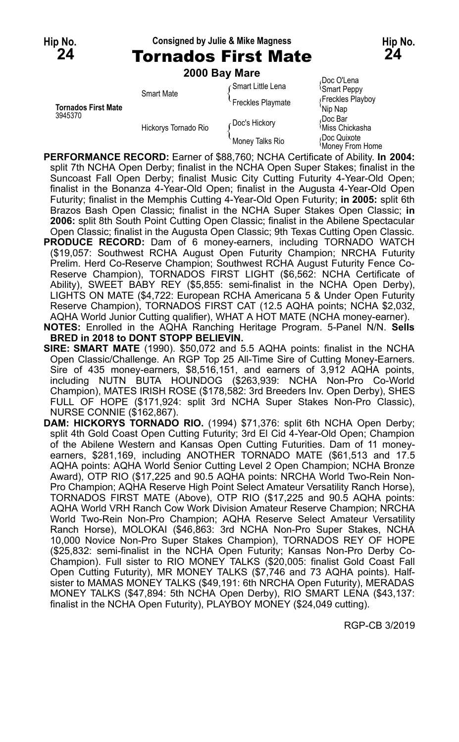**Hip No. Consigned by Julie & Mike Magness Hip No.**

**24** Tornados First Mate **24**

|                            | 2000 Bay Mare        |                      |                                        |
|----------------------------|----------------------|----------------------|----------------------------------------|
|                            | <b>Smart Mate</b>    | Gmart Little Lena    | Doc O'Lena<br><b>Smart Peppy</b>       |
| <b>Tornados First Mate</b> |                      | Freckles Playmate    | Freckles Playboy<br>Nip Nap            |
| 3945370                    | Hickorys Tornado Rio | <b>Doc's Hickory</b> | Doc Bar<br><sup>≀</sup> Miss Chickasha |
|                            |                      | Money Talks Rio      | Doc Quixote<br>Money From Home         |

- **PERFORMANCE RECORD:** Earner of \$88,760; NCHA Certificate of Ability. **In 2004:** split 7th NCHA Open Derby; finalist in the NCHA Open Super Stakes; finalist in the Suncoast Fall Open Derby; finalist Music City Cutting Futurity 4-Year-Old Open; finalist in the Bonanza 4-Year-Old Open; finalist in the Augusta 4-Year-Old Open Futurity; finalist in the Memphis Cutting 4-Year-Old Open Futurity; **in 2005:** split 6th Brazos Bash Open Classic; finalist in the NCHA Super Stakes Open Classic; **in 2006:** split 8th South Point Cutting Open Classic; finalist in the Abilene Spectacular Open Classic; finalist in the Augusta Open Classic; 9th Texas Cutting Open Classic.
- PRODUCE RECORD: Dam of 6 money-earners, including TORNADO WATCH (\$19,057: Southwest RCHA August Open Futurity Champion; NRCHA Futurity Prelim. Herd Co-Reserve Champion; Southwest RCHA August Futurity Fence Co-Reserve Champion), TORNADOS FIRST LIGHT (\$6,562: NCHA Certificate of Ability), SWEET BABY REY (\$5,855: semi-finalist in the NCHA Open Derby), LIGHTS ON MATE (\$4,722: European RCHA Americana 5 & Under Open Futurity Reserve Champion), TORNADOS FIRST CAT (12.5 AQHA points; NCHA \$2,032, AQHA World Junior Cutting qualifier), WHAT A HOT MATE (NCHA money-earner).
- **NOTES:** Enrolled in the AQHA Ranching Heritage Program. 5-Panel N/N. **Sells BRED in 2018 to DONT STOPP BELIEVIN.**
- **SIRE: SMART MATE** (1990). \$50,072 and 5.5 AQHA points: finalist in the NCHA Open Classic/Challenge. An RGP Top 25 All-Time Sire of Cutting Money-Earners. Sire of 435 money-earners, \$8,516,151, and earners of 3,912 AQHA points, including NUTN BUTA HOUNDOG (\$263,939: NCHA Non-Pro Co-World Champion), MATES IRISH ROSE (\$178,582: 3rd Breeders Inv. Open Derby), SHES FULL OF HOPE (\$171,924: split 3rd NCHA Super Stakes Non-Pro Classic), NURSE CONNIE (\$162,867).
- **DAM: HICKORYS TORNADO RIO.** (1994) \$71,376: split 6th NCHA Open Derby; split 4th Gold Coast Open Cutting Futurity; 3rd El Cid 4-Year-Old Open; Champion of the Abilene Western and Kansas Open Cutting Futurities. Dam of 11 moneyearners, \$281,169, including ANOTHER TORNADO MATE (\$61,513 and 17.5 AQHA points: AQHA World Senior Cutting Level 2 Open Champion; NCHA Bronze Award), OTP RIO (\$17,225 and 90.5 AQHA points: NRCHA World Two-Rein Non-Pro Champion; AQHA Reserve High Point Select Amateur Versatility Ranch Horse), TORNADOS FIRST MATE (Above), OTP RIO (\$17,225 and 90.5 AQHA points: AQHA World VRH Ranch Cow Work Division Amateur Reserve Champion; NRCHA World Two-Rein Non-Pro Champion; AQHA Reserve Select Amateur Versatility Ranch Horse), MOLOKAI (\$46,863: 3rd NCHA Non-Pro Super Stakes, NCHA 10,000 Novice Non-Pro Super Stakes Champion), TORNADOS REY OF HOPE (\$25,832: semi-finalist in the NCHA Open Futurity; Kansas Non-Pro Derby Co-Champion). Full sister to RIO MONEY TALKS (\$20,005: finalist Gold Coast Fall Open Cutting Futurity), MR MONEY TALKS (\$7,746 and 73 AQHA points). Halfsister to MAMAS MONEY TALKS (\$49,191: 6th NRCHA Open Futurity), MERADAS MONEY TALKS (\$47,894: 5th NCHA Open Derby), RIO SMART LENA (\$43,137: finalist in the NCHA Open Futurity), PLAYBOY MONEY (\$24,049 cutting).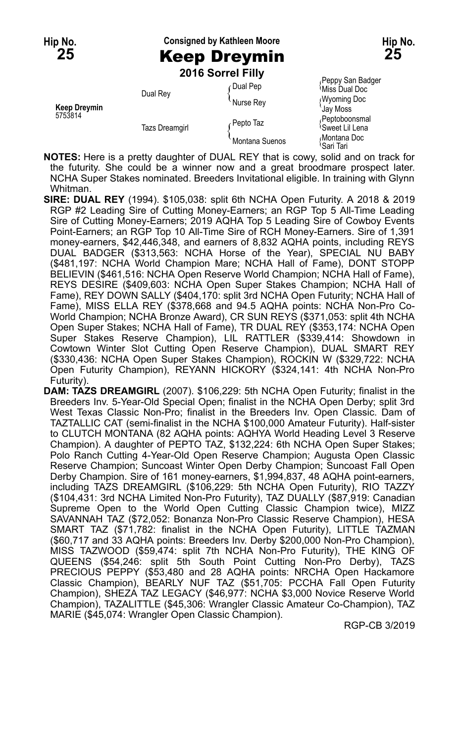**Hip No. Consigned by Kathleen Moore Hip No. 25** Keep Dreymin **25**

**2016 Sorrel Filly**

| <b>Keep Dreymin</b><br>5753814 | Dual Rey              | ∩Dual Pep<br>Nurse Rey | Peppy San Badger<br><sup>≀</sup> Miss Dual Doc<br><b>Wyoming Doc</b><br>Jay Moss |
|--------------------------------|-----------------------|------------------------|----------------------------------------------------------------------------------|
|                                | <b>Tazs Dreamgirl</b> | Pepto Taz              | Peptoboonsmal<br><sup>≀</sup> Sweet Lil Lena                                     |
|                                |                       | Montana Suenos         | Montana Doc<br>'Sari Tari                                                        |

**NOTES:** Here is a pretty daughter of DUAL REY that is cowy, solid and on track for the futurity. She could be a winner now and a great broodmare prospect later. NCHA Super Stakes nominated. Breeders Invitational eligible. In training with Glynn Whitman.

- **SIRE: DUAL REY** (1994). \$105,038: split 6th NCHA Open Futurity. A 2018 & 2019 RGP #2 Leading Sire of Cutting Money-Earners; an RGP Top 5 All-Time Leading Sire of Cutting Money-Earners; 2019 AQHA Top 5 Leading Sire of Cowboy Events Point-Earners; an RGP Top 10 All-Time Sire of RCH Money-Earners. Sire of 1,391 money-earners, \$42,446,348, and earners of 8,832 AQHA points, including REYS DUAL BADGER (\$313,563: NCHA Horse of the Year), SPECIAL NU BABY (\$481,197: NCHA World Champion Mare; NCHA Hall of Fame), DONT STOPP BELIEVIN (\$461,516: NCHA Open Reserve World Champion; NCHA Hall of Fame), REYS DESIRE (\$409,603: NCHA Open Super Stakes Champion; NCHA Hall of Fame), REY DOWN SALLY (\$404,170: split 3rd NCHA Open Futurity; NCHA Hall of Fame), MISS ELLA REY (\$378,668 and 94.5 AQHA points: NCHA Non-Pro Co-World Champion; NCHA Bronze Award), CR SUN REYS (\$371,053: split 4th NCHA Open Super Stakes; NCHA Hall of Fame), TR DUAL REY (\$353,174: NCHA Open Super Stakes Reserve Champion), LIL RATTLER (\$339,414: Showdown in Cowtown Winter Slot Cutting Open Reserve Champion), DUAL SMART REY (\$330,436: NCHA Open Super Stakes Champion), ROCKIN W (\$329,722: NCHA Open Futurity Champion), REYANN HICKORY (\$324,141: 4th NCHA Non-Pro Futurity).
- **DAM: TAZS DREAMGIRL** (2007). \$106,229: 5th NCHA Open Futurity; finalist in the Breeders Inv. 5-Year-Old Special Open; finalist in the NCHA Open Derby; split 3rd West Texas Classic Non-Pro; finalist in the Breeders Inv. Open Classic. Dam of TAZTALLIC CAT (semi-finalist in the NCHA \$100,000 Amateur Futurity). Half-sister to CLUTCH MONTANA (82 AQHA points: AQHYA World Heading Level 3 Reserve Champion). A daughter of PEPTO TAZ, \$132,224: 6th NCHA Open Super Stakes; Polo Ranch Cutting 4-Year-Old Open Reserve Champion; Augusta Open Classic Reserve Champion; Suncoast Winter Open Derby Champion; Suncoast Fall Open Derby Champion. Sire of 161 money-earners, \$1,994,837, 48 AQHA point-earners, including TAZS DREAMGIRL (\$106,229: 5th NCHA Open Futurity), RIO TAZZY (\$104,431: 3rd NCHA Limited Non-Pro Futurity), TAZ DUALLY (\$87,919: Canadian Supreme Open to the World Open Cutting Classic Champion twice), MIZZ SAVANNAH TAZ (\$72,052: Bonanza Non-Pro Classic Reserve Champion), HESA SMART TAZ (\$71,782: finalist in the NCHA Open Futurity), LITTLE TAZMAN (\$60,717 and 33 AQHA points: Breeders Inv. Derby \$200,000 Non-Pro Champion), MISS TAZWOOD (\$59,474: split 7th NCHA Non-Pro Futurity), THE KING OF QUEENS (\$54,246: split 5th South Point Cutting Non-Pro Derby), TAZS PRECIOUS PEPPY (\$53,480 and 28 AQHA points: NRCHA Open Hackamore Classic Champion), BEARLY NUF TAZ (\$51,705: PCCHA Fall Open Futurity Champion), SHEZA TAZ LEGACY (\$46,977: NCHA \$3,000 Novice Reserve World Champion), TAZALITTLE (\$45,306: Wrangler Classic Amateur Co-Champion), TAZ MARIE (\$45,074: Wrangler Open Classic Champion).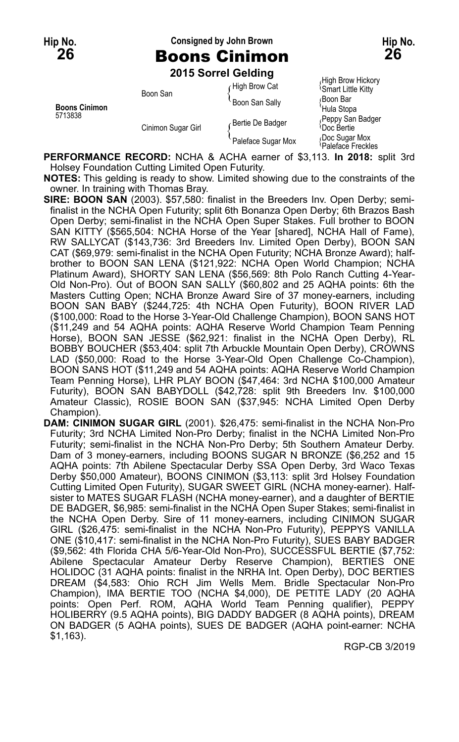### **Hip No. Consigned by John Brown Hip No. 26** Boons Cinimon **26**

**2015 Sorrel Gelding**

|                                 |                    | <b>LUTS DUITEL OCIUIIIU</b> |                                                |
|---------------------------------|--------------------|-----------------------------|------------------------------------------------|
| <b>Boons Cinimon</b><br>5713838 | Boon San           | High Brow Cat               | High Brow Hickory<br><b>Smart Little Kitty</b> |
|                                 |                    | <b>Boon San Sally</b>       | ∩Boon Bar<br>'Hula Stopa                       |
|                                 | Cinimon Sugar Girl | Bertie De Badger            | Peppy San Badger<br><sup>l</sup> Doc Bertie    |
|                                 |                    | Paleface Sugar Mox          | Doc Sugar Mox<br>Paleface Freckles             |

**PERFORMANCE RECORD:** NCHA & ACHA earner of \$3,113. **In 2018:** split 3rd Holsey Foundation Cutting Limited Open Futurity.

**NOTES:** This gelding is ready to show. Limited showing due to the constraints of the owner. In training with Thomas Bray.

**SIRE: BOON SAN** (2003). \$57,580: finalist in the Breeders Inv. Open Derby; semifinalist in the NCHA Open Futurity; split 6th Bonanza Open Derby; 6th Brazos Bash Open Derby; semi-finalist in the NCHA Open Super Stakes. Full brother to BOON SAN KITTY (\$565,504: NCHA Horse of the Year [shared], NCHA Hall of Fame), RW SALLYCAT (\$143,736: 3rd Breeders Inv. Limited Open Derby), BOON SAN CAT (\$69,979: semi-finalist in the NCHA Open Futurity; NCHA Bronze Award); halfbrother to BOON SAN LENA (\$121,922: NCHA Open World Champion; NCHA Platinum Award), SHORTY SAN LENA (\$56,569: 8th Polo Ranch Cutting 4-Year-Old Non-Pro). Out of BOON SAN SALLY (\$60,802 and 25 AQHA points: 6th the Masters Cutting Open; NCHA Bronze Award Sire of 37 money-earners, including BOON SAN BABY (\$244,725: 4th NCHA Open Futurity), BOON RIVER LAD (\$100,000: Road to the Horse 3-Year-Old Challenge Champion), BOON SANS HOT (\$11,249 and 54 AQHA points: AQHA Reserve World Champion Team Penning Horse), BOON SAN JESSE (\$62,921: finalist in the NCHA Open Derby), RL BOBBY BOUCHER (\$53,404: split 7th Arbuckle Mountain Open Derby), CROWNS LAD (\$50,000: Road to the Horse 3-Year-Old Open Challenge Co-Champion), BOON SANS HOT (\$11,249 and 54 AQHA points: AQHA Reserve World Champion Team Penning Horse), LHR PLAY BOON (\$47,464: 3rd NCHA \$100,000 Amateur Futurity), BOON SAN BABYDOLL (\$42,728: split 9th Breeders Inv. \$100,000 Amateur Classic), ROSIE BOON SAN (\$37,945: NCHA Limited Open Derby Champion).

**DAM: CINIMON SUGAR GIRL** (2001). \$26,475: semi-finalist in the NCHA Non-Pro Futurity; 3rd NCHA Limited Non-Pro Derby; finalist in the NCHA Limited Non-Pro Futurity; semi-finalist in the NCHA Non-Pro Derby; 5th Southern Amateur Derby. Dam of 3 money-earners, including BOONS SUGAR N BRONZE (\$6,252 and 15 AQHA points: 7th Abilene Spectacular Derby SSA Open Derby, 3rd Waco Texas Derby \$50,000 Amateur), BOONS CINIMON (\$3,113: split 3rd Holsey Foundation Cutting Limited Open Futurity), SUGAR SWEET GIRL (NCHA money-earner). Halfsister to MATES SUGAR FLASH (NCHA money-earner), and a daughter of BERTIE DE BADGER, \$6,985: semi-finalist in the NCHA Open Super Stakes; semi-finalist in the NCHA Open Derby. Sire of 11 money-earners, including CINIMON SUGAR GIRL (\$26,475: semi-finalist in the NCHA Non-Pro Futurity), PEPPYS VANILLA ONE (\$10,417: semi-finalist in the NCHA Non-Pro Futurity), SUES BABY BADGER (\$9,562: 4th Florida CHA 5/6-Year-Old Non-Pro), SUCCESSFUL BERTIE (\$7,752: Abilene Spectacular Amateur Derby Reserve Champion), BERTIES ONE HOLIDOC (31 AQHA points: finalist in the NRHA Int. Open Derby), DOC BERTIES DREAM (\$4,583: Ohio RCH Jim Wells Mem. Bridle Spectacular Non-Pro Champion), IMA BERTIE TOO (NCHA \$4,000), DE PETITE LADY (20 AQHA points: Open Perf. ROM, AQHA World Team Penning qualifier), PEPPY HOLIBERRY (9.5 AQHA points), BIG DADDY BADGER (8 AQHA points), DREAM ON BADGER (5 AQHA points), SUES DE BADGER (AQHA point-earner: NCHA \$1,163).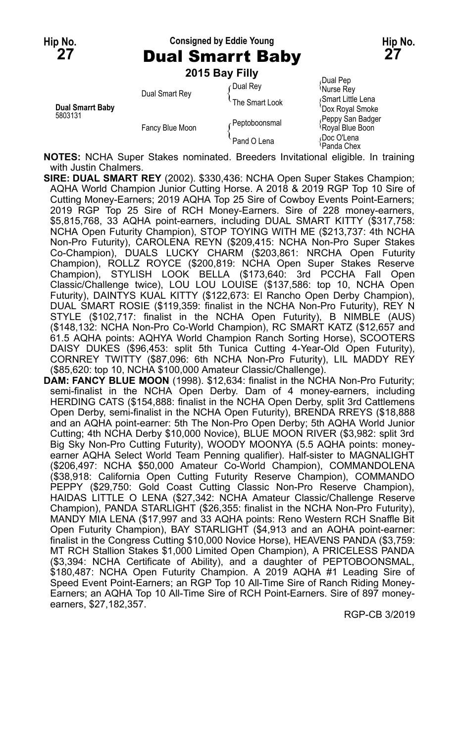**Hip No. Consigned by Eddie Young Hip No. 27** Dual Smarrt Baby **27**

**2015 Bay Filly**

| Dual Smarrt Baby<br>5803131 | Dual Smart Rey  | Dual Rev<br>The Smart Look | Dual Pep<br><sup>{</sup> Nurse Rey<br>Smart Little Lena |
|-----------------------------|-----------------|----------------------------|---------------------------------------------------------|
|                             | Fancy Blue Moon | Peptoboonsmal              | 'Dox Royal Smoke<br>Peppy San Badger<br>Royal Blue Boon |
|                             |                 | Pand O Lena                | Doc O'Lena<br><sup>≀</sup> Panda Chex                   |

**NOTES:** NCHA Super Stakes nominated. Breeders Invitational eligible. In training with Justin Chalmers.

- **SIRE: DUAL SMART REY** (2002). \$330,436: NCHA Open Super Stakes Champion; AQHA World Champion Junior Cutting Horse. A 2018 & 2019 RGP Top 10 Sire of Cutting Money-Earners; 2019 AQHA Top 25 Sire of Cowboy Events Point-Earners; 2019 RGP Top 25 Sire of RCH Money-Earners. Sire of 228 money-earners, \$5,815,768, 33 AQHA point-earners, including DUAL SMART KITTY (\$317,758: NCHA Open Futurity Champion), STOP TOYING WITH ME (\$213,737: 4th NCHA Non-Pro Futurity), CAROLENA REYN (\$209,415: NCHA Non-Pro Super Stakes Co-Champion), DUALS LUCKY CHARM (\$203,861: NRCHA Open Futurity Champion), ROLLZ ROYCE (\$200,819: NCHA Open Super Stakes Reserve Champion), STYLISH LOOK BELLA (\$173,640: 3rd PCCHA Fall Open Classic/Challenge twice), LOU LOU LOUISE (\$137,586: top 10, NCHA Open Futurity), DAINTYS KUAL KITTY (\$122,673: El Rancho Open Derby Champion), DUAL SMART ROSIE (\$119,359: finalist in the NCHA Non-Pro Futurity), REY N STYLE (\$102,717: finalist in the NCHA Open Futurity), B NIMBLE (AUS) (\$148,132: NCHA Non-Pro Co-World Champion), RC SMART KATZ (\$12,657 and 61.5 AQHA points: AQHYA World Champion Ranch Sorting Horse), SCOOTERS DAISY DUKES (\$96,453: split 5th Tunica Cutting 4-Year-Old Open Futurity), CORNREY TWITTY (\$87,096: 6th NCHA Non-Pro Futurity), LIL MADDY REY (\$85,620: top 10, NCHA \$100,000 Amateur Classic/Challenge).
- **DAM: FANCY BLUE MOON** (1998). \$12,634: finalist in the NCHA Non-Pro Futurity; semi-finalist in the NCHA Open Derby. Dam of 4 money-earners, including HERDING CATS (\$154,888: finalist in the NCHA Open Derby, split 3rd Cattlemens Open Derby, semi-finalist in the NCHA Open Futurity), BRENDA RREYS (\$18,888 and an AQHA point-earner: 5th The Non-Pro Open Derby; 5th AQHA World Junior Cutting; 4th NCHA Derby \$10,000 Novice), BLUE MOON RIVER (\$3,982: split 3rd Big Sky Non-Pro Cutting Futurity), WOODY MOONYA (5.5 AQHA points: moneyearner AQHA Select World Team Penning qualifier). Half-sister to MAGNALIGHT (\$206,497: NCHA \$50,000 Amateur Co-World Champion), COMMANDOLENA (\$38,918: California Open Cutting Futurity Reserve Champion), COMMANDO PEPPY (\$29,750: Gold Coast Cutting Classic Non-Pro Reserve Champion), HAIDAS LITTLE O LENA (\$27,342: NCHA Amateur Classic/Challenge Reserve Champion), PANDA STARLIGHT (\$26,355: finalist in the NCHA Non-Pro Futurity), MANDY MIA LENA (\$17,997 and 33 AQHA points: Reno Western RCH Snaffle Bit Open Futurity Champion), BAY STARLIGHT (\$4,913 and an AQHA point-earner: finalist in the Congress Cutting \$10,000 Novice Horse), HEAVENS PANDA (\$3,759: MT RCH Stallion Stakes \$1,000 Limited Open Champion), A PRICELESS PANDA (\$3,394: NCHA Certificate of Ability), and a daughter of PEPTOBOONSMAL, \$180,487: NCHA Open Futurity Champion. A 2019 AQHA #1 Leading Sire of Speed Event Point-Earners; an RGP Top 10 All-Time Sire of Ranch Riding Money-Earners; an AQHA Top 10 All-Time Sire of RCH Point-Earners. Sire of 897 moneyearners, \$27,182,357.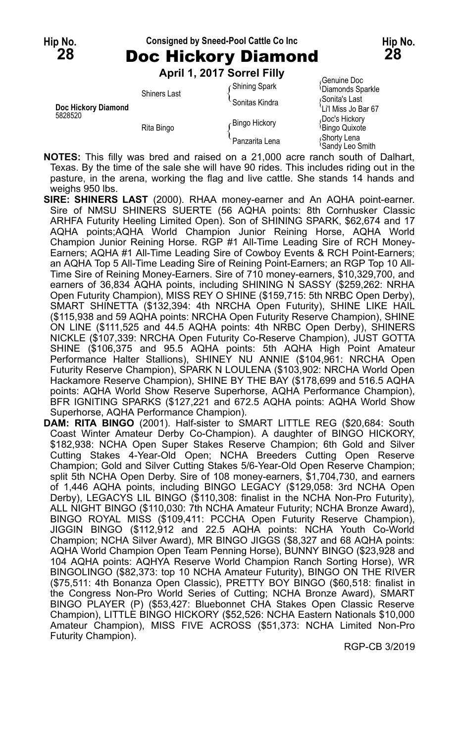## **Hip No. Consigned by Sneed-Pool Cattle Co Inc Hip No. 28** Doc Hickory Diamond **28**

**April 1, 2017 Sorrel Filly**

|                                |                     | ANII I, ZVII JUIITI IIIV |                                              |
|--------------------------------|---------------------|--------------------------|----------------------------------------------|
|                                | <b>Shiners Last</b> | Shining Spark            | Genuine Doc<br><sup>l</sup> Diamonds Sparkle |
| Doc Hickory Diamond<br>5828520 |                     | Sonitas Kindra           | Sonita's Last<br>'Li'l Miss Jo Bar 67        |
|                                | Rita Bingo          | Bingo Hickory            | Doc's Hickory<br><b>Bingo Quixote</b>        |
|                                |                     | Panzarita Lena           | Shorty Lena<br><b>Sandy Leo Smith</b>        |

**NOTES:** This filly was bred and raised on a 21,000 acre ranch south of Dalhart, Texas. By the time of the sale she will have 90 rides. This includes riding out in the pasture, in the arena, working the flag and live cattle. She stands 14 hands and weighs 950 lbs.

- **SIRE: SHINERS LAST** (2000). RHAA money-earner and An AQHA point-earner. Sire of NMSU SHINERS SUERTE (56 AQHA points: 8th Cornhusker Classic ARHFA Futurity Heeling Limited Open). Son of SHINING SPARK, \$62,674 and 17 AQHA points;AQHA World Champion Junior Reining Horse, AQHA World Champion Junior Reining Horse. RGP #1 All-Time Leading Sire of RCH Money-Earners; AQHA #1 All-Time Leading Sire of Cowboy Events & RCH Point-Earners; an AQHA Top 5 All-Time Leading Sire of Reining Point-Earners; an RGP Top 10 All-Time Sire of Reining Money-Earners. Sire of 710 money-earners, \$10,329,700, and earners of 36,834 AQHA points, including SHINING N SASSY (\$259,262: NRHA Open Futurity Champion), MISS REY O SHINE (\$159,715: 5th NRBC Open Derby), SMART SHINETTA (\$132,394: 4th NRCHA Open Futurity), SHINE LIKE HAIL (\$115,938 and 59 AQHA points: NRCHA Open Futurity Reserve Champion), SHINE ON LINE (\$111,525 and 44.5 AQHA points: 4th NRBC Open Derby), SHINERS NICKLE (\$107,339: NRCHA Open Futurity Co-Reserve Champion), JUST GOTTA SHINE (\$106,375 and 95.5 AQHA points: 5th AQHA High Point Amateur Performance Halter Stallions), SHINEY NU ANNIE (\$104,961: NRCHA Open Futurity Reserve Champion), SPARK N LOULENA (\$103,902: NRCHA World Open Hackamore Reserve Champion), SHINE BY THE BAY (\$178,699 and 516.5 AQHA points: AQHA World Show Reserve Superhorse, AQHA Performance Champion), BFR IGNITING SPARKS (\$127,221 and 672.5 AQHA points: AQHA World Show Superhorse, AQHA Performance Champion).
- **DAM: RITA BINGO** (2001). Half-sister to SMART LITTLE REG (\$20,684: South Coast Winter Amateur Derby Co-Champion). A daughter of BINGO HICKORY, \$182,938: NCHA Open Super Stakes Reserve Champion; 6th Gold and Silver Cutting Stakes 4-Year-Old Open; NCHA Breeders Cutting Open Reserve Champion; Gold and Silver Cutting Stakes 5/6-Year-Old Open Reserve Champion; split 5th NCHA Open Derby. Sire of 108 money-earners, \$1,704,730, and earners of 1,446 AQHA points, including BINGO LEGACY (\$129,058: 3rd NCHA Open Derby), LEGACYS LIL BINGO (\$110,308: finalist in the NCHA Non-Pro Futurity), ALL NIGHT BINGO (\$110,030: 7th NCHA Amateur Futurity; NCHA Bronze Award), BINGO ROYAL MISS (\$109,411: PCCHA Open Futurity Reserve Champion), JIGGIN BINGO (\$112,912 and 22.5 AQHA points: NCHA Youth Co-World Champion; NCHA Silver Award), MR BINGO JIGGS (\$8,327 and 68 AQHA points: AQHA World Champion Open Team Penning Horse), BUNNY BINGO (\$23,928 and 104 AQHA points: AQHYA Reserve World Champion Ranch Sorting Horse), WR BINGOLINGO (\$82,373: top 10 NCHA Amateur Futurity), BINGO ON THE RIVER (\$75,511: 4th Bonanza Open Classic), PRETTY BOY BINGO (\$60,518: finalist in the Congress Non-Pro World Series of Cutting; NCHA Bronze Award), SMART BINGO PLAYER (P) (\$53,427: Bluebonnet CHA Stakes Open Classic Reserve Champion), LITTLE BINGO HICKORY (\$52,526: NCHA Eastern Nationals \$10,000 Amateur Champion), MISS FIVE ACROSS (\$51,373: NCHA Limited Non-Pro Futurity Champion).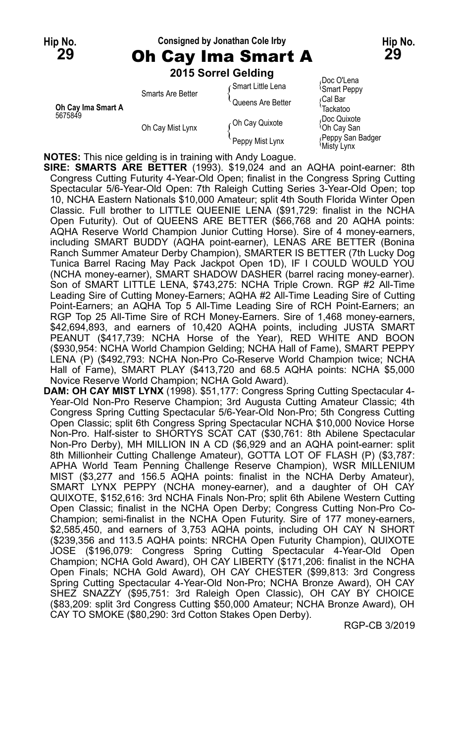## **Hip No. Consigned by Jonathan Cole Irby Hip No. 29** Oh Cay Ima Smart A **29**

|                               |                   | 2015 Sorrel Gelding |                                        |
|-------------------------------|-------------------|---------------------|----------------------------------------|
|                               | Smarts Are Better | Gmart Little Lena   | Doc O'Lena<br><sup>l</sup> Smart Peppy |
| Oh Cay Ima Smart A<br>5675849 |                   | Queens Are Better   | ∩Cal Bar<br>Tackatoo                   |
|                               | Oh Cay Mist Lynx  | Oh Cay Quixote      | Doc Quixote<br><sup>≀</sup> Oh Cay San |
|                               |                   | Peppy Mist Lynx     | Peppy San Badger<br>Misty Lynx         |

**NOTES:** This nice gelding is in training with Andy Loague.

**SIRE: SMARTS ARE BETTER** (1993). \$19,024 and an AQHA point-earner: 8th Congress Cutting Futurity 4-Year-Old Open; finalist in the Congress Spring Cutting Spectacular 5/6-Year-Old Open: 7th Raleigh Cutting Series 3-Year-Old Open; top 10, NCHA Eastern Nationals \$10,000 Amateur; split 4th South Florida Winter Open Classic. Full brother to LITTLE QUEENIE LENA (\$91,729: finalist in the NCHA Open Futurity). Out of QUEENS ARE BETTER (\$66,768 and 20 AQHA points: AQHA Reserve World Champion Junior Cutting Horse). Sire of 4 money-earners, including SMART BUDDY (AQHA point-earner), LENAS ARE BETTER (Bonina Ranch Summer Amateur Derby Champion), SMARTER IS BETTER (7th Lucky Dog Tunica Barrel Racing May Pack Jackpot Open 1D), IF I COULD WOULD YOU (NCHA money-earner), SMART SHADOW DASHER (barrel racing money-earner). Son of SMART LITTLE LENA, \$743,275: NCHA Triple Crown. RGP #2 All-Time Leading Sire of Cutting Money-Earners; AQHA #2 All-Time Leading Sire of Cutting Point-Earners; an AQHA Top 5 All-Time Leading Sire of RCH Point-Earners; an RGP Top 25 All-Time Sire of RCH Money-Earners. Sire of 1,468 money-earners, \$42,694,893, and earners of 10,420 AQHA points, including JUSTA SMART PEANUT (\$417,739: NCHA Horse of the Year), RED WHITE AND BOON (\$930,954: NCHA World Champion Gelding; NCHA Hall of Fame), SMART PEPPY LENA (P) (\$492,793: NCHA Non-Pro Co-Reserve World Champion twice; NCHA Hall of Fame), SMART PLAY (\$413,720 and 68.5 AQHA points: NCHA \$5,000 Novice Reserve World Champion; NCHA Gold Award).

**DAM: OH CAY MIST LYNX** (1998). \$51,177: Congress Spring Cutting Spectacular 4- Year-Old Non-Pro Reserve Champion; 3rd Augusta Cutting Amateur Classic; 4th Congress Spring Cutting Spectacular 5/6-Year-Old Non-Pro; 5th Congress Cutting Open Classic; split 6th Congress Spring Spectacular NCHA \$10,000 Novice Horse Non-Pro. Half-sister to SHORTYS SCAT CAT (\$30,761: 8th Abilene Spectacular Non-Pro Derby), MH MILLION IN A CD (\$6,929 and an AQHA point-earner: split 8th Millionheir Cutting Challenge Amateur), GOTTA LOT OF FLASH (P) (\$3,787: APHA World Team Penning Challenge Reserve Champion), WSR MILLENIUM MIST (\$3,277 and 156.5 AQHA points: finalist in the NCHA Derby Amateur), SMART LYNX PEPPY (NCHA money-earner), and a daughter of OH CAY QUIXOTE, \$152,616: 3rd NCHA Finals Non-Pro; split 6th Abilene Western Cutting Open Classic; finalist in the NCHA Open Derby; Congress Cutting Non-Pro Co-Champion; semi-finalist in the NCHA Open Futurity. Sire of 177 money-earners, \$2,585,450, and earners of 3,753 AQHA points, including OH CAY N SHORT (\$239,356 and 113.5 AQHA points: NRCHA Open Futurity Champion), QUIXOTE JOSE (\$196,079: Congress Spring Cutting Spectacular 4-Year-Old Open Champion; NCHA Gold Award), OH CAY LIBERTY (\$171,206: finalist in the NCHA Open Finals; NCHA Gold Award), OH CAY CHESTER (\$99,813: 3rd Congress Spring Cutting Spectacular 4-Year-Old Non-Pro; NCHA Bronze Award), OH CAY SHEZ SNAZZY (\$95,751: 3rd Raleigh Open Classic), OH CAY BY CHOICE (\$83,209: split 3rd Congress Cutting \$50,000 Amateur; NCHA Bronze Award), OH CAY TO SMOKE (\$80,290: 3rd Cotton Stakes Open Derby).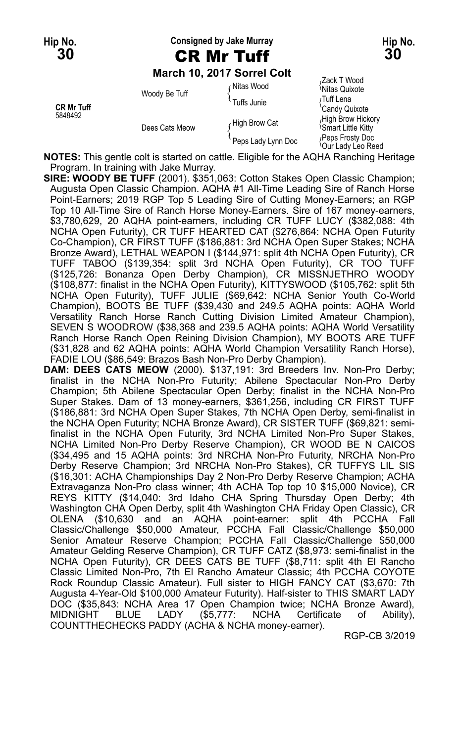**Hip No. Consigned by Jake Murray Hip No.**

#### **March 10, 2017 Sorrel Colt**

|                              |                | March 10. 2017 Sorrel Colt |                                                   |
|------------------------------|----------------|----------------------------|---------------------------------------------------|
|                              | Woody Be Tuff  | ∩Nitas Wood                | Zack T Wood<br><sup>1</sup> Nitas Quixote         |
| <b>CR Mr Tuff</b><br>5848492 |                | Tuffs Junie                | ∩Tuff Lena<br>'Candy Quixote                      |
|                              | Dees Cats Meow | High Brow Cat              | High Brow Hickory<br><b>Smart Little Kitty</b>    |
|                              |                | Peps Lady Lynn Doc         | Peps Frosty Doc<br><sup>t</sup> Our Ladv Leo Reed |

**NOTES:** This gentle colt is started on cattle. Eligible for the AQHA Ranching Heritage Program. In training with Jake Murray.

**SIRE: WOODY BE TUFF** (2001). \$351,063: Cotton Stakes Open Classic Champion; Augusta Open Classic Champion. AQHA #1 All-Time Leading Sire of Ranch Horse Point-Earners; 2019 RGP Top 5 Leading Sire of Cutting Money-Earners; an RGP Top 10 All-Time Sire of Ranch Horse Money-Earners. Sire of 167 money-earners, \$3,780,629, 20 AQHA point-earners, including CR TUFF LUCY (\$382,088: 4th NCHA Open Futurity), CR TUFF HEARTED CAT (\$276,864: NCHA Open Futurity Co-Champion), CR FIRST TUFF (\$186,881: 3rd NCHA Open Super Stakes; NCHA Bronze Award), LETHAL WEAPON I (\$144,971: split 4th NCHA Open Futurity), CR TUFF TABOO (\$139,354: split 3rd NCHA Open Futurity), CR TOO TUFF (\$125,726: Bonanza Open Derby Champion), CR MISSNJETHRO WOODY (\$108,877: finalist in the NCHA Open Futurity), KITTYSWOOD (\$105,762: split 5th NCHA Open Futurity), TUFF JULIE (\$69,642: NCHA Senior Youth Co-World Champion), BOOTS BE TUFF (\$39,430 and 249.5 AQHA points: AQHA World Versatility Ranch Horse Ranch Cutting Division Limited Amateur Champion), SEVEN S WOODROW (\$38,368 and 239.5 AQHA points: AQHA World Versatility Ranch Horse Ranch Open Reining Division Champion), MY BOOTS ARE TUFF (\$31,828 and 62 AQHA points: AQHA World Champion Versatility Ranch Horse), FADIE LOU (\$86,549: Brazos Bash Non-Pro Derby Champion).

**DAM: DEES CATS MEOW** (2000). \$137,191: 3rd Breeders Inv. Non-Pro Derby; finalist in the NCHA Non-Pro Futurity; Abilene Spectacular Non-Pro Derby Champion; 5th Abilene Spectacular Open Derby; finalist in the NCHA Non-Pro Super Stakes. Dam of 13 money-earners, \$361,256, including CR FIRST TUFF (\$186,881: 3rd NCHA Open Super Stakes, 7th NCHA Open Derby, semi-finalist in the NCHA Open Futurity; NCHA Bronze Award), CR SISTER TUFF (\$69,821: semifinalist in the NCHA Open Futurity, 3rd NCHA Limited Non-Pro Super Stakes, NCHA Limited Non-Pro Derby Reserve Champion), CR WOOD BE N CAICOS (\$34,495 and 15 AQHA points: 3rd NRCHA Non-Pro Futurity, NRCHA Non-Pro Derby Reserve Champion; 3rd NRCHA Non-Pro Stakes), CR TUFFYS LIL SIS (\$16,301: ACHA Championships Day 2 Non-Pro Derby Reserve Champion; ACHA Extravaganza Non-Pro class winner; 4th ACHA Top top 10 \$15,000 Novice), CR REYS KITTY (\$14,040: 3rd Idaho CHA Spring Thursday Open Derby; 4th Washington CHA Open Derby, split 4th Washington CHA Friday Open Classic), CR OLENA (\$10,630 and an AQHA point-earner: split 4th PCCHA Fall Classic/Challenge \$50,000 Amateur, PCCHA Fall Classic/Challenge \$50,000 Senior Amateur Reserve Champion; PCCHA Fall Classic/Challenge \$50,000 Amateur Gelding Reserve Champion), CR TUFF CATZ (\$8,973: semi-finalist in the NCHA Open Futurity), CR DEES CATS BE TUFF (\$8,711: split 4th El Rancho Classic Limited Non-Pro, 7th El Rancho Amateur Classic; 4th PCCHA COYOTE Rock Roundup Classic Amateur). Full sister to HIGH FANCY CAT (\$3,670: 7th Augusta 4-Year-Old \$100,000 Amateur Futurity). Half-sister to THIS SMART LADY DOC (\$35,843: NCHA Area 17 Open Champion twice; NCHA Bronze Award), MIDNIGHT BLUE LADY (\$5,777: NCHA Certificate of Ability), COUNTTHECHECKS PADDY (ACHA & NCHA money-earner).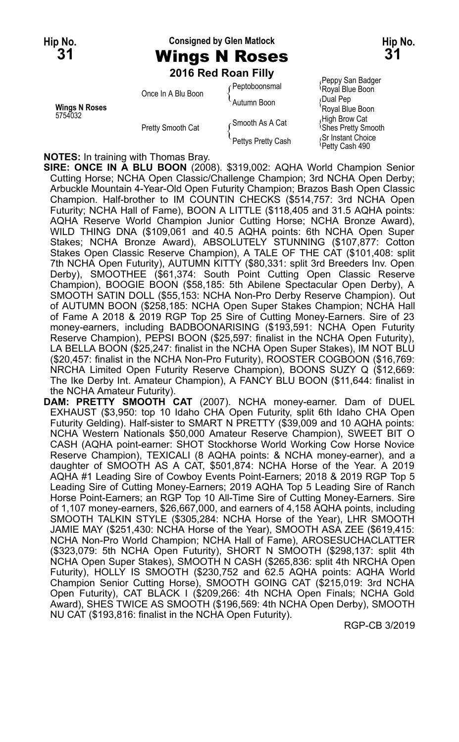# **Hip No. Consigned by Glen Matlock Hip No.**

**2016 Red Roan Filly**

|                          | Once In A Blu Boon | ∡ Peptoboonsmal    | $1.9897$ can be equally<br>Royal Blue Boon<br>Dual Pep |
|--------------------------|--------------------|--------------------|--------------------------------------------------------|
| Winas N Roses<br>5754032 | Pretty Smooth Cat  | Autumn Boon        | 'Royal Blue Boon                                       |
|                          |                    | ∠Smooth As A Cat   | High Brow Cat<br><sup>1</sup> Shes Pretty Smore        |
|                          |                    | Pettys Pretty Cash | Sr Instant Choice<br>Dotty Coop 400                    |

<sub>/</sub>Peppy San Badger<br><sup>\</sup>Royal Blue Boon <sup>{</sup>Shes Pretty Smooth<br><sub>‹</sub>Sr Instant Choice Petty Cash 490

**NOTES:** In training with Thomas Bray.

**SIRE: ONCE IN A BLU BOON** (2008). \$319,002: AQHA World Champion Senior Cutting Horse; NCHA Open Classic/Challenge Champion; 3rd NCHA Open Derby; Arbuckle Mountain 4-Year-Old Open Futurity Champion; Brazos Bash Open Classic Champion. Half-brother to IM COUNTIN CHECKS (\$514,757: 3rd NCHA Open Futurity; NCHA Hall of Fame), BOON A LITTLE (\$118,405 and 31.5 AQHA points: AQHA Reserve World Champion Junior Cutting Horse; NCHA Bronze Award), WILD THING DNA (\$109,061 and 40.5 AQHA points: 6th NCHA Open Super Stakes; NCHA Bronze Award), ABSOLUTELY STUNNING (\$107,877: Cotton Stakes Open Classic Reserve Champion), A TALE OF THE CAT (\$101,408: split 7th NCHA Open Futurity), AUTUMN KITTY (\$80,331: split 3rd Breeders Inv. Open Derby), SMOOTHEE (\$61,374: South Point Cutting Open Classic Reserve Champion), BOOGIE BOON (\$58,185: 5th Abilene Spectacular Open Derby), A SMOOTH SATIN DOLL (\$55,153: NCHA Non-Pro Derby Reserve Champion). Out of AUTUMN BOON (\$258,185: NCHA Open Super Stakes Champion; NCHA Hall of Fame A 2018 & 2019 RGP Top 25 Sire of Cutting Money-Earners. Sire of 23 money-earners, including BADBOONARISING (\$193,591: NCHA Open Futurity Reserve Champion), PEPSI BOON (\$25,597: finalist in the NCHA Open Futurity), LA BELLA BOON (\$25,247: finalist in the NCHA Open Super Stakes), IM NOT BLU (\$20,457: finalist in the NCHA Non-Pro Futurity), ROOSTER COGBOON (\$16,769: NRCHA Limited Open Futurity Reserve Champion), BOONS SUZY Q (\$12,669: The Ike Derby Int. Amateur Champion), A FANCY BLU BOON (\$11,644: finalist in the NCHA Amateur Futurity).

**DAM: PRETTY SMOOTH CAT** (2007). NCHA money-earner. Dam of DUEL EXHAUST (\$3,950: top 10 Idaho CHA Open Futurity, split 6th Idaho CHA Open Futurity Gelding). Half-sister to SMART N PRETTY (\$39,009 and 10 AQHA points: NCHA Western Nationals \$50,000 Amateur Reserve Champion), SWEET BIT O CASH (AQHA point-earner: SHOT Stockhorse World Working Cow Horse Novice Reserve Champion), TEXICALI (8 AQHA points: & NCHA money-earner), and a daughter of SMOOTH AS A CAT, \$501,874: NCHA Horse of the Year. A 2019 AQHA #1 Leading Sire of Cowboy Events Point-Earners; 2018 & 2019 RGP Top 5 Leading Sire of Cutting Money-Earners; 2019 AQHA Top 5 Leading Sire of Ranch Horse Point-Earners; an RGP Top 10 All-Time Sire of Cutting Money-Earners. Sire of 1,107 money-earners, \$26,667,000, and earners of 4,158 AQHA points, including SMOOTH TALKIN STYLE (\$305,284: NCHA Horse of the Year), LHR SMOOTH JAMIE MAY (\$251,430: NCHA Horse of the Year), SMOOTH ASA ZEE (\$619,415: NCHA Non-Pro World Champion; NCHA Hall of Fame), AROSESUCHACLATTER (\$323,079: 5th NCHA Open Futurity), SHORT N SMOOTH (\$298,137: split 4th NCHA Open Super Stakes), SMOOTH N CASH (\$265,836: split 4th NRCHA Open Futurity), HOLLY IS SMOOTH (\$230,752 and 62.5 AQHA points: AQHA World Champion Senior Cutting Horse), SMOOTH GOING CAT (\$215,019: 3rd NCHA Open Futurity), CAT BLACK I (\$209,266: 4th NCHA Open Finals; NCHA Gold Award), SHES TWICE AS SMOOTH (\$196,569: 4th NCHA Open Derby), SMOOTH NU CAT (\$193,816: finalist in the NCHA Open Futurity).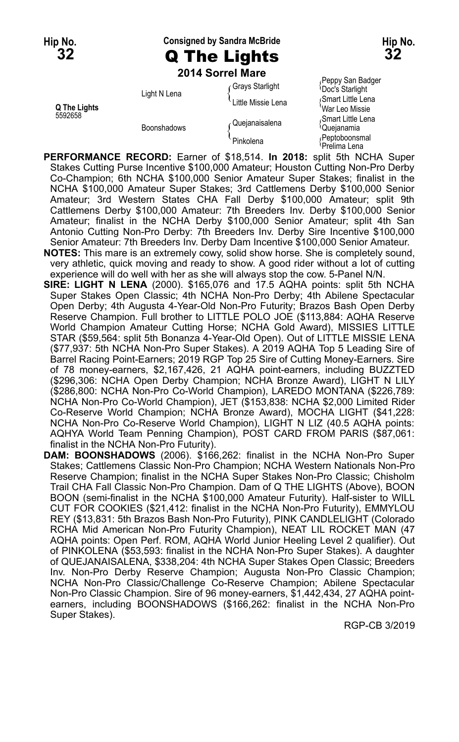**Hip No. Consigned by Sandra McBride Hip No. 32** Q The Lights **32**

**2014 Sorrel Mare**

Doc's Starlight Light N Lena { Smart Little Lena Little Missie Lena { **Q The Lights** War Leo Missie

Peppy San Badger<br>Grays Starlight (Doc's Starlight 5592658<br>Smart Little Lena (Quejanaisalena di Cupianamia di Cupianamia)<br>Cupianamia Boonshadows (  $\begin{array}{c} \text{Quegianasacina} \\ \text{Queganamia} \end{array}$ <br>
Peptoboonsmal<br>
Prelima Lena {Prelima Lena}

**PERFORMANCE RECORD:** Earner of \$18,514. **In 2018:** split 5th NCHA Super Stakes Cutting Purse Incentive \$100,000 Amateur; Houston Cutting Non-Pro Derby Co-Champion; 6th NCHA \$100,000 Senior Amateur Super Stakes; finalist in the NCHA \$100,000 Amateur Super Stakes; 3rd Cattlemens Derby \$100,000 Senior Amateur; 3rd Western States CHA Fall Derby \$100,000 Amateur; split 9th Cattlemens Derby \$100,000 Amateur: 7th Breeders Inv. Derby \$100,000 Senior Amateur; finalist in the NCHA Derby \$100,000 Senior Amateur; split 4th San Antonio Cutting Non-Pro Derby: 7th Breeders Inv. Derby Sire Incentive \$100,000 Senior Amateur: 7th Breeders Inv. Derby Dam Incentive \$100,000 Senior Amateur.

**NOTES:** This mare is an extremely cowy, solid show horse. She is completely sound, very athletic, quick moving and ready to show. A good rider without a lot of cutting experience will do well with her as she will always stop the cow. 5-Panel N/N.

- **SIRE: LIGHT N LENA** (2000). \$165,076 and 17.5 AQHA points: split 5th NCHA Super Stakes Open Classic; 4th NCHA Non-Pro Derby; 4th Abilene Spectacular Open Derby; 4th Augusta 4-Year-Old Non-Pro Futurity; Brazos Bash Open Derby Reserve Champion. Full brother to LITTLE POLO JOE (\$113,884: AQHA Reserve World Champion Amateur Cutting Horse; NCHA Gold Award), MISSIES LITTLE STAR (\$59,564: split 5th Bonanza 4-Year-Old Open). Out of LITTLE MISSIE LENA (\$77,937: 5th NCHA Non-Pro Super Stakes). A 2019 AQHA Top 5 Leading Sire of Barrel Racing Point-Earners; 2019 RGP Top 25 Sire of Cutting Money-Earners. Sire of 78 money-earners, \$2,167,426, 21 AQHA point-earners, including BUZZTED (\$296,306: NCHA Open Derby Champion; NCHA Bronze Award), LIGHT N LILY (\$286,800: NCHA Non-Pro Co-World Champion), LAREDO MONTANA (\$226,789: NCHA Non-Pro Co-World Champion), JET (\$153,838: NCHA \$2,000 Limited Rider Co-Reserve World Champion; NCHA Bronze Award), MOCHA LIGHT (\$41,228: NCHA Non-Pro Co-Reserve World Champion), LIGHT N LIZ (40.5 AQHA points: AQHYA World Team Penning Champion), POST CARD FROM PARIS (\$87,061: finalist in the NCHA Non-Pro Futurity).
- **DAM: BOONSHADOWS** (2006). \$166,262: finalist in the NCHA Non-Pro Super Stakes; Cattlemens Classic Non-Pro Champion; NCHA Western Nationals Non-Pro Reserve Champion; finalist in the NCHA Super Stakes Non-Pro Classic; Chisholm Trail CHA Fall Classic Non-Pro Champion. Dam of Q THE LIGHTS (Above), BOON BOON (semi-finalist in the NCHA \$100,000 Amateur Futurity). Half-sister to WILL CUT FOR COOKIES (\$21,412: finalist in the NCHA Non-Pro Futurity), EMMYLOU REY (\$13,831: 5th Brazos Bash Non-Pro Futurity), PINK CANDLELIGHT (Colorado RCHA Mid American Non-Pro Futurity Champion), NEAT LIL ROCKET MAN (47 AQHA points: Open Perf. ROM, AQHA World Junior Heeling Level 2 qualifier). Out of PINKOLENA (\$53,593: finalist in the NCHA Non-Pro Super Stakes). A daughter of QUEJANAISALENA, \$338,204: 4th NCHA Super Stakes Open Classic; Breeders Inv. Non-Pro Derby Reserve Champion; Augusta Non-Pro Classic Champion; NCHA Non-Pro Classic/Challenge Co-Reserve Champion; Abilene Spectacular Non-Pro Classic Champion. Sire of 96 money-earners, \$1,442,434, 27 AQHA pointearners, including BOONSHADOWS (\$166,262: finalist in the NCHA Non-Pro Super Stakes).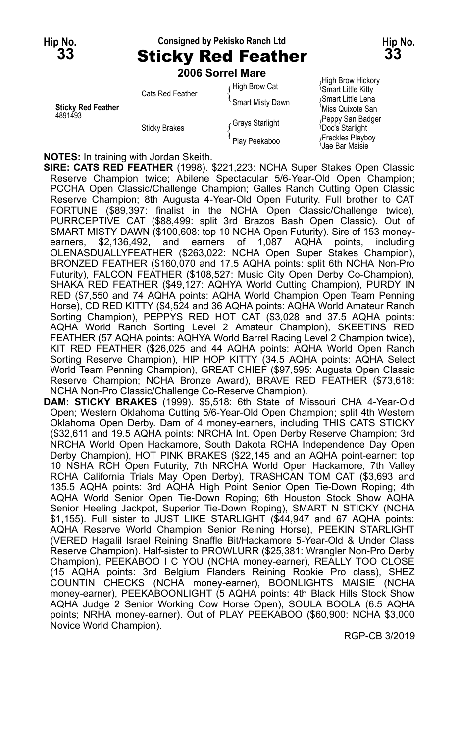## **Hip No. Consigned by Pekisko Ranch Ltd Hip No. 33** Sticky Red Feather **33**

**2006 Sorrel Mare**

|                                      | Cats Red Feather     | High Brow Cat    | <sup>1</sup> Smart Little Kitty           |
|--------------------------------------|----------------------|------------------|-------------------------------------------|
| <b>Sticky Red Feather</b><br>4891493 |                      | Smart Misty Dawn | Smart Little Lena<br>'Miss Quixote San    |
|                                      | <b>Sticky Brakes</b> | Grays Starlight  | Peppy San Badge<br><b>Doc's Starlight</b> |
|                                      |                      | Play Peekaboo    | Freckles Playboy<br>Jae Bar Maisie        |

*R*igh Brow Hickory<br><sup>Q</sup>Smart Little Kitty **Miss Quixote San** *F*eppy San Badger<br><sup>(</sup>Doc's Starlight Jae Bar Maisie

**NOTES:** In training with Jordan Skeith.

**SIRE: CATS RED FEATHER** (1998). \$221,223: NCHA Super Stakes Open Classic Reserve Champion twice; Abilene Spectacular 5/6-Year-Old Open Champion; PCCHA Open Classic/Challenge Champion; Galles Ranch Cutting Open Classic Reserve Champion; 8th Augusta 4-Year-Old Open Futurity. Full brother to CAT FORTUNE (\$89,397: finalist in the NCHA Open Classic/Challenge twice), PURRCEPTIVE CAT (\$88,499: split 3rd Brazos Bash Open Classic). Out of SMART MISTY DAWN (\$100,608: top 10 NCHA Open Futurity). Sire of 153 moneyearners, \$2,136,492, and earners of 1,087 AQHA points, including OLENASDUALLYFEATHER (\$263,022: NCHA Open Super Stakes Champion), BRONZED FEATHER (\$160,070 and 17.5 AQHA points: split 6th NCHA Non-Pro Futurity), FALCON FEATHER (\$108,527: Music City Open Derby Co-Champion), SHAKA RED FEATHER (\$49,127: AQHYA World Cutting Champion), PURDY IN RED (\$7,550 and 74 AQHA points: AQHA World Champion Open Team Penning Horse), CD RED KITTY (\$4,524 and 36 AQHA points: AQHA World Amateur Ranch Sorting Champion), PEPPYS RED HOT CAT (\$3,028 and 37.5 AQHA points: AQHA World Ranch Sorting Level 2 Amateur Champion), SKEETINS RED FEATHER (57 AQHA points: AQHYA World Barrel Racing Level 2 Champion twice), KIT RED FEATHER (\$26,025 and 44 AQHA points: AQHA World Open Ranch Sorting Reserve Champion), HIP HOP KITTY (34.5 AQHA points: AQHA Select World Team Penning Champion), GREAT CHIEF (\$97,595: Augusta Open Classic Reserve Champion; NCHA Bronze Award), BRAVE RED FEATHER (\$73,618: NCHA Non-Pro Classic/Challenge Co-Reserve Champion).

**DAM: STICKY BRAKES** (1999). \$5,518: 6th State of Missouri CHA 4-Year-Old Open; Western Oklahoma Cutting 5/6-Year-Old Open Champion; split 4th Western Oklahoma Open Derby. Dam of 4 money-earners, including THIS CATS STICKY (\$32,611 and 19.5 AQHA points: NRCHA Int. Open Derby Reserve Champion; 3rd NRCHA World Open Hackamore, South Dakota RCHA Independence Day Open Derby Champion), HOT PINK BRAKES (\$22,145 and an AQHA point-earner: top 10 NSHA RCH Open Futurity, 7th NRCHA World Open Hackamore, 7th Valley RCHA California Trials May Open Derby), TRASHCAN TOM CAT (\$3,693 and 135.5 AQHA points: 3rd AQHA High Point Senior Open Tie-Down Roping; 4th AQHA World Senior Open Tie-Down Roping; 6th Houston Stock Show AQHA Senior Heeling Jackpot, Superior Tie-Down Roping), SMART N STICKY (NCHA \$1,155). Full sister to JUST LIKE STARLIGHT (\$44,947 and 67 AQHA points: AQHA Reserve World Champion Senior Reining Horse), PEEKIN STARLIGHT (VERED Hagalil Israel Reining Snaffle Bit/Hackamore 5-Year-Old & Under Class Reserve Champion). Half-sister to PROWLURR (\$25,381: Wrangler Non-Pro Derby Champion), PEEKABOO I C YOU (NCHA money-earner), REALLY TOO CLOSE (15 AQHA points: 3rd Belgium Flanders Reining Rookie Pro class), SHEZ COUNTIN CHECKS (NCHA money-earner), BOONLIGHTS MAISIE (NCHA money-earner), PEEKABOONLIGHT (5 AQHA points: 4th Black Hills Stock Show AQHA Judge 2 Senior Working Cow Horse Open), SOULA BOOLA (6.5 AQHA points; NRHA money-earner). Out of PLAY PEEKABOO (\$60,900: NCHA \$3,000 Novice World Champion).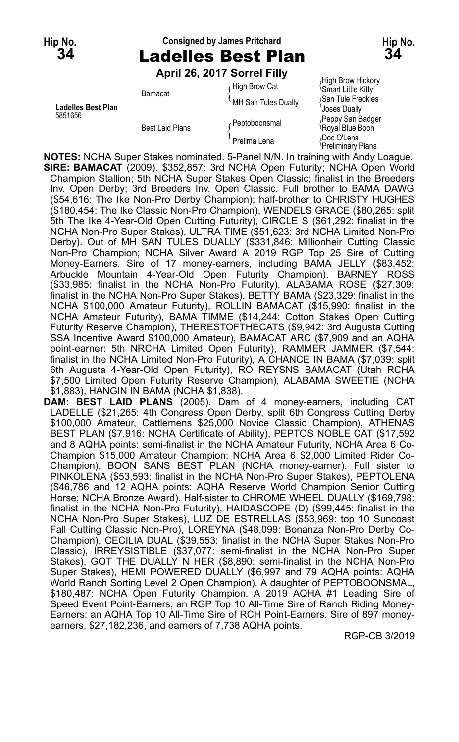## **Hip No. Consigned by James Pritchard Hip No. 34** Ladelles Best Plan **34**

### **April 26, 2017 Sorrel Filly**

 $f$  High Brow Cat  $f$  High Brow Hickory Bamacat MH San Tules Dually Smart Little Kitty<br>MH San Tules Dually { San Tule Freckles<br>Joses Dually Ladelles Best Plan<br>5851656 **Joses Dually**<br>Perthines Participants of Peppy San Badger Feppy San Badger Peptoboonsmal (Peppy San Badger Peppy San Badger Peppy San Badger Peppy San Badger Peppy San Badge

Best Laid Plans  $\left\{\begin{array}{l} \left\{\begin{array}{l}\right\} \left\{\text{rephotonisation}\right\} \left\{\text{Royal Blue Boon}\right. \right. \right. \left\{\text{R段} \left\{\text{ROD} \right\}\right\} \left\{\text{ROD} \right\} \left\{\text{ROD} \right\} \left\{\text{ROD} \right\} \left\{\text{ROD} \right\} \left\{\text{ROD} \right\} \left\{\text{ROD} \right\} \left\{\text{ROD} \right\} \left\{\text{ROD} \right\} \left\{\text{ROD} \right\} \left\{\text{$ 

**NOTES:** NCHA Super Stakes nominated. 5-Panel N/N. In training with Andy Loague. **SIRE: BAMACAT** (2009). \$352,857: 3rd NCHA Open Futurity; NCHA Open World Champion Stallion; 5th NCHA Super Stakes Open Classic; finalist in the Breeders Inv. Open Derby; 3rd Breeders Inv. Open Classic. Full brother to BAMA DAWG (\$54,616: The Ike Non-Pro Derby Champion); half-brother to CHRISTY HUGHES (\$180,454: The Ike Classic Non-Pro Champion), WENDELS GRACE (\$80,265: split 5th The Ike 4-Year-Old Open Cutting Futurity), CIRCLE S (\$61,292: finalist in the NCHA Non-Pro Super Stakes), ULTRA TIME (\$51,623: 3rd NCHA Limited Non-Pro Derby). Out of MH SAN TULES DUALLY (\$331,846: Millionheir Cutting Classic Non-Pro Champion; NCHA Silver Award A 2019 RGP Top 25 Sire of Cutting Money-Earners. Sire of 17 money-earners, including BAMA JELLY (\$83,452: Arbuckle Mountain 4-Year-Old Open Futurity Champion), BARNEY ROSS (\$33,985: finalist in the NCHA Non-Pro Futurity), ALABAMA ROSE (\$27,309: finalist in the NCHA Non-Pro Super Stakes), BETTY BAMA (\$23,329: finalist in the NCHA \$100,000 Amateur Futurity), ROLLIN BAMACAT (\$15,990: finalist in the NCHA Amateur Futurity), BAMA TIMME (\$14,244: Cotton Stakes Open Cutting Futurity Reserve Champion), THERESTOFTHECATS (\$9,942: 3rd Augusta Cutting SSA Incentive Award \$100,000 Amateur), BAMACAT ARC (\$7,909 and an AQHA point-earner: 5th NRCHA Limited Open Futurity), RAMMER JAMMER (\$7,544: finalist in the NCHA Limited Non-Pro Futurity), A CHANCE IN BAMA (\$7,039: split 6th Augusta 4-Year-Old Open Futurity), RO REYSNS BAMACAT (Utah RCHA \$7,500 Limited Open Futurity Reserve Champion), ALABAMA SWEETIE (NCHA \$1,883), HANGIN IN BAMA (NCHA \$1,838).

**DAM: BEST LAID PLANS** (2005). Dam of 4 money-earners, including CAT LADELLE (\$21,265: 4th Congress Open Derby, split 6th Congress Cutting Derby \$100,000 Amateur, Cattlemens \$25,000 Novice Classic Champion), ATHENAS BEST PLAN (\$7,916: NCHA Certificate of Ability), PEPTOS NOBLE CAT (\$17,592 and 8 AQHA points: semi-finalist in the NCHA Amateur Futurity, NCHA Area 6 Co-Champion \$15,000 Amateur Champion; NCHA Area 6 \$2,000 Limited Rider Co-Champion), BOON SANS BEST PLAN (NCHA money-earner). Full sister to PINKOLENA (\$53,593: finalist in the NCHA Non-Pro Super Stakes), PEPTOLENA (\$46,786 and 12 AQHA points: AQHA Reserve World Champion Senior Cutting Horse; NCHA Bronze Award). Half-sister to CHROME WHEEL DUALLY (\$169,798: finalist in the NCHA Non-Pro Futurity), HAIDASCOPE (D) (\$99,445: finalist in the NCHA Non-Pro Super Stakes), LUZ DE ESTRELLAS (\$53,969: top 10 Suncoast Fall Cutting Classic Non-Pro), LOREYNA (\$48,099: Bonanza Non-Pro Derby Co-Champion), CECILIA DUAL (\$39,553: finalist in the NCHA Super Stakes Non-Pro Classic), IRREYSISTIBLE (\$37,077: semi-finalist in the NCHA Non-Pro Super Stakes), GOT THE DUALLY N HER (\$8,890: semi-finalist in the NCHA Non-Pro Super Stakes), HEMI POWERED DUALLY (\$6,997 and 79 AQHA points: AQHA World Ranch Sorting Level 2 Open Champion). A daughter of PEPTOBOONSMAL, \$180,487: NCHA Open Futurity Champion. A 2019 AQHA #1 Leading Sire of Speed Event Point-Earners; an RGP Top 10 All-Time Sire of Ranch Riding Money-Earners; an AQHA Top 10 All-Time Sire of RCH Point-Earners. Sire of 897 moneyearners, \$27,182,236, and earners of 7,738 AQHA points.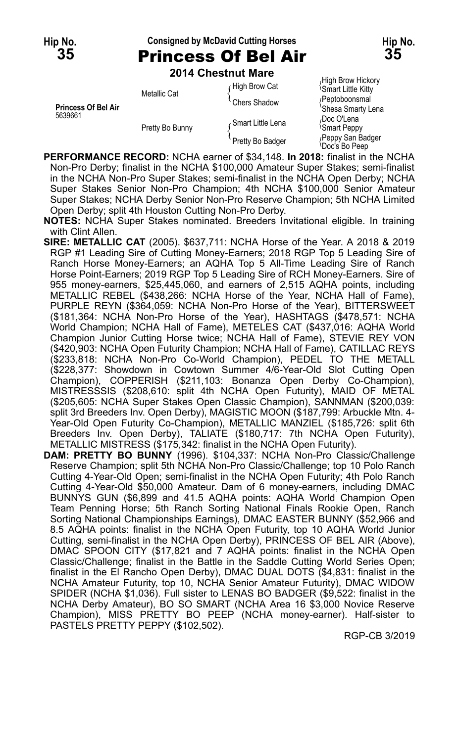### **Hip No. Consigned by McDavid Cutting Horses Hip No. 35** Princess Of Bel Air **35**

**2014 Chestnut Mare**

|                                       | 2014 GHRSUIUL MAIE |                   |                                                      |
|---------------------------------------|--------------------|-------------------|------------------------------------------------------|
| <b>Princess Of Bel Air</b><br>5639661 | Metallic Cat       | High Brow Cat     | High Brow Hickory<br><sup>1</sup> Smart Little Kitty |
|                                       |                    | Chers Shadow      | <b>Peptoboonsmal</b><br>'Shesa Smarty Lena           |
|                                       | Pretty Bo Bunny    | Smart Little Lena | Doc O'Lena،<br><b>Smart Peppy</b>                    |
|                                       |                    | Pretty Bo Badger  | Peppy San Badger<br>Doc's Bo Peep                    |

**PERFORMANCE RECORD:** NCHA earner of \$34,148. **In 2018:** finalist in the NCHA Non-Pro Derby; finalist in the NCHA \$100,000 Amateur Super Stakes; semi-finalist in the NCHA Non-Pro Super Stakes; semi-finalist in the NCHA Open Derby; NCHA Super Stakes Senior Non-Pro Champion; 4th NCHA \$100,000 Senior Amateur Super Stakes; NCHA Derby Senior Non-Pro Reserve Champion; 5th NCHA Limited Open Derby; split 4th Houston Cutting Non-Pro Derby.

**NOTES:** NCHA Super Stakes nominated. Breeders Invitational eligible. In training with Clint Allen.

- **SIRE: METALLIC CAT** (2005). \$637,711: NCHA Horse of the Year. A 2018 & 2019 RGP #1 Leading Sire of Cutting Money-Earners; 2018 RGP Top 5 Leading Sire of Ranch Horse Money-Earners; an AQHA Top 5 All-Time Leading Sire of Ranch Horse Point-Earners; 2019 RGP Top 5 Leading Sire of RCH Money-Earners. Sire of 955 money-earners, \$25,445,060, and earners of 2,515 AQHA points, including METALLIC REBEL (\$438,266: NCHA Horse of the Year, NCHA Hall of Fame), PURPLE REYN (\$364,059: NCHA Non-Pro Horse of the Year), BITTERSWEET (\$181,364: NCHA Non-Pro Horse of the Year), HASHTAGS (\$478,571: NCHA World Champion; NCHA Hall of Fame), METELES CAT (\$437,016: AQHA World Champion Junior Cutting Horse twice; NCHA Hall of Fame), STEVIE REY VON (\$420,903: NCHA Open Futurity Champion; NCHA Hall of Fame), CATILLAC REYS (\$233,818: NCHA Non-Pro Co-World Champion), PEDEL TO THE METALL (\$228,377: Showdown in Cowtown Summer 4/6-Year-Old Slot Cutting Open Champion), COPPERISH (\$211,103: Bonanza Open Derby Co-Champion), MISTRESSSIS (\$208,610: split 4th NCHA Open Futurity), MAID OF METAL (\$205,605: NCHA Super Stakes Open Classic Champion), SANNMAN (\$200,039: split 3rd Breeders Inv. Open Derby), MAGISTIC MOON (\$187,799: Arbuckle Mtn. 4- Year-Old Open Futurity Co-Champion), METALLIC MANZIEL (\$185,726: split 6th Breeders Inv. Open Derby), TALIATE (\$180,717: 7th NCHA Open Futurity), METALLIC MISTRESS (\$175,342: finalist in the NCHA Open Futurity).
- **DAM: PRETTY BO BUNNY** (1996). \$104,337: NCHA Non-Pro Classic/Challenge Reserve Champion; split 5th NCHA Non-Pro Classic/Challenge; top 10 Polo Ranch Cutting 4-Year-Old Open; semi-finalist in the NCHA Open Futurity; 4th Polo Ranch Cutting 4-Year-Old \$50,000 Amateur. Dam of 6 money-earners, including DMAC BUNNYS GUN (\$6,899 and 41.5 AQHA points: AQHA World Champion Open Team Penning Horse; 5th Ranch Sorting National Finals Rookie Open, Ranch Sorting National Championships Earnings), DMAC EASTER BUNNY (\$52,966 and 8.5 AQHA points: finalist in the NCHA Open Futurity, top 10 AQHA World Junior Cutting, semi-finalist in the NCHA Open Derby), PRINCESS OF BEL AIR (Above), DMAC SPOON CITY (\$17,821 and 7 AQHA points: finalist in the NCHA Open Classic/Challenge; finalist in the Battle in the Saddle Cutting World Series Open; finalist in the El Rancho Open Derby), DMAC DUAL DOTS (\$4,831: finalist in the NCHA Amateur Futurity, top 10, NCHA Senior Amateur Futurity), DMAC WIDOW SPIDER (NCHA \$1,036). Full sister to LENAS BO BADGER (\$9,522: finalist in the NCHA Derby Amateur), BO SO SMART (NCHA Area 16 \$3,000 Novice Reserve Champion), MISS PRETTY BO PEEP (NCHA money-earner). Half-sister to PASTELS PRETTY PEPPY (\$102,502).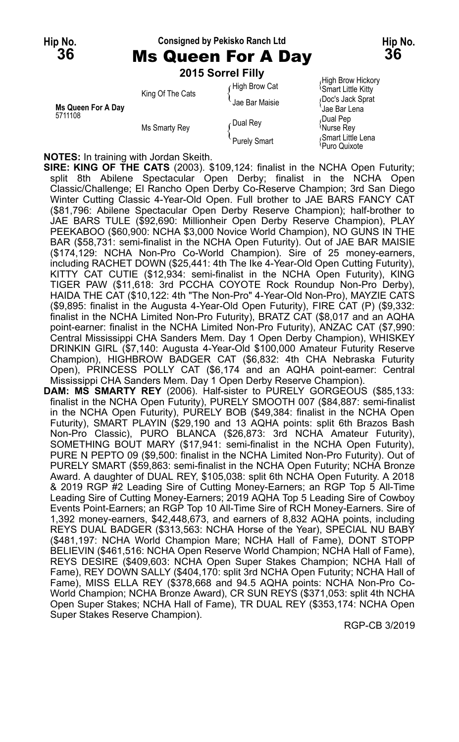# **Hip No. Consigned by Pekisko Ranch Ltd Hip No.**



**36** Ms Queen For A Day **36 2015 Sorrel Filly**

| Ms Queen For A Day<br>5711108 | King Of The Cats | High Brow Cat<br>Jae Bar Maisie | High Brow Hickor،<br><b>Smart Little Kitty</b><br>Doc's Jack Sprat<br><sup>'</sup> Jae Bar Lena |
|-------------------------------|------------------|---------------------------------|-------------------------------------------------------------------------------------------------|
|                               | Ms Smarty Rey    | Dual Rey                        | Dual Pep<br>Murse Rey                                                                           |
|                               |                  | Purely Smart                    | Smart Little Lena<br><sup>≀</sup> Puro Quixote                                                  |

*R*igh Brow Hickory<br><sup>Q</sup>Smart Little Kitty Puro Quixote

**NOTES:** In training with Jordan Skeith.

**SIRE: KING OF THE CATS** (2003). \$109,124: finalist in the NCHA Open Futurity; split 8th Abilene Spectacular Open Derby; finalist in the NCHA Open Classic/Challenge; El Rancho Open Derby Co-Reserve Champion; 3rd San Diego Winter Cutting Classic 4-Year-Old Open. Full brother to JAE BARS FANCY CAT (\$81,796: Abilene Spectacular Open Derby Reserve Champion); half-brother to JAE BARS TULE (\$92,690: Millionheir Open Derby Reserve Champion), PLAY PEEKABOO (\$60,900: NCHA \$3,000 Novice World Champion), NO GUNS IN THE BAR (\$58,731: semi-finalist in the NCHA Open Futurity). Out of JAE BAR MAISIE (\$174,129: NCHA Non-Pro Co-World Champion). Sire of 25 money-earners, including RACHET DOWN (\$25,441: 4th The Ike 4-Year-Old Open Cutting Futurity), KITTY CAT CUTIE (\$12,934: semi-finalist in the NCHA Open Futurity), KING TIGER PAW (\$11,618: 3rd PCCHA COYOTE Rock Roundup Non-Pro Derby), HAIDA THE CAT (\$10,122: 4th "The Non-Pro" 4-Year-Old Non-Pro), MAYZIE CATS (\$9,895: finalist in the Augusta 4-Year-Old Open Futurity), FIRE CAT (P) (\$9,332: finalist in the NCHA Limited Non-Pro Futurity), BRATZ CAT (\$8,017 and an AQHA point-earner: finalist in the NCHA Limited Non-Pro Futurity), ANZAC CAT (\$7,990: Central Mississippi CHA Sanders Mem. Day 1 Open Derby Champion), WHISKEY DRINKIN GIRL (\$7,140: Augusta 4-Year-Old \$100,000 Amateur Futurity Reserve Champion), HIGHBROW BADGER CAT (\$6,832: 4th CHA Nebraska Futurity Open), PRINCESS POLLY CAT (\$6,174 and an AQHA point-earner: Central Mississippi CHA Sanders Mem. Day 1 Open Derby Reserve Champion).

**DAM: MS SMARTY REY** (2006). Half-sister to PURELY GORGEOUS (\$85,133: finalist in the NCHA Open Futurity), PURELY SMOOTH 007 (\$84,887: semi-finalist in the NCHA Open Futurity), PURELY BOB (\$49,384: finalist in the NCHA Open Futurity), SMART PLAYIN (\$29,190 and 13 AQHA points: split 6th Brazos Bash Non-Pro Classic), PURO BLANCA (\$26,873: 3rd NCHA Amateur Futurity), SOMETHING BOUT MARY (\$17,941: semi-finalist in the NCHA Open Futurity), PURE N PEPTO 09 (\$9,500: finalist in the NCHA Limited Non-Pro Futurity). Out of PURELY SMART (\$59,863: semi-finalist in the NCHA Open Futurity; NCHA Bronze Award. A daughter of DUAL REY, \$105,038: split 6th NCHA Open Futurity. A 2018 & 2019 RGP #2 Leading Sire of Cutting Money-Earners; an RGP Top 5 All-Time Leading Sire of Cutting Money-Earners; 2019 AQHA Top 5 Leading Sire of Cowboy Events Point-Earners; an RGP Top 10 All-Time Sire of RCH Money-Earners. Sire of 1,392 money-earners, \$42,448,673, and earners of 8,832 AQHA points, including REYS DUAL BADGER (\$313,563: NCHA Horse of the Year), SPECIAL NU BABY (\$481,197: NCHA World Champion Mare; NCHA Hall of Fame), DONT STOPP BELIEVIN (\$461,516: NCHA Open Reserve World Champion; NCHA Hall of Fame), REYS DESIRE (\$409,603: NCHA Open Super Stakes Champion; NCHA Hall of Fame), REY DOWN SALLY (\$404,170: split 3rd NCHA Open Futurity; NCHA Hall of Fame), MISS ELLA REY (\$378,668 and 94.5 AQHA points: NCHA Non-Pro Co-World Champion; NCHA Bronze Award), CR SUN REYS (\$371,053: split 4th NCHA Open Super Stakes; NCHA Hall of Fame), TR DUAL REY (\$353,174: NCHA Open Super Stakes Reserve Champion).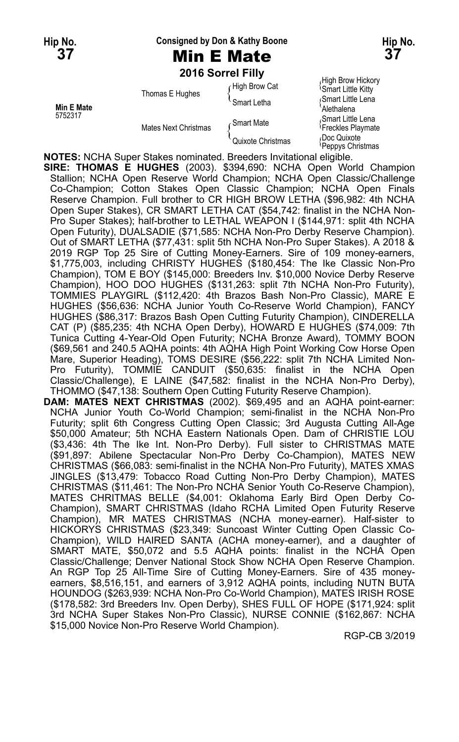**Hip No. Consigned by Don & Kathy Boone Hip No.**

# **37** Min E Mate **37**

**2016 Sorrel Filly** High Brow Hickory High Brow Hickory<br>figh Brow Cat (Smart Little Kitty Smart Little Kitty Thomas E Hughes Thomas Chughes Thomas E Hughes<br>Smart Letha (Smart Letha Alethalena Alethalena Alethalena Alethalena Alethalena Alethalena Alethalena Alethalena 5752317 Smart Mate  $\left\{\begin{array}{ll}\text{Smar} & \text{Smar Little Lena} \\ \text{Mates Next Christmas} & \text{Quixote Christmas} & \text{Dec Quixote} \\ \text{Quixote Christmas} & \text{Doc Quixote} \\ \end{array}\right.$ Doc Quixote<br><sup>{</sup>Peppys Christmas

**NOTES:** NCHA Super Stakes nominated. Breeders Invitational eligible.

**SIRE: THOMAS E HUGHES** (2003). \$394,690: NCHA Open World Champion Stallion; NCHA Open Reserve World Champion; NCHA Open Classic/Challenge Co-Champion; Cotton Stakes Open Classic Champion; NCHA Open Finals Reserve Champion. Full brother to CR HIGH BROW LETHA (\$96,982: 4th NCHA Open Super Stakes), CR SMART LETHA CAT (\$54,742: finalist in the NCHA Non-Pro Super Stakes); half-brother to LETHAL WEAPON I (\$144,971: split 4th NCHA Open Futurity), DUALSADIE (\$71,585: NCHA Non-Pro Derby Reserve Champion). Out of SMART LETHA (\$77,431: split 5th NCHA Non-Pro Super Stakes). A 2018 & 2019 RGP Top 25 Sire of Cutting Money-Earners. Sire of 109 money-earners, \$1,775,003, including CHRISTY HUGHES (\$180,454: The Ike Classic Non-Pro Champion), TOM E BOY (\$145,000: Breeders Inv. \$10,000 Novice Derby Reserve Champion), HOO DOO HUGHES (\$131,263: split 7th NCHA Non-Pro Futurity), TOMMIES PLAYGIRL (\$112,420: 4th Brazos Bash Non-Pro Classic), MARE E HUGHES (\$56,636: NCHA Junior Youth Co-Reserve World Champion), FANCY HUGHES (\$86,317: Brazos Bash Open Cutting Futurity Champion), CINDERELLA CAT (P) (\$85,235: 4th NCHA Open Derby), HOWARD E HUGHES (\$74,009: 7th Tunica Cutting 4-Year-Old Open Futurity; NCHA Bronze Award), TOMMY BOON (\$69,561 and 240.5 AQHA points: 4th AQHA High Point Working Cow Horse Open Mare, Superior Heading), TOMS DESIRE (\$56,222: split 7th NCHA Limited Non-Pro Futurity), TOMMIE CANDUIT (\$50,635: finalist in the NCHA Open Classic/Challenge), E LAINE (\$47,582: finalist in the NCHA Non-Pro Derby), THOMMO (\$47,138: Southern Open Cutting Futurity Reserve Champion).

**DAM: MATES NEXT CHRISTMAS** (2002). \$69,495 and an AQHA point-earner: NCHA Junior Youth Co-World Champion; semi-finalist in the NCHA Non-Pro Futurity; split 6th Congress Cutting Open Classic; 3rd Augusta Cutting All-Age \$50,000 Amateur; 5th NCHA Eastern Nationals Open. Dam of CHRISTIE LOU (\$3,436: 4th The Ike Int. Non-Pro Derby). Full sister to CHRISTMAS MATE (\$91,897: Abilene Spectacular Non-Pro Derby Co-Champion), MATES NEW CHRISTMAS (\$66,083: semi-finalist in the NCHA Non-Pro Futurity), MATES XMAS JINGLES (\$13,479: Tobacco Road Cutting Non-Pro Derby Champion), MATES CHRISTMAS (\$11,461: The Non-Pro NCHA Senior Youth Co-Reserve Champion), MATES CHRITMAS BELLE (\$4,001: Oklahoma Early Bird Open Derby Co-Champion), SMART CHRISTMAS (Idaho RCHA Limited Open Futurity Reserve Champion), MR MATES CHRISTMAS (NCHA money-earner). Half-sister to HICKORYS CHRISTMAS (\$23,349: Suncoast Winter Cutting Open Classic Co-Champion), WILD HAIRED SANTA (ACHA money-earner), and a daughter of SMART MATE, \$50,072 and 5.5 AQHA points: finalist in the NCHA Open Classic/Challenge; Denver National Stock Show NCHA Open Reserve Champion. An RGP Top 25 All-Time Sire of Cutting Money-Earners. Sire of 435 moneyearners, \$8,516,151, and earners of 3,912 AQHA points, including NUTN BUTA HOUNDOG (\$263,939: NCHA Non-Pro Co-World Champion), MATES IRISH ROSE (\$178,582: 3rd Breeders Inv. Open Derby), SHES FULL OF HOPE (\$171,924: split 3rd NCHA Super Stakes Non-Pro Classic), NURSE CONNIE (\$162,867: NCHA \$15,000 Novice Non-Pro Reserve World Champion).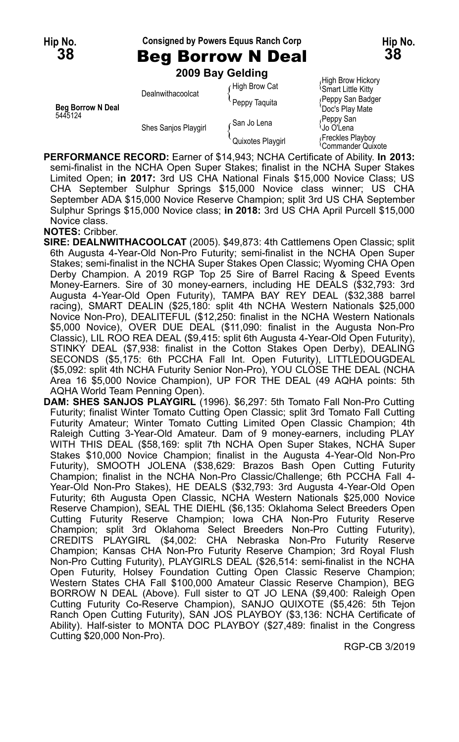**Hip No. Consigned by Powers Equus Ranch Corp Hip No.**

**38** Beg Borrow N Deal **38**

|                                     |                      | 2009 Bay Gelding  |                                                      |
|-------------------------------------|----------------------|-------------------|------------------------------------------------------|
|                                     | Dealnwithacoolcat    | High Brow Cat     | High Brow Hickory<br><sup>1</sup> Smart Little Kitty |
| <b>Beg Borrow N Deal</b><br>5445124 |                      | Peppy Taquita     | (Peppy San Badger<br>'Doc's Play Mate                |
|                                     | Shes Sanjos Playgirl | ∠San Jo Lena      | Peppy San<br><sup>∖</sup> Jo O'Lena                  |
|                                     |                      | Quixotes Playgirl | Freckles Playboy<br><sup>∖</sup> Commander Ouixote   |

**PERFORMANCE RECORD:** Earner of \$14,943; NCHA Certificate of Ability. **In 2013:** semi-finalist in the NCHA Open Super Stakes; finalist in the NCHA Super Stakes Limited Open; **in 2017:** 3rd US CHA National Finals \$15,000 Novice Class; US CHA September Sulphur Springs \$15,000 Novice class winner; US CHA September ADA \$15,000 Novice Reserve Champion; split 3rd US CHA September Sulphur Springs \$15,000 Novice class; **in 2018:** 3rd US CHA April Purcell \$15,000 Novice class.

#### **NOTES:** Cribber.

**SIRE: DEALNWITHACOOLCAT** (2005). \$49,873: 4th Cattlemens Open Classic; split 6th Augusta 4-Year-Old Non-Pro Futurity; semi-finalist in the NCHA Open Super Stakes; semi-finalist in the NCHA Super Stakes Open Classic; Wyoming CHA Open Derby Champion. A 2019 RGP Top 25 Sire of Barrel Racing & Speed Events Money-Earners. Sire of 30 money-earners, including HE DEALS (\$32,793: 3rd Augusta 4-Year-Old Open Futurity), TAMPA BAY REY DEAL (\$32,388 barrel racing), SMART DEALIN (\$25,180: split 4th NCHA Western Nationals \$25,000 Novice Non-Pro), DEALITEFUL (\$12,250: finalist in the NCHA Western Nationals \$5,000 Novice), OVER DUE DEAL (\$11,090: finalist in the Augusta Non-Pro Classic), LIL ROO REA DEAL (\$9,415: split 6th Augusta 4-Year-Old Open Futurity), STINKY DEAL (\$7,938: finalist in the Cotton Stakes Open Derby), DEALING SECONDS (\$5,175: 6th PCCHA Fall Int. Open Futurity), LITTLEDOUGDEAL (\$5,092: split 4th NCHA Futurity Senior Non-Pro), YOU CLOSE THE DEAL (NCHA Area 16 \$5,000 Novice Champion), UP FOR THE DEAL (49 AQHA points: 5th AQHA World Team Penning Open).

**DAM: SHES SANJOS PLAYGIRL** (1996). \$6,297: 5th Tomato Fall Non-Pro Cutting Futurity; finalist Winter Tomato Cutting Open Classic; split 3rd Tomato Fall Cutting Futurity Amateur; Winter Tomato Cutting Limited Open Classic Champion; 4th Raleigh Cutting 3-Year-Old Amateur. Dam of 9 money-earners, including PLAY WITH THIS DEAL (\$58,169: split 7th NCHA Open Super Stakes, NCHA Super Stakes \$10,000 Novice Champion; finalist in the Augusta 4-Year-Old Non-Pro Futurity), SMOOTH JOLENA (\$38,629: Brazos Bash Open Cutting Futurity Champion; finalist in the NCHA Non-Pro Classic/Challenge; 6th PCCHA Fall 4- Year-Old Non-Pro Stakes), HE DEALS (\$32,793: 3rd Augusta 4-Year-Old Open Futurity; 6th Augusta Open Classic, NCHA Western Nationals \$25,000 Novice Reserve Champion), SEAL THE DIEHL (\$6,135: Oklahoma Select Breeders Open Cutting Futurity Reserve Champion; Iowa CHA Non-Pro Futurity Reserve Champion; split 3rd Oklahoma Select Breeders Non-Pro Cutting Futurity), CREDITS PLAYGIRL (\$4,002: CHA Nebraska Non-Pro Futurity Reserve Champion; Kansas CHA Non-Pro Futurity Reserve Champion; 3rd Royal Flush Non-Pro Cutting Futurity), PLAYGIRLS DEAL (\$26,514: semi-finalist in the NCHA Open Futurity, Holsey Foundation Cutting Open Classic Reserve Champion; Western States CHA Fall \$100,000 Amateur Classic Reserve Champion), BEG BORROW N DEAL (Above). Full sister to QT JO LENA (\$9,400: Raleigh Open Cutting Futurity Co-Reserve Champion), SANJO QUIXOTE (\$5,426: 5th Tejon Ranch Open Cutting Futurity), SAN JOS PLAYBOY (\$3,136: NCHA Certificate of Ability). Half-sister to MONTA DOC PLAYBOY (\$27,489: finalist in the Congress Cutting \$20,000 Non-Pro).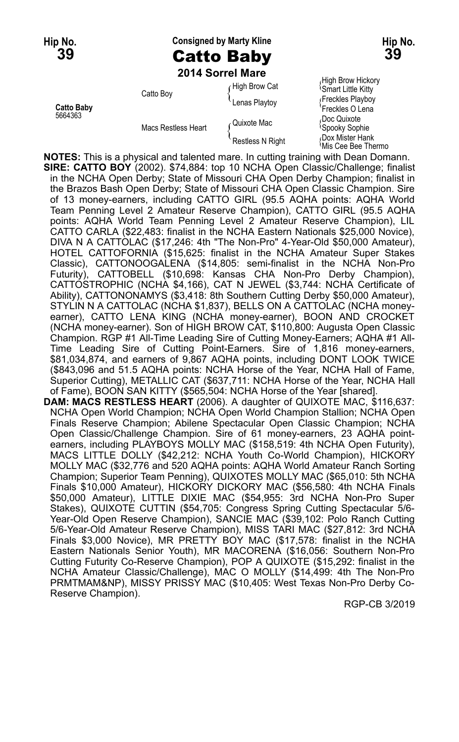**Hip No. Consigned by Marty Kline Hip No. 39** Catto Baby **39**

**2014 Sorrel Mare**

**Catto Baby** Freckles O Lena

High Brow Hickory High Brow Hickory<br>figh Brow Cat (Smart Little Kitty Catto Boy Call Catto Boy<br>
Lenas Playtoy {Freckles Playtoy<br>
Freckles Playboy 5664363<br>
Macs Restless Heart ( Quixote Mac ( Doc Quixote Spooky Sophie { Doc Quixote<br>
Restless N Right {Dox Mister Hank }<br>
Nis Cee Bee Thermo }

**NOTES:** This is a physical and talented mare. In cutting training with Dean Domann. **SIRE: CATTO BOY** (2002). \$74,884: top 10 NCHA Open Classic/Challenge; finalist in the NCHA Open Derby; State of Missouri CHA Open Derby Champion; finalist in the Brazos Bash Open Derby; State of Missouri CHA Open Classic Champion. Sire of 13 money-earners, including CATTO GIRL (95.5 AQHA points: AQHA World Team Penning Level 2 Amateur Reserve Champion), CATTO GIRL (95.5 AQHA points: AQHA World Team Penning Level 2 Amateur Reserve Champion), LIL CATTO CARLA (\$22,483: finalist in the NCHA Eastern Nationals \$25,000 Novice), DIVA N A CATTOLAC (\$17,246: 4th "The Non-Pro" 4-Year-Old \$50,000 Amateur), HOTEL CATTOFORNIA (\$15,625: finalist in the NCHA Amateur Super Stakes Classic), CATTONOOGALENA (\$14,805: semi-finalist in the NCHA Non-Pro Futurity), CATTOBELL (\$10,698: Kansas CHA Non-Pro Derby Champion), CATTOSTROPHIC (NCHA \$4,166), CAT N JEWEL (\$3,744: NCHA Certificate of Ability), CATTONONAMYS (\$3,418: 8th Southern Cutting Derby \$50,000 Amateur), STYLIN N A CATTOLAC (NCHA \$1,837), BELLS ON A CATTOLAC (NCHA moneyearner), CATTO LENA KING (NCHA money-earner), BOON AND CROCKET (NCHA money-earner). Son of HIGH BROW CAT, \$110,800: Augusta Open Classic Champion. RGP #1 All-Time Leading Sire of Cutting Money-Earners; AQHA #1 All-Time Leading Sire of Cutting Point-Earners. Sire of 1,816 money-earners, \$81,034,874, and earners of 9,867 AQHA points, including DONT LOOK TWICE (\$843,096 and 51.5 AQHA points: NCHA Horse of the Year, NCHA Hall of Fame, Superior Cutting), METALLIC CAT (\$637,711: NCHA Horse of the Year, NCHA Hall of Fame), BOON SAN KITTY (\$565,504: NCHA Horse of the Year [shared]. **DAM: MACS RESTLESS HEART** (2006). A daughter of QUIXOTE MAC, \$116,637:

NCHA Open World Champion; NCHA Open World Champion Stallion; NCHA Open Finals Reserve Champion; Abilene Spectacular Open Classic Champion; NCHA Open Classic/Challenge Champion. Sire of 61 money-earners, 23 AQHA pointearners, including PLAYBOYS MOLLY MAC (\$158,519: 4th NCHA Open Futurity), MACS LITTLE DOLLY (\$42,212: NCHA Youth Co-World Champion), HICKORY MOLLY MAC (\$32,776 and 520 AQHA points: AQHA World Amateur Ranch Sorting Champion; Superior Team Penning), QUIXOTES MOLLY MAC (\$65,010: 5th NCHA Finals \$10,000 Amateur), HICKORY DICKORY MAC (\$56,580: 4th NCHA Finals \$50,000 Amateur), LITTLE DIXIE MAC (\$54,955: 3rd NCHA Non-Pro Super Stakes), QUIXOTE CUTTIN (\$54,705: Congress Spring Cutting Spectacular 5/6- Year-Old Open Reserve Champion), SANCIE MAC (\$39,102: Polo Ranch Cutting 5/6-Year-Old Amateur Reserve Champion), MISS TARI MAC (\$27,812: 3rd NCHA Finals \$3,000 Novice), MR PRETTY BOY MAC (\$17,578: finalist in the NCHA Eastern Nationals Senior Youth), MR MACORENA (\$16,056: Southern Non-Pro Cutting Futurity Co-Reserve Champion), POP A QUIXOTE (\$15,292: finalist in the NCHA Amateur Classic/Challenge), MAC O MOLLY (\$14,499: 4th The Non-Pro PRMTMAM&NP), MISSY PRISSY MAC (\$10,405: West Texas Non-Pro Derby Co-Reserve Champion).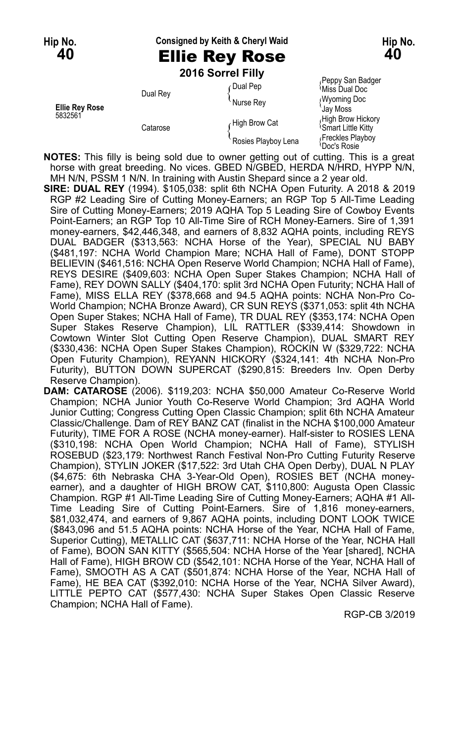**Hip No. Consigned by Keith & Cheryl Waid Hip No.**

# **40** Ellie Rey Rose **40**

**2016 Sorrel Filly**

| <b>Ellie Rey Rose</b><br>5832561 | Dual Rey | <b>Dual Pep</b><br>Nurse Rev | Peppy San Badger<br><sup>≀</sup> Miss Dual Doc<br><b>Wyoming Doc</b><br>Jav Moss |
|----------------------------------|----------|------------------------------|----------------------------------------------------------------------------------|
|                                  | Catarose | High Brow Cat                | High Brow Hickory<br><sup>1</sup> Smart Little Kitty                             |
|                                  |          | Rosies Playboy Lena          | Freckles Playboy<br><sup>1</sup> Doc's Rosie                                     |

**NOTES:** This filly is being sold due to owner getting out of cutting. This is a great horse with great breeding. No vices. GBED N/GBED, HERDA N/HRD, HYPP N/N, MH N/N, PSSM 1 N/N. In training with Austin Shepard since a 2 year old.

**SIRE: DUAL REY** (1994). \$105,038: split 6th NCHA Open Futurity. A 2018 & 2019 RGP #2 Leading Sire of Cutting Money-Earners; an RGP Top 5 All-Time Leading Sire of Cutting Money-Earners; 2019 AQHA Top 5 Leading Sire of Cowboy Events Point-Earners; an RGP Top 10 All-Time Sire of RCH Money-Earners. Sire of 1,391 money-earners, \$42,446,348, and earners of 8,832 AQHA points, including REYS DUAL BADGER (\$313,563: NCHA Horse of the Year), SPECIAL NU BABY (\$481,197: NCHA World Champion Mare; NCHA Hall of Fame), DONT STOPP BELIEVIN (\$461,516: NCHA Open Reserve World Champion; NCHA Hall of Fame), REYS DESIRE (\$409,603: NCHA Open Super Stakes Champion; NCHA Hall of Fame), REY DOWN SALLY (\$404,170: split 3rd NCHA Open Futurity; NCHA Hall of Fame), MISS ELLA REY (\$378,668 and 94.5 AQHA points: NCHA Non-Pro Co-World Champion; NCHA Bronze Award), CR SUN REYS (\$371,053: split 4th NCHA Open Super Stakes; NCHA Hall of Fame), TR DUAL REY (\$353,174: NCHA Open Super Stakes Reserve Champion), LIL RATTLER (\$339,414: Showdown in Cowtown Winter Slot Cutting Open Reserve Champion), DUAL SMART REY (\$330,436: NCHA Open Super Stakes Champion), ROCKIN W (\$329,722: NCHA Open Futurity Champion), REYANN HICKORY (\$324,141: 4th NCHA Non-Pro Futurity), BUTTON DOWN SUPERCAT (\$290,815: Breeders Inv. Open Derby Reserve Champion).

**DAM: CATAROSE** (2006). \$119,203: NCHA \$50,000 Amateur Co-Reserve World Champion; NCHA Junior Youth Co-Reserve World Champion; 3rd AQHA World Junior Cutting; Congress Cutting Open Classic Champion; split 6th NCHA Amateur Classic/Challenge. Dam of REY BANZ CAT (finalist in the NCHA \$100,000 Amateur Futurity), TIME FOR A ROSE (NCHA money-earner). Half-sister to ROSIES LENA (\$310,198: NCHA Open World Champion; NCHA Hall of Fame), STYLISH ROSEBUD (\$23,179: Northwest Ranch Festival Non-Pro Cutting Futurity Reserve Champion), STYLIN JOKER (\$17,522: 3rd Utah CHA Open Derby), DUAL N PLAY (\$4,675: 6th Nebraska CHA 3-Year-Old Open), ROSIES BET (NCHA moneyearner), and a daughter of HIGH BROW CAT, \$110,800: Augusta Open Classic Champion. RGP #1 All-Time Leading Sire of Cutting Money-Earners; AQHA #1 All-Time Leading Sire of Cutting Point-Earners. Sire of 1,816 money-earners, \$81,032,474, and earners of 9,867 AQHA points, including DONT LOOK TWICE (\$843,096 and 51.5 AQHA points: NCHA Horse of the Year, NCHA Hall of Fame, Superior Cutting), METALLIC CAT (\$637,711: NCHA Horse of the Year, NCHA Hall of Fame), BOON SAN KITTY (\$565,504: NCHA Horse of the Year [shared], NCHA Hall of Fame), HIGH BROW CD (\$542,101: NCHA Horse of the Year, NCHA Hall of Fame), SMOOTH AS A CAT (\$501,874: NCHA Horse of the Year, NCHA Hall of Fame), HE BEA CAT (\$392,010: NCHA Horse of the Year, NCHA Silver Award), LITTLE PEPTO CAT (\$577,430: NCHA Super Stakes Open Classic Reserve Champion; NCHA Hall of Fame).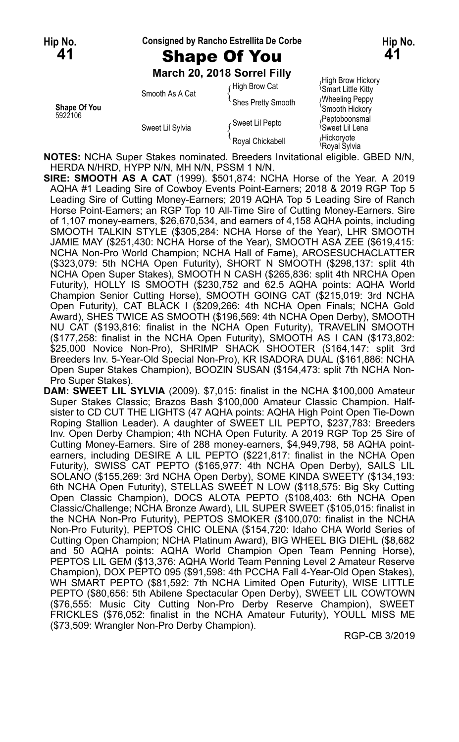#### **Hip No. Consigned by Rancho Estrellita De Corbe Hip No.**

# **41** Shape Of You **41**

**March 20, 2018 Sorrel Filly**

|                         |                                     | <b>MAIGH ZU, ZU 10 SUITEL FIIIV</b> |                                                |
|-------------------------|-------------------------------------|-------------------------------------|------------------------------------------------|
| Shape Of You<br>5922106 | Smooth As A Cat<br>Sweet Lil Sylvia | High Brow Cat                       | High Brow Hickory<br><b>Smart Little Kitty</b> |
|                         |                                     | Shes Pretty Smooth                  | <b>Wheeling Peppy</b><br>'Smooth Hickory       |
|                         |                                     | Gweet Lil Pepto                     | Peptoboonsmal<br><sup>l</sup> Sweet Lil Lena   |
|                         |                                     | Royal Chickabell                    | Hickoryote<br>≀Roval Svlvia                    |

**NOTES:** NCHA Super Stakes nominated. Breeders Invitational eligible. GBED N/N, HERDA N/HRD, HYPP N/N, MH N/N, PSSM 1 N/N.

**SIRE: SMOOTH AS A CAT** (1999). \$501,874: NCHA Horse of the Year. A 2019 AQHA #1 Leading Sire of Cowboy Events Point-Earners; 2018 & 2019 RGP Top 5 Leading Sire of Cutting Money-Earners; 2019 AQHA Top 5 Leading Sire of Ranch Horse Point-Earners; an RGP Top 10 All-Time Sire of Cutting Money-Earners. Sire of 1,107 money-earners, \$26,670,534, and earners of 4,158 AQHA points, including SMOOTH TALKIN STYLE (\$305,284: NCHA Horse of the Year), LHR SMOOTH JAMIE MAY (\$251,430: NCHA Horse of the Year), SMOOTH ASA ZEE (\$619,415: NCHA Non-Pro World Champion; NCHA Hall of Fame), AROSESUCHACLATTER (\$323,079: 5th NCHA Open Futurity), SHORT N SMOOTH (\$298,137: split 4th NCHA Open Super Stakes), SMOOTH N CASH (\$265,836: split 4th NRCHA Open Futurity), HOLLY IS SMOOTH (\$230,752 and 62.5 AQHA points: AQHA World Champion Senior Cutting Horse), SMOOTH GOING CAT (\$215,019: 3rd NCHA Open Futurity), CAT BLACK I (\$209,266: 4th NCHA Open Finals; NCHA Gold Award), SHES TWICE AS SMOOTH (\$196,569: 4th NCHA Open Derby), SMOOTH NU CAT (\$193,816: finalist in the NCHA Open Futurity), TRAVELIN SMOOTH (\$177,258: finalist in the NCHA Open Futurity), SMOOTH AS I CAN (\$173,802: \$25,000 Novice Non-Pro), SHRIMP SHACK SHOOTER (\$164,147: split 3rd Breeders Inv. 5-Year-Old Special Non-Pro), KR ISADORA DUAL (\$161,886: NCHA Open Super Stakes Champion), BOOZIN SUSAN (\$154,473: split 7th NCHA Non-Pro Super Stakes).

**DAM: SWEET LIL SYLVIA** (2009). \$7,015: finalist in the NCHA \$100,000 Amateur Super Stakes Classic; Brazos Bash \$100,000 Amateur Classic Champion. Halfsister to CD CUT THE LIGHTS (47 AQHA points: AQHA High Point Open Tie-Down Roping Stallion Leader). A daughter of SWEET LIL PEPTO, \$237,783: Breeders Inv. Open Derby Champion; 4th NCHA Open Futurity. A 2019 RGP Top 25 Sire of Cutting Money-Earners. Sire of 288 money-earners, \$4,949,798, 58 AQHA pointearners, including DESIRE A LIL PEPTO (\$221,817: finalist in the NCHA Open Futurity), SWISS CAT PEPTO (\$165,977: 4th NCHA Open Derby), SAILS LIL SOLANO (\$155,269: 3rd NCHA Open Derby), SOME KINDA SWEETY (\$134,193: 6th NCHA Open Futurity), STELLAS SWEET N LOW (\$118,575: Big Sky Cutting Open Classic Champion), DOCS ALOTA PEPTO (\$108,403: 6th NCHA Open Classic/Challenge; NCHA Bronze Award), LIL SUPER SWEET (\$105,015: finalist in the NCHA Non-Pro Futurity), PEPTOS SMOKER (\$100,070: finalist in the NCHA Non-Pro Futurity), PEPTOS CHIC OLENA (\$154,720: Idaho CHA World Series of Cutting Open Champion; NCHA Platinum Award), BIG WHEEL BIG DIEHL (\$8,682 and 50 AQHA points: AQHA World Champion Open Team Penning Horse), PEPTOS LIL GEM (\$13,376: AQHA World Team Penning Level 2 Amateur Reserve Champion), DOX PEPTO 095 (\$91,598: 4th PCCHA Fall 4-Year-Old Open Stakes), WH SMART PEPTO (\$81,592: 7th NCHA Limited Open Futurity), WISE LITTLE PEPTO (\$80,656: 5th Abilene Spectacular Open Derby), SWEET LIL COWTOWN (\$76,555: Music City Cutting Non-Pro Derby Reserve Champion), SWEET FRICKLES (\$76,052: finalist in the NCHA Amateur Futurity), YOULL MISS ME (\$73,509: Wrangler Non-Pro Derby Champion).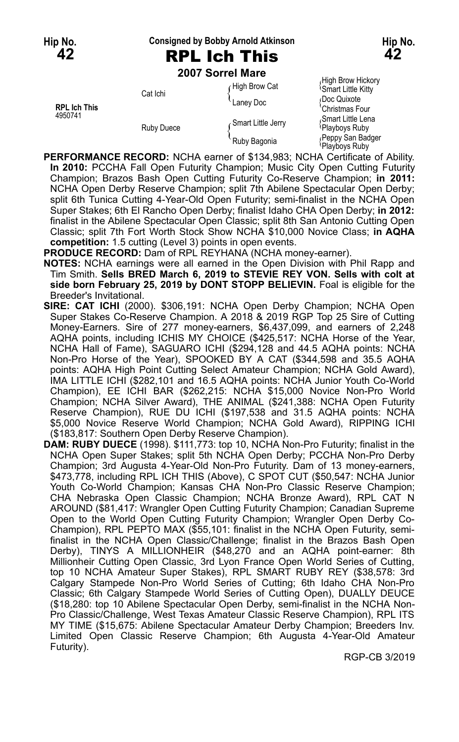#### **Hip No. Consigned by Bobby Arnold Atkinson Hip No.**

# **42** RPL Ich This **42**

**2007 Sorrel Mare**

|                                | LUVI JUIITI MAIT  |                    |                                                      |
|--------------------------------|-------------------|--------------------|------------------------------------------------------|
| <b>RPL Ich This</b><br>4950741 | Cat Ichi          | High Brow Cat      | High Brow Hickory<br><sup>1</sup> Smart Little Kitty |
|                                |                   | Laney Doc          | Doc Quixote<br>'Christmas Four                       |
|                                | <b>Ruby Duece</b> | Smart Little Jerry | Smart Little Lena<br><sup>{</sup> Playboys Ruby      |
|                                |                   | Ruby Bagonia       | Peppy San Badger<br>Playboys Ruby                    |

**PERFORMANCE RECORD:** NCHA earner of \$134,983; NCHA Certificate of Ability. **In 2010:** PCCHA Fall Open Futurity Champion; Music City Open Cutting Futurity Champion; Brazos Bash Open Cutting Futurity Co-Reserve Champion; **in 2011:** NCHA Open Derby Reserve Champion; split 7th Abilene Spectacular Open Derby; split 6th Tunica Cutting 4-Year-Old Open Futurity; semi-finalist in the NCHA Open Super Stakes; 6th El Rancho Open Derby; finalist Idaho CHA Open Derby; **in 2012:** finalist in the Abilene Spectacular Open Classic; split 8th San Antonio Cutting Open Classic; split 7th Fort Worth Stock Show NCHA \$10,000 Novice Class; **in AQHA competition:** 1.5 cutting (Level 3) points in open events.

**PRODUCE RECORD:** Dam of RPL REYHANA (NCHA money-earner).

- **NOTES:** NCHA earnings were all earned in the Open Division with Phil Rapp and Tim Smith. **Sells BRED March 6, 2019 to STEVIE REY VON. Sells with colt at side born February 25, 2019 by DONT STOPP BELIEVIN.** Foal is eligible for the Breeder's Invitational.
- **SIRE: CAT ICHI** (2000). \$306,191: NCHA Open Derby Champion; NCHA Open Super Stakes Co-Reserve Champion. A 2018 & 2019 RGP Top 25 Sire of Cutting Money-Earners. Sire of 277 money-earners, \$6,437,099, and earners of 2,248 AQHA points, including ICHIS MY CHOICE (\$425,517: NCHA Horse of the Year, NCHA Hall of Fame), SAGUARO ICHI (\$294,128 and 44.5 AQHA points: NCHA Non-Pro Horse of the Year), SPOOKED BY A CAT (\$344,598 and 35.5 AQHA points: AQHA High Point Cutting Select Amateur Champion; NCHA Gold Award), IMA LITTLE ICHI (\$282,101 and 16.5 AQHA points: NCHA Junior Youth Co-World Champion), EE ICHI BAR (\$262,215: NCHA \$15,000 Novice Non-Pro World Champion; NCHA Silver Award), THE ANIMAL (\$241,388: NCHA Open Futurity Reserve Champion), RUE DU ICHI (\$197,538 and 31.5 AQHA points: NCHA \$5,000 Novice Reserve World Champion; NCHA Gold Award), RIPPING ICHI (\$183,817: Southern Open Derby Reserve Champion).
- **DAM: RUBY DUECE** (1998). \$111,773: top 10, NCHA Non-Pro Futurity; finalist in the NCHA Open Super Stakes; split 5th NCHA Open Derby; PCCHA Non-Pro Derby Champion; 3rd Augusta 4-Year-Old Non-Pro Futurity. Dam of 13 money-earners, \$473,778, including RPL ICH THIS (Above), C SPOT CUT (\$50,547: NCHA Junior Youth Co-World Champion; Kansas CHA Non-Pro Classic Reserve Champion; CHA Nebraska Open Classic Champion; NCHA Bronze Award), RPL CAT N AROUND (\$81,417: Wrangler Open Cutting Futurity Champion; Canadian Supreme Open to the World Open Cutting Futurity Champion; Wrangler Open Derby Co-Champion), RPL PEPTO MAX (\$55,101: finalist in the NCHA Open Futurity, semifinalist in the NCHA Open Classic/Challenge; finalist in the Brazos Bash Open Derby), TINYS A MILLIONHEIR (\$48,270 and an AQHA point-earner: 8th Millionheir Cutting Open Classic, 3rd Lyon France Open World Series of Cutting, top 10 NCHA Amateur Super Stakes), RPL SMART RUBY REY (\$38,578: 3rd Calgary Stampede Non-Pro World Series of Cutting; 6th Idaho CHA Non-Pro Classic; 6th Calgary Stampede World Series of Cutting Open), DUALLY DEUCE (\$18,280: top 10 Abilene Spectacular Open Derby, semi-finalist in the NCHA Non-Pro Classic/Challenge, West Texas Amateur Classic Reserve Champion), RPL ITS MY TIME (\$15,675: Abilene Spectacular Amateur Derby Champion; Breeders Inv. Limited Open Classic Reserve Champion; 6th Augusta 4-Year-Old Amateur Futurity).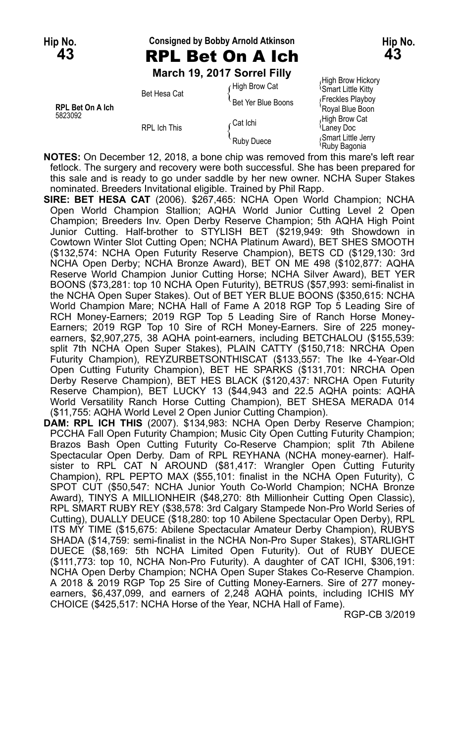#### **Hip No. Consigned by Bobby Arnold Atkinson Hip No. 43** RPL Bet On A Ich **43**

**March 19, 2017 Sorrel Filly**

Smart Little Kitty Bet Hesa Cat The Year Deal of the Smart Little Kitty<br>Bet Yer Blue Boons {Freckles Playboy Buy<br>Royal Blue Boon **RPL Bet On A Ich** Booth Booth Booth Booth Royal Blue Booth Royal Blue Booth Royal Blue Booth Research Research R<br>
S823092 Aligh Brow Cat <sup>5823092</sup> High Brow Cat Cat Ichi { RPL Ich This و S<sup>oartonn</sup><br>Ruby Duece (Smart Little Jerry Ruby Duece<br>Ruby Bagonia

 $f$  High Brow Cat  $f$  High Brow Hickory

**NOTES:** On December 12, 2018, a bone chip was removed from this mare's left rear fetlock. The surgery and recovery were both successful. She has been prepared for this sale and is ready to go under saddle by her new owner. NCHA Super Stakes nominated. Breeders Invitational eligible. Trained by Phil Rapp.

- **SIRE: BET HESA CAT** (2006). \$267,465: NCHA Open World Champion; NCHA Open World Champion Stallion; AQHA World Junior Cutting Level 2 Open Champion; Breeders Inv. Open Derby Reserve Champion; 5th AQHA High Point Junior Cutting. Half-brother to STYLISH BET (\$219,949: 9th Showdown in Cowtown Winter Slot Cutting Open; NCHA Platinum Award), BET SHES SMOOTH (\$132,574: NCHA Open Futurity Reserve Champion), BETS CD (\$129,130: 3rd NCHA Open Derby; NCHA Bronze Award), BET ON ME 498 (\$102,877: AQHA Reserve World Champion Junior Cutting Horse; NCHA Silver Award), BET YER BOONS (\$73,281: top 10 NCHA Open Futurity), BETRUS (\$57,993: semi-finalist in the NCHA Open Super Stakes). Out of BET YER BLUE BOONS (\$350,615: NCHA World Champion Mare; NCHA Hall of Fame A 2018 RGP Top 5 Leading Sire of RCH Money-Earners; 2019 RGP Top 5 Leading Sire of Ranch Horse Money-Earners; 2019 RGP Top 10 Sire of RCH Money-Earners. Sire of 225 moneyearners, \$2,907,275, 38 AQHA point-earners, including BETCHALOU (\$155,539: split 7th NCHA Open Super Stakes), PLAIN CATTY (\$150,718: NRCHA Open Futurity Champion), REYZURBETSONTHISCAT (\$133,557: The Ike 4-Year-Old Open Cutting Futurity Champion), BET HE SPARKS (\$131,701: NRCHA Open Derby Reserve Champion), BET HES BLACK (\$120,437: NRCHA Open Futurity Reserve Champion), BET LUCKY 13 (\$44,943 and 22.5 AQHA points: AQHA World Versatility Ranch Horse Cutting Champion), BET SHESA MERADA 014 (\$11,755: AQHA World Level 2 Open Junior Cutting Champion).
- **DAM: RPL ICH THIS** (2007). \$134,983: NCHA Open Derby Reserve Champion; PCCHA Fall Open Futurity Champion; Music City Open Cutting Futurity Champion; Brazos Bash Open Cutting Futurity Co-Reserve Champion; split 7th Abilene Spectacular Open Derby. Dam of RPL REYHANA (NCHA money-earner). Halfsister to RPL CAT N AROUND (\$81,417: Wrangler Open Cutting Futurity Champion), RPL PEPTO MAX (\$55,101: finalist in the NCHA Open Futurity), C SPOT CUT (\$50,547: NCHA Junior Youth Co-World Champion; NCHA Bronze Award), TINYS A MILLIONHEIR (\$48,270: 8th Millionheir Cutting Open Classic), RPL SMART RUBY REY (\$38,578: 3rd Calgary Stampede Non-Pro World Series of Cutting), DUALLY DEUCE (\$18,280: top 10 Abilene Spectacular Open Derby), RPL ITS MY TIME (\$15,675: Abilene Spectacular Amateur Derby Champion), RUBYS SHADA (\$14,759: semi-finalist in the NCHA Non-Pro Super Stakes), STARLIGHT DUECE (\$8,169: 5th NCHA Limited Open Futurity). Out of RUBY DUECE (\$111,773: top 10, NCHA Non-Pro Futurity). A daughter of CAT ICHI, \$306,191: NCHA Open Derby Champion; NCHA Open Super Stakes Co-Reserve Champion. A 2018 & 2019 RGP Top 25 Sire of Cutting Money-Earners. Sire of 277 moneyearners, \$6,437,099, and earners of 2,248 AQHA points, including ICHIS MY CHOICE (\$425,517: NCHA Horse of the Year, NCHA Hall of Fame).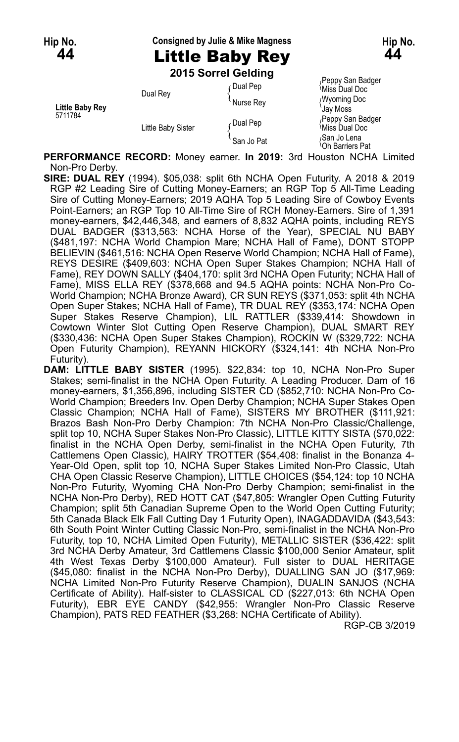#### **Hip No. Consigned by Julie & Mike Magness Hip No.**

# **44** Little Baby Rey **44**

**2015 Sorrel Gelding**

|                            |                    | ∩Dual Pep  | Peppy San Badger<br><sup>≀</sup> Miss Dual Doc          |
|----------------------------|--------------------|------------|---------------------------------------------------------|
| Little Baby Rey<br>5711784 | Dual Rey           | Nurse Rev  | <b>Wyoming Doc</b><br>Jav Moss                          |
|                            | Little Baby Sister | ∕ Dual Pep | Peppy San Badger<br>Miss Dual Doc                       |
|                            |                    | San Jo Pat | <sub></sub> San Jo Lena<br><sup>1</sup> Oh Barriers Pat |

**PERFORMANCE RECORD:** Money earner. **In 2019:** 3rd Houston NCHA Limited Non-Pro Derby.

**SIRE: DUAL REY** (1994). \$05,038: split 6th NCHA Open Futurity. A 2018 & 2019 RGP #2 Leading Sire of Cutting Money-Earners; an RGP Top 5 All-Time Leading Sire of Cutting Money-Earners; 2019 AQHA Top 5 Leading Sire of Cowboy Events Point-Earners; an RGP Top 10 All-Time Sire of RCH Money-Earners. Sire of 1,391 money-earners, \$42,446,348, and earners of 8,832 AQHA points, including REYS DUAL BADGER (\$313,563: NCHA Horse of the Year), SPECIAL NU BABY (\$481,197: NCHA World Champion Mare; NCHA Hall of Fame), DONT STOPP BELIEVIN (\$461,516: NCHA Open Reserve World Champion; NCHA Hall of Fame), REYS DESIRE (\$409,603: NCHA Open Super Stakes Champion; NCHA Hall of Fame), REY DOWN SALLY (\$404,170: split 3rd NCHA Open Futurity; NCHA Hall of Fame), MISS ELLA REY (\$378,668 and 94.5 AQHA points: NCHA Non-Pro Co-World Champion; NCHA Bronze Award), CR SUN REYS (\$371,053: split 4th NCHA Open Super Stakes; NCHA Hall of Fame), TR DUAL REY (\$353,174: NCHA Open Super Stakes Reserve Champion), LIL RATTLER (\$339,414: Showdown in Cowtown Winter Slot Cutting Open Reserve Champion), DUAL SMART REY (\$330,436: NCHA Open Super Stakes Champion), ROCKIN W (\$329,722: NCHA Open Futurity Champion), REYANN HICKORY (\$324,141: 4th NCHA Non-Pro Futurity).

**DAM: LITTLE BABY SISTER** (1995). \$22,834: top 10, NCHA Non-Pro Super Stakes; semi-finalist in the NCHA Open Futurity. A Leading Producer. Dam of 16 money-earners, \$1,356,896, including SISTER CD (\$852,710: NCHA Non-Pro Co-World Champion; Breeders Inv. Open Derby Champion; NCHA Super Stakes Open Classic Champion; NCHA Hall of Fame), SISTERS MY BROTHER (\$111,921: Brazos Bash Non-Pro Derby Champion: 7th NCHA Non-Pro Classic/Challenge, split top 10, NCHA Super Stakes Non-Pro Classic), LITTLE KITTY SISTA (\$70,022: finalist in the NCHA Open Derby, semi-finalist in the NCHA Open Futurity, 7th Cattlemens Open Classic), HAIRY TROTTER (\$54,408: finalist in the Bonanza 4- Year-Old Open, split top 10, NCHA Super Stakes Limited Non-Pro Classic, Utah CHA Open Classic Reserve Champion), LITTLE CHOICES (\$54,124: top 10 NCHA Non-Pro Futurity, Wyoming CHA Non-Pro Derby Champion; semi-finalist in the NCHA Non-Pro Derby), RED HOTT CAT (\$47,805: Wrangler Open Cutting Futurity Champion; split 5th Canadian Supreme Open to the World Open Cutting Futurity; 5th Canada Black Elk Fall Cutting Day 1 Futurity Open), INAGADDAVIDA (\$43,543: 6th South Point Winter Cutting Classic Non-Pro, semi-finalist in the NCHA Non-Pro Futurity, top 10, NCHA Limited Open Futurity), METALLIC SISTER (\$36,422: split 3rd NCHA Derby Amateur, 3rd Cattlemens Classic \$100,000 Senior Amateur, split 4th West Texas Derby \$100,000 Amateur). Full sister to DUAL HERITAGE (\$45,080: finalist in the NCHA Non-Pro Derby), DUALLING SAN JO (\$17,969: NCHA Limited Non-Pro Futurity Reserve Champion), DUALIN SANJOS (NCHA Certificate of Ability). Half-sister to CLASSICAL CD (\$227,013: 6th NCHA Open Futurity), EBR EYE CANDY (\$42,955: Wrangler Non-Pro Classic Reserve Champion), PATS RED FEATHER (\$3,268: NCHA Certificate of Ability).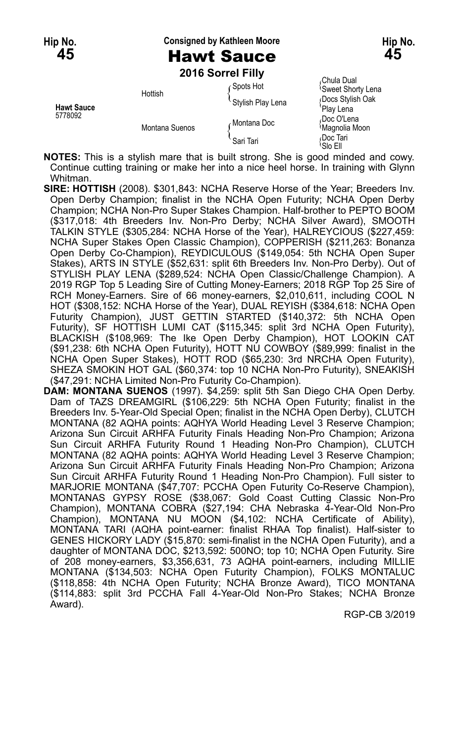**Hip No. Consigned by Kathleen Moore Hip No.**

# **45** Hawt Sauce **45**

**2016 Sorrel Filly**

|                              | -------------  |                   |                                           |
|------------------------------|----------------|-------------------|-------------------------------------------|
| <b>Hawt Sauce</b><br>5778092 | Hottish        | ⊊Spots Hot        | Chula Dual<br><b>Sweet Shorty Lena</b>    |
|                              |                | Stylish Play Lena | Docs Stylish Oak<br>'Play Lena            |
|                              | Montana Suenos | Montana Doc       | Doc O'Lena،<br><sup>1</sup> Magnolia Moon |
|                              |                | Sari Tari         | Doc Tari،<br>'Slo Ell                     |

**NOTES:** This is a stylish mare that is built strong. She is good minded and cowy. Continue cutting training or make her into a nice heel horse. In training with Glynn Whitman.

**SIRE: HOTTISH** (2008). \$301,843: NCHA Reserve Horse of the Year; Breeders Inv. Open Derby Champion; finalist in the NCHA Open Futurity; NCHA Open Derby Champion; NCHA Non-Pro Super Stakes Champion. Half-brother to PEPTO BOOM (\$317,018: 4th Breeders Inv. Non-Pro Derby; NCHA Silver Award), SMOOTH TALKIN STYLE (\$305,284: NCHA Horse of the Year), HALREYCIOUS (\$227,459: NCHA Super Stakes Open Classic Champion), COPPERISH (\$211,263: Bonanza Open Derby Co-Champion), REYDICULOUS (\$149,054: 5th NCHA Open Super Stakes), ARTS IN STYLE (\$52,631: split 6th Breeders Inv. Non-Pro Derby). Out of STYLISH PLAY LENA (\$289,524: NCHA Open Classic/Challenge Champion). A 2019 RGP Top 5 Leading Sire of Cutting Money-Earners; 2018 RGP Top 25 Sire of RCH Money-Earners. Sire of 66 money-earners, \$2,010,611, including COOL N HOT (\$308,152: NCHA Horse of the Year), DUAL REYISH (\$384,618: NCHA Open Futurity Champion), JUST GETTIN STARTED (\$140,372: 5th NCHA Open Futurity), SF HOTTISH LUMI CAT (\$115,345: split 3rd NCHA Open Futurity), BLACKISH (\$108,969: The Ike Open Derby Champion), HOT LOOKIN CAT (\$91,238: 6th NCHA Open Futurity), HOTT NU COWBOY (\$89,999: finalist in the NCHA Open Super Stakes), HOTT ROD (\$65,230: 3rd NRCHA Open Futurity), SHEZA SMOKIN HOT GAL (\$60,374: top 10 NCHA Non-Pro Futurity), SNEAKISH (\$47,291: NCHA Limited Non-Pro Futurity Co-Champion).

**DAM: MONTANA SUENOS** (1997). \$4,259: split 5th San Diego CHA Open Derby. Dam of TAZS DREAMGIRL (\$106,229: 5th NCHA Open Futurity; finalist in the Breeders Inv. 5-Year-Old Special Open; finalist in the NCHA Open Derby), CLUTCH MONTANA (82 AQHA points: AQHYA World Heading Level 3 Reserve Champion; Arizona Sun Circuit ARHFA Futurity Finals Heading Non-Pro Champion; Arizona Sun Circuit ARHFA Futurity Round 1 Heading Non-Pro Champion), CLUTCH MONTANA (82 AQHA points: AQHYA World Heading Level 3 Reserve Champion; Arizona Sun Circuit ARHFA Futurity Finals Heading Non-Pro Champion; Arizona Sun Circuit ARHFA Futurity Round 1 Heading Non-Pro Champion). Full sister to MARJORIE MONTANA (\$47,707: PCCHA Open Futurity Co-Reserve Champion), MONTANAS GYPSY ROSE (\$38,067: Gold Coast Cutting Classic Non-Pro Champion), MONTANA COBRA (\$27,194: CHA Nebraska 4-Year-Old Non-Pro Champion), MONTANA NU MOON (\$4,102: NCHA Certificate of Ability), MONTANA TARI (AQHA point-earner: finalist RHAA Top finalist). Half-sister to GENES HICKORY LADY (\$15,870: semi-finalist in the NCHA Open Futurity), and a daughter of MONTANA DOC, \$213,592: 500NO; top 10; NCHA Open Futurity. Sire of 208 money-earners, \$3,356,631, 73 AQHA point-earners, including MILLIE MONTANA (\$134,503: NCHA Open Futurity Champion), FOLKS MONTALUC (\$118,858: 4th NCHA Open Futurity; NCHA Bronze Award), TICO MONTANA (\$114,883: split 3rd PCCHA Fall 4-Year-Old Non-Pro Stakes; NCHA Bronze Award).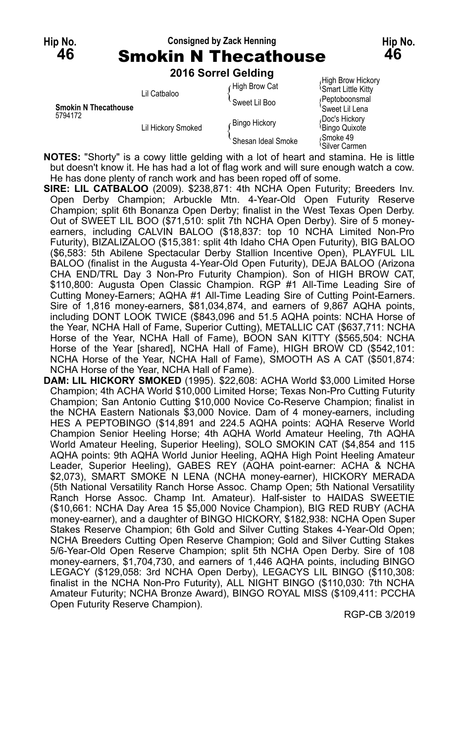## **Hip No. Consigned by Zack Henning Hip No. 46** Smokin N Thecathouse **46**

**2016 Sorrel Gelding**

| <b>Smokin N Thecathouse</b><br>5794172 | Lil Catbaloo       | High Brow Cat      | High Brow Hickory<br><b>Smart Little Kitty</b> |
|----------------------------------------|--------------------|--------------------|------------------------------------------------|
|                                        |                    | Sweet Lil Boo      | (Peptoboonsmal<br>'Sweet Lil Lena              |
|                                        | Lil Hickory Smoked | Bingo Hickory      | Doc's Hickory<br><sup>l</sup> Bingo Quixote    |
|                                        |                    | Shesan Ideal Smoke | Smoke 49<br>'Silver Carmen                     |

**NOTES:** "Shorty" is a cowy little gelding with a lot of heart and stamina. He is little but doesn't know it. He has had a lot of flag work and will sure enough watch a cow. He has done plenty of ranch work and has been roped off of some.

**SIRE: LIL CATBALOO** (2009). \$238,871: 4th NCHA Open Futurity; Breeders Inv. Open Derby Champion; Arbuckle Mtn. 4-Year-Old Open Futurity Reserve Champion; split 6th Bonanza Open Derby; finalist in the West Texas Open Derby. Out of SWEET LIL BOO (\$71,510: split 7th NCHA Open Derby). Sire of 5 moneyearners, including CALVIN BALOO (\$18,837: top 10 NCHA Limited Non-Pro Futurity), BIZALIZALOO (\$15,381: split 4th Idaho CHA Open Futurity), BIG BALOO (\$6,583: 5th Abilene Spectacular Derby Stallion Incentive Open), PLAYFUL LIL BALOO (finalist in the Augusta 4-Year-Old Open Futurity), DEJA BALOO (Arizona CHA END/TRL Day 3 Non-Pro Futurity Champion). Son of HIGH BROW CAT, \$110,800: Augusta Open Classic Champion. RGP #1 All-Time Leading Sire of Cutting Money-Earners; AQHA #1 All-Time Leading Sire of Cutting Point-Earners. Sire of 1,816 money-earners, \$81,034,874, and earners of 9,867 AQHA points, including DONT LOOK TWICE (\$843,096 and 51.5 AQHA points: NCHA Horse of the Year, NCHA Hall of Fame, Superior Cutting), METALLIC CAT (\$637,711: NCHA Horse of the Year, NCHA Hall of Fame), BOON SAN KITTY (\$565,504: NCHA Horse of the Year [shared], NCHA Hall of Fame), HIGH BROW CD (\$542,101: NCHA Horse of the Year, NCHA Hall of Fame), SMOOTH AS A CAT (\$501,874: NCHA Horse of the Year, NCHA Hall of Fame).

**DAM: LIL HICKORY SMOKED** (1995). \$22,608: ACHA World \$3,000 Limited Horse Champion; 4th ACHA World \$10,000 Limited Horse; Texas Non-Pro Cutting Futurity Champion; San Antonio Cutting \$10,000 Novice Co-Reserve Champion; finalist in the NCHA Eastern Nationals \$3,000 Novice. Dam of 4 money-earners, including HES A PEPTOBINGO (\$14,891 and 224.5 AQHA points: AQHA Reserve World Champion Senior Heeling Horse; 4th AQHA World Amateur Heeling, 7th AQHA World Amateur Heeling, Superior Heeling), SOLO SMOKIN CAT (\$4,854 and 115 AQHA points: 9th AQHA World Junior Heeling, AQHA High Point Heeling Amateur Leader, Superior Heeling), GABES REY (AQHA point-earner: ACHA & NCHA \$2,073), SMART SMOKE N LENA (NCHA money-earner), HICKORY MERADA (5th National Versatility Ranch Horse Assoc. Champ Open; 5th National Versatility Ranch Horse Assoc. Champ Int. Amateur). Half-sister to HAIDAS SWEETIE (\$10,661: NCHA Day Area 15 \$5,000 Novice Champion), BIG RED RUBY (ACHA money-earner), and a daughter of BINGO HICKORY, \$182,938: NCHA Open Super Stakes Reserve Champion; 6th Gold and Silver Cutting Stakes 4-Year-Old Open; NCHA Breeders Cutting Open Reserve Champion; Gold and Silver Cutting Stakes 5/6-Year-Old Open Reserve Champion; split 5th NCHA Open Derby. Sire of 108 money-earners, \$1,704,730, and earners of 1,446 AQHA points, including BINGO LEGACY (\$129,058: 3rd NCHA Open Derby), LEGACYS LIL BINGO (\$110,308: finalist in the NCHA Non-Pro Futurity), ALL NIGHT BINGO (\$110,030: 7th NCHA Amateur Futurity; NCHA Bronze Award), BINGO ROYAL MISS (\$109,411: PCCHA Open Futurity Reserve Champion).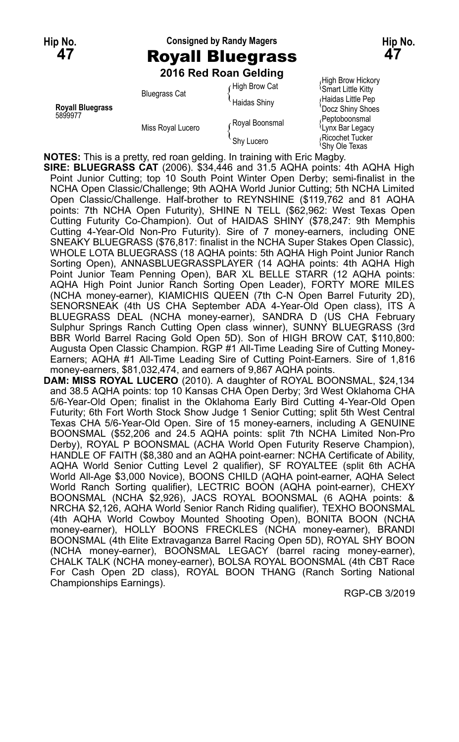## **Hip No. Consigned by Randy Magers Hip No. 47** Royall Bluegrass **47 2016 Red Roan Gelding**

| <b>Royall Bluegrass</b><br>5899977 | <b>Bluegrass Cat</b> | High Brow Cat<br><b>Haidas Shiny</b> | <b>Smart Little Kitty</b><br>Haidas Little Pep<br>'Docz Shiny Shoes |
|------------------------------------|----------------------|--------------------------------------|---------------------------------------------------------------------|
|                                    | Miss Royal Lucero    | Royal Boonsmal                       | Peptoboonsmal<br><sup>l</sup> Lynx Bar Legacy                       |
|                                    |                      | Shy Lucero                           | Ricochet Tucker<br><sup>l</sup> Shy Ole Texas                       |

High Brow Hickory<br>
Smart Little Kitty **Docz Shiny Shoes**<br>Peptoboonsmal Shy Ole Texas

**NOTES:** This is a pretty, red roan gelding. In training with Eric Magby.

**SIRE: BLUEGRASS CAT** (2006). \$34,446 and 31.5 AQHA points: 4th AQHA High Point Junior Cutting; top 10 South Point Winter Open Derby; semi-finalist in the NCHA Open Classic/Challenge; 9th AQHA World Junior Cutting; 5th NCHA Limited Open Classic/Challenge. Half-brother to REYNSHINE (\$119,762 and 81 AQHA points: 7th NCHA Open Futurity), SHINE N TELL (\$62,962: West Texas Open Cutting Futurity Co-Champion). Out of HAIDAS SHINY (\$78,247: 9th Memphis Cutting 4-Year-Old Non-Pro Futurity). Sire of 7 money-earners, including ONE SNEAKY BLUEGRASS (\$76,817: finalist in the NCHA Super Stakes Open Classic), WHOLE LOTA BLUEGRASS (18 AQHA points: 5th AQHA High Point Junior Ranch Sorting Open), ANNASBLUEGRASSPLAYER (14 AQHA points: 4th AQHA High Point Junior Team Penning Open), BAR XL BELLE STARR (12 AQHA points: AQHA High Point Junior Ranch Sorting Open Leader), FORTY MORE MILES (NCHA money-earner), KIAMICHIS QUEEN (7th C-N Open Barrel Futurity 2D), SENORSNEAK (4th US CHA September ADA 4-Year-Old Open class), ITS A BLUEGRASS DEAL (NCHA money-earner), SANDRA D (US CHA February Sulphur Springs Ranch Cutting Open class winner), SUNNY BLUEGRASS (3rd BBR World Barrel Racing Gold Open 5D). Son of HIGH BROW CAT, \$110,800: Augusta Open Classic Champion. RGP #1 All-Time Leading Sire of Cutting Money-Earners; AQHA #1 All-Time Leading Sire of Cutting Point-Earners. Sire of 1,816 money-earners, \$81,032,474, and earners of 9,867 AQHA points.

**DAM: MISS ROYAL LUCERO** (2010). A daughter of ROYAL BOONSMAL, \$24,134 and 38.5 AQHA points: top 10 Kansas CHA Open Derby; 3rd West Oklahoma CHA 5/6-Year-Old Open; finalist in the Oklahoma Early Bird Cutting 4-Year-Old Open Futurity; 6th Fort Worth Stock Show Judge 1 Senior Cutting; split 5th West Central Texas CHA 5/6-Year-Old Open. Sire of 15 money-earners, including A GENUINE BOONSMAL (\$52,206 and 24.5 AQHA points: split 7th NCHA Limited Non-Pro Derby), ROYAL P BOONSMAL (ACHA World Open Futurity Reserve Champion), HANDLE OF FAITH (\$8,380 and an AQHA point-earner: NCHA Certificate of Ability, AQHA World Senior Cutting Level 2 qualifier), SF ROYALTEE (split 6th ACHA World All-Age \$3,000 Novice), BOONS CHILD (AQHA point-earner, AQHA Select World Ranch Sorting qualifier), LECTRIC BOON (AQHA point-earner), CHEXY BOONSMAL (NCHA \$2,926), JACS ROYAL BOONSMAL (6 AQHA points: & NRCHA \$2,126, AQHA World Senior Ranch Riding qualifier), TEXHO BOONSMAL (4th AQHA World Cowboy Mounted Shooting Open), BONITA BOON (NCHA money-earner), HOLLY BOONS FRECKLES (NCHA money-earner), BRANDI BOONSMAL (4th Elite Extravaganza Barrel Racing Open 5D), ROYAL SHY BOON (NCHA money-earner), BOONSMAL LEGACY (barrel racing money-earner), CHALK TALK (NCHA money-earner), BOLSA ROYAL BOONSMAL (4th CBT Race For Cash Open 2D class), ROYAL BOON THANG (Ranch Sorting National Championships Earnings).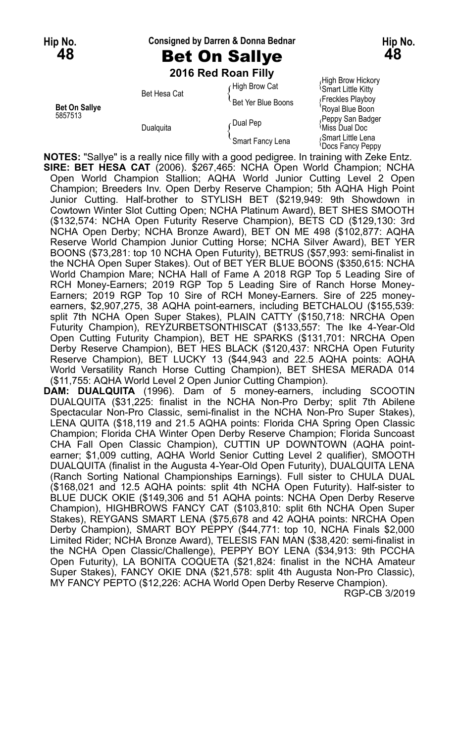**Hip No. Consigned by Darren & Donna Bednar Hip No.**

**48** Bet On Sallye **48**

**2016 Red Roan Filly**

Bet Hesa Cat  $\sum_{\text{Set}}$  Yer Blue Boons  $\sum_{\text{Set}}$  Freckles Playboy **Bet On Sallye Bet On Sallye Bet On Sallye Royal Blue Boon**<br>5857513 **Royal Blue Boon** 

High Brow Hickory High Brow Hickory<br>figh Brow Cat (Smart Little Kitty Feppy San Badger (Pual Pep<br>535 Dual Pep {\diss Dual Doc Dualquita ( المسلم المسلم )<br>Smart Fancy Lena ( Smart Fancy Lena { Smart Little Lena<br>Oocs Fancy Peppy!

**NOTES:** "Sallye" is a really nice filly with a good pedigree. In training with Zeke Entz. **SIRE: BET HESA CAT** (2006). \$267,465: NCHA Open World Champion; NCHA Open World Champion Stallion; AQHA World Junior Cutting Level 2 Open Champion; Breeders Inv. Open Derby Reserve Champion; 5th AQHA High Point Junior Cutting. Half-brother to STYLISH BET (\$219,949: 9th Showdown in Cowtown Winter Slot Cutting Open; NCHA Platinum Award), BET SHES SMOOTH (\$132,574: NCHA Open Futurity Reserve Champion), BETS CD (\$129,130: 3rd NCHA Open Derby; NCHA Bronze Award), BET ON ME 498 (\$102,877: AQHA Reserve World Champion Junior Cutting Horse; NCHA Silver Award), BET YER BOONS (\$73,281: top 10 NCHA Open Futurity), BETRUS (\$57,993: semi-finalist in the NCHA Open Super Stakes). Out of BET YER BLUE BOONS (\$350,615: NCHA World Champion Mare; NCHA Hall of Fame A 2018 RGP Top 5 Leading Sire of RCH Money-Earners; 2019 RGP Top 5 Leading Sire of Ranch Horse Money-Earners; 2019 RGP Top 10 Sire of RCH Money-Earners. Sire of 225 moneyearners, \$2,907,275, 38 AQHA point-earners, including BETCHALOU (\$155,539: split 7th NCHA Open Super Stakes), PLAIN CATTY (\$150,718: NRCHA Open Futurity Champion), REYZURBETSONTHISCAT (\$133,557: The Ike 4-Year-Old Open Cutting Futurity Champion), BET HE SPARKS (\$131,701: NRCHA Open Derby Reserve Champion), BET HES BLACK (\$120,437: NRCHA Open Futurity Reserve Champion), BET LUCKY 13 (\$44,943 and 22.5 AQHA points: AQHA World Versatility Ranch Horse Cutting Champion), BET SHESA MERADA 014 (\$11,755: AQHA World Level 2 Open Junior Cutting Champion).

**DAM: DUALQUITA** (1996). Dam of 5 money-earners, including SCOOTIN DUALQUITA (\$31,225: finalist in the NCHA Non-Pro Derby; split 7th Abilene Spectacular Non-Pro Classic, semi-finalist in the NCHA Non-Pro Super Stakes), LENA QUITA (\$18,119 and 21.5 AQHA points: Florida CHA Spring Open Classic Champion; Florida CHA Winter Open Derby Reserve Champion; Florida Suncoast CHA Fall Open Classic Champion), CUTTIN UP DOWNTOWN (AQHA pointearner; \$1,009 cutting, AQHA World Senior Cutting Level 2 qualifier), SMOOTH DUALQUITA (finalist in the Augusta 4-Year-Old Open Futurity), DUALQUITA LENA (Ranch Sorting National Championships Earnings). Full sister to CHULA DUAL (\$168,021 and 12.5 AQHA points: split 4th NCHA Open Futurity). Half-sister to BLUE DUCK OKIE (\$149,306 and 51 AQHA points: NCHA Open Derby Reserve Champion), HIGHBROWS FANCY CAT (\$103,810: split 6th NCHA Open Super Stakes), REYGANS SMART LENA (\$75,678 and 42 AQHA points: NRCHA Open Derby Champion), SMART BOY PEPPY (\$44,771: top 10, NCHA Finals \$2,000 Limited Rider; NCHA Bronze Award), TELESIS FAN MAN (\$38,420: semi-finalist in the NCHA Open Classic/Challenge), PEPPY BOY LENA (\$34,913: 9th PCCHA Open Futurity), LA BONITA COQUETA (\$21,824: finalist in the NCHA Amateur Super Stakes), FANCY OKIE DNA (\$21,578: split 4th Augusta Non-Pro Classic), MY FANCY PEPTO (\$12,226: ACHA World Open Derby Reserve Champion).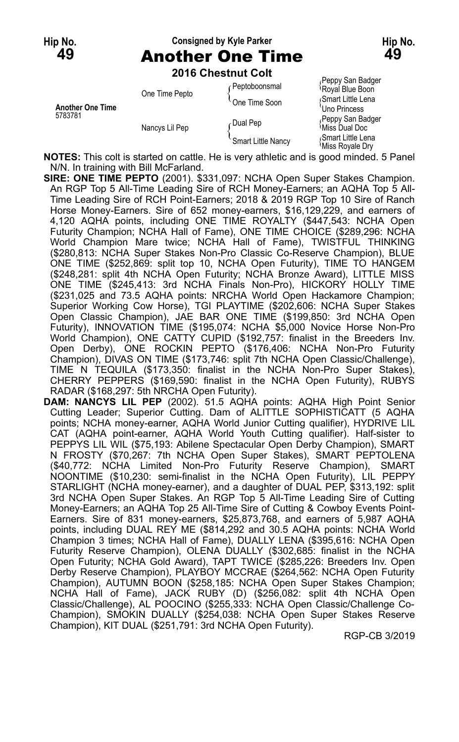# **Hip No. Consigned by Kyle Parker Hip No. 49** Another One Time **49**

**2016 Chestnut Colt**

|                                    | ZV IV VIIGSLIIUL VUIL |                    |                                             |
|------------------------------------|-----------------------|--------------------|---------------------------------------------|
| <b>Another One Time</b><br>5783781 | One Time Pepto        | Peptoboonsmal      | Peppy San Badger<br>Royal Blue Boon         |
|                                    |                       | One Time Soon      | Smart Little Lena<br>Uno Princess           |
|                                    | Nancys Lil Pep        | Dual Pep           | Peppy San Badger<br><b>Miss Dual Doc</b>    |
|                                    |                       | Smart Little Nancy | Smart Little Lena<br><b>Miss Royale Dry</b> |

**NOTES:** This colt is started on cattle. He is very athletic and is good minded. 5 Panel N/N. In training with Bill McFarland.

- **SIRE: ONE TIME PEPTO** (2001). \$331,097: NCHA Open Super Stakes Champion. An RGP Top 5 All-Time Leading Sire of RCH Money-Earners; an AQHA Top 5 All-Time Leading Sire of RCH Point-Earners; 2018 & 2019 RGP Top 10 Sire of Ranch Horse Money-Earners. Sire of 652 money-earners, \$16,129,229, and earners of 4,120 AQHA points, including ONE TIME ROYALTY (\$447,543: NCHA Open Futurity Champion; NCHA Hall of Fame), ONE TIME CHOICE (\$289,296: NCHA World Champion Mare twice; NCHA Hall of Fame), TWISTFUL THINKING (\$280,813: NCHA Super Stakes Non-Pro Classic Co-Reserve Champion), BLUE ONE TIME (\$252,869: split top 10, NCHA Open Futurity), TIME TO HANGEM (\$248,281: split 4th NCHA Open Futurity; NCHA Bronze Award), LITTLE MISS ONE TIME (\$245,413: 3rd NCHA Finals Non-Pro), HICKORY HOLLY TIME (\$231,025 and 73.5 AQHA points: NRCHA World Open Hackamore Champion; Superior Working Cow Horse), TGI PLAYTIME (\$202,606: NCHA Super Stakes Open Classic Champion), JAE BAR ONE TIME (\$199,850: 3rd NCHA Open Futurity), INNOVATION TIME (\$195,074: NCHA \$5,000 Novice Horse Non-Pro World Champion), ONE CATTY CUPID (\$192,757: finalist in the Breeders Inv. Open Derby), ONE ROCKIN PEPTO (\$176,406: NCHA Non-Pro Futurity Champion), DIVAS ON TIME (\$173,746: split 7th NCHA Open Classic/Challenge), TIME N TEQUILA (\$173,350: finalist in the NCHA Non-Pro Super Stakes), CHERRY PEPPERS (\$169,590: finalist in the NCHA Open Futurity), RUBYS RADAR (\$168,297: 5th NRCHA Open Futurity).
- **DAM: NANCYS LIL PEP** (2002). 51.5 AQHA points: AQHA High Point Senior Cutting Leader; Superior Cutting. Dam of ALITTLE SOPHISTICATT (5 AQHA points; NCHA money-earner, AQHA World Junior Cutting qualifier), HYDRIVE LIL CAT (AQHA point-earner, AQHA World Youth Cutting qualifier). Half-sister to PEPPYS LIL WIL (\$75,193: Abilene Spectacular Open Derby Champion), SMART N FROSTY (\$70,267: 7th NCHA Open Super Stakes), SMART PEPTOLENA (\$40,772: NCHA Limited Non-Pro Futurity Reserve Champion), SMART NOONTIME (\$10,230: semi-finalist in the NCHA Open Futurity), LIL PEPPY STARLIGHT (NCHA money-earner), and a daughter of DUAL PEP, \$313,192: split 3rd NCHA Open Super Stakes. An RGP Top 5 All-Time Leading Sire of Cutting Money-Earners; an AQHA Top 25 All-Time Sire of Cutting & Cowboy Events Point-Earners. Sire of 831 money-earners, \$25,873,768, and earners of 5,987 AQHA points, including DUAL REY ME (\$814,292 and 30.5 AQHA points: NCHA World Champion 3 times; NCHA Hall of Fame), DUALLY LENA (\$395,616: NCHA Open Futurity Reserve Champion), OLENA DUALLY (\$302,685: finalist in the NCHA Open Futurity; NCHA Gold Award), TAPT TWICE (\$285,226: Breeders Inv. Open Derby Reserve Champion), PLAYBOY MCCRAE (\$264,562: NCHA Open Futurity Champion), AUTUMN BOON (\$258,185: NCHA Open Super Stakes Champion; NCHA Hall of Fame), JACK RUBY (D) (\$256,082: split 4th NCHA Open Classic/Challenge), AL POOCINO (\$255,333: NCHA Open Classic/Challenge Co-Champion), SMOKIN DUALLY (\$254,038: NCHA Open Super Stakes Reserve Champion), KIT DUAL (\$251,791: 3rd NCHA Open Futurity).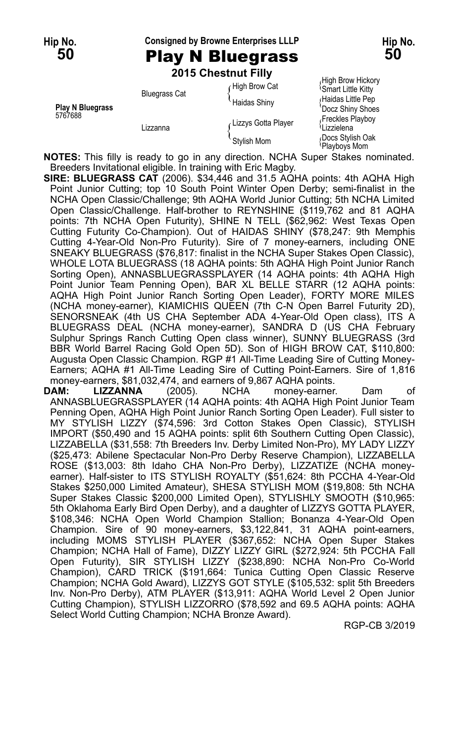#### **Hip No. Consigned by Browne Enterprises LLLP Hip No.**

## **50** Play N Bluegrass **50**

|                                    |                      | 2015 Chestnut Filly |                                                |
|------------------------------------|----------------------|---------------------|------------------------------------------------|
| <b>Play N Bluegrass</b><br>5767688 | <b>Bluegrass Cat</b> | High Brow Cat       | High Brow Hickory<br><b>Smart Little Kitty</b> |
|                                    |                      | <b>Haidas Shinv</b> | Haidas Little Pep<br>'Docz Shiny Shoes         |
|                                    | Lizzanna             | Lizzys Gotta Player | Freckles Playboy<br>ਪLizzielena                |
|                                    |                      | Stylish Mom         | Docs Stylish Oak<br>Dlouboug Mam               |

Playboys Mom **NOTES:** This filly is ready to go in any direction. NCHA Super Stakes nominated. Breeders Invitational eligible. In training with Eric Magby.

**SIRE: BLUEGRASS CAT** (2006). \$34,446 and 31.5 AQHA points: 4th AQHA High Point Junior Cutting; top 10 South Point Winter Open Derby; semi-finalist in the NCHA Open Classic/Challenge; 9th AQHA World Junior Cutting; 5th NCHA Limited Open Classic/Challenge. Half-brother to REYNSHINE (\$119,762 and 81 AQHA points: 7th NCHA Open Futurity), SHINE N TELL (\$62,962: West Texas Open Cutting Futurity Co-Champion). Out of HAIDAS SHINY (\$78,247: 9th Memphis Cutting 4-Year-Old Non-Pro Futurity). Sire of 7 money-earners, including ONE SNEAKY BLUEGRASS (\$76,817: finalist in the NCHA Super Stakes Open Classic), WHOLE LOTA BLUEGRASS (18 AQHA points: 5th AQHA High Point Junior Ranch Sorting Open), ANNASBLUEGRASSPLAYER (14 AQHA points: 4th AQHA High Point Junior Team Penning Open), BAR XL BELLE STARR (12 AQHA points: AQHA High Point Junior Ranch Sorting Open Leader), FORTY MORE MILES (NCHA money-earner), KIAMICHIS QUEEN (7th C-N Open Barrel Futurity 2D), SENORSNEAK (4th US CHA September ADA 4-Year-Old Open class), ITS A BLUEGRASS DEAL (NCHA money-earner), SANDRA D (US CHA February Sulphur Springs Ranch Cutting Open class winner), SUNNY BLUEGRASS (3rd BBR World Barrel Racing Gold Open 5D). Son of HIGH BROW CAT, \$110,800: Augusta Open Classic Champion. RGP #1 All-Time Leading Sire of Cutting Money-Earners; AQHA #1 All-Time Leading Sire of Cutting Point-Earners. Sire of 1,816 money-earners, \$81,032,474, and earners of 9,867 AQHA points.

**DAM: LIZZANNA** (2005). NCHA money-earner. Dam of ANNASBLUEGRASSPLAYER (14 AQHA points: 4th AQHA High Point Junior Team Penning Open, AQHA High Point Junior Ranch Sorting Open Leader). Full sister to MY STYLISH LIZZY (\$74,596: 3rd Cotton Stakes Open Classic), STYLISH IMPORT (\$50,490 and 15 AQHA points: split 6th Southern Cutting Open Classic), LIZZABELLA (\$31,558: 7th Breeders Inv. Derby Limited Non-Pro), MY LADY LIZZY (\$25,473: Abilene Spectacular Non-Pro Derby Reserve Champion), LIZZABELLA ROSE (\$13,003: 8th Idaho CHA Non-Pro Derby), LIZZATIZE (NCHA moneyearner). Half-sister to ITS STYLISH ROYALTY (\$51,624: 8th PCCHA 4-Year-Old Stakes \$250,000 Limited Amateur), SHESA STYLISH MOM (\$19,808: 5th NCHA Super Stakes Classic \$200,000 Limited Open), STYLISHLY SMOOTH (\$10,965: 5th Oklahoma Early Bird Open Derby), and a daughter of LIZZYS GOTTA PLAYER, \$108,346: NCHA Open World Champion Stallion; Bonanza 4-Year-Old Open Champion. Sire of 90 money-earners, \$3,122,841, 31 AQHA point-earners, including MOMS STYLISH PLAYER (\$367,652: NCHA Open Super Stakes Champion; NCHA Hall of Fame), DIZZY LIZZY GIRL (\$272,924: 5th PCCHA Fall Open Futurity), SIR STYLISH LIZZY (\$238,890: NCHA Non-Pro Co-World Champion), CARD TRICK (\$191,664: Tunica Cutting Open Classic Reserve Champion; NCHA Gold Award), LIZZYS GOT STYLE (\$105,532: split 5th Breeders Inv. Non-Pro Derby), ATM PLAYER (\$13,911: AQHA World Level 2 Open Junior Cutting Champion), STYLISH LIZZORRO (\$78,592 and 69.5 AQHA points: AQHA Select World Cutting Champion; NCHA Bronze Award).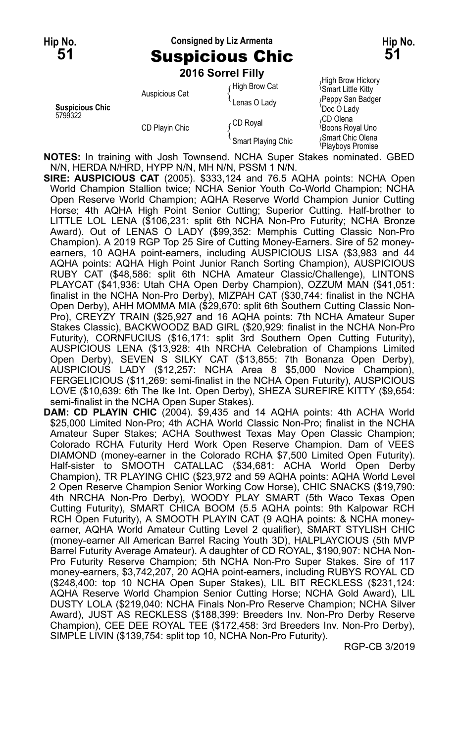#### **Hip No. Consigned by Liz Armenta Hip No. 51** Suspicious Chic **51**

|                                   |                | 2016 Sorrel Filly  |                                                |
|-----------------------------------|----------------|--------------------|------------------------------------------------|
| <b>Suspicious Chic</b><br>5799322 | Auspicious Cat | High Brow Cat      | High Brow Hickory<br><b>Smart Little Kitty</b> |
|                                   |                | Lenas O Lady       | (Peppy San Badger<br>Doc O Lady                |
|                                   | CD Playin Chic | CD Royal           | ،CD Olena<br>Boons Royal Uno                   |
|                                   |                | Smart Playing Chic | Smart Chic Olena<br>Playboys Promise           |

**NOTES:** In training with Josh Townsend. NCHA Super Stakes nominated. GBED N/N, HERDA N/HRD, HYPP N/N, MH N/N, PSSM 1 N/N.

**SIRE: AUSPICIOUS CAT** (2005). \$333,124 and 76.5 AQHA points: NCHA Open World Champion Stallion twice; NCHA Senior Youth Co-World Champion; NCHA Open Reserve World Champion; AQHA Reserve World Champion Junior Cutting Horse; 4th AQHA High Point Senior Cutting; Superior Cutting. Half-brother to LITTLE LOL LENA (\$106,231: split 6th NCHA Non-Pro Futurity; NCHA Bronze Award). Out of LENAS O LADY (\$99,352: Memphis Cutting Classic Non-Pro Champion). A 2019 RGP Top 25 Sire of Cutting Money-Earners. Sire of 52 moneyearners, 10 AQHA point-earners, including AUSPICIOUS LISA (\$3,983 and 44 AQHA points: AQHA High Point Junior Ranch Sorting Champion), AUSPICIOUS RUBY CAT (\$48,586: split 6th NCHA Amateur Classic/Challenge), LINTONS PLAYCAT (\$41,936: Utah CHA Open Derby Champion), OZZUM MAN (\$41,051: finalist in the NCHA Non-Pro Derby), MIZPAH CAT (\$30,744: finalist in the NCHA Open Derby), AHH MOMMA MIA (\$29,670: split 6th Southern Cutting Classic Non-Pro), CREYZY TRAIN (\$25,927 and 16 AQHA points: 7th NCHA Amateur Super Stakes Classic), BACKWOODZ BAD GIRL (\$20,929: finalist in the NCHA Non-Pro Futurity), CORNFUCIUS (\$16,171: split 3rd Southern Open Cutting Futurity), AUSPICIOUS LENA (\$13,928: 4th NRCHA Celebration of Champions Limited Open Derby), SEVEN S SILKY CAT (\$13,855: 7th Bonanza Open Derby), AUSPICIOUS LADY (\$12,257: NCHA Area 8 \$5,000 Novice Champion), FERGELICIOUS (\$11,269: semi-finalist in the NCHA Open Futurity), AUSPICIOUS LOVE (\$10,639: 6th The Ike Int. Open Derby), SHEZA SUREFIRE KITTY (\$9,654: semi-finalist in the NCHA Open Super Stakes).

**DAM: CD PLAYIN CHIC** (2004). \$9,435 and 14 AQHA points: 4th ACHA World \$25,000 Limited Non-Pro; 4th ACHA World Classic Non-Pro; finalist in the NCHA Amateur Super Stakes; ACHA Southwest Texas May Open Classic Champion; Colorado RCHA Futurity Herd Work Open Reserve Champion. Dam of VEES DIAMOND (money-earner in the Colorado RCHA \$7,500 Limited Open Futurity). Half-sister to SMOOTH CATALLAC (\$34,681: ACHA World Open Derby Champion), TR PLAYING CHIC (\$23,972 and 59 AQHA points: AQHA World Level 2 Open Reserve Champion Senior Working Cow Horse), CHIC SNACKS (\$19,790: 4th NRCHA Non-Pro Derby), WOODY PLAY SMART (5th Waco Texas Open Cutting Futurity), SMART CHICA BOOM (5.5 AQHA points: 9th Kalpowar RCH RCH Open Futurity), A SMOOTH PLAYIN CAT (9 AQHA points: & NCHA moneyearner, AQHA World Amateur Cutting Level 2 qualifier), SMART STYLISH CHIC (money-earner All American Barrel Racing Youth 3D), HALPLAYCIOUS (5th MVP Barrel Futurity Average Amateur). A daughter of CD ROYAL, \$190,907: NCHA Non-Pro Futurity Reserve Champion; 5th NCHA Non-Pro Super Stakes. Sire of 117 money-earners, \$3,742,207, 20 AQHA point-earners, including RUBYS ROYAL CD (\$248,400: top 10 NCHA Open Super Stakes), LIL BIT RECKLESS (\$231,124: AQHA Reserve World Champion Senior Cutting Horse; NCHA Gold Award), LIL DUSTY LOLA (\$219,040: NCHA Finals Non-Pro Reserve Champion; NCHA Silver Award), JUST AS RECKLESS (\$188,399: Breeders Inv. Non-Pro Derby Reserve Champion), CEE DEE ROYAL TEE (\$172,458: 3rd Breeders Inv. Non-Pro Derby), SIMPLE LIVIN (\$139,754: split top 10, NCHA Non-Pro Futurity).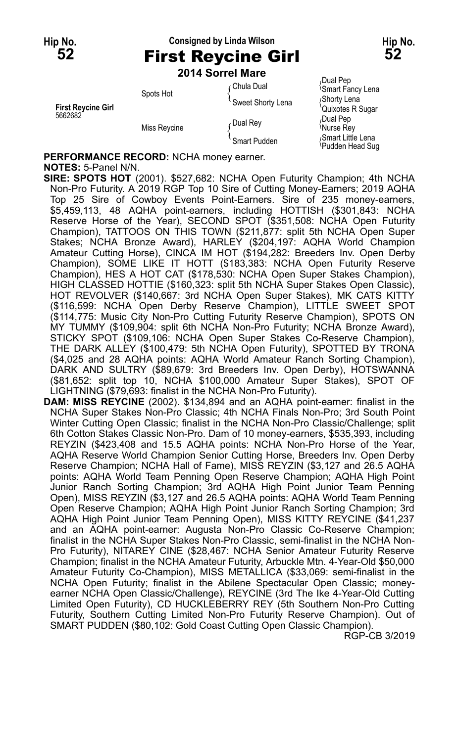#### **Hip No. Consigned by Linda Wilson Hip No. 52** First Reycine Girl **52**

#### **2014 Sorrel Mare**

Spots Hot { Shorty Lena Spots Hot { Spots Hot { Spots Hot } { Shorty Lena Spots Hot } { Shorty Lena  $\left\{\begin{array}{c} \text{Spocts} \\ \text{Sweet Shorty Lena} \end{array}\right\}$  { Shorty Lena { Shorty Lena { Shorty Lena } **First Reycine Girl** Controller Reversion of the Superson of the Cuixotes Reversion of the Superson of Text Reversion of the Superson of Text R Superson Cuixotes R Superson of the Superson of Text R Superson Cuixotes R Sup

Chula Dual **Pep**<br>Chula Dual **Chula Dual Computer**<br>Chula Dual Computer Computer Senate Fancy Lena 5662682<br>Miss Reycine Miss Reycine (Dual Rey { Dual Pep  $\frac{1}{2}$ <br>Smart Pudden { Smart Pudden { Smart Little Lena Smart Little Lena Smart Little Lena Smart Little Lena Smart Co Pudden Head Sug

**PERFORMANCE RECORD:** NCHA money earner.

#### **NOTES:** 5-Panel N/N.

**SIRE: SPOTS HOT** (2001). \$527,682: NCHA Open Futurity Champion; 4th NCHA Non-Pro Futurity. A 2019 RGP Top 10 Sire of Cutting Money-Earners; 2019 AQHA Top 25 Sire of Cowboy Events Point-Earners. Sire of 235 money-earners, \$5,459,113, 48 AQHA point-earners, including HOTTISH (\$301,843: NCHA Reserve Horse of the Year), SECOND SPOT (\$351,508: NCHA Open Futurity Champion), TATTOOS ON THIS TOWN (\$211,877: split 5th NCHA Open Super Stakes; NCHA Bronze Award), HARLEY (\$204,197: AQHA World Champion Amateur Cutting Horse), CINCA IM HOT (\$194,282: Breeders Inv. Open Derby Champion), SOME LIKE IT HOTT (\$183,383: NCHA Open Futurity Reserve Champion), HES A HOT CAT (\$178,530: NCHA Open Super Stakes Champion), HIGH CLASSED HOTTIE (\$160,323: split 5th NCHA Super Stakes Open Classic), HOT REVOLVER (\$140,667: 3rd NCHA Open Super Stakes), MK CATS KITTY (\$116,599: NCHA Open Derby Reserve Champion), LITTLE SWEET SPOT (\$114,775: Music City Non-Pro Cutting Futurity Reserve Champion), SPOTS ON MY TUMMY (\$109,904: split 6th NCHA Non-Pro Futurity; NCHA Bronze Award), STICKY SPOT (\$109,106: NCHA Open Super Stakes Co-Reserve Champion), THE DARK ALLEY (\$100,479: 5th NCHA Open Futurity), SPOTTED BY TRONA (\$4,025 and 28 AQHA points: AQHA World Amateur Ranch Sorting Champion), DARK AND SULTRY (\$89,679: 3rd Breeders Inv. Open Derby), HOTSWANNA (\$81,652: split top 10, NCHA \$100,000 Amateur Super Stakes), SPOT OF LIGHTNING (\$79,693: finalist in the NCHA Non-Pro Futurity).

**DAM: MISS REYCINE** (2002). \$134,894 and an AQHA point-earner: finalist in the NCHA Super Stakes Non-Pro Classic; 4th NCHA Finals Non-Pro; 3rd South Point Winter Cutting Open Classic; finalist in the NCHA Non-Pro Classic/Challenge; split 6th Cotton Stakes Classic Non-Pro. Dam of 10 money-earners, \$535,393, including REYZIN (\$423,408 and 15.5 AQHA points: NCHA Non-Pro Horse of the Year, AQHA Reserve World Champion Senior Cutting Horse, Breeders Inv. Open Derby Reserve Champion; NCHA Hall of Fame), MISS REYZIN (\$3,127 and 26.5 AQHA points: AQHA World Team Penning Open Reserve Champion; AQHA High Point Junior Ranch Sorting Champion; 3rd AQHA High Point Junior Team Penning Open), MISS REYZIN (\$3,127 and 26.5 AQHA points: AQHA World Team Penning Open Reserve Champion; AQHA High Point Junior Ranch Sorting Champion; 3rd AQHA High Point Junior Team Penning Open), MISS KITTY REYCINE (\$41,237 and an AQHA point-earner: Augusta Non-Pro Classic Co-Reserve Champion; finalist in the NCHA Super Stakes Non-Pro Classic, semi-finalist in the NCHA Non-Pro Futurity), NITAREY CINE (\$28,467: NCHA Senior Amateur Futurity Reserve Champion; finalist in the NCHA Amateur Futurity, Arbuckle Mtn. 4-Year-Old \$50,000 Amateur Futurity Co-Champion), MISS METALLICA (\$33,069: semi-finalist in the NCHA Open Futurity; finalist in the Abilene Spectacular Open Classic; moneyearner NCHA Open Classic/Challenge), REYCINE (3rd The Ike 4-Year-Old Cutting Limited Open Futurity), CD HUCKLEBERRY REY (5th Southern Non-Pro Cutting Futurity, Southern Cutting Limited Non-Pro Futurity Reserve Champion). Out of SMART PUDDEN (\$80,102: Gold Coast Cutting Open Classic Champion).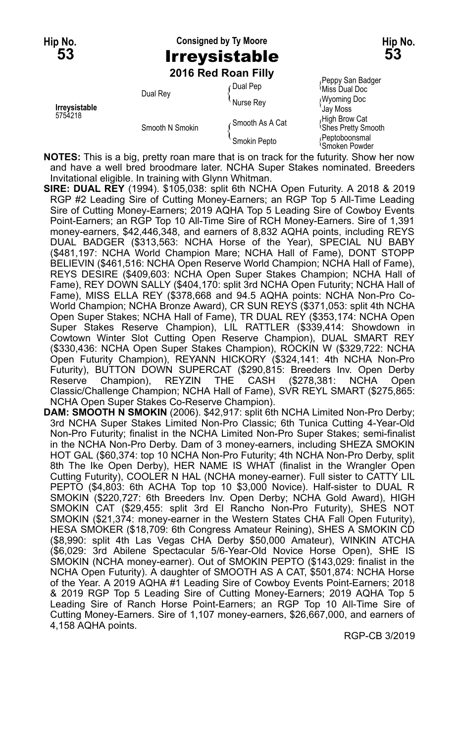## **Hip No. Consigned by Ty Moore Hip No. 53** Irreysistable **53 2016 Red Roan Filly**

| Irreysistable<br>5754218 | Dual Rey        | ∩Dual Pep       | Peppy San Badger<br>પMiss Dual Doc          |
|--------------------------|-----------------|-----------------|---------------------------------------------|
|                          |                 | Nurse Rey       | <b>Wyoming Doc</b><br><b>Gay Moss</b>       |
|                          | Smooth N Smokin | Smooth As A Cat | High Brow Cat<br><b>Shes Pretty Smooth</b>  |
|                          |                 | Smokin Pepto    | Peptoboonsmal<br><sup>I</sup> Smoken Powder |

**NOTES:** This is a big, pretty roan mare that is on track for the futurity. Show her now and have a well bred broodmare later. NCHA Super Stakes nominated. Breeders Invitational eligible. In training with Glynn Whitman.

- **SIRE: DUAL REY** (1994). \$105,038: split 6th NCHA Open Futurity. A 2018 & 2019 RGP #2 Leading Sire of Cutting Money-Earners; an RGP Top 5 All-Time Leading Sire of Cutting Money-Earners; 2019 AQHA Top 5 Leading Sire of Cowboy Events Point-Earners; an RGP Top 10 All-Time Sire of RCH Money-Earners. Sire of 1,391 money-earners, \$42,446,348, and earners of 8,832 AQHA points, including REYS DUAL BADGER (\$313,563: NCHA Horse of the Year), SPECIAL NU BABY (\$481,197: NCHA World Champion Mare; NCHA Hall of Fame), DONT STOPP BELIEVIN (\$461,516: NCHA Open Reserve World Champion; NCHA Hall of Fame), REYS DESIRE (\$409,603: NCHA Open Super Stakes Champion; NCHA Hall of Fame), REY DOWN SALLY (\$404,170: split 3rd NCHA Open Futurity; NCHA Hall of Fame), MISS ELLA REY (\$378,668 and 94.5 AQHA points: NCHA Non-Pro Co-World Champion; NCHA Bronze Award), CR SUN REYS (\$371,053: split 4th NCHA Open Super Stakes; NCHA Hall of Fame), TR DUAL REY (\$353,174: NCHA Open Super Stakes Reserve Champion), LIL RATTLER (\$339,414: Showdown in Cowtown Winter Slot Cutting Open Reserve Champion), DUAL SMART REY (\$330,436: NCHA Open Super Stakes Champion), ROCKIN W (\$329,722: NCHA Open Futurity Champion), REYANN HICKORY (\$324,141: 4th NCHA Non-Pro Futurity), BUTTON DOWN SUPERCAT (\$290,815: Breeders Inv. Open Derby Reserve Champion), REYZIN THE CASH (\$278,381: NCHA Open Classic/Challenge Champion; NCHA Hall of Fame), SVR REYL SMART (\$275,865: NCHA Open Super Stakes Co-Reserve Champion).
- **DAM: SMOOTH N SMOKIN** (2006). \$42,917: split 6th NCHA Limited Non-Pro Derby; 3rd NCHA Super Stakes Limited Non-Pro Classic; 6th Tunica Cutting 4-Year-Old Non-Pro Futurity; finalist in the NCHA Limited Non-Pro Super Stakes; semi-finalist in the NCHA Non-Pro Derby. Dam of 3 money-earners, including SHEZA SMOKIN HOT GAL (\$60,374: top 10 NCHA Non-Pro Futurity; 4th NCHA Non-Pro Derby, split 8th The Ike Open Derby), HER NAME IS WHAT (finalist in the Wrangler Open Cutting Futurity), COOLER N HAL (NCHA money-earner). Full sister to CATTY LIL PEPTO (\$4,803: 6th ACHA Top top 10 \$3,000 Novice). Half-sister to DUAL R SMOKIN (\$220,727: 6th Breeders Inv. Open Derby; NCHA Gold Award), HIGH SMOKIN CAT (\$29,455: split 3rd El Rancho Non-Pro Futurity), SHES NOT SMOKIN (\$21,374: money-earner in the Western States CHA Fall Open Futurity), HESA SMOKER (\$18,709: 6th Congress Amateur Reining), SHES A SMOKIN CD (\$8,990: split 4th Las Vegas CHA Derby \$50,000 Amateur), WINKIN ATCHA (\$6,029: 3rd Abilene Spectacular 5/6-Year-Old Novice Horse Open), SHE IS SMOKIN (NCHA money-earner). Out of SMOKIN PEPTO (\$143,029: finalist in the NCHA Open Futurity). A daughter of SMOOTH AS A CAT, \$501,874: NCHA Horse of the Year. A 2019 AQHA #1 Leading Sire of Cowboy Events Point-Earners; 2018 & 2019 RGP Top 5 Leading Sire of Cutting Money-Earners; 2019 AQHA Top 5 Leading Sire of Ranch Horse Point-Earners; an RGP Top 10 All-Time Sire of Cutting Money-Earners. Sire of 1,107 money-earners, \$26,667,000, and earners of 4,158 AQHA points.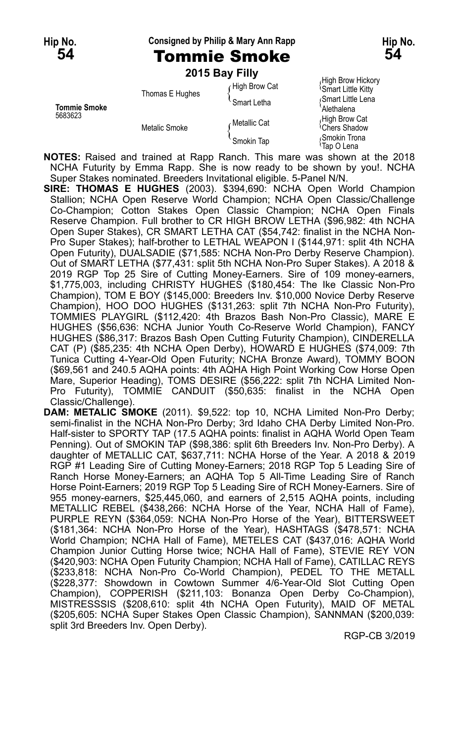#### **Hip No. Consigned by Philip & Mary Ann Rapp Hip No.**

## **54** Tommie Smoke **54**

|                                |                 | 2015 Bay Filly |                                                      |
|--------------------------------|-----------------|----------------|------------------------------------------------------|
|                                | Thomas E Hughes | High Brow Cat  | High Brow Hickory<br><sup>1</sup> Smart Little Kitty |
| <b>Tommie Smoke</b><br>5683623 |                 | Smart Letha    | Smart Little Lena<br>Alethalena                      |
|                                | Metalic Smoke   | Metallic Cat   | High Brow Cat<br><sup><i>i</i></sup> Chers Shadow    |
|                                |                 | Smokin Tap     | Smokin Trona<br>Tap O Lena                           |

**NOTES:** Raised and trained at Rapp Ranch. This mare was shown at the 2018 NCHA Futurity by Emma Rapp. She is now ready to be shown by you!. NCHA Super Stakes nominated. Breeders Invitational eligible. 5-Panel N/N.

**SIRE: THOMAS E HUGHES** (2003). \$394,690: NCHA Open World Champion Stallion; NCHA Open Reserve World Champion; NCHA Open Classic/Challenge Co-Champion; Cotton Stakes Open Classic Champion; NCHA Open Finals Reserve Champion. Full brother to CR HIGH BROW LETHA (\$96,982: 4th NCHA Open Super Stakes), CR SMART LETHA CAT (\$54,742: finalist in the NCHA Non-Pro Super Stakes); half-brother to LETHAL WEAPON I (\$144,971: split 4th NCHA Open Futurity), DUALSADIE (\$71,585: NCHA Non-Pro Derby Reserve Champion). Out of SMART LETHA (\$77,431: split 5th NCHA Non-Pro Super Stakes). A 2018 & 2019 RGP Top 25 Sire of Cutting Money-Earners. Sire of 109 money-earners, \$1,775,003, including CHRISTY HUGHES (\$180,454: The Ike Classic Non-Pro Champion), TOM E BOY (\$145,000: Breeders Inv. \$10,000 Novice Derby Reserve Champion), HOO DOO HUGHES (\$131,263: split 7th NCHA Non-Pro Futurity), TOMMIES PLAYGIRL (\$112,420: 4th Brazos Bash Non-Pro Classic), MARE E HUGHES (\$56,636: NCHA Junior Youth Co-Reserve World Champion), FANCY HUGHES (\$86,317: Brazos Bash Open Cutting Futurity Champion), CINDERELLA CAT (P) (\$85,235: 4th NCHA Open Derby), HOWARD E HUGHES (\$74,009: 7th Tunica Cutting 4-Year-Old Open Futurity; NCHA Bronze Award), TOMMY BOON (\$69,561 and 240.5 AQHA points: 4th AQHA High Point Working Cow Horse Open Mare, Superior Heading), TOMS DESIRE (\$56,222: split 7th NCHA Limited Non-Pro Futurity), TOMMIE CANDUIT (\$50,635: finalist in the NCHA Open Classic/Challenge).

**DAM: METALIC SMOKE** (2011). \$9,522: top 10, NCHA Limited Non-Pro Derby; semi-finalist in the NCHA Non-Pro Derby; 3rd Idaho CHA Derby Limited Non-Pro. Half-sister to SPORTY TAP (17.5 AQHA points: finalist in AQHA World Open Team Penning). Out of SMOKIN TAP (\$98,386: split 6th Breeders Inv. Non-Pro Derby). A daughter of METALLIC CAT, \$637,711: NCHA Horse of the Year. A 2018 & 2019 RGP #1 Leading Sire of Cutting Money-Earners; 2018 RGP Top 5 Leading Sire of Ranch Horse Money-Earners; an AQHA Top 5 All-Time Leading Sire of Ranch Horse Point-Earners; 2019 RGP Top 5 Leading Sire of RCH Money-Earners. Sire of 955 money-earners, \$25,445,060, and earners of 2,515 AQHA points, including METALLIC REBEL (\$438,266: NCHA Horse of the Year, NCHA Hall of Fame), PURPLE REYN (\$364,059: NCHA Non-Pro Horse of the Year), BITTERSWEET (\$181,364: NCHA Non-Pro Horse of the Year), HASHTAGS (\$478,571: NCHA World Champion; NCHA Hall of Fame), METELES CAT (\$437,016: AQHA World Champion Junior Cutting Horse twice; NCHA Hall of Fame), STEVIE REY VON (\$420,903: NCHA Open Futurity Champion; NCHA Hall of Fame), CATILLAC REYS (\$233,818: NCHA Non-Pro Co-World Champion), PEDEL TO THE METALL (\$228,377: Showdown in Cowtown Summer 4/6-Year-Old Slot Cutting Open Champion), COPPERISH (\$211,103: Bonanza Open Derby Co-Champion), MISTRESSSIS (\$208,610: split 4th NCHA Open Futurity), MAID OF METAL (\$205,605: NCHA Super Stakes Open Classic Champion), SANNMAN (\$200,039: split 3rd Breeders Inv. Open Derby).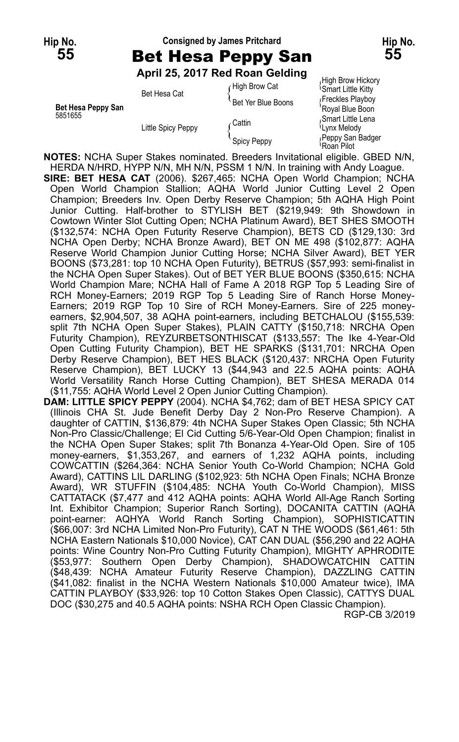### **Hip No. Consigned by James Pritchard Hip No. 55** Bet Hesa Peppy San **55**

**April 25, 2017 Red Roan Gelding**

**Bet Hesa Peppy San** Bet Ten Dide Boons<br>5851655 **Communist Boon** Communist Communist Communist Communist Communist Communist Communist Communist Communis 5851655 Spart Little Lena<br>Smart Little Lena (Cattin (Cattin )<br>Cattin (Cattin ) (Cattin ) (Cattin ) (Smart Little Lena )

 $f$  High Brow Cat  $f$ High Brow Hickory<br> $f$ High Brow Cat  $f$ Smart Little Kitty Smart Little Kitty Bet Hesa Cat The Year Deal of the Smart Little Kitty<br>Bet Yer Blue Boons {Freckles Playboy Buy<br>Royal Blue Boon Little Spicy Peppy Lynx Melody { Peppy San Badger Spicy Peppy { Roan Pilot

**NOTES:** NCHA Super Stakes nominated. Breeders Invitational eligible. GBED N/N, HERDA N/HRD, HYPP N/N, MH N/N, PSSM 1 N/N. In training with Andy Loague. **SIRE: BET HESA CAT** (2006). \$267,465: NCHA Open World Champion; NCHA Open World Champion Stallion; AQHA World Junior Cutting Level 2 Open Champion; Breeders Inv. Open Derby Reserve Champion; 5th AQHA High Point Junior Cutting. Half-brother to STYLISH BET (\$219,949: 9th Showdown in Cowtown Winter Slot Cutting Open; NCHA Platinum Award), BET SHES SMOOTH (\$132,574: NCHA Open Futurity Reserve Champion), BETS CD (\$129,130: 3rd NCHA Open Derby; NCHA Bronze Award), BET ON ME 498 (\$102,877: AQHA Reserve World Champion Junior Cutting Horse; NCHA Silver Award), BET YER BOONS (\$73,281: top 10 NCHA Open Futurity), BETRUS (\$57,993: semi-finalist in the NCHA Open Super Stakes). Out of BET YER BLUE BOONS (\$350,615: NCHA World Champion Mare; NCHA Hall of Fame A 2018 RGP Top 5 Leading Sire of RCH Money-Earners; 2019 RGP Top 5 Leading Sire of Ranch Horse Money-Earners; 2019 RGP Top 10 Sire of RCH Money-Earners. Sire of 225 moneyearners, \$2,904,507, 38 AQHA point-earners, including BETCHALOU (\$155,539: split 7th NCHA Open Super Stakes), PLAIN CATTY (\$150,718: NRCHA Open Futurity Champion), REYZURBETSONTHISCAT (\$133,557: The Ike 4-Year-Old Open Cutting Futurity Champion), BET HE SPARKS (\$131,701: NRCHA Open Derby Reserve Champion), BET HES BLACK (\$120,437: NRCHA Open Futurity Reserve Champion), BET LUCKY 13 (\$44,943 and 22.5 AQHA points: AQHA World Versatility Ranch Horse Cutting Champion), BET SHESA MERADA 014 (\$11,755: AQHA World Level 2 Open Junior Cutting Champion).

**DAM: LITTLE SPICY PEPPY** (2004). NCHA \$4,762; dam of BET HESA SPICY CAT (Illinois CHA St. Jude Benefit Derby Day 2 Non-Pro Reserve Champion). A daughter of CATTIN, \$136,879: 4th NCHA Super Stakes Open Classic; 5th NCHA Non-Pro Classic/Challenge; El Cid Cutting 5/6-Year-Old Open Champion; finalist in the NCHA Open Super Stakes; split 7th Bonanza 4-Year-Old Open. Sire of 105 money-earners, \$1,353,267, and earners of 1,232 AQHA points, including COWCATTIN (\$264,364: NCHA Senior Youth Co-World Champion; NCHA Gold Award), CATTINS LIL DARLING (\$102,923: 5th NCHA Open Finals; NCHA Bronze Award), WR STUFFIN (\$104,485: NCHA Youth Co-World Champion), MISS CATTATACK (\$7,477 and 412 AQHA points: AQHA World All-Age Ranch Sorting Int. Exhibitor Champion; Superior Ranch Sorting), DOCANITA CATTIN (AQHA point-earner: AQHYA World Ranch Sorting Champion), SOPHISTICATTIN (\$66,007: 3rd NCHA Limited Non-Pro Futurity), CAT N THE WOODS (\$61,461: 5th NCHA Eastern Nationals \$10,000 Novice), CAT CAN DUAL (\$56,290 and 22 AQHA points: Wine Country Non-Pro Cutting Futurity Champion), MIGHTY APHRODITE (\$53,977: Southern Open Derby Champion), SHADOWCATCHIN CATTIN (\$48,439: NCHA Amateur Futurity Reserve Champion), DAZZLING CATTIN (\$41,082: finalist in the NCHA Western Nationals \$10,000 Amateur twice), IMA CATTIN PLAYBOY (\$33,926: top 10 Cotton Stakes Open Classic), CATTYS DUAL DOC (\$30,275 and 40.5 AQHA points: NSHA RCH Open Classic Champion).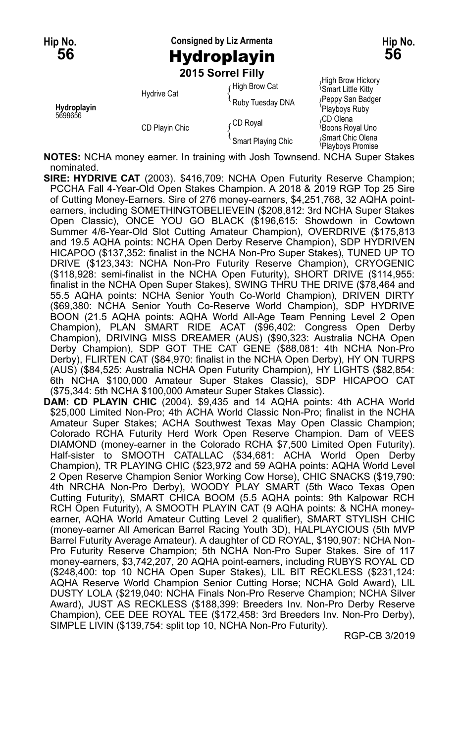**Hip No. Consigned by Liz Armenta Hip No. 56** Hydroplayin **56**

**2015 Sorrel Filly**

| Hydroplayin<br>5698656 | <b>Hydrive Cat</b> | High Brow Cat      | High Brow Hickory<br><b>Smart Little Kitty</b> |
|------------------------|--------------------|--------------------|------------------------------------------------|
|                        |                    | Ruby Tuesday DNA   | (Peppy San Badger<br>'Playboys Ruby            |
|                        | CD Playin Chic     | CD Royal           | ،CD Olena<br><b>Boons Royal Uno</b>            |
|                        |                    | Smart Playing Chic | Smart Chic Olena<br>Playboys Promise           |

**NOTES:** NCHA money earner. In training with Josh Townsend. NCHA Super Stakes nominated.

- **SIRE: HYDRIVE CAT** (2003). \$416,709: NCHA Open Futurity Reserve Champion; PCCHA Fall 4-Year-Old Open Stakes Champion. A 2018 & 2019 RGP Top 25 Sire of Cutting Money-Earners. Sire of 276 money-earners, \$4,251,768, 32 AQHA pointearners, including SOMETHINGTOBELIEVEIN (\$208,812: 3rd NCHA Super Stakes Open Classic), ONCE YOU GO BLACK (\$196,615: Showdown in Cowtown Summer 4/6-Year-Old Slot Cutting Amateur Champion), OVERDRIVE (\$175,813 and 19.5 AQHA points: NCHA Open Derby Reserve Champion), SDP HYDRIVEN HICAPOO (\$137,352: finalist in the NCHA Non-Pro Super Stakes), TUNED UP TO DRIVE (\$123,343: NCHA Non-Pro Futurity Reserve Champion), CRYOGENIC (\$118,928: semi-finalist in the NCHA Open Futurity), SHORT DRIVE (\$114,955: finalist in the NCHA Open Super Stakes), SWING THRU THE DRIVE (\$78,464 and 55.5 AQHA points: NCHA Senior Youth Co-World Champion), DRIVEN DIRTY (\$69,380: NCHA Senior Youth Co-Reserve World Champion), SDP HYDRIVE BOON (21.5 AQHA points: AQHA World All-Age Team Penning Level 2 Open Champion), PLAN SMART RIDE ACAT (\$96,402: Congress Open Derby Champion), DRIVING MISS DREAMER (AUS) (\$90,323: Australia NCHA Open Derby Champion), SDP GOT THE CAT GENE (\$88,081: 4th NCHA Non-Pro Derby), FLIRTEN CAT (\$84,970: finalist in the NCHA Open Derby), HY ON TURPS (AUS) (\$84,525: Australia NCHA Open Futurity Champion), HY LIGHTS (\$82,854: 6th NCHA \$100,000 Amateur Super Stakes Classic), SDP HICAPOO CAT (\$75,344: 5th NCHA \$100,000 Amateur Super Stakes Classic).
- **DAM: CD PLAYIN CHIC** (2004). \$9,435 and 14 AQHA points: 4th ACHA World \$25,000 Limited Non-Pro; 4th ACHA World Classic Non-Pro; finalist in the NCHA Amateur Super Stakes; ACHA Southwest Texas May Open Classic Champion; Colorado RCHA Futurity Herd Work Open Reserve Champion. Dam of VEES DIAMOND (money-earner in the Colorado RCHA \$7,500 Limited Open Futurity). Half-sister to SMOOTH CATALLAC (\$34,681: ACHA World Open Derby Champion), TR PLAYING CHIC (\$23,972 and 59 AQHA points: AQHA World Level 2 Open Reserve Champion Senior Working Cow Horse), CHIC SNACKS (\$19,790: 4th NRCHA Non-Pro Derby), WOODY PLAY SMART (5th Waco Texas Open Cutting Futurity), SMART CHICA BOOM (5.5 AQHA points: 9th Kalpowar RCH RCH Open Futurity), A SMOOTH PLAYIN CAT (9 AQHA points: & NCHA moneyearner, AQHA World Amateur Cutting Level 2 qualifier), SMART STYLISH CHIC (money-earner All American Barrel Racing Youth 3D), HALPLAYCIOUS (5th MVP Barrel Futurity Average Amateur). A daughter of CD ROYAL, \$190,907: NCHA Non-Pro Futurity Reserve Champion; 5th NCHA Non-Pro Super Stakes. Sire of 117 money-earners, \$3,742,207, 20 AQHA point-earners, including RUBYS ROYAL CD (\$248,400: top 10 NCHA Open Super Stakes), LIL BIT RECKLESS (\$231,124: AQHA Reserve World Champion Senior Cutting Horse; NCHA Gold Award), LIL DUSTY LOLA (\$219,040: NCHA Finals Non-Pro Reserve Champion; NCHA Silver Award), JUST AS RECKLESS (\$188,399: Breeders Inv. Non-Pro Derby Reserve Champion), CEE DEE ROYAL TEE (\$172,458: 3rd Breeders Inv. Non-Pro Derby), SIMPLE LIVIN (\$139,754: split top 10, NCHA Non-Pro Futurity).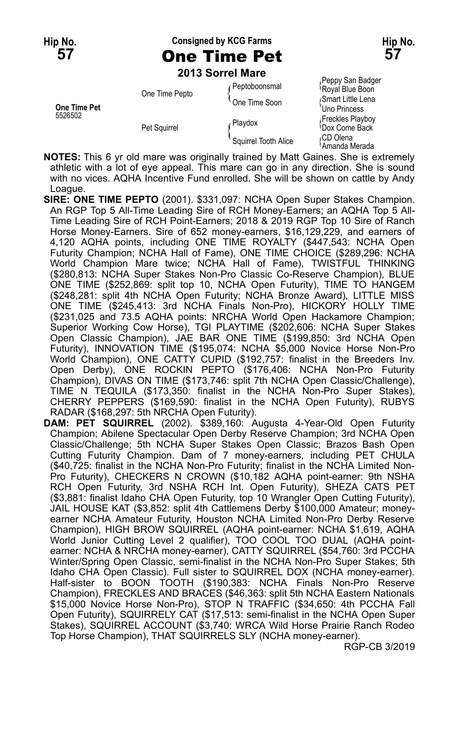#### **Hip No. Consigned by KCG Farms Hip No. 57** One Time Pet **57**

**2013 Sorrel Mare**

|                                | ZU IJ JUHEI MAIE               |                      |                                                |
|--------------------------------|--------------------------------|----------------------|------------------------------------------------|
| <b>One Time Pet</b><br>5526502 | One Time Pepto<br>Pet Squirrel | Peptoboonsmal        | Peppy San Badger<br>Royal Blue Boon            |
|                                |                                | One Time Soon        | Smart Little Lena<br>Uno Princess              |
|                                |                                | <b>Playdox</b>       | Freckles Playboy<br><sup>1</sup> Dox Come Back |
|                                |                                | Squirrel Tooth Alice | CD Olena<br>\Amanda Merada                     |

**NOTES:** This 6 yr old mare was originally trained by Matt Gaines. She is extremely athletic with a lot of eye appeal. This mare can go in any direction. She is sound with no vices. AQHA Incentive Fund enrolled. She will be shown on cattle by Andy Loague.

**SIRE: ONE TIME PEPTO** (2001). \$331,097: NCHA Open Super Stakes Champion. An RGP Top 5 All-Time Leading Sire of RCH Money-Earners; an AQHA Top 5 All-Time Leading Sire of RCH Point-Earners; 2018 & 2019 RGP Top 10 Sire of Ranch Horse Money-Earners. Sire of 652 money-earners, \$16,129,229, and earners of 4,120 AQHA points, including ONE TIME ROYALTY (\$447,543: NCHA Open Futurity Champion; NCHA Hall of Fame), ONE TIME CHOICE (\$289,296: NCHA World Champion Mare twice; NCHA Hall of Fame), TWISTFUL THINKING (\$280,813: NCHA Super Stakes Non-Pro Classic Co-Reserve Champion), BLUE ONE TIME (\$252,869: split top 10, NCHA Open Futurity), TIME TO HANGEM (\$248,281: split 4th NCHA Open Futurity; NCHA Bronze Award), LITTLE MISS ONE TIME (\$245,413: 3rd NCHA Finals Non-Pro), HICKORY HOLLY TIME (\$231,025 and 73.5 AQHA points: NRCHA World Open Hackamore Champion; Superior Working Cow Horse), TGI PLAYTIME (\$202,606: NCHA Super Stakes Open Classic Champion), JAE BAR ONE TIME (\$199,850: 3rd NCHA Open Futurity), INNOVATION TIME (\$195,074: NCHA \$5,000 Novice Horse Non-Pro World Champion), ONE CATTY CUPID (\$192,757: finalist in the Breeders Inv. Open Derby), ONE ROCKIN PEPTO (\$176,406: NCHA Non-Pro Futurity Champion), DIVAS ON TIME (\$173,746: split 7th NCHA Open Classic/Challenge), TIME N TEQUILA (\$173,350: finalist in the NCHA Non-Pro Super Stakes), CHERRY PEPPERS (\$169,590: finalist in the NCHA Open Futurity), RUBYS RADAR (\$168,297: 5th NRCHA Open Futurity).

**DAM: PET SQUIRREL** (2002). \$389,160: Augusta 4-Year-Old Open Futurity Champion; Abilene Spectacular Open Derby Reserve Champion; 3rd NCHA Open Classic/Challenge; 5th NCHA Super Stakes Open Classic; Brazos Bash Open Cutting Futurity Champion. Dam of 7 money-earners, including PET CHULA (\$40,725: finalist in the NCHA Non-Pro Futurity; finalist in the NCHA Limited Non-Pro Futurity), CHECKERS N CROWN (\$10,182 AQHA point-earner: 9th NSHA RCH Open Futurity, 3rd NSHA RCH Int. Open Futurity), SHEZA CATS PET (\$3,881: finalist Idaho CHA Open Futurity, top 10 Wrangler Open Cutting Futurity), JAIL HOUSE KAT (\$3,852: split 4th Cattlemens Derby \$100,000 Amateur; moneyearner NCHA Amateur Futurity, Houston NCHA Limited Non-Pro Derby Reserve Champion), HIGH BROW SQUIRREL (AQHA point-earner: NCHA \$1,619, AQHA World Junior Cutting Level 2 qualifier), TOO COOL TOO DUAL (AQHA pointearner: NCHA & NRCHA money-earner), CATTY SQUIRREL (\$54,760: 3rd PCCHA Winter/Spring Open Classic, semi-finalist in the NCHA Non-Pro Super Stakes; 5th Idaho CHA Open Classic). Full sister to SQUIRREL DOX (NCHA money-earner). Half-sister to BOON TOOTH (\$190,383: NCHA Finals Non-Pro Reserve Champion), FRECKLES AND BRACES (\$46,363: split 5th NCHA Eastern Nationals \$15,000 Novice Horse Non-Pro), STOP N TRAFFIC (\$34,650: 4th PCCHA Fall Open Futurity), SQUIRRELY CAT (\$17,513: semi-finalist in the NCHA Open Super Stakes), SQUIRREL ACCOUNT (\$3,740: WRCA Wild Horse Prairie Ranch Rodeo Top Horse Champion), THAT SQUIRRELS SLY (NCHA money-earner).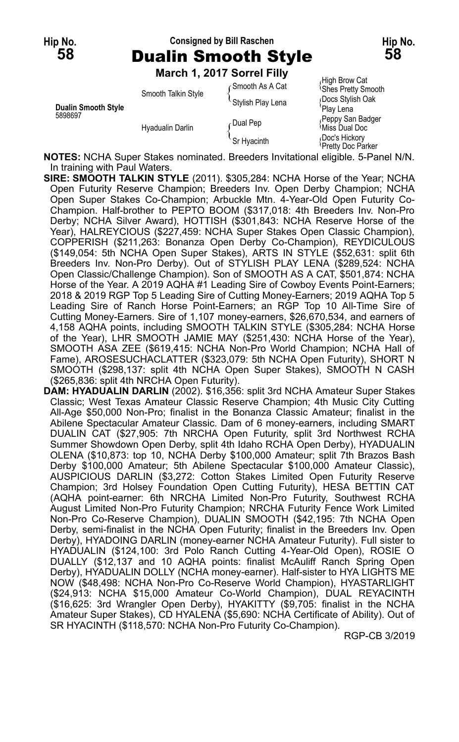# **Hip No. Consigned by Bill Raschen Hip No. 58** Dualin Smooth Style **58**

**March 1, 2017 Sorrel Filly**

|                                       | M                                       |                   |                                            |
|---------------------------------------|-----------------------------------------|-------------------|--------------------------------------------|
| <b>Dualin Smooth Style</b><br>5898697 | Smooth Talkin Style<br>Hyadualin Darlin | ∩Smooth As A Cat  | High Brow Cat<br><b>Shes Pretty Smooth</b> |
|                                       |                                         | Stylish Play Lena | Docs Stylish Oak<br>Play Lena              |
|                                       |                                         | ∩Dual Pep         | Peppy San Badger<br>પMiss Dual Doc         |
|                                       |                                         | 'Sr Hvacinth      | Doc's Hickory<br>Pretty Doc Parker         |

**NOTES:** NCHA Super Stakes nominated. Breeders Invitational eligible. 5-Panel N/N. In training with Paul Waters.

**SIRE: SMOOTH TALKIN STYLE** (2011). \$305,284: NCHA Horse of the Year; NCHA Open Futurity Reserve Champion; Breeders Inv. Open Derby Champion; NCHA Open Super Stakes Co-Champion; Arbuckle Mtn. 4-Year-Old Open Futurity Co-Champion. Half-brother to PEPTO BOOM (\$317,018: 4th Breeders Inv. Non-Pro Derby; NCHA Silver Award), HOTTISH (\$301,843: NCHA Reserve Horse of the Year), HALREYCIOUS (\$227,459: NCHA Super Stakes Open Classic Champion), COPPERISH (\$211,263: Bonanza Open Derby Co-Champion), REYDICULOUS (\$149,054: 5th NCHA Open Super Stakes), ARTS IN STYLE (\$52,631: split 6th Breeders Inv. Non-Pro Derby). Out of STYLISH PLAY LENA (\$289,524: NCHA Open Classic/Challenge Champion). Son of SMOOTH AS A CAT, \$501,874: NCHA Horse of the Year. A 2019 AQHA #1 Leading Sire of Cowboy Events Point-Earners; 2018 & 2019 RGP Top 5 Leading Sire of Cutting Money-Earners; 2019 AQHA Top 5 Leading Sire of Ranch Horse Point-Earners; an RGP Top 10 All-Time Sire of Cutting Money-Earners. Sire of 1,107 money-earners, \$26,670,534, and earners of 4,158 AQHA points, including SMOOTH TALKIN STYLE (\$305,284: NCHA Horse of the Year), LHR SMOOTH JAMIE MAY (\$251,430: NCHA Horse of the Year), SMOOTH ASA ZEE (\$619,415: NCHA Non-Pro World Champion; NCHA Hall of Fame), AROSESUCHACLATTER (\$323,079: 5th NCHA Open Futurity), SHORT N SMOOTH (\$298,137: split 4th NCHA Open Super Stakes), SMOOTH N CASH (\$265,836: split 4th NRCHA Open Futurity).

**DAM: HYADUALIN DARLIN** (2002). \$16,356: split 3rd NCHA Amateur Super Stakes Classic; West Texas Amateur Classic Reserve Champion; 4th Music City Cutting All-Age \$50,000 Non-Pro; finalist in the Bonanza Classic Amateur; finalist in the Abilene Spectacular Amateur Classic. Dam of 6 money-earners, including SMART DUALIN CAT (\$27,905: 7th NRCHA Open Futurity, split 3rd Northwest RCHA Summer Showdown Open Derby, split 4th Idaho RCHA Open Derby), HYADUALIN OLENA (\$10,873: top 10, NCHA Derby \$100,000 Amateur; split 7th Brazos Bash Derby \$100,000 Amateur; 5th Abilene Spectacular \$100,000 Amateur Classic), AUSPICIOUS DARLIN (\$3,272: Cotton Stakes Limited Open Futurity Reserve Champion; 3rd Holsey Foundation Open Cutting Futurity), HESA BETTIN CAT (AQHA point-earner: 6th NRCHA Limited Non-Pro Futurity, Southwest RCHA August Limited Non-Pro Futurity Champion; NRCHA Futurity Fence Work Limited Non-Pro Co-Reserve Champion), DUALIN SMOOTH (\$42,195: 7th NCHA Open Derby, semi-finalist in the NCHA Open Futurity; finalist in the Breeders Inv. Open Derby), HYADOING DARLIN (money-earner NCHA Amateur Futurity). Full sister to HYADUALIN (\$124,100: 3rd Polo Ranch Cutting 4-Year-Old Open), ROSIE O DUALLY (\$12,137 and 10 AQHA points: finalist McAuliff Ranch Spring Open Derby), HYADUALIN DOLLY (NCHA money-earner). Half-sister to HYA LIGHTS ME NOW (\$48,498: NCHA Non-Pro Co-Reserve World Champion), HYASTARLIGHT (\$24,913: NCHA \$15,000 Amateur Co-World Champion), DUAL REYACINTH (\$16,625: 3rd Wrangler Open Derby), HYAKITTY (\$9,705: finalist in the NCHA Amateur Super Stakes), CD HYALENA (\$5,690: NCHA Certificate of Ability). Out of SR HYACINTH (\$118,570: NCHA Non-Pro Futurity Co-Champion).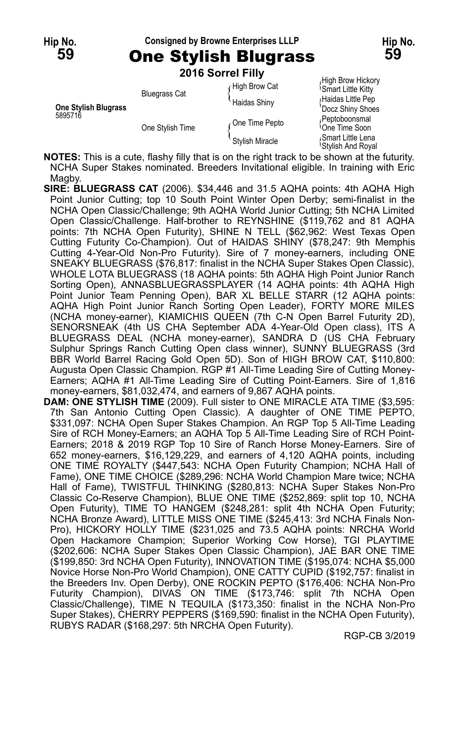## **Hip No. Consigned by Browne Enterprises LLLP Hip No.**

**59** One Stylish Blugrass **59 2016 Sorrel Filly**

|                                        | <b>ZU 10 SULLEI LIIIV</b> |                     |                                                      |
|----------------------------------------|---------------------------|---------------------|------------------------------------------------------|
| <b>One Stylish Blugrass</b><br>5895716 | <b>Bluegrass Cat</b>      | High Brow Cat       | High Brow Hickory<br><sup>1</sup> Smart Little Kitty |
|                                        |                           | <b>Haidas Shiny</b> | Haidas Little Pep<br>Docz Shiny Shoes                |
|                                        | One Stylish Time          | One Time Pepto      | Peptoboonsmal<br><sup>l</sup> One Time Soon          |
|                                        |                           | Stylish Miracle     | Smart Little Lena<br><b>Stylish And Royal</b>        |

**NOTES:** This is a cute, flashy filly that is on the right track to be shown at the futurity. NCHA Super Stakes nominated. Breeders Invitational eligible. In training with Eric Magby.

- **SIRE: BLUEGRASS CAT** (2006). \$34,446 and 31.5 AQHA points: 4th AQHA High Point Junior Cutting; top 10 South Point Winter Open Derby; semi-finalist in the NCHA Open Classic/Challenge; 9th AQHA World Junior Cutting; 5th NCHA Limited Open Classic/Challenge. Half-brother to REYNSHINE (\$119,762 and 81 AQHA points: 7th NCHA Open Futurity), SHINE N TELL (\$62,962: West Texas Open Cutting Futurity Co-Champion). Out of HAIDAS SHINY (\$78,247: 9th Memphis Cutting 4-Year-Old Non-Pro Futurity). Sire of 7 money-earners, including ONE SNEAKY BLUEGRASS (\$76,817: finalist in the NCHA Super Stakes Open Classic), WHOLE LOTA BLUEGRASS (18 AQHA points: 5th AQHA High Point Junior Ranch Sorting Open), ANNASBLUEGRASSPLAYER (14 AQHA points: 4th AQHA High Point Junior Team Penning Open), BAR XL BELLE STARR (12 AQHA points: AQHA High Point Junior Ranch Sorting Open Leader), FORTY MORE MILES (NCHA money-earner), KIAMICHIS QUEEN (7th C-N Open Barrel Futurity 2D), SENORSNEAK (4th US CHA September ADA 4-Year-Old Open class), ITS A BLUEGRASS DEAL (NCHA money-earner), SANDRA D (US CHA February Sulphur Springs Ranch Cutting Open class winner), SUNNY BLUEGRASS (3rd BBR World Barrel Racing Gold Open 5D). Son of HIGH BROW CAT, \$110,800: Augusta Open Classic Champion. RGP #1 All-Time Leading Sire of Cutting Money-Earners; AQHA #1 All-Time Leading Sire of Cutting Point-Earners. Sire of 1,816 money-earners, \$81,032,474, and earners of 9,867 AQHA points.
- **DAM: ONE STYLISH TIME** (2009). Full sister to ONE MIRACLE ATA TIME (\$3,595: 7th San Antonio Cutting Open Classic). A daughter of ONE TIME PEPTO, \$331,097: NCHA Open Super Stakes Champion. An RGP Top 5 All-Time Leading Sire of RCH Money-Earners; an AQHA Top 5 All-Time Leading Sire of RCH Point-Earners; 2018 & 2019 RGP Top 10 Sire of Ranch Horse Money-Earners. Sire of 652 money-earners, \$16,129,229, and earners of 4,120 AQHA points, including ONE TIME ROYALTY (\$447,543: NCHA Open Futurity Champion; NCHA Hall of Fame), ONE TIME CHOICE (\$289,296: NCHA World Champion Mare twice; NCHA Hall of Fame), TWISTFUL THINKING (\$280,813: NCHA Super Stakes Non-Pro Classic Co-Reserve Champion), BLUE ONE TIME (\$252,869: split top 10, NCHA Open Futurity), TIME TO HANGEM (\$248,281: split 4th NCHA Open Futurity; NCHA Bronze Award), LITTLE MISS ONE TIME (\$245,413: 3rd NCHA Finals Non-Pro), HICKORY HOLLY TIME (\$231,025 and 73.5 AQHA points: NRCHA World Open Hackamore Champion; Superior Working Cow Horse), TGI PLAYTIME (\$202,606: NCHA Super Stakes Open Classic Champion), JAE BAR ONE TIME (\$199,850: 3rd NCHA Open Futurity), INNOVATION TIME (\$195,074: NCHA \$5,000 Novice Horse Non-Pro World Champion), ONE CATTY CUPID (\$192,757: finalist in the Breeders Inv. Open Derby), ONE ROCKIN PEPTO (\$176,406: NCHA Non-Pro Futurity Champion), DIVAS ON TIME (\$173,746: split 7th NCHA Open Classic/Challenge), TIME N TEQUILA (\$173,350: finalist in the NCHA Non-Pro Super Stakes), CHERRY PEPPERS (\$169,590: finalist in the NCHA Open Futurity), RUBYS RADAR (\$168,297: 5th NRCHA Open Futurity).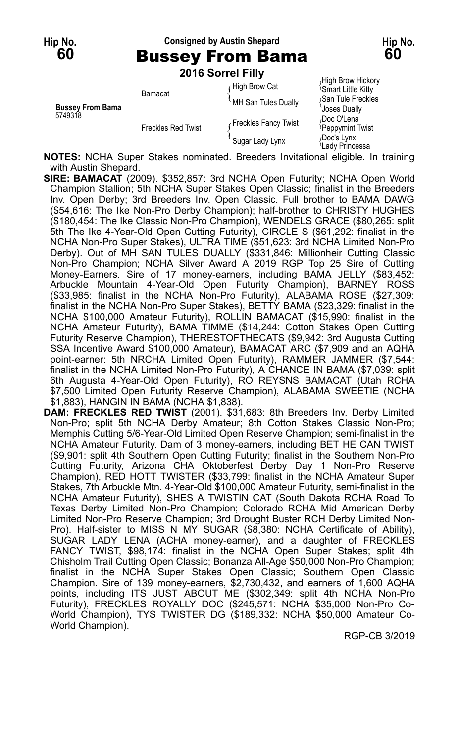**Hip No. Consigned by Austin Shepard Hip No.**

# **60** Bussey From Bama **60**

**2016 Sorrel Filly**

|                                    |                           | <b>LUIU JUIITIIIII</b> |                                                                                            |
|------------------------------------|---------------------------|------------------------|--------------------------------------------------------------------------------------------|
| <b>Bussey From Bama</b><br>5749318 | Bamacat                   | High Brow Cat          | High Brow Hickory<br><b>Smart Little Kitty</b><br>San Tule Freckles<br><b>Joses Dually</b> |
|                                    |                           | MH San Tules Dually    |                                                                                            |
|                                    | <b>Freckles Red Twist</b> | Freckles Fancy Twist   | Doc O'Lena،<br>Peppymint Twist                                                             |
|                                    |                           | Sugar Lady Lynx        | Doc's Lynx<br>'Lady Princessa                                                              |

**NOTES:** NCHA Super Stakes nominated. Breeders Invitational eligible. In training with Austin Shepard.

- **SIRE: BAMACAT** (2009). \$352,857: 3rd NCHA Open Futurity; NCHA Open World Champion Stallion; 5th NCHA Super Stakes Open Classic; finalist in the Breeders Inv. Open Derby; 3rd Breeders Inv. Open Classic. Full brother to BAMA DAWG (\$54,616: The Ike Non-Pro Derby Champion); half-brother to CHRISTY HUGHES (\$180,454: The Ike Classic Non-Pro Champion), WENDELS GRACE (\$80,265: split 5th The Ike 4-Year-Old Open Cutting Futurity), CIRCLE S (\$61,292: finalist in the NCHA Non-Pro Super Stakes), ULTRA TIME (\$51,623: 3rd NCHA Limited Non-Pro Derby). Out of MH SAN TULES DUALLY (\$331,846: Millionheir Cutting Classic Non-Pro Champion; NCHA Silver Award A 2019 RGP Top 25 Sire of Cutting Money-Earners. Sire of 17 money-earners, including BAMA JELLY (\$83,452: Arbuckle Mountain 4-Year-Old Open Futurity Champion), BARNEY ROSS (\$33,985: finalist in the NCHA Non-Pro Futurity), ALABAMA ROSE (\$27,309: finalist in the NCHA Non-Pro Super Stakes), BETTY BAMA (\$23,329: finalist in the NCHA \$100,000 Amateur Futurity), ROLLIN BAMACAT (\$15,990: finalist in the NCHA Amateur Futurity), BAMA TIMME (\$14,244: Cotton Stakes Open Cutting Futurity Reserve Champion), THERESTOFTHECATS (\$9,942: 3rd Augusta Cutting SSA Incentive Award \$100,000 Amateur), BAMACAT ARC (\$7,909 and an AQHA point-earner: 5th NRCHA Limited Open Futurity), RAMMER JAMMER (\$7,544: finalist in the NCHA Limited Non-Pro Futurity), A CHANCE IN BAMA (\$7,039: split 6th Augusta 4-Year-Old Open Futurity), RO REYSNS BAMACAT (Utah RCHA \$7,500 Limited Open Futurity Reserve Champion), ALABAMA SWEETIE (NCHA \$1,883), HANGIN IN BAMA (NCHA \$1,838).
- **DAM: FRECKLES RED TWIST** (2001). \$31,683: 8th Breeders Inv. Derby Limited Non-Pro; split 5th NCHA Derby Amateur; 8th Cotton Stakes Classic Non-Pro; Memphis Cutting 5/6-Year-Old Limited Open Reserve Champion; semi-finalist in the NCHA Amateur Futurity. Dam of 3 money-earners, including BET HE CAN TWIST (\$9,901: split 4th Southern Open Cutting Futurity; finalist in the Southern Non-Pro Cutting Futurity, Arizona CHA Oktoberfest Derby Day 1 Non-Pro Reserve Champion), RED HOTT TWISTER (\$33,799: finalist in the NCHA Amateur Super Stakes, 7th Arbuckle Mtn. 4-Year-Old \$100,000 Amateur Futurity, semi-finalist in the NCHA Amateur Futurity), SHES A TWISTIN CAT (South Dakota RCHA Road To Texas Derby Limited Non-Pro Champion; Colorado RCHA Mid American Derby Limited Non-Pro Reserve Champion; 3rd Drought Buster RCH Derby Limited Non-Pro). Half-sister to MISS N MY SUGAR (\$8,380: NCHA Certificate of Ability), SUGAR LADY LENA (ACHA money-earner), and a daughter of FRECKLES FANCY TWIST, \$98,174: finalist in the NCHA Open Super Stakes; split 4th Chisholm Trail Cutting Open Classic; Bonanza All-Age \$50,000 Non-Pro Champion; finalist in the NCHA Super Stakes Open Classic; Southern Open Classic Champion. Sire of 139 money-earners, \$2,730,432, and earners of 1,600 AQHA points, including ITS JUST ABOUT ME (\$302,349: split 4th NCHA Non-Pro Futurity), FRECKLES ROYALLY DOC (\$245,571: NCHA \$35,000 Non-Pro Co-World Champion), TYS TWISTER DG (\$189,332: NCHA \$50,000 Amateur Co-World Champion).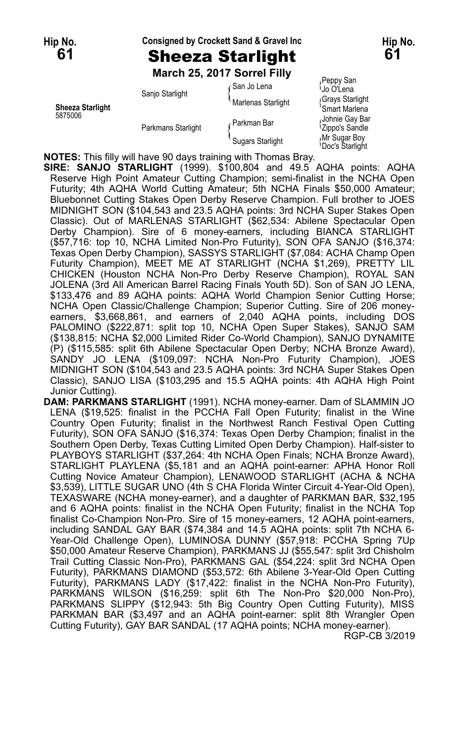#### **Hip No. Consigned by Crockett Sand & Gravel Inc Hip No. 61** Sheeza Starlight **61**

**March 25, 2017 Sorrel Filly**

| <b>Sheeza Starlight</b><br>5875006 | Sanjo Starlight    | ∠San Jo Lena            | Peppy San<br>⊍o O'Lena                        |
|------------------------------------|--------------------|-------------------------|-----------------------------------------------|
|                                    |                    | Marlenas Starlight      | Grays Starlight<br>'Smart Marlena             |
|                                    | Parkmans Starlight | Parkman Bar             | Johnie Gay Bar<br><sup>1</sup> Zippo's Sandle |
|                                    |                    | <b>Sugars Starlight</b> | Mr Sugar Bov<br><sup>∖</sup> Doc's Starlight  |

**NOTES:** This filly will have 90 days training with Thomas Bray.

**SIRE: SANJO STARLIGHT** (1999). \$100,804 and 49.5 AQHA points: AQHA Reserve High Point Amateur Cutting Champion; semi-finalist in the NCHA Open Futurity; 4th AQHA World Cutting Amateur; 5th NCHA Finals \$50,000 Amateur; Bluebonnet Cutting Stakes Open Derby Reserve Champion. Full brother to JOES MIDNIGHT SON (\$104,543 and 23.5 AQHA points: 3rd NCHA Super Stakes Open Classic). Out of MARLENAS STARLIGHT (\$62,534: Abilene Spectacular Open Derby Champion). Sire of 6 money-earners, including BIANCA STARLIGHT (\$57,716: top 10, NCHA Limited Non-Pro Futurity), SON OFA SANJO (\$16,374: Texas Open Derby Champion), SASSYS STARLIGHT (\$7,084: ACHA Champ Open Futurity Champion), MEET ME AT STARLIGHT (NCHA \$1,269), PRETTY LIL CHICKEN (Houston NCHA Non-Pro Derby Reserve Champion), ROYAL SAN JOLENA (3rd All American Barrel Racing Finals Youth 5D). Son of SAN JO LENA, \$133,476 and 89 AQHA points: AQHA World Champion Senior Cutting Horse; NCHA Open Classic/Challenge Champion; Superior Cutting. Sire of 206 moneyearners, \$3,668,861, and earners of 2,040 AQHA points, including DOS PALOMINO (\$222,871: split top 10, NCHA Open Super Stakes), SANJO SAM (\$138,815: NCHA \$2,000 Limited Rider Co-World Champion), SANJO DYNAMITE (P) (\$115,585: split 6th Abilene Spectacular Open Derby; NCHA Bronze Award), SANDY JO LENA (\$109,097: NCHA Non-Pro Futurity Champion), JOES MIDNIGHT SON (\$104,543 and 23.5 AQHA points: 3rd NCHA Super Stakes Open Classic), SANJO LISA (\$103,295 and 15.5 AQHA points: 4th AQHA High Point Junior Cutting).

**DAM: PARKMANS STARLIGHT** (1991). NCHA money-earner. Dam of SLAMMIN JO LENA (\$19,525: finalist in the PCCHA Fall Open Futurity; finalist in the Wine Country Open Futurity; finalist in the Northwest Ranch Festival Open Cutting Futurity), SON OFA SANJO (\$16,374: Texas Open Derby Champion; finalist in the Southern Open Derby, Texas Cutting Limited Open Derby Champion). Half-sister to PLAYBOYS STARLIGHT (\$37,264: 4th NCHA Open Finals; NCHA Bronze Award), STARLIGHT PLAYLENA (\$5,181 and an AQHA point-earner: APHA Honor Roll Cutting Novice Amateur Champion), LENAWOOD STARLIGHT (ACHA & NCHA \$3,539), LITTLE SUGAR UNO (4th S CHA Florida Winter Circuit 4-Year-Old Open), TEXASWARE (NCHA money-earner), and a daughter of PARKMAN BAR, \$32,195 and 6 AQHA points: finalist in the NCHA Open Futurity; finalist in the NCHA Top finalist Co-Champion Non-Pro. Sire of 15 money-earners, 12 AQHA point-earners, including SANDAL GAY BAR (\$74,384 and 14.5 AQHA points: split 7th NCHA 6- Year-Old Challenge Open), LUMINOSA DUNNY (\$57,918: PCCHA Spring 7Up \$50,000 Amateur Reserve Champion), PARKMANS JJ (\$55,547: split 3rd Chisholm Trail Cutting Classic Non-Pro), PARKMANS GAL (\$54,224: split 3rd NCHA Open Futurity), PARKMANS DIAMOND (\$53,572: 6th Abilene 3-Year-Old Open Cutting Futurity), PARKMANS LADY (\$17,422: finalist in the NCHA Non-Pro Futurity), PARKMANS WILSON (\$16,259: split 6th The Non-Pro \$20,000 Non-Pro), PARKMANS SLIPPY (\$12,943: 5th Big Country Open Cutting Futurity), MISS PARKMAN BAR (\$3,497 and an AQHA point-earner: split 8th Wrangler Open Cutting Futurity), GAY BAR SANDAL (17 AQHA points; NCHA money-earner). RGP-CB 3/2019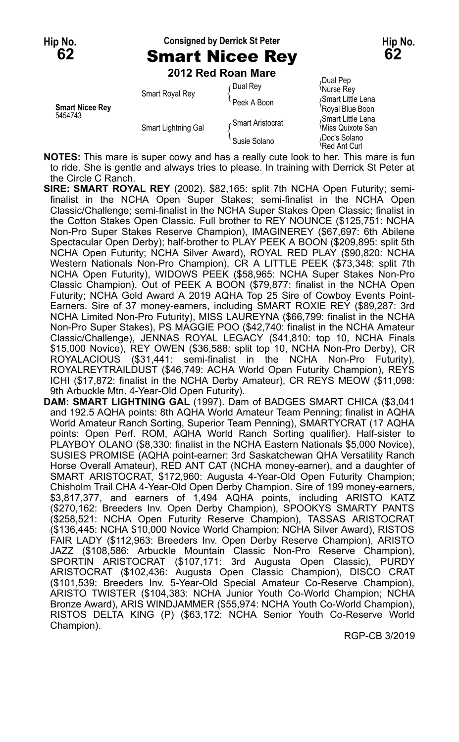## **Hip No. Consigned by Derrick St Peter Hip No. 62** Smart Nicee Rey **62**

**2012 Red Roan Mare**

| <b>Smart Nicee Rev</b><br>5454743 | Smart Royal Rey     | <b>Dual Rev</b>    | Dual Pep<br>'Nurse Rey                             |
|-----------------------------------|---------------------|--------------------|----------------------------------------------------|
|                                   |                     | Peek A Boon        | Smart Little Lena<br>'Royal Blue Boon              |
|                                   | Smart Lightning Gal | √ Smart Aristocrat | Smart Little Lena<br><sup>1</sup> Miss Quixote San |
|                                   |                     | Susie Solano       | Doc's Solano<br>Red Ant Curl                       |

**NOTES:** This mare is super cowy and has a really cute look to her. This mare is fun to ride. She is gentle and always tries to please. In training with Derrick St Peter at the Circle C Ranch.

- **SIRE: SMART ROYAL REY** (2002). \$82,165: split 7th NCHA Open Futurity; semifinalist in the NCHA Open Super Stakes; semi-finalist in the NCHA Open Classic/Challenge; semi-finalist in the NCHA Super Stakes Open Classic; finalist in the Cotton Stakes Open Classic. Full brother to REY NOUNCE (\$125,751: NCHA Non-Pro Super Stakes Reserve Champion), IMAGINEREY (\$67,697: 6th Abilene Spectacular Open Derby); half-brother to PLAY PEEK A BOON (\$209,895: split 5th NCHA Open Futurity; NCHA Silver Award), ROYAL RED PLAY (\$90,820: NCHA Western Nationals Non-Pro Champion), CR A LITTLE PEEK (\$73,348: split 7th NCHA Open Futurity), WIDOWS PEEK (\$58,965: NCHA Super Stakes Non-Pro Classic Champion). Out of PEEK A BOON (\$79,877: finalist in the NCHA Open Futurity; NCHA Gold Award A 2019 AQHA Top 25 Sire of Cowboy Events Point-Earners. Sire of 37 money-earners, including SMART ROXIE REY (\$89,287: 3rd NCHA Limited Non-Pro Futurity), MISS LAUREYNA (\$66,799: finalist in the NCHA Non-Pro Super Stakes), PS MAGGIE POO (\$42,740: finalist in the NCHA Amateur Classic/Challenge), JENNAS ROYAL LEGACY (\$41,810: top 10, NCHA Finals \$15,000 Novice), REY OWEN (\$36,588: split top 10, NCHA Non-Pro Derby), CR ROYALACIOUS (\$31,441: semi-finalist in the NCHA Non-Pro Futurity), ROYALREYTRAILDUST (\$46,749: ACHA World Open Futurity Champion), REYS ICHI (\$17,872: finalist in the NCHA Derby Amateur), CR REYS MEOW (\$11,098: 9th Arbuckle Mtn. 4-Year-Old Open Futurity).
- **DAM: SMART LIGHTNING GAL** (1997). Dam of BADGES SMART CHICA (\$3,041 and 192.5 AQHA points: 8th AQHA World Amateur Team Penning; finalist in AQHA World Amateur Ranch Sorting, Superior Team Penning), SMARTYCRAT (17 AQHA points: Open Perf. ROM, AQHA World Ranch Sorting qualifier). Half-sister to PLAYBOY OLANO (\$8,330: finalist in the NCHA Eastern Nationals \$5,000 Novice), SUSIES PROMISE (AQHA point-earner: 3rd Saskatchewan QHA Versatility Ranch Horse Overall Amateur), RED ANT CAT (NCHA money-earner), and a daughter of SMART ARISTOCRAT, \$172,960: Augusta 4-Year-Old Open Futurity Champion; Chisholm Trail CHA 4-Year-Old Open Derby Champion. Sire of 199 money-earners, \$3,817,377, and earners of 1,494 AQHA points, including ARISTO KATZ (\$270,162: Breeders Inv. Open Derby Champion), SPOOKYS SMARTY PANTS (\$258,521: NCHA Open Futurity Reserve Champion), TASSAS ARISTOCRAT (\$136,445: NCHA \$10,000 Novice World Champion; NCHA Silver Award), RISTOS FAIR LADY (\$112,963: Breeders Inv. Open Derby Reserve Champion), ARISTO JAZZ (\$108,586: Arbuckle Mountain Classic Non-Pro Reserve Champion), SPORTIN ARISTOCRAT (\$107,171: 3rd Augusta Open Classic), PURDY ARISTOCRAT (\$102,436: Augusta Open Classic Champion), DISCO CRAT (\$101,539: Breeders Inv. 5-Year-Old Special Amateur Co-Reserve Champion), ARISTO TWISTER (\$104,383: NCHA Junior Youth Co-World Champion; NCHA Bronze Award), ARIS WINDJAMMER (\$55,974: NCHA Youth Co-World Champion), RISTOS DELTA KING (P) (\$63,172: NCHA Senior Youth Co-Reserve World Champion).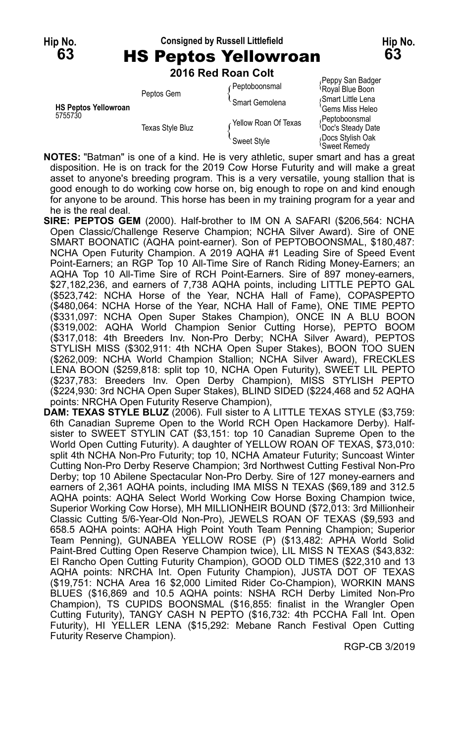### **Hip No. Consigned by Russell Littlefield Hip No. 63** HS Peptos Yellowroan **63**

**2016 Red Roan Colt**

|                                        | Peptos Gem              | Peptoboonsmal        | r chhi na nandai<br>Royal Blue Boon           |
|----------------------------------------|-------------------------|----------------------|-----------------------------------------------|
|                                        |                         | Smart Gemolena       | Smart Little Lena                             |
| <b>HS Peptos Yellowroan</b><br>5755730 | <b>Texas Style Bluz</b> |                      | 'Gems Miss Heleo                              |
|                                        |                         | Yellow Roan Of Texas | Peptoboonsmal<br><b>Doc's Steady Date</b>     |
|                                        |                         | Sweet Style          | Docs Stylish Oak<br><sup>∖</sup> Sweet Remedv |

*F*eppy San Badger<br><sup>\</sup>Royal Blue Boon ems Miss Heleo weet Remedy

**NOTES:** "Batman" is one of a kind. He is very athletic, super smart and has a great disposition. He is on track for the 2019 Cow Horse Futurity and will make a great asset to anyone's breeding program. This is a very versatile, young stallion that is good enough to do working cow horse on, big enough to rope on and kind enough for anyone to be around. This horse has been in my training program for a year and he is the real deal.

- **SIRE: PEPTOS GEM** (2000). Half-brother to IM ON A SAFARI (\$206,564: NCHA Open Classic/Challenge Reserve Champion; NCHA Silver Award). Sire of ONE SMART BOONATIC (AQHA point-earner). Son of PEPTOBOONSMAL, \$180,487: NCHA Open Futurity Champion. A 2019 AQHA #1 Leading Sire of Speed Event Point-Earners; an RGP Top 10 All-Time Sire of Ranch Riding Money-Earners; an AQHA Top 10 All-Time Sire of RCH Point-Earners. Sire of 897 money-earners, \$27,182,236, and earners of 7,738 AQHA points, including LITTLE PEPTO GAL (\$523,742: NCHA Horse of the Year, NCHA Hall of Fame), COPASPEPTO (\$480,064: NCHA Horse of the Year, NCHA Hall of Fame), ONE TIME PEPTO (\$331,097: NCHA Open Super Stakes Champion), ONCE IN A BLU BOON (\$319,002: AQHA World Champion Senior Cutting Horse), PEPTO BOOM (\$317,018: 4th Breeders Inv. Non-Pro Derby; NCHA Silver Award), PEPTOS STYLISH MISS (\$302,911: 4th NCHA Open Super Stakes), BOON TOO SUEN (\$262,009: NCHA World Champion Stallion; NCHA Silver Award), FRECKLES LENA BOON (\$259,818: split top 10, NCHA Open Futurity), SWEET LIL PEPTO (\$237,783: Breeders Inv. Open Derby Champion), MISS STYLISH PEPTO (\$224,930: 3rd NCHA Open Super Stakes), BLIND SIDED (\$224,468 and 52 AQHA points: NRCHA Open Futurity Reserve Champion),
- **DAM: TEXAS STYLE BLUZ** (2006). Full sister to A LITTLE TEXAS STYLE (\$3,759: 6th Canadian Supreme Open to the World RCH Open Hackamore Derby). Halfsister to SWEET STYLIN CAT (\$3,151: top 10 Canadian Supreme Open to the World Open Cutting Futurity). A daughter of YELLOW ROAN OF TEXAS, \$73,010: split 4th NCHA Non-Pro Futurity; top 10, NCHA Amateur Futurity; Suncoast Winter Cutting Non-Pro Derby Reserve Champion; 3rd Northwest Cutting Festival Non-Pro Derby; top 10 Abilene Spectacular Non-Pro Derby. Sire of 127 money-earners and earners of 2,361 AQHA points, including IMA MISS N TEXAS (\$69,189 and 312.5 AQHA points: AQHA Select World Working Cow Horse Boxing Champion twice, Superior Working Cow Horse), MH MILLIONHEIR BOUND (\$72,013: 3rd Millionheir Classic Cutting 5/6-Year-Old Non-Pro), JEWELS ROAN OF TEXAS (\$9,593 and 658.5 AQHA points: AQHA High Point Youth Team Penning Champion; Superior Team Penning), GUNABEA YELLOW ROSE (P) (\$13,482: APHA World Solid Paint-Bred Cutting Open Reserve Champion twice), LIL MISS N TEXAS (\$43,832: El Rancho Open Cutting Futurity Champion), GOOD OLD TIMES (\$22,310 and 13 AQHA points: NRCHA Int. Open Futurity Champion), JUSTA DOT OF TEXAS (\$19,751: NCHA Area 16 \$2,000 Limited Rider Co-Champion), WORKIN MANS BLUES (\$16,869 and 10.5 AQHA points: NSHA RCH Derby Limited Non-Pro Champion), TS CUPIDS BOONSMAL (\$16,855: finalist in the Wrangler Open Cutting Futurity), TANGY CASH N PEPTO (\$16,732: 4th PCCHA Fall Int. Open Futurity), HI YELLER LENA (\$15,292: Mebane Ranch Festival Open Cutting Futurity Reserve Champion).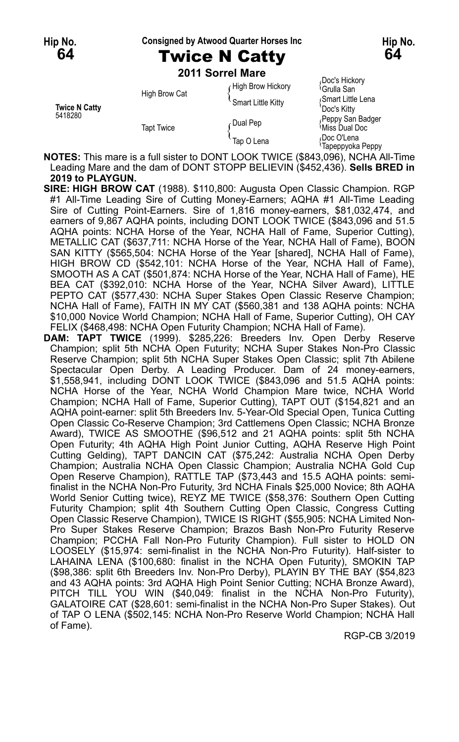#### **Hip No. Consigned by Atwood Quarter Horses Inc Hip No.**

# **64** Twice N Catty **64**

**2011 Sorrel Mare**

| <b>Twice N Catty</b><br>5418280 | High Brow Cat     | High Brow Hickory<br><sup>'</sup> Smart Little Kitty | Doc's Hickory<br><sup>∖</sup> Grulla San<br>Smart Little Lena<br>Doc's Kitty |
|---------------------------------|-------------------|------------------------------------------------------|------------------------------------------------------------------------------|
|                                 | <b>Tapt Twice</b> | Dual Pep ہ                                           | Peppy San Badger<br><sup>≀</sup> Miss Dual Doc                               |
|                                 |                   | Tap O Lena                                           | Doc O'Lena،<br><sup>1</sup> Tapeppyoka Peppy                                 |

**NOTES:** This mare is a full sister to DONT LOOK TWICE (\$843,096), NCHA All-Time Leading Mare and the dam of DONT STOPP BELIEVIN (\$452,436). **Sells BRED in 2019 to PLAYGUN.**

- **SIRE: HIGH BROW CAT** (1988). \$110,800: Augusta Open Classic Champion. RGP #1 All-Time Leading Sire of Cutting Money-Earners; AQHA #1 All-Time Leading Sire of Cutting Point-Earners. Sire of 1,816 money-earners, \$81,032,474, and earners of 9,867 AQHA points, including DONT LOOK TWICE (\$843,096 and 51.5 AQHA points: NCHA Horse of the Year, NCHA Hall of Fame, Superior Cutting), METALLIC CAT (\$637,711: NCHA Horse of the Year, NCHA Hall of Fame), BOON SAN KITTY (\$565,504: NCHA Horse of the Year [shared], NCHA Hall of Fame), HIGH BROW CD (\$542,101: NCHA Horse of the Year, NCHA Hall of Fame), SMOOTH AS A CAT (\$501,874: NCHA Horse of the Year, NCHA Hall of Fame), HE BEA CAT (\$392,010: NCHA Horse of the Year, NCHA Silver Award), LITTLE PEPTO CAT (\$577,430: NCHA Super Stakes Open Classic Reserve Champion; NCHA Hall of Fame), FAITH IN MY CAT (\$560,381 and 138 AQHA points: NCHA \$10,000 Novice World Champion; NCHA Hall of Fame, Superior Cutting), OH CAY FELIX (\$468,498: NCHA Open Futurity Champion; NCHA Hall of Fame).
- **DAM: TAPT TWICE** (1999). \$285,226: Breeders Inv. Open Derby Reserve Champion; split 5th NCHA Open Futurity; NCHA Super Stakes Non-Pro Classic Reserve Champion; split 5th NCHA Super Stakes Open Classic; split 7th Abilene Spectacular Open Derby. A Leading Producer. Dam of 24 money-earners, \$1,558,941, including DONT LOOK TWICE (\$843,096 and 51.5 AQHA points: NCHA Horse of the Year, NCHA World Champion Mare twice, NCHA World Champion; NCHA Hall of Fame, Superior Cutting), TAPT OUT (\$154,821 and an AQHA point-earner: split 5th Breeders Inv. 5-Year-Old Special Open, Tunica Cutting Open Classic Co-Reserve Champion; 3rd Cattlemens Open Classic; NCHA Bronze Award), TWICE AS SMOOTHE (\$96,512 and 21 AQHA points: split 5th NCHA Open Futurity; 4th AQHA High Point Junior Cutting, AQHA Reserve High Point Cutting Gelding), TAPT DANCIN CAT (\$75,242: Australia NCHA Open Derby Champion; Australia NCHA Open Classic Champion; Australia NCHA Gold Cup Open Reserve Champion), RATTLE TAP (\$73,443 and 15.5 AQHA points: semifinalist in the NCHA Non-Pro Futurity, 3rd NCHA Finals \$25,000 Novice; 8th AQHA World Senior Cutting twice), REYZ ME TWICE (\$58,376: Southern Open Cutting Futurity Champion; split 4th Southern Cutting Open Classic, Congress Cutting Open Classic Reserve Champion), TWICE IS RIGHT (\$55,905: NCHA Limited Non-Pro Super Stakes Reserve Champion; Brazos Bash Non-Pro Futurity Reserve Champion; PCCHA Fall Non-Pro Futurity Champion). Full sister to HOLD ON LOOSELY (\$15,974: semi-finalist in the NCHA Non-Pro Futurity). Half-sister to LAHAINA LENA (\$100,680: finalist in the NCHA Open Futurity), SMOKIN TAP (\$98,386: split 6th Breeders Inv. Non-Pro Derby), PLAYIN BY THE BAY (\$54,823 and 43 AQHA points: 3rd AQHA High Point Senior Cutting; NCHA Bronze Award), PITCH TILL YOU WIN (\$40,049: finalist in the NCHA Non-Pro Futurity), GALATOIRE CAT (\$28,601: semi-finalist in the NCHA Non-Pro Super Stakes). Out of TAP O LENA (\$502,145: NCHA Non-Pro Reserve World Champion; NCHA Hall of Fame).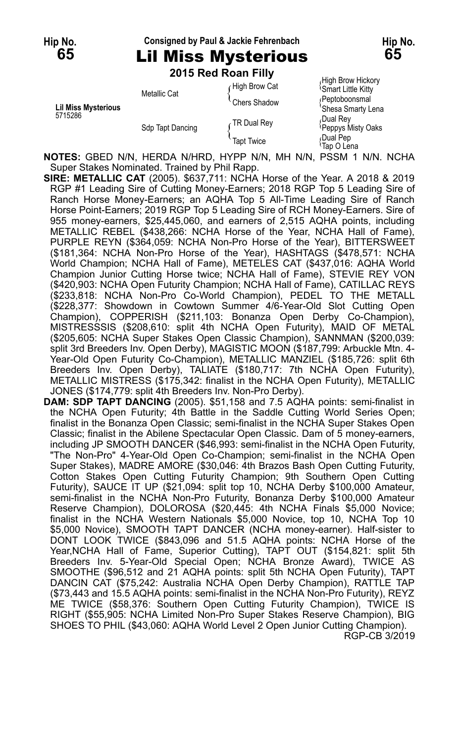# **Hip No. Consigned by Paul & Jackie Fehrenbach Hip No.**

**65** Lil Miss Mysterious **65 2015 Red Roan Filly**

|                                       |                  | ZU 19 REU RUAII FIIIV |                                                      |
|---------------------------------------|------------------|-----------------------|------------------------------------------------------|
| <b>Lil Miss Mysterious</b><br>5715286 | Metallic Cat     | High Brow Cat         | High Brow Hickory<br><sup>1</sup> Smart Little Kitty |
|                                       |                  | Chers Shadow          | (Peptoboonsmal<br>'Shesa Smarty Lena                 |
|                                       | Sdp Tapt Dancing | TR Dual Rey           | Dual Rey،<br>Peppys Misty Oaks                       |
|                                       |                  | <b>Tapt Twice</b>     | Dual Pep<br>Tap O Lena                               |

**NOTES:** GBED N/N, HERDA N/HRD, HYPP N/N, MH N/N, PSSM 1 N/N. NCHA Super Stakes Nominated. Trained by Phil Rapp.

**SIRE: METALLIC CAT** (2005). \$637,711: NCHA Horse of the Year. A 2018 & 2019 RGP #1 Leading Sire of Cutting Money-Earners; 2018 RGP Top 5 Leading Sire of Ranch Horse Money-Earners; an AQHA Top 5 All-Time Leading Sire of Ranch Horse Point-Earners; 2019 RGP Top 5 Leading Sire of RCH Money-Earners. Sire of 955 money-earners, \$25,445,060, and earners of 2,515 AQHA points, including METALLIC REBEL (\$438,266: NCHA Horse of the Year, NCHA Hall of Fame), PURPLE REYN (\$364,059: NCHA Non-Pro Horse of the Year), BITTERSWEET (\$181,364: NCHA Non-Pro Horse of the Year), HASHTAGS (\$478,571: NCHA World Champion; NCHA Hall of Fame), METELES CAT (\$437,016: AQHA World Champion Junior Cutting Horse twice; NCHA Hall of Fame), STEVIE REY VON (\$420,903: NCHA Open Futurity Champion; NCHA Hall of Fame), CATILLAC REYS (\$233,818: NCHA Non-Pro Co-World Champion), PEDEL TO THE METALL (\$228,377: Showdown in Cowtown Summer 4/6-Year-Old Slot Cutting Open Champion), COPPERISH (\$211,103: Bonanza Open Derby Co-Champion), MISTRESSSIS (\$208,610: split 4th NCHA Open Futurity), MAID OF METAL (\$205,605: NCHA Super Stakes Open Classic Champion), SANNMAN (\$200,039: split 3rd Breeders Inv. Open Derby), MAGISTIC MOON (\$187,799: Arbuckle Mtn. 4- Year-Old Open Futurity Co-Champion), METALLIC MANZIEL (\$185,726: split 6th Breeders Inv. Open Derby), TALIATE (\$180,717: 7th NCHA Open Futurity), METALLIC MISTRESS (\$175,342: finalist in the NCHA Open Futurity), METALLIC JONES (\$174,779: split 4th Breeders Inv. Non-Pro Derby).

**DAM: SDP TAPT DANCING** (2005). \$51,158 and 7.5 AQHA points: semi-finalist in the NCHA Open Futurity; 4th Battle in the Saddle Cutting World Series Open; finalist in the Bonanza Open Classic; semi-finalist in the NCHA Super Stakes Open Classic; finalist in the Abilene Spectacular Open Classic. Dam of 5 money-earners, including JP SMOOTH DANCER (\$46,993: semi-finalist in the NCHA Open Futurity, "The Non-Pro" 4-Year-Old Open Co-Champion; semi-finalist in the NCHA Open Super Stakes), MADRE AMORE (\$30,046: 4th Brazos Bash Open Cutting Futurity, Cotton Stakes Open Cutting Futurity Champion; 9th Southern Open Cutting Futurity), SAUCE IT UP (\$21,094: split top 10, NCHA Derby \$100,000 Amateur, semi-finalist in the NCHA Non-Pro Futurity, Bonanza Derby \$100,000 Amateur Reserve Champion), DOLOROSA (\$20,445: 4th NCHA Finals \$5,000 Novice; finalist in the NCHA Western Nationals \$5,000 Novice, top 10, NCHA Top 10 \$5,000 Novice), SMOOTH TAPT DANCER (NCHA money-earner). Half-sister to DONT LOOK TWICE (\$843,096 and 51.5 AQHA points: NCHA Horse of the Year,NCHA Hall of Fame, Superior Cutting), TAPT OUT (\$154,821: split 5th Breeders Inv. 5-Year-Old Special Open; NCHA Bronze Award), TWICE AS SMOOTHE (\$96,512 and 21 AQHA points: split 5th NCHA Open Futurity), TAPT DANCIN CAT (\$75,242: Australia NCHA Open Derby Champion), RATTLE TAP (\$73,443 and 15.5 AQHA points: semi-finalist in the NCHA Non-Pro Futurity), REYZ ME TWICE (\$58,376: Southern Open Cutting Futurity Champion), TWICE IS RIGHT (\$55,905: NCHA Limited Non-Pro Super Stakes Reserve Champion), BIG SHOES TO PHIL (\$43,060: AQHA World Level 2 Open Junior Cutting Champion). RGP-CB 3/2019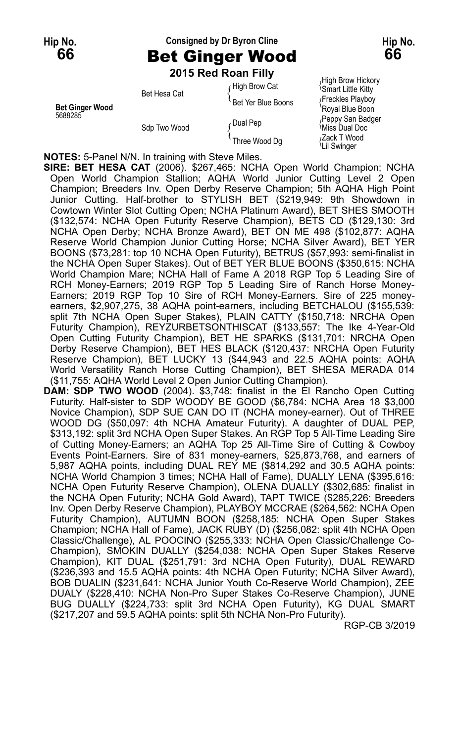## **Hip No. Consigned by Dr Byron Cline Hip No. 66** Bet Ginger Wood **66**

**2015 Red Roan Filly**

Smart Little Kitty Bet Hesa Cat The Year Deal of the Smart Little Kitty<br>Bet Yer Blue Boons {Freckles Playboy Buy<br>Royal Blue Boon **Bet Ginger Wood**<br>5688285 Feppy San Badger<br>568 Two Wood found Pep fulls Dual Doc  $S$ Three Wood Dg  $S$   $\overline{Z}$   $\overline{Z}$   $\overline{Z}$   $\overline{Z}$   $\overline{Z}$   $\overline{Z}$   $\overline{Z}$   $\overline{Z}$   $\overline{Z}$   $\overline{Z}$   $\overline{Z}$   $\overline{Z}$   $\overline{Z}$   $\overline{Z}$   $\overline{Z}$   $\overline{Z}$   $\overline{Z}$   $\overline{Z}$   $\overline{Z}$   $\overline{Z}$   $\overline{Z}$   $\overline{Z}$   $\$ 

High Brow Hickory High Brow Hickory<br>High Brow Cat (Smart Little Kitty Lil Swinger

**NOTES:** 5-Panel N/N. In training with Steve Miles.

**SIRE: BET HESA CAT** (2006). \$267,465: NCHA Open World Champion; NCHA Open World Champion Stallion; AQHA World Junior Cutting Level 2 Open Champion; Breeders Inv. Open Derby Reserve Champion; 5th AQHA High Point Junior Cutting. Half-brother to STYLISH BET (\$219,949: 9th Showdown in Cowtown Winter Slot Cutting Open; NCHA Platinum Award), BET SHES SMOOTH (\$132,574: NCHA Open Futurity Reserve Champion), BETS CD (\$129,130: 3rd NCHA Open Derby; NCHA Bronze Award), BET ON ME 498 (\$102,877: AQHA Reserve World Champion Junior Cutting Horse; NCHA Silver Award), BET YER BOONS (\$73,281: top 10 NCHA Open Futurity), BETRUS (\$57,993: semi-finalist in the NCHA Open Super Stakes). Out of BET YER BLUE BOONS (\$350,615: NCHA World Champion Mare; NCHA Hall of Fame A 2018 RGP Top 5 Leading Sire of RCH Money-Earners; 2019 RGP Top 5 Leading Sire of Ranch Horse Money-Earners; 2019 RGP Top 10 Sire of RCH Money-Earners. Sire of 225 moneyearners, \$2,907,275, 38 AQHA point-earners, including BETCHALOU (\$155,539: split 7th NCHA Open Super Stakes), PLAIN CATTY (\$150,718: NRCHA Open Futurity Champion), REYZURBETSONTHISCAT (\$133,557: The Ike 4-Year-Old Open Cutting Futurity Champion), BET HE SPARKS (\$131,701: NRCHA Open Derby Reserve Champion), BET HES BLACK (\$120,437: NRCHA Open Futurity Reserve Champion), BET LUCKY 13 (\$44,943 and 22.5 AQHA points: AQHA World Versatility Ranch Horse Cutting Champion), BET SHESA MERADA 014 (\$11,755: AQHA World Level 2 Open Junior Cutting Champion).

**DAM: SDP TWO WOOD** (2004). \$3,748: finalist in the El Rancho Open Cutting Futurity. Half-sister to SDP WOODY BE GOOD (\$6,784: NCHA Area 18 \$3,000 Novice Champion), SDP SUE CAN DO IT (NCHA money-earner). Out of THREE WOOD DG (\$50,097: 4th NCHA Amateur Futurity). A daughter of DUAL PEP, \$313,192: split 3rd NCHA Open Super Stakes. An RGP Top 5 All-Time Leading Sire of Cutting Money-Earners; an AQHA Top 25 All-Time Sire of Cutting & Cowboy Events Point-Earners. Sire of 831 money-earners, \$25,873,768, and earners of 5,987 AQHA points, including DUAL REY ME (\$814,292 and 30.5 AQHA points: NCHA World Champion 3 times; NCHA Hall of Fame), DUALLY LENA (\$395,616: NCHA Open Futurity Reserve Champion), OLENA DUALLY (\$302,685: finalist in the NCHA Open Futurity; NCHA Gold Award), TAPT TWICE (\$285,226: Breeders Inv. Open Derby Reserve Champion), PLAYBOY MCCRAE (\$264,562: NCHA Open Futurity Champion), AUTUMN BOON (\$258,185: NCHA Open Super Stakes Champion; NCHA Hall of Fame), JACK RUBY (D) (\$256,082: split 4th NCHA Open Classic/Challenge), AL POOCINO (\$255,333: NCHA Open Classic/Challenge Co-Champion), SMOKIN DUALLY (\$254,038: NCHA Open Super Stakes Reserve Champion), KIT DUAL (\$251,791: 3rd NCHA Open Futurity), DUAL REWARD (\$236,393 and 15.5 AQHA points: 4th NCHA Open Futurity; NCHA Silver Award), BOB DUALIN (\$231,641: NCHA Junior Youth Co-Reserve World Champion), ZEE DUALY (\$228,410: NCHA Non-Pro Super Stakes Co-Reserve Champion), JUNE BUG DUALLY (\$224,733: split 3rd NCHA Open Futurity), KG DUAL SMART (\$217,207 and 59.5 AQHA points: split 5th NCHA Non-Pro Futurity).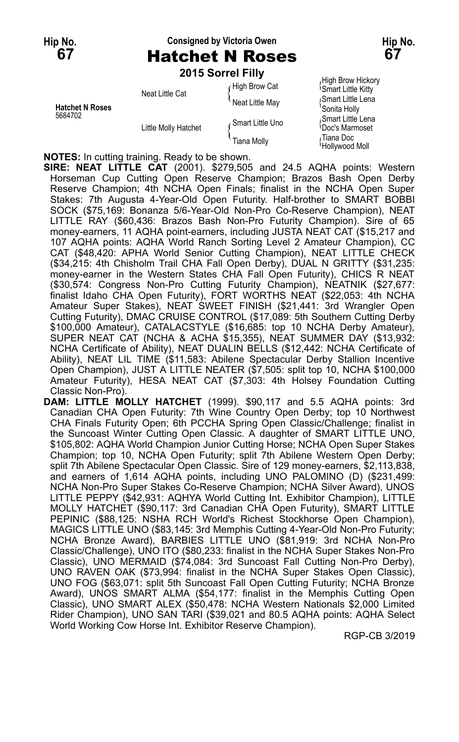#### **Hip No. Consigned by Victoria Owen Hip No. 67** Hatchet N Roses **67**

|                                   |                      | 2015 Sorrel Filly |                                                        |
|-----------------------------------|----------------------|-------------------|--------------------------------------------------------|
| <b>Hatchet N Roses</b><br>5684702 | Neat Little Cat      | High Brow Cat     | High Brow Hickory<br><sup>1</sup> Smart Little Kitty   |
|                                   |                      | Neat Little May   | Smart Little Lena<br>'Sonita Holly                     |
|                                   | Little Molly Hatchet | Smart Little Uno  | Smart Little Lena<br><sup><i>i</i>Doc's Marmoset</sup> |
|                                   |                      | Tiana Molly       | <sub>∩</sub> Tiana Doc<br>Hollywood Moll               |

**NOTES:** In cutting training. Ready to be shown.

**SIRE: NEAT LITTLE CAT** (2001). \$279,505 and 24.5 AQHA points: Western Horseman Cup Cutting Open Reserve Champion; Brazos Bash Open Derby Reserve Champion; 4th NCHA Open Finals; finalist in the NCHA Open Super Stakes: 7th Augusta 4-Year-Old Open Futurity. Half-brother to SMART BOBBI SOCK (\$75,169: Bonanza 5/6-Year-Old Non-Pro Co-Reserve Champion), NEAT LITTLE RAY (\$60,436: Brazos Bash Non-Pro Futurity Champion). Sire of 65 money-earners, 11 AQHA point-earners, including JUSTA NEAT CAT (\$15,217 and 107 AQHA points: AQHA World Ranch Sorting Level 2 Amateur Champion), CC CAT (\$48,420: APHA World Senior Cutting Champion), NEAT LITTLE CHECK (\$34,215: 4th Chisholm Trail CHA Fall Open Derby), DUAL N GRITTY (\$31,235: money-earner in the Western States CHA Fall Open Futurity), CHICS R NEAT (\$30,574: Congress Non-Pro Cutting Futurity Champion), NEATNIK (\$27,677: finalist Idaho CHA Open Futurity), FORT WORTHS NEAT (\$22,053: 4th NCHA Amateur Super Stakes), NEAT SWEET FINISH (\$21,441: 3rd Wrangler Open Cutting Futurity), DMAC CRUISE CONTROL (\$17,089: 5th Southern Cutting Derby \$100,000 Amateur), CATALACSTYLE (\$16,685: top 10 NCHA Derby Amateur), SUPER NEAT CAT (NCHA & ACHA \$15,355), NEAT SUMMER DAY (\$13,932: NCHA Certificate of Ability), NEAT DUALIN BELLS (\$12,442: NCHA Certificate of Ability), NEAT LIL TIME (\$11,583: Abilene Spectacular Derby Stallion Incentive Open Champion), JUST A LITTLE NEATER (\$7,505: split top 10, NCHA \$100,000 Amateur Futurity), HESA NEAT CAT (\$7,303: 4th Holsey Foundation Cutting Classic Non-Pro).

**DAM: LITTLE MOLLY HATCHET** (1999). \$90,117 and 5.5 AQHA points: 3rd Canadian CHA Open Futurity: 7th Wine Country Open Derby; top 10 Northwest CHA Finals Futurity Open; 6th PCCHA Spring Open Classic/Challenge; finalist in the Suncoast Winter Cutting Open Classic. A daughter of SMART LITTLE UNO, \$105,802: AQHA World Champion Junior Cutting Horse; NCHA Open Super Stakes Champion; top 10, NCHA Open Futurity; split 7th Abilene Western Open Derby; split 7th Abilene Spectacular Open Classic. Sire of 129 money-earners, \$2,113,838, and earners of 1,614 AQHA points, including UNO PALOMINO (D) (\$231,499: NCHA Non-Pro Super Stakes Co-Reserve Champion; NCHA Silver Award), UNOS LITTLE PEPPY (\$42,931: AQHYA World Cutting Int. Exhibitor Champion), LITTLE MOLLY HATCHET (\$90,117: 3rd Canadian CHA Open Futurity), SMART LITTLE PEPINIC (\$88,125: NSHA RCH World's Richest Stockhorse Open Champion), MAGICS LITTLE UNO (\$83,145: 3rd Memphis Cutting 4-Year-Old Non-Pro Futurity; NCHA Bronze Award), BARBIES LITTLE UNO (\$81,919: 3rd NCHA Non-Pro Classic/Challenge), UNO ITO (\$80,233: finalist in the NCHA Super Stakes Non-Pro Classic), UNO MERMAID (\$74,084: 3rd Suncoast Fall Cutting Non-Pro Derby), UNO RAVEN OAK (\$73,994: finalist in the NCHA Super Stakes Open Classic), UNO FOG (\$63,071: split 5th Suncoast Fall Open Cutting Futurity; NCHA Bronze Award), UNOS SMART ALMA (\$54,177: finalist in the Memphis Cutting Open Classic), UNO SMART ALEX (\$50,478: NCHA Western Nationals \$2,000 Limited Rider Champion), UNO SAN TARI (\$39,021 and 80.5 AQHA points: AQHA Select World Working Cow Horse Int. Exhibitor Reserve Champion).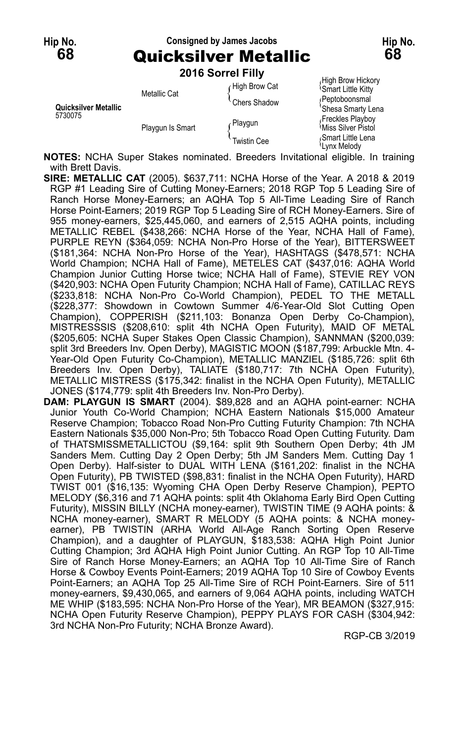#### **Hip No. Consigned by James Jacobs Hip No. 68** Quicksilver Metallic **68**

**2016 Sorrel Filly**

|                                 | <b>LUIU JUIITIIIII</b> |               |                                                |
|---------------------------------|------------------------|---------------|------------------------------------------------|
| Quicksilver Metallic<br>5730075 | Metallic Cat           | High Brow Cat | High Brow Hickory<br><b>Smart Little Kitty</b> |
|                                 |                        | Chers Shadow  | ∩Peptoboonsmal<br>'Shesa Smarty Lena           |
|                                 | Playgun Is Smart       | r Playgun     | Freckles Playboy<br><b>Miss Silver Pistol</b>  |
|                                 |                        | Twistin Cee   | Smart Little Lena<br>Lvnx Melodv               |

**NOTES:** NCHA Super Stakes nominated. Breeders Invitational eligible. In training with Brett Davis.

- **SIRE: METALLIC CAT** (2005). \$637,711: NCHA Horse of the Year. A 2018 & 2019 RGP #1 Leading Sire of Cutting Money-Earners; 2018 RGP Top 5 Leading Sire of Ranch Horse Money-Earners; an AQHA Top 5 All-Time Leading Sire of Ranch Horse Point-Earners; 2019 RGP Top 5 Leading Sire of RCH Money-Earners. Sire of 955 money-earners, \$25,445,060, and earners of 2,515 AQHA points, including METALLIC REBEL (\$438,266: NCHA Horse of the Year, NCHA Hall of Fame), PURPLE REYN (\$364,059: NCHA Non-Pro Horse of the Year), BITTERSWEET (\$181,364: NCHA Non-Pro Horse of the Year), HASHTAGS (\$478,571: NCHA World Champion; NCHA Hall of Fame), METELES CAT (\$437,016: AQHA World Champion Junior Cutting Horse twice; NCHA Hall of Fame), STEVIE REY VON (\$420,903: NCHA Open Futurity Champion; NCHA Hall of Fame), CATILLAC REYS (\$233,818: NCHA Non-Pro Co-World Champion), PEDEL TO THE METALL (\$228,377: Showdown in Cowtown Summer 4/6-Year-Old Slot Cutting Open Champion), COPPERISH (\$211,103: Bonanza Open Derby Co-Champion), MISTRESSSIS (\$208,610: split 4th NCHA Open Futurity), MAID OF METAL (\$205,605: NCHA Super Stakes Open Classic Champion), SANNMAN (\$200,039: split 3rd Breeders Inv. Open Derby), MAGISTIC MOON (\$187,799: Arbuckle Mtn. 4- Year-Old Open Futurity Co-Champion), METALLIC MANZIEL (\$185,726: split 6th Breeders Inv. Open Derby), TALIATE (\$180,717: 7th NCHA Open Futurity), METALLIC MISTRESS (\$175,342: finalist in the NCHA Open Futurity), METALLIC JONES (\$174,779: split 4th Breeders Inv. Non-Pro Derby).
- **DAM: PLAYGUN IS SMART** (2004). \$89,828 and an AQHA point-earner: NCHA Junior Youth Co-World Champion; NCHA Eastern Nationals \$15,000 Amateur Reserve Champion; Tobacco Road Non-Pro Cutting Futurity Champion: 7th NCHA Eastern Nationals \$35,000 Non-Pro; 5th Tobacco Road Open Cutting Futurity. Dam of THATSMISSMETALLICTOU (\$9,164: split 9th Southern Open Derby; 4th JM Sanders Mem. Cutting Day 2 Open Derby; 5th JM Sanders Mem. Cutting Day 1 Open Derby). Half-sister to DUAL WITH LENA (\$161,202: finalist in the NCHA Open Futurity), PB TWISTED (\$98,831: finalist in the NCHA Open Futurity), HARD TWIST 001 (\$16,135: Wyoming CHA Open Derby Reserve Champion), PEPTO MELODY (\$6,316 and 71 AQHA points: split 4th Oklahoma Early Bird Open Cutting Futurity), MISSIN BILLY (NCHA money-earner), TWISTIN TIME (9 AQHA points: & NCHA money-earner), SMART R MELODY (5 AQHA points: & NCHA moneyearner), PB TWISTIN (ARHA World All-Age Ranch Sorting Open Reserve Champion), and a daughter of PLAYGUN, \$183,538: AQHA High Point Junior Cutting Champion; 3rd AQHA High Point Junior Cutting. An RGP Top 10 All-Time Sire of Ranch Horse Money-Earners; an AQHA Top 10 All-Time Sire of Ranch Horse & Cowboy Events Point-Earners; 2019 AQHA Top 10 Sire of Cowboy Events Point-Earners; an AQHA Top 25 All-Time Sire of RCH Point-Earners. Sire of 511 money-earners, \$9,430,065, and earners of 9,064 AQHA points, including WATCH ME WHIP (\$183,595: NCHA Non-Pro Horse of the Year), MR BEAMON (\$327,915: NCHA Open Futurity Reserve Champion), PEPPY PLAYS FOR CASH (\$304,942: 3rd NCHA Non-Pro Futurity; NCHA Bronze Award).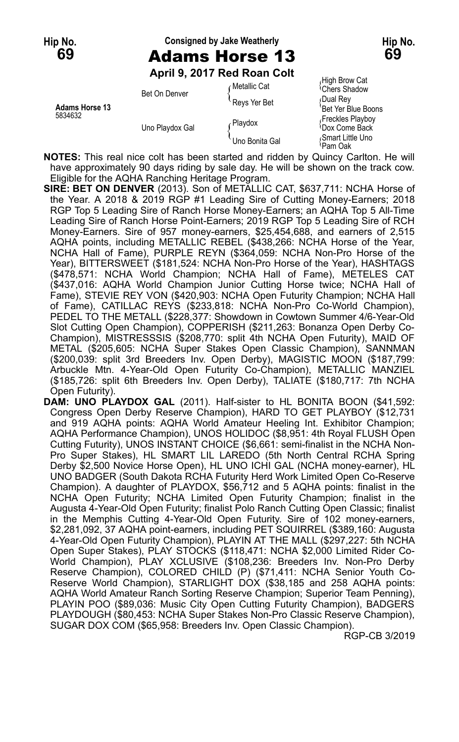#### **Hip No. Consigned by Jake Weatherly Hip No. 69** Adams Horse 13 **69**

**April 9, 2017 Red Roan Colt**

| <b>Adams Horse 13</b><br>5834632 | Bet On Denver   | ⊊Metallic Cat  | High Brow Cat<br><sup><i>I</i></sup> Chers Shadow |
|----------------------------------|-----------------|----------------|---------------------------------------------------|
|                                  |                 | Reys Yer Bet   | Dual Rey                                          |
|                                  | Uno Playdox Gal |                | Bet Yer Blue Boons                                |
|                                  |                 | Playdox        | Freckles Playboy                                  |
|                                  |                 |                | <b>Come Back</b>                                  |
|                                  |                 | Uno Bonita Gal | Smart Little Uno<br>≀Pam Oak                      |

**NOTES:** This real nice colt has been started and ridden by Quincy Carlton. He will have approximately 90 days riding by sale day. He will be shown on the track cow. Eligible for the AQHA Ranching Heritage Program.

- **SIRE: BET ON DENVER** (2013). Son of METALLIC CAT, \$637,711: NCHA Horse of the Year. A 2018 & 2019 RGP #1 Leading Sire of Cutting Money-Earners; 2018 RGP Top 5 Leading Sire of Ranch Horse Money-Earners; an AQHA Top 5 All-Time Leading Sire of Ranch Horse Point-Earners; 2019 RGP Top 5 Leading Sire of RCH Money-Earners. Sire of 957 money-earners, \$25,454,688, and earners of 2,515 AQHA points, including METALLIC REBEL (\$438,266: NCHA Horse of the Year, NCHA Hall of Fame), PURPLE REYN (\$364,059: NCHA Non-Pro Horse of the Year), BITTERSWEET (\$181,524: NCHA Non-Pro Horse of the Year), HASHTAGS (\$478,571: NCHA World Champion; NCHA Hall of Fame), METELES CAT (\$437,016: AQHA World Champion Junior Cutting Horse twice; NCHA Hall of Fame), STEVIE REY VON (\$420,903: NCHA Open Futurity Champion; NCHA Hall of Fame), CATILLAC REYS (\$233,818: NCHA Non-Pro Co-World Champion), PEDEL TO THE METALL (\$228,377: Showdown in Cowtown Summer 4/6-Year-Old Slot Cutting Open Champion), COPPERISH (\$211,263: Bonanza Open Derby Co-Champion), MISTRESSSIS (\$208,770: split 4th NCHA Open Futurity), MAID OF METAL (\$205,605: NCHA Super Stakes Open Classic Champion), SANNMAN (\$200,039: split 3rd Breeders Inv. Open Derby), MAGISTIC MOON (\$187,799: Arbuckle Mtn. 4-Year-Old Open Futurity Co-Champion), METALLIC MANZIEL (\$185,726: split 6th Breeders Inv. Open Derby), TALIATE (\$180,717: 7th NCHA Open Futurity).
- **DAM: UNO PLAYDOX GAL** (2011). Half-sister to HL BONITA BOON (\$41,592: Congress Open Derby Reserve Champion), HARD TO GET PLAYBOY (\$12,731 and 919 AQHA points: AQHA World Amateur Heeling Int. Exhibitor Champion; AQHA Performance Champion), UNOS HOLIDOC (\$8,951: 4th Royal FLUSH Open Cutting Futurity), UNOS INSTANT CHOICE (\$6,661: semi-finalist in the NCHA Non-Pro Super Stakes), HL SMART LIL LAREDO (5th North Central RCHA Spring Derby \$2,500 Novice Horse Open), HL UNO ICHI GAL (NCHA money-earner), HL UNO BADGER (South Dakota RCHA Futurity Herd Work Limited Open Co-Reserve Champion). A daughter of PLAYDOX, \$56,712 and 5 AQHA points: finalist in the NCHA Open Futurity; NCHA Limited Open Futurity Champion; finalist in the Augusta 4-Year-Old Open Futurity; finalist Polo Ranch Cutting Open Classic; finalist in the Memphis Cutting 4-Year-Old Open Futurity. Sire of 102 money-earners, \$2,281,092, 37 AQHA point-earners, including PET SQUIRREL (\$389,160: Augusta 4-Year-Old Open Futurity Champion), PLAYIN AT THE MALL (\$297,227: 5th NCHA Open Super Stakes), PLAY STOCKS (\$118,471: NCHA \$2,000 Limited Rider Co-World Champion), PLAY XCLUSIVE (\$108,236: Breeders Inv. Non-Pro Derby Reserve Champion), COLORED CHILD (P) (\$71,411: NCHA Senior Youth Co-Reserve World Champion), STARLIGHT DOX (\$38,185 and 258 AQHA points: AQHA World Amateur Ranch Sorting Reserve Champion; Superior Team Penning), PLAYIN POO (\$89,036: Music City Open Cutting Futurity Champion), BADGERS PLAYDOUGH (\$80,453: NCHA Super Stakes Non-Pro Classic Reserve Champion), SUGAR DOX COM (\$65,958: Breeders Inv. Open Classic Champion).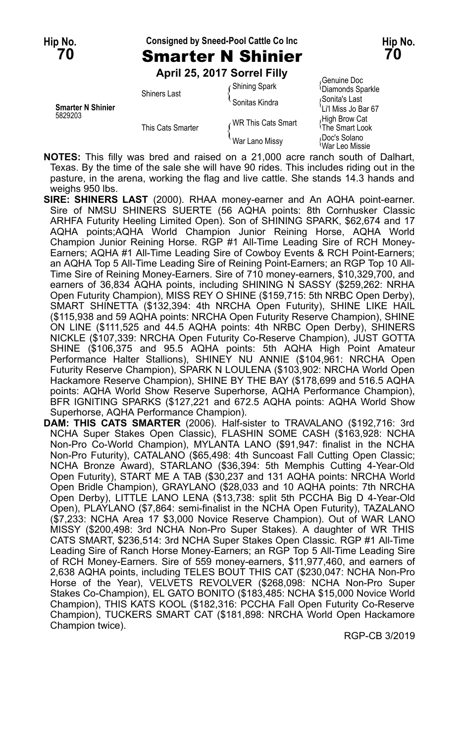#### **Hip No. Consigned by Sneed-Pool Cattle Co Inc Hip No.**

**April 25, 2017 Sorrel Filly**

| <b>Smarter N Shinier</b><br>5829203 | <b>Shiners Last</b> | <b>Shining Spark</b><br>Sonitas Kindra | Genuine Doc،<br><sup>1</sup> Diamonds Sparkle<br>Sonita's Last       |
|-------------------------------------|---------------------|----------------------------------------|----------------------------------------------------------------------|
|                                     | This Cats Smarter   | WR This Cats Smart                     | 'Li'l Miss Jo Bar 67<br>High Brow Cat<br><sup>1</sup> The Smart Look |
|                                     |                     | War Lano Missy                         | Doc's Solano<br><sup>≀</sup> War Leo Missie                          |

iuine Doc<br>monds Sparkle *A*iss Jo Bar 67<br>Brow Cat 's Solano<br>Leo Missie

**NOTES:** This filly was bred and raised on a 21,000 acre ranch south of Dalhart, Texas. By the time of the sale she will have 90 rides. This includes riding out in the pasture, in the arena, working the flag and live cattle. She stands 14.3 hands and weighs 950 lbs.

- **SIRE: SHINERS LAST** (2000). RHAA money-earner and An AQHA point-earner. Sire of NMSU SHINERS SUERTE (56 AQHA points: 8th Cornhusker Classic ARHFA Futurity Heeling Limited Open). Son of SHINING SPARK, \$62,674 and 17 AQHA points;AQHA World Champion Junior Reining Horse, AQHA World Champion Junior Reining Horse. RGP #1 All-Time Leading Sire of RCH Money-Earners; AQHA #1 All-Time Leading Sire of Cowboy Events & RCH Point-Earners; an AQHA Top 5 All-Time Leading Sire of Reining Point-Earners; an RGP Top 10 All-Time Sire of Reining Money-Earners. Sire of 710 money-earners, \$10,329,700, and earners of 36,834 AQHA points, including SHINING N SASSY (\$259,262: NRHA Open Futurity Champion), MISS REY O SHINE (\$159,715: 5th NRBC Open Derby), SMART SHINETTA (\$132,394: 4th NRCHA Open Futurity), SHINE LIKE HAIL (\$115,938 and 59 AQHA points: NRCHA Open Futurity Reserve Champion), SHINE ON LINE (\$111,525 and 44.5 AQHA points: 4th NRBC Open Derby), SHINERS NICKLE (\$107,339: NRCHA Open Futurity Co-Reserve Champion), JUST GOTTA SHINE (\$106,375 and 95.5 AQHA points: 5th AQHA High Point Amateur Performance Halter Stallions), SHINEY NU ANNIE (\$104,961: NRCHA Open Futurity Reserve Champion), SPARK N LOULENA (\$103,902: NRCHA World Open Hackamore Reserve Champion), SHINE BY THE BAY (\$178,699 and 516.5 AQHA points: AQHA World Show Reserve Superhorse, AQHA Performance Champion), BFR IGNITING SPARKS (\$127,221 and 672.5 AQHA points: AQHA World Show Superhorse, AQHA Performance Champion).
- **DAM: THIS CATS SMARTER** (2006). Half-sister to TRAVALANO (\$192,716: 3rd NCHA Super Stakes Open Classic), FLASHIN SOME CASH (\$163,928: NCHA Non-Pro Co-World Champion), MYLANTA LANO (\$91,947: finalist in the NCHA Non-Pro Futurity), CATALANO (\$65,498: 4th Suncoast Fall Cutting Open Classic; NCHA Bronze Award), STARLANO (\$36,394: 5th Memphis Cutting 4-Year-Old Open Futurity), START ME A TAB (\$30,237 and 131 AQHA points: NRCHA World Open Bridle Champion), GRAYLANO (\$28,033 and 10 AQHA points: 7th NRCHA Open Derby), LITTLE LANO LENA (\$13,738: split 5th PCCHA Big D 4-Year-Old Open), PLAYLANO (\$7,864: semi-finalist in the NCHA Open Futurity), TAZALANO (\$7,233: NCHA Area 17 \$3,000 Novice Reserve Champion). Out of WAR LANO MISSY (\$200,498: 3rd NCHA Non-Pro Super Stakes). A daughter of WR THIS CATS SMART, \$236,514: 3rd NCHA Super Stakes Open Classic. RGP #1 All-Time Leading Sire of Ranch Horse Money-Earners; an RGP Top 5 All-Time Leading Sire of RCH Money-Earners. Sire of 559 money-earners, \$11,977,460, and earners of 2,638 AQHA points, including TELES BOUT THIS CAT (\$230,047: NCHA Non-Pro Horse of the Year), VELVETS REVOLVER (\$268,098: NCHA Non-Pro Super Stakes Co-Champion), EL GATO BONITO (\$183,485: NCHA \$15,000 Novice World Champion), THIS KATS KOOL (\$182,316: PCCHA Fall Open Futurity Co-Reserve Champion), TUCKERS SMART CAT (\$181,898: NRCHA World Open Hackamore Champion twice).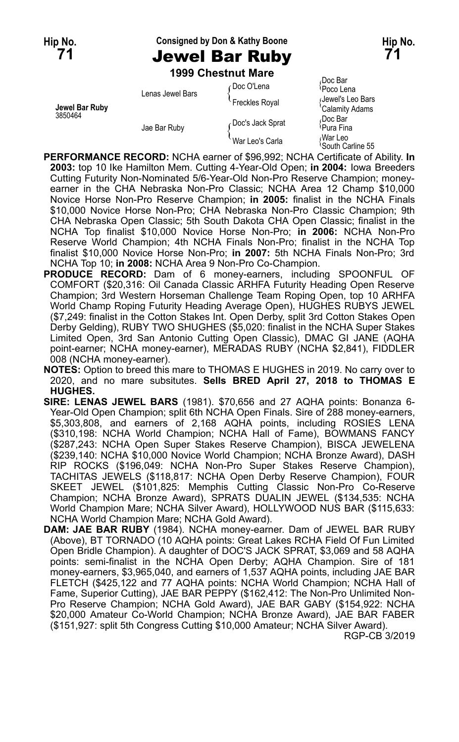## **Hip No. Consigned by Don & Kathy Boone Hip No. 71** Jewel Bar Ruby **71**

**1999 Chestnut Mare**

| Jewel Bar Ruby<br>3850464 | Lenas Jewel Bars | ∠Doc O'Lena<br>Freckles Royal | Doc Bar،<br>Poco Lena<br>(Jewel's Leo Bars<br>'Calamity Adams |
|---------------------------|------------------|-------------------------------|---------------------------------------------------------------|
|                           | Jae Bar Ruby     | Doc's Jack Sprat              | Doc Bar،<br><sup>∖</sup> Pura Fina                            |
|                           |                  | War Leo's Carla               | War Leo،<br>South Carline 55                                  |

- **PERFORMANCE RECORD:** NCHA earner of \$96,992; NCHA Certificate of Ability. **In 2003:** top 10 Ike Hamilton Mem. Cutting 4-Year-Old Open; **in 2004:** Iowa Breeders Cutting Futurity Non-Nominated 5/6-Year-Old Non-Pro Reserve Champion; moneyearner in the CHA Nebraska Non-Pro Classic; NCHA Area 12 Champ \$10,000 Novice Horse Non-Pro Reserve Champion; **in 2005:** finalist in the NCHA Finals \$10,000 Novice Horse Non-Pro; CHA Nebraska Non-Pro Classic Champion; 9th CHA Nebraska Open Classic; 5th South Dakota CHA Open Classic; finalist in the NCHA Top finalist \$10,000 Novice Horse Non-Pro; **in 2006:** NCHA Non-Pro Reserve World Champion; 4th NCHA Finals Non-Pro; finalist in the NCHA Top finalist \$10,000 Novice Horse Non-Pro; **in 2007:** 5th NCHA Finals Non-Pro; 3rd NCHA Top 10; **in 2008:** NCHA Area 9 Non-Pro Co-Champion.
- **PRODUCE RECORD:** Dam of 6 money-earners, including SPOONFUL OF COMFORT (\$20,316: Oil Canada Classic ARHFA Futurity Heading Open Reserve Champion; 3rd Western Horseman Challenge Team Roping Open, top 10 ARHFA World Champ Roping Futurity Heading Average Open), HUGHES RUBYS JEWEL (\$7,249: finalist in the Cotton Stakes Int. Open Derby, split 3rd Cotton Stakes Open Derby Gelding), RUBY TWO SHUGHES (\$5,020: finalist in the NCHA Super Stakes Limited Open, 3rd San Antonio Cutting Open Classic), DMAC GI JANE (AQHA point-earner; NCHA money-earner), MERADAS RUBY (NCHA \$2,841), FIDDLER 008 (NCHA money-earner).
- **NOTES:** Option to breed this mare to THOMAS E HUGHES in 2019. No carry over to 2020, and no mare subsitutes. **Sells BRED April 27, 2018 to THOMAS E HUGHES.**
- **SIRE: LENAS JEWEL BARS** (1981). \$70,656 and 27 AQHA points: Bonanza 6- Year-Old Open Champion; split 6th NCHA Open Finals. Sire of 288 money-earners, \$5,303,808, and earners of 2,168 AQHA points, including ROSIES LENA (\$310,198: NCHA World Champion; NCHA Hall of Fame), BOWMANS FANCY (\$287,243: NCHA Open Super Stakes Reserve Champion), BISCA JEWELENA (\$239,140: NCHA \$10,000 Novice World Champion; NCHA Bronze Award), DASH RIP ROCKS (\$196,049: NCHA Non-Pro Super Stakes Reserve Champion), TACHITAS JEWELS (\$118,817: NCHA Open Derby Reserve Champion), FOUR SKEET JEWEL (\$101,825: Memphis Cutting Classic Non-Pro Co-Reserve Champion; NCHA Bronze Award), SPRATS DUALIN JEWEL (\$134,535: NCHA World Champion Mare; NCHA Silver Award), HOLLYWOOD NUS BAR (\$115,633: NCHA World Champion Mare; NCHA Gold Award).
- **DAM: JAE BAR RUBY** (1984). NCHA money-earner. Dam of JEWEL BAR RUBY (Above), BT TORNADO (10 AQHA points: Great Lakes RCHA Field Of Fun Limited Open Bridle Champion). A daughter of DOC'S JACK SPRAT, \$3,069 and 58 AQHA points: semi-finalist in the NCHA Open Derby; AQHA Champion. Sire of 181 money-earners, \$3,965,040, and earners of 1,537 AQHA points, including JAE BAR FLETCH (\$425,122 and 77 AQHA points: NCHA World Champion; NCHA Hall of Fame, Superior Cutting), JAE BAR PEPPY (\$162,412: The Non-Pro Unlimited Non-Pro Reserve Champion; NCHA Gold Award), JAE BAR GABY (\$154,922: NCHA \$20,000 Amateur Co-World Champion; NCHA Bronze Award), JAE BAR FABER (\$151,927: split 5th Congress Cutting \$10,000 Amateur; NCHA Silver Award).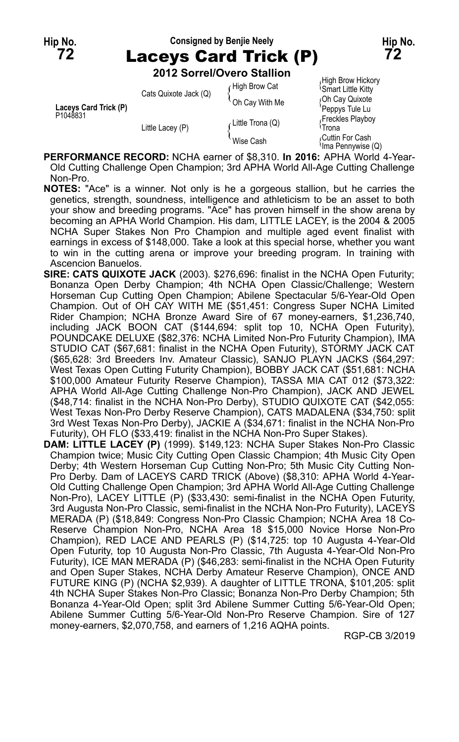# **Hip No. Consigned by Benjie Neely Hip No. 72** Laceys Card Trick (P) **72**

**2012 Sorrel/Overo Stallion**

|                       | zu iz Sorrei/Overo Stalilon |                                   |                                                                                    |
|-----------------------|-----------------------------|-----------------------------------|------------------------------------------------------------------------------------|
| Laceys Card Trick (P) | Cats Quixote Jack (Q)       | ∩High Brow Cat<br>`Oh Cay With Me | High Brow Hickory<br><b>Smart Little Kitty</b><br>Oh Cay Quixote<br>Peppys Tule Lu |
| P1048831              | Little Lacey (P)            | Little Trona (Q)                  | Freckles Playboy<br>≀Trona                                                         |
|                       |                             | Wise Cash                         | Cuttin For Cash<br>lma Pennywise (Q)                                               |

**PERFORMANCE RECORD:** NCHA earner of \$8,310. **In 2016:** APHA World 4-Year-Old Cutting Challenge Open Champion; 3rd APHA World All-Age Cutting Challenge Non-Pro.

- **NOTES:** "Ace" is a winner. Not only is he a gorgeous stallion, but he carries the genetics, strength, soundness, intelligence and athleticism to be an asset to both your show and breeding programs. "Ace" has proven himself in the show arena by becoming an APHA World Champion. His dam, LITTLE LACEY, is the 2004 & 2005 NCHA Super Stakes Non Pro Champion and multiple aged event finalist with earnings in excess of \$148,000. Take a look at this special horse, whether you want to win in the cutting arena or improve your breeding program. In training with Ascencion Banuelos.
- **SIRE: CATS QUIXOTE JACK** (2003). \$276,696: finalist in the NCHA Open Futurity; Bonanza Open Derby Champion; 4th NCHA Open Classic/Challenge; Western Horseman Cup Cutting Open Champion; Abilene Spectacular 5/6-Year-Old Open Champion. Out of OH CAY WITH ME (\$51,451: Congress Super NCHA Limited Rider Champion; NCHA Bronze Award Sire of 67 money-earners, \$1,236,740, including JACK BOON CAT (\$144,694: split top 10, NCHA Open Futurity), POUNDCAKE DELUXE (\$82,376: NCHA Limited Non-Pro Futurity Champion), IMA STUDIO CAT (\$67,681: finalist in the NCHA Open Futurity), STORMY JACK CAT (\$65,628: 3rd Breeders Inv. Amateur Classic), SANJO PLAYN JACKS (\$64,297: West Texas Open Cutting Futurity Champion), BOBBY JACK CAT (\$51,681: NCHA \$100,000 Amateur Futurity Reserve Champion), TASSA MIA CAT 012 (\$73,322: APHA World All-Age Cutting Challenge Non-Pro Champion), JACK AND JEWEL (\$48,714: finalist in the NCHA Non-Pro Derby), STUDIO QUIXOTE CAT (\$42,055: West Texas Non-Pro Derby Reserve Champion), CATS MADALENA (\$34,750: split 3rd West Texas Non-Pro Derby), JACKIE A (\$34,671: finalist in the NCHA Non-Pro Futurity), OH FLO (\$33,419: finalist in the NCHA Non-Pro Super Stakes).
- **DAM: LITTLE LACEY (P)** (1999). \$149,123: NCHA Super Stakes Non-Pro Classic Champion twice; Music City Cutting Open Classic Champion; 4th Music City Open Derby; 4th Western Horseman Cup Cutting Non-Pro; 5th Music City Cutting Non-Pro Derby. Dam of LACEYS CARD TRICK (Above) (\$8,310: APHA World 4-Year-Old Cutting Challenge Open Champion; 3rd APHA World All-Age Cutting Challenge Non-Pro), LACEY LITTLE (P) (\$33,430: semi-finalist in the NCHA Open Futurity, 3rd Augusta Non-Pro Classic, semi-finalist in the NCHA Non-Pro Futurity), LACEYS MERADA (P) (\$18,849: Congress Non-Pro Classic Champion; NCHA Area 18 Co-Reserve Champion Non-Pro, NCHA Area 18 \$15,000 Novice Horse Non-Pro Champion), RED LACE AND PEARLS (P) (\$14,725: top 10 Augusta 4-Year-Old Open Futurity, top 10 Augusta Non-Pro Classic, 7th Augusta 4-Year-Old Non-Pro Futurity), ICE MAN MERADA (P) (\$46,283: semi-finalist in the NCHA Open Futurity and Open Super Stakes, NCHA Derby Amateur Reserve Champion), ONCE AND FUTURE KING (P) (NCHA \$2,939). A daughter of LITTLE TRONA, \$101,205: split 4th NCHA Super Stakes Non-Pro Classic; Bonanza Non-Pro Derby Champion; 5th Bonanza 4-Year-Old Open; split 3rd Abilene Summer Cutting 5/6-Year-Old Open; Abilene Summer Cutting 5/6-Year-Old Non-Pro Reserve Champion. Sire of 127 money-earners, \$2,070,758, and earners of 1,216 AQHA points.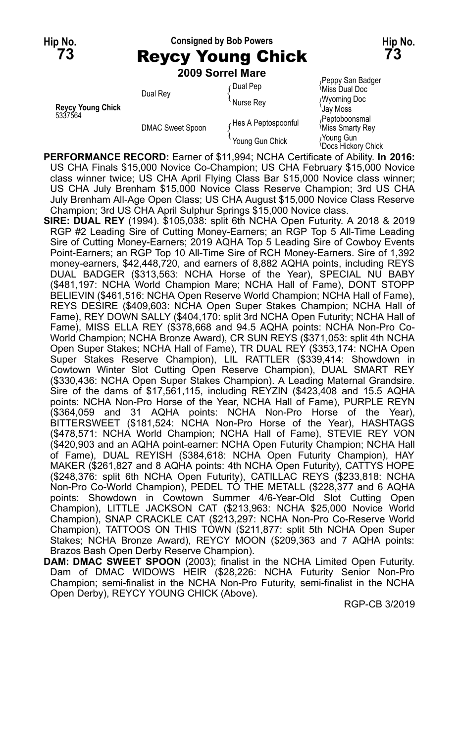## **Hip No. Consigned by Bob Powers Hip No. 73** Reycy Young Chick **73 2009 Sorrel Mare**

| <b>Revcy Young Chick</b><br>5337564 | Dual Rey                | <b>Dual Pep</b>     | Peppy San Badger<br>પMiss Dual Doc      |
|-------------------------------------|-------------------------|---------------------|-----------------------------------------|
|                                     |                         | <b>Nurse Rev</b>    | <b>Wyoming Doc</b><br><b>Gay Moss</b>   |
|                                     | <b>DMAC Sweet Spoon</b> | Hes A Peptospoonful | Peptoboonsmal<br>Miss Smarty Rey        |
|                                     |                         | Young Gun Chick     | Young Gun،<br><b>Docs Hickory Chick</b> |

- **PERFORMANCE RECORD:** Earner of \$11,994; NCHA Certificate of Ability. **In 2016:** US CHA Finals \$15,000 Novice Co-Champion; US CHA February \$15,000 Novice class winner twice; US CHA April Flying Class Bar \$15,000 Novice class winner; US CHA July Brenham \$15,000 Novice Class Reserve Champion; 3rd US CHA July Brenham All-Age Open Class; US CHA August \$15,000 Novice Class Reserve Champion; 3rd US CHA April Sulphur Springs \$15,000 Novice class.
- **SIRE: DUAL REY** (1994). \$105,038: split 6th NCHA Open Futurity. A 2018 & 2019 RGP #2 Leading Sire of Cutting Money-Earners; an RGP Top 5 All-Time Leading Sire of Cutting Money-Earners; 2019 AQHA Top 5 Leading Sire of Cowboy Events Point-Earners; an RGP Top 10 All-Time Sire of RCH Money-Earners. Sire of 1,392 money-earners, \$42,448,720, and earners of 8,882 AQHA points, including REYS DUAL BADGER (\$313,563: NCHA Horse of the Year), SPECIAL NU BABY (\$481,197: NCHA World Champion Mare; NCHA Hall of Fame), DONT STOPP BELIEVIN (\$461,516: NCHA Open Reserve World Champion; NCHA Hall of Fame), REYS DESIRE (\$409,603: NCHA Open Super Stakes Champion; NCHA Hall of Fame), REY DOWN SALLY (\$404,170: split 3rd NCHA Open Futurity; NCHA Hall of Fame), MISS ELLA REY (\$378,668 and 94.5 AQHA points: NCHA Non-Pro Co-World Champion; NCHA Bronze Award), CR SUN REYS (\$371,053: split 4th NCHA Open Super Stakes; NCHA Hall of Fame), TR DUAL REY (\$353,174: NCHA Open Super Stakes Reserve Champion), LIL RATTLER (\$339,414: Showdown in Cowtown Winter Slot Cutting Open Reserve Champion), DUAL SMART REY (\$330,436: NCHA Open Super Stakes Champion). A Leading Maternal Grandsire. Sire of the dams of \$17,561,115, including REYZIN (\$423,408 and 15.5 AQHA points: NCHA Non-Pro Horse of the Year, NCHA Hall of Fame), PURPLE REYN (\$364,059 and 31 AQHA points: NCHA Non-Pro Horse of the Year), BITTERSWEET (\$181,524: NCHA Non-Pro Horse of the Year), HASHTAGS (\$478,571: NCHA World Champion; NCHA Hall of Fame), STEVIE REY VON (\$420,903 and an AQHA point-earner: NCHA Open Futurity Champion; NCHA Hall of Fame), DUAL REYISH (\$384,618: NCHA Open Futurity Champion), HAY MAKER (\$261,827 and 8 AQHA points: 4th NCHA Open Futurity), CATTYS HOPE (\$248,376: split 6th NCHA Open Futurity), CATILLAC REYS (\$233,818: NCHA Non-Pro Co-World Champion), PEDEL TO THE METALL (\$228,377 and 6 AQHA points: Showdown in Cowtown Summer 4/6-Year-Old Slot Cutting Open Champion), LITTLE JACKSON CAT (\$213,963: NCHA \$25,000 Novice World Champion), SNAP CRACKLE CAT (\$213,297: NCHA Non-Pro Co-Reserve World Champion), TATTOOS ON THIS TOWN (\$211,877: split 5th NCHA Open Super Stakes; NCHA Bronze Award), REYCY MOON (\$209,363 and 7 AQHA points: Brazos Bash Open Derby Reserve Champion).
- **DAM: DMAC SWEET SPOON** (2003); finalist in the NCHA Limited Open Futurity. Dam of DMAC WIDOWS HEIR (\$28,226: NCHA Futurity Senior Non-Pro Champion; semi-finalist in the NCHA Non-Pro Futurity, semi-finalist in the NCHA Open Derby), REYCY YOUNG CHICK (Above).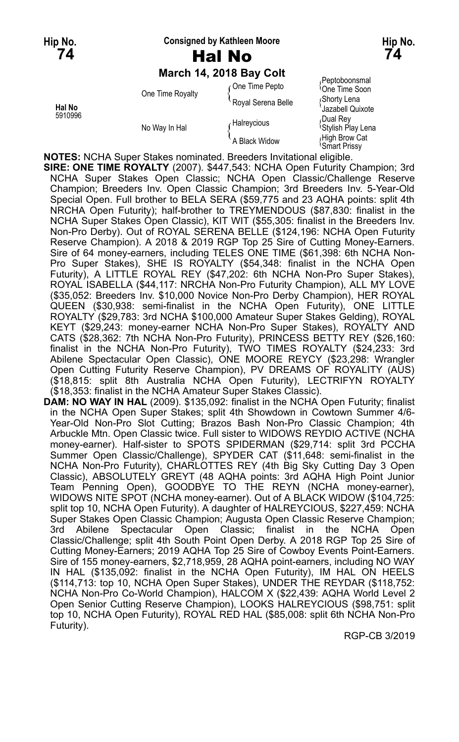#### **Hip No. Consigned by Kathleen Moore Hip No.**

# **74** Hal No **74**

### **March 14, 2018 Bay Colt**

| Hal No<br>5910996 | One Time Royalty | One Time Pepto     | Peptoboonsmal<br><sup>1</sup> One Time Soon |
|-------------------|------------------|--------------------|---------------------------------------------|
|                   |                  | Royal Serena Belle | ∫Shorty Lena<br>Jazabell Quixote            |
|                   | No Way In Hal    | Halreycious        | Dual Rev،<br><sup>l</sup> Stylish Play Lena |
|                   |                  | A Black Widow      | High Brow Cat<br><i><b>Smart Prissy</b></i> |

**NOTES:** NCHA Super Stakes nominated. Breeders Invitational eligible.

**SIRE: ONE TIME ROYALTY** (2007). \$447,543: NCHA Open Futurity Champion; 3rd NCHA Super Stakes Open Classic; NCHA Open Classic/Challenge Reserve Champion; Breeders Inv. Open Classic Champion; 3rd Breeders Inv. 5-Year-Old Special Open. Full brother to BELA SERA (\$59,775 and 23 AQHA points: split 4th NRCHA Open Futurity); half-brother to TREYMENDOUS (\$87,830: finalist in the NCHA Super Stakes Open Classic), KIT WIT (\$55,305: finalist in the Breeders Inv. Non-Pro Derby). Out of ROYAL SERENA BELLE (\$124,196: NCHA Open Futurity Reserve Champion). A 2018 & 2019 RGP Top 25 Sire of Cutting Money-Earners. Sire of 64 money-earners, including TELES ONE TIME (\$61,398: 6th NCHA Non-Pro Super Stakes), SHE IS ROYALTY (\$54,348: finalist in the NCHA Open Futurity), A LITTLE ROYAL REY (\$47,202: 6th NCHA Non-Pro Super Stakes), ROYAL ISABELLA (\$44,117: NRCHA Non-Pro Futurity Champion), ALL MY LOVE (\$35,052: Breeders Inv. \$10,000 Novice Non-Pro Derby Champion), HER ROYAL QUEEN (\$30,938: semi-finalist in the NCHA Open Futurity), ONE LITTLE ROYALTY (\$29,783: 3rd NCHA \$100,000 Amateur Super Stakes Gelding), ROYAL KEYT (\$29,243: money-earner NCHA Non-Pro Super Stakes), ROYALTY AND CATS (\$28,362: 7th NCHA Non-Pro Futurity), PRINCESS BETTY REY (\$26,160: finalist in the NCHA Non-Pro Futurity), TWO TIMES ROYALTY (\$24,233: 3rd Abilene Spectacular Open Classic), ONE MOORE REYCY (\$23,298: Wrangler Open Cutting Futurity Reserve Champion), PV DREAMS OF ROYALITY (AUS) (\$18,815: split 8th Australia NCHA Open Futurity), LECTRIFYN ROYALTY (\$18,353: finalist in the NCHA Amateur Super Stakes Classic).

**DAM: NO WAY IN HAL** (2009). \$135,092: finalist in the NCHA Open Futurity; finalist in the NCHA Open Super Stakes; split 4th Showdown in Cowtown Summer 4/6- Year-Old Non-Pro Slot Cutting; Brazos Bash Non-Pro Classic Champion; 4th Arbuckle Mtn. Open Classic twice. Full sister to WIDOWS REYDIO ACTIVE (NCHA money-earner). Half-sister to SPOTS SPIDERMAN (\$29,714: split 3rd PCCHA Summer Open Classic/Challenge), SPYDER CAT (\$11,648: semi-finalist in the NCHA Non-Pro Futurity), CHARLOTTES REY (4th Big Sky Cutting Day 3 Open Classic), ABSOLUTELY GREYT (48 AQHA points: 3rd AQHA High Point Junior Team Penning Open), GOODBYE TO THE REYN (NCHA money-earner), WIDOWS NITE SPOT (NCHA money-earner). Out of A BLACK WIDOW (\$104,725: split top 10, NCHA Open Futurity). A daughter of HALREYCIOUS, \$227,459: NCHA Super Stakes Open Classic Champion; Augusta Open Classic Reserve Champion; 3rd Abilene Spectacular Open Classic; finalist in the NCHA Open Classic/Challenge; split 4th South Point Open Derby. A 2018 RGP Top 25 Sire of Cutting Money-Earners; 2019 AQHA Top 25 Sire of Cowboy Events Point-Earners. Sire of 155 money-earners, \$2,718,959, 28 AQHA point-earners, including NO WAY IN HAL (\$135,092: finalist in the NCHA Open Futurity), IM HAL ON HEELS (\$114,713: top 10, NCHA Open Super Stakes), UNDER THE REYDAR (\$118,752: NCHA Non-Pro Co-World Champion), HALCOM X (\$22,439: AQHA World Level 2 Open Senior Cutting Reserve Champion), LOOKS HALREYCIOUS (\$98,751: split top 10, NCHA Open Futurity), ROYAL RED HAL (\$85,008: split 6th NCHA Non-Pro Futurity).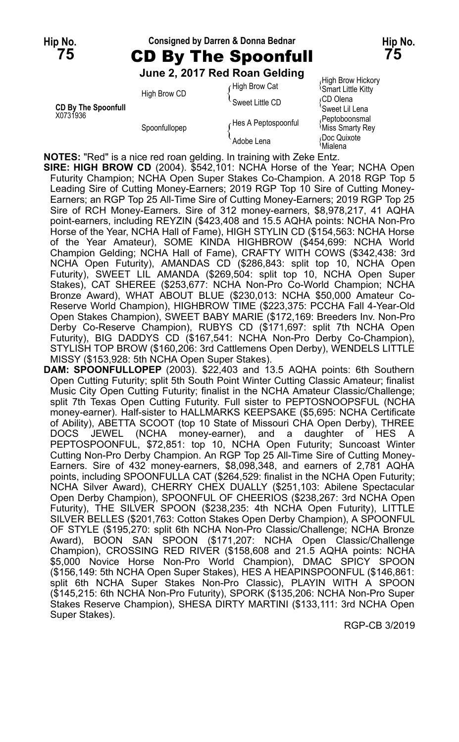## **Hip No. Consigned by Darren & Donna Bednar Hip No. 75** CD By The Spoonfull **75**

**June 2, 2017 Red Roan Gelding**

|                                        | High Brow CD  | High Brow Cat       | וטאטוו ו שטען וואוו ו<br><b>Smart Little Kitty</b> |
|----------------------------------------|---------------|---------------------|----------------------------------------------------|
|                                        |               | Sweet Little CD     | ∩CD Olena                                          |
| <b>CD By The Spoonfull</b><br>X0731936 |               |                     | 'Sweet Lil Lena                                    |
|                                        | Spoonfullopep | Hes A Peptospoonful | Peptoboonsmal<br>Miss Smarty Rey                   |
|                                        |               | Adobe Lena          | Doc Quixote<br>≀Mialena                            |

High Brow Hickory<br>Smart Little Kitty

**NOTES:** "Red" is a nice red roan gelding. In training with Zeke Entz.

**SIRE: HIGH BROW CD** (2004). \$542,101: NCHA Horse of the Year; NCHA Open Futurity Champion; NCHA Open Super Stakes Co-Champion. A 2018 RGP Top 5 Leading Sire of Cutting Money-Earners; 2019 RGP Top 10 Sire of Cutting Money-Earners; an RGP Top 25 All-Time Sire of Cutting Money-Earners; 2019 RGP Top 25 Sire of RCH Money-Earners. Sire of 312 money-earners, \$8,978,217, 41 AQHA point-earners, including REYZIN (\$423,408 and 15.5 AQHA points: NCHA Non-Pro Horse of the Year, NCHA Hall of Fame), HIGH STYLIN CD (\$154,563: NCHA Horse of the Year Amateur), SOME KINDA HIGHBROW (\$454,699: NCHA World Champion Gelding; NCHA Hall of Fame), CRAFTY WITH COWS (\$342,438: 3rd NCHA Open Futurity), AMANDAS CD (\$286,843: split top 10, NCHA Open Futurity), SWEET LIL AMANDA (\$269,504: split top 10, NCHA Open Super Stakes), CAT SHEREE (\$253,677: NCHA Non-Pro Co-World Champion; NCHA Bronze Award), WHAT ABOUT BLUE (\$230,013: NCHA \$50,000 Amateur Co-Reserve World Champion), HIGHBROW TIME (\$223,375: PCCHA Fall 4-Year-Old Open Stakes Champion), SWEET BABY MARIE (\$172,169: Breeders Inv. Non-Pro Derby Co-Reserve Champion), RUBYS CD (\$171,697: split 7th NCHA Open Futurity), BIG DADDYS CD (\$167,541: NCHA Non-Pro Derby Co-Champion), STYLISH TOP BROW (\$160,206: 3rd Cattlemens Open Derby), WENDELS LITTLE MISSY (\$153,928: 5th NCHA Open Super Stakes).

**DAM: SPOONFULLOPEP** (2003). \$22,403 and 13.5 AQHA points: 6th Southern Open Cutting Futurity; split 5th South Point Winter Cutting Classic Amateur; finalist Music City Open Cutting Futurity; finalist in the NCHA Amateur Classic/Challenge; split 7th Texas Open Cutting Futurity. Full sister to PEPTOSNOOPSFUL (NCHA money-earner). Half-sister to HALLMARKS KEEPSAKE (\$5,695: NCHA Certificate of Ability), ABETTA SCOOT (top 10 State of Missouri CHA Open Derby), THREE DOCS JEWEL (NCHA money-earner), and a daughter of HES A PEPTOSPOONFUL, \$72,851: top 10, NCHA Open Futurity; Suncoast Winter Cutting Non-Pro Derby Champion. An RGP Top 25 All-Time Sire of Cutting Money-Earners. Sire of 432 money-earners, \$8,098,348, and earners of 2,781 AQHA points, including SPOONFULLA CAT (\$264,529: finalist in the NCHA Open Futurity; NCHA Silver Award), CHERRY CHEX DUALLY (\$251,103: Abilene Spectacular Open Derby Champion), SPOONFUL OF CHEERIOS (\$238,267: 3rd NCHA Open Futurity), THE SILVER SPOON (\$238,235: 4th NCHA Open Futurity), LITTLE SILVER BELLES (\$201,763: Cotton Stakes Open Derby Champion), A SPOONFUL OF STYLE (\$195,270: split 6th NCHA Non-Pro Classic/Challenge; NCHA Bronze Award), BOON SAN SPOON (\$171,207: NCHA Open Classic/Challenge Champion), CROSSING RED RIVER (\$158,608 and 21.5 AQHA points: NCHA \$5,000 Novice Horse Non-Pro World Champion), DMAC SPICY SPOON (\$156,149: 5th NCHA Open Super Stakes), HES A HEAPINSPOONFUL (\$146,861: split 6th NCHA Super Stakes Non-Pro Classic), PLAYIN WITH A SPOON (\$145,215: 6th NCHA Non-Pro Futurity), SPORK (\$135,206: NCHA Non-Pro Super Stakes Reserve Champion), SHESA DIRTY MARTINI (\$133,111: 3rd NCHA Open Super Stakes).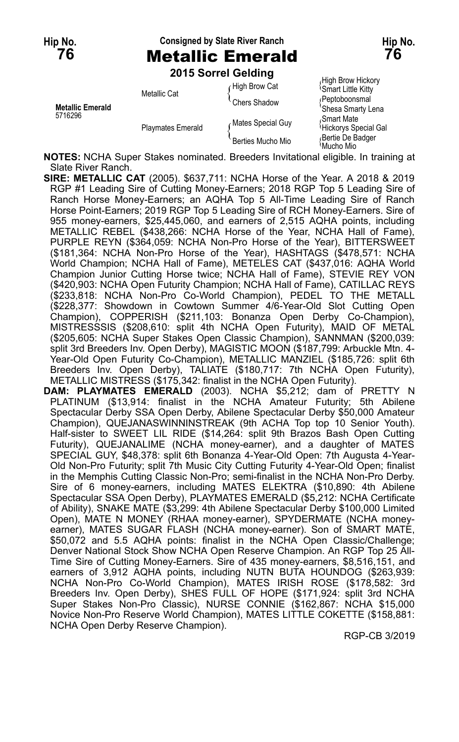**Hip No. Consigned by Slate River Ranch Hip No. 76** Metallic Emerald **76**

**2015 Sorrel Gelding**

| <b>Metallic Emerald</b><br>5716296 | Metallic Cat             | High Brow Cat     | High Brow Hickory<br><b>Smart Little Kitty</b> |
|------------------------------------|--------------------------|-------------------|------------------------------------------------|
|                                    |                          | Chers Shadow      | <b>Peptoboonsmal</b><br>'Shesa Smarty Lena     |
|                                    | <b>Playmates Emerald</b> | Mates Special Guy | Smart Mate<br><b>Hickorys Special Gal</b>      |
|                                    |                          | Berties Mucho Mio | Bertie De Badger<br>ੈMucho Mio                 |

**NOTES:** NCHA Super Stakes nominated. Breeders Invitational eligible. In training at Slate River Ranch.

**SIRE: METALLIC CAT** (2005). \$637,711: NCHA Horse of the Year. A 2018 & 2019 RGP #1 Leading Sire of Cutting Money-Earners; 2018 RGP Top 5 Leading Sire of Ranch Horse Money-Earners; an AQHA Top 5 All-Time Leading Sire of Ranch Horse Point-Earners; 2019 RGP Top 5 Leading Sire of RCH Money-Earners. Sire of 955 money-earners, \$25,445,060, and earners of 2,515 AQHA points, including METALLIC REBEL (\$438,266: NCHA Horse of the Year, NCHA Hall of Fame), PURPLE REYN (\$364,059: NCHA Non-Pro Horse of the Year), BITTERSWEET (\$181,364: NCHA Non-Pro Horse of the Year), HASHTAGS (\$478,571: NCHA World Champion; NCHA Hall of Fame), METELES CAT (\$437,016: AQHA World Champion Junior Cutting Horse twice; NCHA Hall of Fame), STEVIE REY VON (\$420,903: NCHA Open Futurity Champion; NCHA Hall of Fame), CATILLAC REYS (\$233,818: NCHA Non-Pro Co-World Champion), PEDEL TO THE METALL (\$228,377: Showdown in Cowtown Summer 4/6-Year-Old Slot Cutting Open Champion), COPPERISH (\$211,103: Bonanza Open Derby Co-Champion), MISTRESSSIS (\$208,610: split 4th NCHA Open Futurity), MAID OF METAL (\$205,605: NCHA Super Stakes Open Classic Champion), SANNMAN (\$200,039: split 3rd Breeders Inv. Open Derby), MAGISTIC MOON (\$187,799: Arbuckle Mtn. 4- Year-Old Open Futurity Co-Champion), METALLIC MANZIEL (\$185,726: split 6th Breeders Inv. Open Derby), TALIATE (\$180,717: 7th NCHA Open Futurity), METALLIC MISTRESS (\$175,342: finalist in the NCHA Open Futurity).

**DAM: PLAYMATES EMERALD** (2003). NCHA \$5,212; dam of PRETTY N PLATINUM (\$13,914: finalist in the NCHA Amateur Futurity; 5th Abilene Spectacular Derby SSA Open Derby, Abilene Spectacular Derby \$50,000 Amateur Champion), QUEJANASWINNINSTREAK (9th ACHA Top top 10 Senior Youth). Half-sister to SWEET LIL RIDE (\$14,264: split 9th Brazos Bash Open Cutting Futurity), QUEJANALIME (NCHA money-earner), and a daughter of MATES SPECIAL GUY, \$48,378: split 6th Bonanza 4-Year-Old Open: 7th Augusta 4-Year-Old Non-Pro Futurity; split 7th Music City Cutting Futurity 4-Year-Old Open; finalist in the Memphis Cutting Classic Non-Pro; semi-finalist in the NCHA Non-Pro Derby. Sire of 6 money-earners, including MATES ELEKTRA (\$10,890: 4th Abilene Spectacular SSA Open Derby), PLAYMATES EMERALD (\$5,212: NCHA Certificate of Ability), SNAKE MATE (\$3,299: 4th Abilene Spectacular Derby \$100,000 Limited Open), MATE N MONEY (RHAA money-earner), SPYDERMATE (NCHA moneyearner), MATES SUGAR FLASH (NCHA money-earner). Son of SMART MATE, \$50,072 and 5.5 AQHA points: finalist in the NCHA Open Classic/Challenge; Denver National Stock Show NCHA Open Reserve Champion. An RGP Top 25 All-Time Sire of Cutting Money-Earners. Sire of 435 money-earners, \$8,516,151, and earners of 3,912 AQHA points, including NUTN BUTA HOUNDOG (\$263,939: NCHA Non-Pro Co-World Champion), MATES IRISH ROSE (\$178,582: 3rd Breeders Inv. Open Derby), SHES FULL OF HOPE (\$171,924: split 3rd NCHA Super Stakes Non-Pro Classic), NURSE CONNIE (\$162,867: NCHA \$15,000 Novice Non-Pro Reserve World Champion), MATES LITTLE COKETTE (\$158,881: NCHA Open Derby Reserve Champion).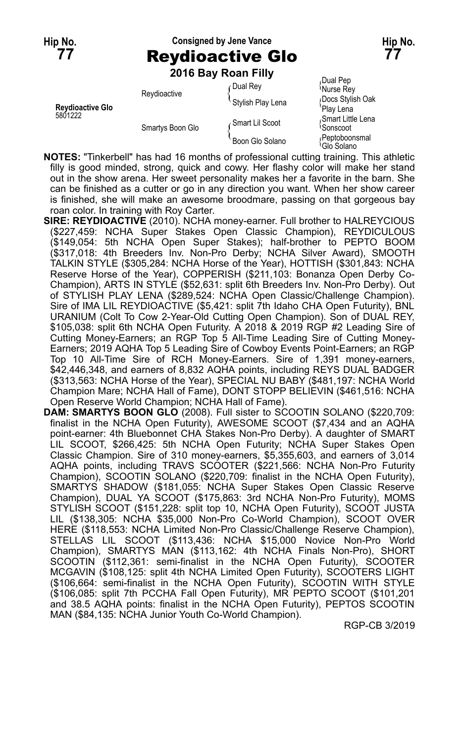## **Hip No. Consigned by Jene Vance Hip No. 77** Reydioactive Glo **77**

**2016 Bay Roan Filly**

|                                    |                  | <b>LUIU DAY INGHII IIIV</b> |                                           |  |
|------------------------------------|------------------|-----------------------------|-------------------------------------------|--|
| <b>Revdioactive Glo</b><br>5801222 | Reydioactive     | Dual Rey                    | Dual Pep،<br>Murse Rey                    |  |
|                                    |                  | Stylish Play Lena           | Docs Stylish Oak<br>Plav Lena             |  |
|                                    | Smartys Boon Glo | Smart Lil Scoot             | Smart Little Lena<br>∖Sonscoot            |  |
|                                    |                  | Boon Glo Solano             | √Peptoboonsmal<br><sup>≀</sup> Glo Solano |  |

- **NOTES:** "Tinkerbell" has had 16 months of professional cutting training. This athletic filly is good minded, strong, quick and cowy. Her flashy color will make her stand out in the show arena. Her sweet personality makes her a favorite in the barn. She can be finished as a cutter or go in any direction you want. When her show career is finished, she will make an awesome broodmare, passing on that gorgeous bay roan color. In training with Roy Carter.
- **SIRE: REYDIOACTIVE** (2010). NCHA money-earner. Full brother to HALREYCIOUS (\$227,459: NCHA Super Stakes Open Classic Champion), REYDICULOUS (\$149,054: 5th NCHA Open Super Stakes); half-brother to PEPTO BOOM (\$317,018: 4th Breeders Inv. Non-Pro Derby; NCHA Silver Award), SMOOTH TALKIN STYLE (\$305,284: NCHA Horse of the Year), HOTTISH (\$301,843: NCHA Reserve Horse of the Year), COPPERISH (\$211,103: Bonanza Open Derby Co-Champion), ARTS IN STYLE (\$52,631: split 6th Breeders Inv. Non-Pro Derby). Out of STYLISH PLAY LENA (\$289,524: NCHA Open Classic/Challenge Champion). Sire of IMA LIL REYDIOACTIVE (\$5,421: split 7th Idaho CHA Open Futurity), BNL URANIUM (Colt To Cow 2-Year-Old Cutting Open Champion). Son of DUAL REY, \$105,038: split 6th NCHA Open Futurity. A 2018 & 2019 RGP #2 Leading Sire of Cutting Money-Earners; an RGP Top 5 All-Time Leading Sire of Cutting Money-Earners; 2019 AQHA Top 5 Leading Sire of Cowboy Events Point-Earners; an RGP Top 10 All-Time Sire of RCH Money-Earners. Sire of 1,391 money-earners, \$42,446,348, and earners of 8,832 AQHA points, including REYS DUAL BADGER (\$313,563: NCHA Horse of the Year), SPECIAL NU BABY (\$481,197: NCHA World Champion Mare; NCHA Hall of Fame), DONT STOPP BELIEVIN (\$461,516: NCHA Open Reserve World Champion; NCHA Hall of Fame).
- **DAM: SMARTYS BOON GLO** (2008). Full sister to SCOOTIN SOLANO (\$220,709: finalist in the NCHA Open Futurity), AWESOME SCOOT (\$7,434 and an AQHA point-earner: 4th Bluebonnet CHA Stakes Non-Pro Derby). A daughter of SMART LIL SCOOT, \$266,425: 5th NCHA Open Futurity; NCHA Super Stakes Open Classic Champion. Sire of 310 money-earners, \$5,355,603, and earners of 3,014 AQHA points, including TRAVS SCOOTER (\$221,566: NCHA Non-Pro Futurity Champion), SCOOTIN SOLANO (\$220,709: finalist in the NCHA Open Futurity), SMARTYS SHADOW (\$181,055: NCHA Super Stakes Open Classic Reserve Champion), DUAL YA SCOOT (\$175,863: 3rd NCHA Non-Pro Futurity), MOMS STYLISH SCOOT (\$151,228: split top 10, NCHA Open Futurity), SCOOT JUSTA LIL (\$138,305: NCHA \$35,000 Non-Pro Co-World Champion), SCOOT OVER HERE (\$118,553: NCHA Limited Non-Pro Classic/Challenge Reserve Champion), STELLAS LIL SCOOT (\$113,436: NCHA \$15,000 Novice Non-Pro World Champion), SMARTYS MAN (\$113,162: 4th NCHA Finals Non-Pro), SHORT SCOOTIN (\$112,361: semi-finalist in the NCHA Open Futurity), SCOOTER MCGAVIN (\$108,125: split 4th NCHA Limited Open Futurity), SCOOTERS LIGHT (\$106,664: semi-finalist in the NCHA Open Futurity), SCOOTIN WITH STYLE (\$106,085: split 7th PCCHA Fall Open Futurity), MR PEPTO SCOOT (\$101,201 and 38.5 AQHA points: finalist in the NCHA Open Futurity), PEPTOS SCOOTIN MAN (\$84,135: NCHA Junior Youth Co-World Champion).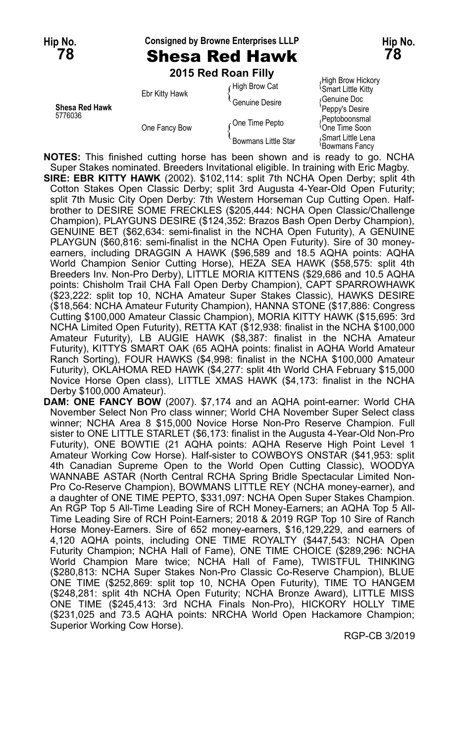## **Hip No. Consigned by Browne Enterprises LLLP Hip No. 78** Shesa Red Hawk **78**

**2015 Red Roan Filly** High Brow Hickory High Brow Hickory<br>figh Brow Cat (Smart Little Kitty Ebr Kitty Hawk full allow Cat in Smart Little Kitty<br>Cenuine Desire { Genuine Desire { Genuine Doc **Shesa Red Hawk** Peppy's Desire and Red Hawk<br>
Shesa Red Hawk Peppy's Desire<br>
Peptoboonsmal Pethodoonsmal Peptoboonsmal 5776036 Peptoboonsmal<br>One Fancy Bow (One Time Pepto { One Time Soon { Smart Little Lena Boon { Smart Little Lena Bowmans Little Star<br>{ Smart Little Star { Smart Little Energy } Smart Little Lena<br>Bowmans Fancy

**NOTES:** This finished cutting horse has been shown and is ready to go. NCHA Super Stakes nominated. Breeders Invitational eligible. In training with Eric Magby. **SIRE: EBR KITTY HAWK** (2002). \$102,114: split 7th NCHA Open Derby; split 4th Cotton Stakes Open Classic Derby; split 3rd Augusta 4-Year-Old Open Futurity; split 7th Music City Open Derby: 7th Western Horseman Cup Cutting Open. Halfbrother to DESIRE SOME FRECKLES (\$205,444: NCHA Open Classic/Challenge Champion), PLAYGUNS DESIRE (\$124,352: Brazos Bash Open Derby Champion), GENUINE BET (\$62,634: semi-finalist in the NCHA Open Futurity), A GENUINE PLAYGUN (\$60,816: semi-finalist in the NCHA Open Futurity). Sire of 30 moneyearners, including DRAGGIN A HAWK (\$96,589 and 18.5 AQHA points: AQHA World Champion Senior Cutting Horse), HEZA SEA HAWK (\$58,575: split 4th Breeders Inv. Non-Pro Derby), LITTLE MORIA KITTENS (\$29,686 and 10.5 AQHA points: Chisholm Trail CHA Fall Open Derby Champion), CAPT SPARROWHAWK (\$23,222: split top 10, NCHA Amateur Super Stakes Classic), HAWKS DESIRE (\$18,564: NCHA Amateur Futurity Champion), HANNA STONE (\$17,886: Congress Cutting \$100,000 Amateur Classic Champion), MORIA KITTY HAWK (\$15,695: 3rd NCHA Limited Open Futurity), RETTA KAT (\$12,938: finalist in the NCHA \$100,000 Amateur Futurity), LB AUGIE HAWK (\$8,387: finalist in the NCHA Amateur Futurity), KITTYS SMART OAK (65 AQHA points: finalist in AQHA World Amateur Ranch Sorting), FOUR HAWKS (\$4,998: finalist in the NCHA \$100,000 Amateur Futurity), OKLAHOMA RED HAWK (\$4,277: split 4th World CHA February \$15,000 Novice Horse Open class), LITTLE XMAS HAWK (\$4,173: finalist in the NCHA Derby \$100,000 Amateur).

**DAM: ONE FANCY BOW** (2007). \$7,174 and an AQHA point-earner: World CHA November Select Non Pro class winner; World CHA November Super Select class winner; NCHA Area 8 \$15,000 Novice Horse Non-Pro Reserve Champion. Full sister to ONE LITTLE STARLET (\$6,173: finalist in the Augusta 4-Year-Old Non-Pro Futurity), ONE BOWTIE (21 AQHA points: AQHA Reserve High Point Level 1 Amateur Working Cow Horse). Half-sister to COWBOYS ONSTAR (\$41,953: split 4th Canadian Supreme Open to the World Open Cutting Classic), WOODYA WANNABE ASTAR (North Central RCHA Spring Bridle Spectacular Limited Non-Pro Co-Reserve Champion), BOWMANS LITTLE REY (NCHA money-earner), and a daughter of ONE TIME PEPTO, \$331,097: NCHA Open Super Stakes Champion. An RGP Top 5 All-Time Leading Sire of RCH Money-Earners; an AQHA Top 5 All-Time Leading Sire of RCH Point-Earners; 2018 & 2019 RGP Top 10 Sire of Ranch Horse Money-Earners. Sire of 652 money-earners, \$16,129,229, and earners of 4,120 AQHA points, including ONE TIME ROYALTY (\$447,543: NCHA Open Futurity Champion; NCHA Hall of Fame), ONE TIME CHOICE (\$289,296: NCHA World Champion Mare twice; NCHA Hall of Fame), TWISTFUL THINKING (\$280,813: NCHA Super Stakes Non-Pro Classic Co-Reserve Champion), BLUE ONE TIME (\$252,869: split top 10, NCHA Open Futurity), TIME TO HANGEM (\$248,281: split 4th NCHA Open Futurity; NCHA Bronze Award), LITTLE MISS ONE TIME (\$245,413: 3rd NCHA Finals Non-Pro), HICKORY HOLLY TIME (\$231,025 and 73.5 AQHA points: NRCHA World Open Hackamore Champion; Superior Working Cow Horse).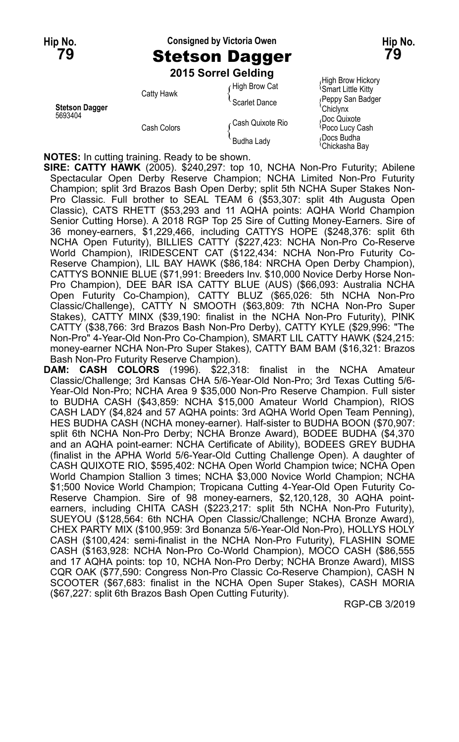## **Hip No. Consigned by Victoria Owen Hip No. 79** Stetson Dagger **79**

**2015 Sorrel Gelding**

Smart Little Kitty Hawk (San Badger Scarlet Dance (Smart Little Kitty Scarlet Dance  $\sum_{\substack{f \in \text{Capby} \text{S} \text{C} \text{Pripy} \text{S} \text{S} \text{S}}}$ **Stetson Dagger** Chiclynx  $\int$ Cash Colors  $\int$ Cash Quixote Rio Cash Quixole Rio<br>  $\{p_{\text{OCO}}\}$  Lucy Cash<br>  $\{p_{\text{OCS}}\}$  Budha Lady

 $\int$  High Brow Cat department of High Brow Hickory Chickasha Bay

**NOTES:** In cutting training. Ready to be shown.

**SIRE: CATTY HAWK** (2005). \$240,297: top 10, NCHA Non-Pro Futurity; Abilene Spectacular Open Derby Reserve Champion; NCHA Limited Non-Pro Futurity Champion; split 3rd Brazos Bash Open Derby; split 5th NCHA Super Stakes Non-Pro Classic. Full brother to SEAL TEAM 6 (\$53,307: split 4th Augusta Open Classic), CATS RHETT (\$53,293 and 11 AQHA points: AQHA World Champion Senior Cutting Horse). A 2018 RGP Top 25 Sire of Cutting Money-Earners. Sire of 36 money-earners, \$1,229,466, including CATTYS HOPE (\$248,376: split 6th NCHA Open Futurity), BILLIES CATTY (\$227,423: NCHA Non-Pro Co-Reserve World Champion), IRIDESCENT CAT (\$122,434: NCHA Non-Pro Futurity Co-Reserve Champion), LIL BAY HAWK (\$86,184: NRCHA Open Derby Champion), CATTYS BONNIE BLUE (\$71,991: Breeders Inv. \$10,000 Novice Derby Horse Non-Pro Champion), DEE BAR ISA CATTY BLUE (AUS) (\$66,093: Australia NCHA Open Futurity Co-Champion), CATTY BLUZ (\$65,026: 5th NCHA Non-Pro Classic/Challenge), CATTY N SMOOTH (\$63,809: 7th NCHA Non-Pro Super Stakes), CATTY MINX (\$39,190: finalist in the NCHA Non-Pro Futurity), PINK CATTY (\$38,766: 3rd Brazos Bash Non-Pro Derby), CATTY KYLE (\$29,996: "The Non-Pro" 4-Year-Old Non-Pro Co-Champion), SMART LIL CATTY HAWK (\$24,215: money-earner NCHA Non-Pro Super Stakes), CATTY BAM BAM (\$16,321: Brazos Bash Non-Pro Futurity Reserve Champion).

**DAM: CASH COLORS** (1996). \$22,318: finalist in the NCHA Amateur Classic/Challenge; 3rd Kansas CHA 5/6-Year-Old Non-Pro; 3rd Texas Cutting 5/6- Year-Old Non-Pro; NCHA Area 9 \$35,000 Non-Pro Reserve Champion. Full sister to BUDHA CASH (\$43,859: NCHA \$15,000 Amateur World Champion), RIOS CASH LADY (\$4,824 and 57 AQHA points: 3rd AQHA World Open Team Penning), HES BUDHA CASH (NCHA money-earner). Half-sister to BUDHA BOON (\$70,907: split 6th NCHA Non-Pro Derby; NCHA Bronze Award), BODEE BUDHA (\$4,370 and an AQHA point-earner: NCHA Certificate of Ability), BODEES GREY BUDHA (finalist in the APHA World 5/6-Year-Old Cutting Challenge Open). A daughter of CASH QUIXOTE RIO, \$595,402: NCHA Open World Champion twice; NCHA Open World Champion Stallion 3 times; NCHA \$3,000 Novice World Champion; NCHA \$1;500 Novice World Champion; Tropicana Cutting 4-Year-Old Open Futurity Co-Reserve Champion. Sire of 98 money-earners, \$2,120,128, 30 AQHA pointearners, including CHITA CASH (\$223,217: split 5th NCHA Non-Pro Futurity), SUEYOU (\$128,564: 6th NCHA Open Classic/Challenge; NCHA Bronze Award), CHEX PARTY MIX (\$100,959: 3rd Bonanza 5/6-Year-Old Non-Pro), HOLLYS HOLY CASH (\$100,424: semi-finalist in the NCHA Non-Pro Futurity), FLASHIN SOME CASH (\$163,928: NCHA Non-Pro Co-World Champion), MOCO CASH (\$86,555 and 17 AQHA points: top 10, NCHA Non-Pro Derby; NCHA Bronze Award), MISS CQR OAK (\$77,590: Congress Non-Pro Classic Co-Reserve Champion), CASH N SCOOTER (\$67,683: finalist in the NCHA Open Super Stakes), CASH MORIA (\$67,227: split 6th Brazos Bash Open Cutting Futurity).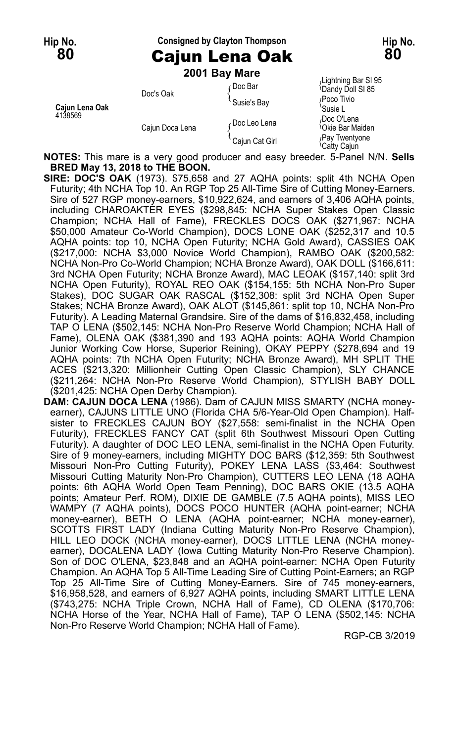## **Hip No. Consigned by Clayton Thompson Hip No. 80** Cajun Lena Oak **80**

**2001 Bay Mare**

| Caiun Lena Oak<br>4138569 | Doc's Oak       | r Doc Bar<br>Susie's Bay | Lightning Bar SI 95<br>Dandy Doll SI 85<br>Poco Tivio<br>'Susie L |
|---------------------------|-----------------|--------------------------|-------------------------------------------------------------------|
|                           | Cajun Doca Lena | ∠Doc Leo Lena            | Doc O'Lena،<br><sup>1</sup> Okie Bar Maiden                       |
|                           |                 | Cajun Cat Girl           | Pay Twentyone<br>'Catty Cajun                                     |

**NOTES:** This mare is a very good producer and easy breeder. 5-Panel N/N. **Sells BRED May 13, 2018 to THE BOON.**

**SIRE: DOC'S OAK** (1973). \$75,658 and 27 AQHA points: split 4th NCHA Open Futurity; 4th NCHA Top 10. An RGP Top 25 All-Time Sire of Cutting Money-Earners. Sire of 527 RGP money-earners, \$10,922,624, and earners of 3,406 AQHA points, including CHAROAKTER EYES (\$298,845: NCHA Super Stakes Open Classic Champion; NCHA Hall of Fame), FRECKLES DOCS OAK (\$271,967: NCHA \$50,000 Amateur Co-World Champion), DOCS LONE OAK (\$252,317 and 10.5 AQHA points: top 10, NCHA Open Futurity; NCHA Gold Award), CASSIES OAK (\$217,000: NCHA \$3,000 Novice World Champion), RAMBO OAK (\$200,582: NCHA Non-Pro Co-World Champion; NCHA Bronze Award), OAK DOLL (\$166,611: 3rd NCHA Open Futurity; NCHA Bronze Award), MAC LEOAK (\$157,140: split 3rd NCHA Open Futurity), ROYAL REO OAK (\$154,155: 5th NCHA Non-Pro Super Stakes), DOC SUGAR OAK RASCAL (\$152,308: split 3rd NCHA Open Super Stakes; NCHA Bronze Award), OAK ALOT (\$145,861: split top 10, NCHA Non-Pro Futurity). A Leading Maternal Grandsire. Sire of the dams of \$16,832,458, including TAP O LENA (\$502,145: NCHA Non-Pro Reserve World Champion; NCHA Hall of Fame), OLENA OAK (\$381,390 and 193 AQHA points: AQHA World Champion Junior Working Cow Horse, Superior Reining), OKAY PEPPY (\$278,694 and 19 AQHA points: 7th NCHA Open Futurity; NCHA Bronze Award), MH SPLIT THE ACES (\$213,320: Millionheir Cutting Open Classic Champion), SLY CHANCE (\$211,264: NCHA Non-Pro Reserve World Champion), STYLISH BABY DOLL (\$201,425: NCHA Open Derby Champion).

**DAM: CAJUN DOCA LENA** (1986). Dam of CAJUN MISS SMARTY (NCHA moneyearner), CAJUNS LITTLE UNO (Florida CHA 5/6-Year-Old Open Champion). Halfsister to FRECKLES CAJUN BOY (\$27,558: semi-finalist in the NCHA Open Futurity), FRECKLES FANCY CAT (split 6th Southwest Missouri Open Cutting Futurity). A daughter of DOC LEO LENA, semi-finalist in the NCHA Open Futurity. Sire of 9 money-earners, including MIGHTY DOC BARS (\$12,359: 5th Southwest Missouri Non-Pro Cutting Futurity), POKEY LENA LASS (\$3,464: Southwest Missouri Cutting Maturity Non-Pro Champion), CUTTERS LEO LENA (18 AQHA points: 6th AQHA World Open Team Penning), DOC BARS OKIE (13.5 AQHA points; Amateur Perf. ROM), DIXIE DE GAMBLE (7.5 AQHA points), MISS LEO WAMPY (7 AQHA points), DOCS POCO HUNTER (AQHA point-earner; NCHA money-earner), BETH O LENA (AQHA point-earner; NCHA money-earner), SCOTTS FIRST LADY (Indiana Cutting Maturity Non-Pro Reserve Champion), HILL LEO DOCK (NCHA money-earner), DOCS LITTLE LENA (NCHA moneyearner), DOCALENA LADY (Iowa Cutting Maturity Non-Pro Reserve Champion). Son of DOC O'LENA, \$23,848 and an AQHA point-earner: NCHA Open Futurity Champion. An AQHA Top 5 All-Time Leading Sire of Cutting Point-Earners; an RGP Top 25 All-Time Sire of Cutting Money-Earners. Sire of 745 money-earners, \$16,958,528, and earners of 6,927 AQHA points, including SMART LITTLE LENA (\$743,275: NCHA Triple Crown, NCHA Hall of Fame), CD OLENA (\$170,706: NCHA Horse of the Year, NCHA Hall of Fame), TAP O LENA (\$502,145: NCHA Non-Pro Reserve World Champion; NCHA Hall of Fame).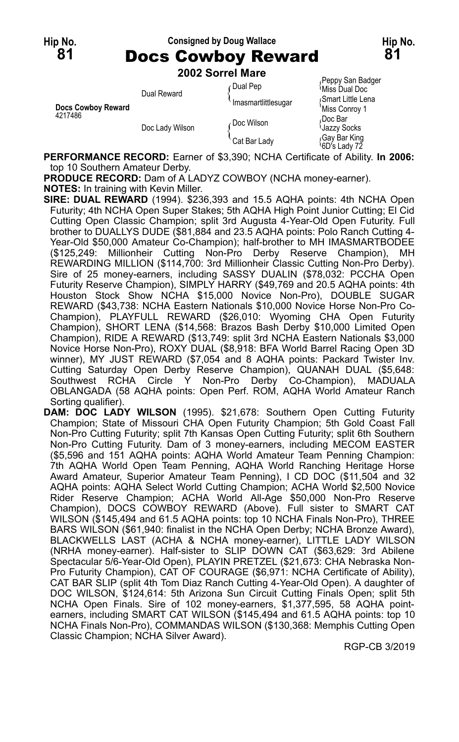## **Hip No. Consigned by Doug Wallace Hip No. 81** Docs Cowboy Reward **81**

**2002 Sorrel Mare**

| Docs Cowboy Reward<br>4217486 | Dual Reward     | ∩Dual Pep<br>Imasmartlittlesugar | Peppy San Badger<br><sup>≀</sup> Miss Dual Doc<br>Smart Little Lena<br>'Miss Conroy 1 |
|-------------------------------|-----------------|----------------------------------|---------------------------------------------------------------------------------------|
|                               | Doc Lady Wilson | ∠Doc Wilson                      | Doc Bar،<br><b>Uazzy Socks</b>                                                        |
|                               |                 | Cat Bar Lady                     | Gay Bar King<br>6D's Lady 72                                                          |

**PERFORMANCE RECORD:** Earner of \$3,390; NCHA Certificate of Ability. **In 2006:** top 10 Southern Amateur Derby.

**PRODUCE RECORD:** Dam of A LADYZ COWBOY (NCHA money-earner). **NOTES:** In training with Kevin Miller.

**SIRE: DUAL REWARD** (1994). \$236,393 and 15.5 AQHA points: 4th NCHA Open Futurity; 4th NCHA Open Super Stakes; 5th AQHA High Point Junior Cutting; El Cid Cutting Open Classic Champion; split 3rd Augusta 4-Year-Old Open Futurity. Full brother to DUALLYS DUDE (\$81,884 and 23.5 AQHA points: Polo Ranch Cutting 4-Year-Old \$50,000 Amateur Co-Champion); half-brother to MH IMASMARTBODEE (\$125,249: Millionheir Cutting Non-Pro Derby Reserve Champion), MH REWARDING MILLION (\$114,700: 3rd Millionheir Classic Cutting Non-Pro Derby). Sire of 25 money-earners, including SASSY DUALIN (\$78,032: PCCHA Open Futurity Reserve Champion), SIMPLY HARRY (\$49,769 and 20.5 AQHA points: 4th Houston Stock Show NCHA \$15,000 Novice Non-Pro), DOUBLE SUGAR REWARD (\$43,738: NCHA Eastern Nationals \$10,000 Novice Horse Non-Pro Co-Champion), PLAYFULL REWARD (\$26,010: Wyoming CHA Open Futurity Champion), SHORT LENA (\$14,568: Brazos Bash Derby \$10,000 Limited Open Champion), RIDE A REWARD (\$13,749: split 3rd NCHA Eastern Nationals \$3,000 Novice Horse Non-Pro), ROXY DUAL (\$8,918: BFA World Barrel Racing Open 3D winner), MY JUST REWARD (\$7,054 and 8 AQHA points: Packard Twister Inv. Cutting Saturday Open Derby Reserve Champion), QUANAH DUAL (\$5,648: Southwest RCHA Circle Y Non-Pro Derby Co-Champion), MADUALA OBLANGADA (58 AQHA points: Open Perf. ROM, AQHA World Amateur Ranch Sorting qualifier).

**DAM: DOC LADY WILSON** (1995). \$21,678: Southern Open Cutting Futurity Champion; State of Missouri CHA Open Futurity Champion; 5th Gold Coast Fall Non-Pro Cutting Futurity; split 7th Kansas Open Cutting Futurity; split 6th Southern Non-Pro Cutting Futurity. Dam of 3 money-earners, including MECOM EASTER (\$5,596 and 151 AQHA points: AQHA World Amateur Team Penning Champion: 7th AQHA World Open Team Penning, AQHA World Ranching Heritage Horse Award Amateur, Superior Amateur Team Penning), I CD DOC (\$11,504 and 32 AQHA points: AQHA Select World Cutting Champion; ACHA World \$2,500 Novice Rider Reserve Champion; ACHA World All-Age \$50,000 Non-Pro Reserve Champion), DOCS COWBOY REWARD (Above). Full sister to SMART CAT WILSON (\$145,494 and 61.5 AQHA points: top 10 NCHA Finals Non-Pro), THREE BARS WILSON (\$61,940: finalist in the NCHA Open Derby; NCHA Bronze Award), BLACKWELLS LAST (ACHA & NCHA money-earner), LITTLE LADY WILSON (NRHA money-earner). Half-sister to SLIP DOWN CAT (\$63,629: 3rd Abilene Spectacular 5/6-Year-Old Open), PLAYIN PRETZEL (\$21,673: CHA Nebraska Non-Pro Futurity Champion), CAT OF COURAGE (\$6,971: NCHA Certificate of Ability), CAT BAR SLIP (split 4th Tom Diaz Ranch Cutting 4-Year-Old Open). A daughter of DOC WILSON, \$124,614: 5th Arizona Sun Circuit Cutting Finals Open; split 5th NCHA Open Finals. Sire of 102 money-earners, \$1,377,595, 58 AQHA pointearners, including SMART CAT WILSON (\$145,494 and 61.5 AQHA points: top 10 NCHA Finals Non-Pro), COMMANDAS WILSON (\$130,368: Memphis Cutting Open Classic Champion; NCHA Silver Award).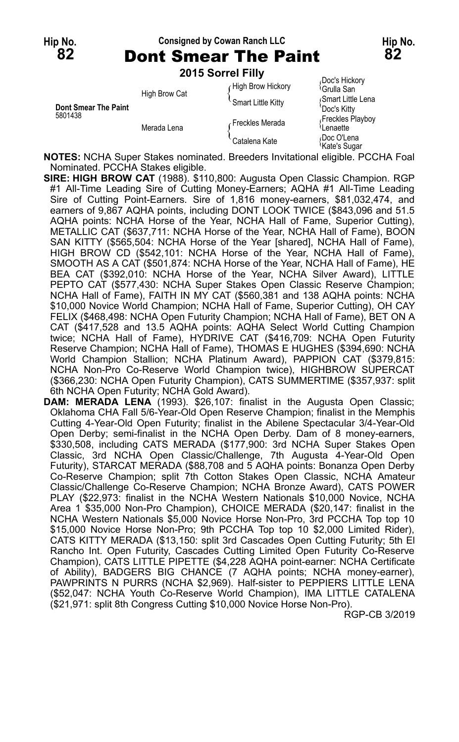**Hip No. Consigned by Cowan Ranch LLC Hip No. 82** Dont Smear The Paint **82 2015 Sorrel Filly**

| <b>Dont Smear The Paint</b><br>5801438 | _ _ . _ _ _ _<br><b>High Brow Cat</b> | High Brow Hickory<br>Smart Little Kitty | Doc's Hickory<br><sup>∖</sup> Grulla San<br>Smart Little Lena<br>`Doc's Kittv |
|----------------------------------------|---------------------------------------|-----------------------------------------|-------------------------------------------------------------------------------|
|                                        | Merada Lena                           | Freckles Merada                         | Freckles Playboy<br>Lenaette                                                  |
|                                        |                                       | Catalena Kate                           | ≀Doc O'Lena<br><sup>≀</sup> Kate's Suɑar                                      |

**NOTES:** NCHA Super Stakes nominated. Breeders Invitational eligible. PCCHA Foal Nominated. PCCHA Stakes eligible.

**SIRE: HIGH BROW CAT** (1988). \$110,800: Augusta Open Classic Champion. RGP #1 All-Time Leading Sire of Cutting Money-Earners; AQHA #1 All-Time Leading Sire of Cutting Point-Earners. Sire of 1,816 money-earners, \$81,032,474, and earners of 9,867 AQHA points, including DONT LOOK TWICE (\$843,096 and 51.5 AQHA points: NCHA Horse of the Year, NCHA Hall of Fame, Superior Cutting), METALLIC CAT (\$637,711: NCHA Horse of the Year, NCHA Hall of Fame), BOON SAN KITTY (\$565,504: NCHA Horse of the Year [shared], NCHA Hall of Fame), HIGH BROW CD (\$542,101: NCHA Horse of the Year, NCHA Hall of Fame), SMOOTH AS A CAT (\$501,874: NCHA Horse of the Year, NCHA Hall of Fame), HE BEA CAT (\$392,010: NCHA Horse of the Year, NCHA Silver Award), LITTLE PEPTO CAT (\$577,430: NCHA Super Stakes Open Classic Reserve Champion; NCHA Hall of Fame), FAITH IN MY CAT (\$560,381 and 138 AQHA points: NCHA \$10,000 Novice World Champion; NCHA Hall of Fame, Superior Cutting), OH CAY FELIX (\$468,498: NCHA Open Futurity Champion; NCHA Hall of Fame), BET ON A CAT (\$417,528 and 13.5 AQHA points: AQHA Select World Cutting Champion twice; NCHA Hall of Fame), HYDRIVE CAT (\$416,709: NCHA Open Futurity Reserve Champion; NCHA Hall of Fame), THOMAS E HUGHES (\$394,690: NCHA World Champion Stallion; NCHA Platinum Award), PAPPION CAT (\$379,815: NCHA Non-Pro Co-Reserve World Champion twice), HIGHBROW SUPERCAT (\$366,230: NCHA Open Futurity Champion), CATS SUMMERTIME (\$357,937: split 6th NCHA Open Futurity; NCHA Gold Award).

**DAM: MERADA LENA** (1993). \$26,107: finalist in the Augusta Open Classic; Oklahoma CHA Fall 5/6-Year-Old Open Reserve Champion; finalist in the Memphis Cutting 4-Year-Old Open Futurity; finalist in the Abilene Spectacular 3/4-Year-Old Open Derby; semi-finalist in the NCHA Open Derby. Dam of 8 money-earners, \$330,508, including CATS MERADA (\$177,900: 3rd NCHA Super Stakes Open Classic, 3rd NCHA Open Classic/Challenge, 7th Augusta 4-Year-Old Open Futurity), STARCAT MERADA (\$88,708 and 5 AQHA points: Bonanza Open Derby Co-Reserve Champion; split 7th Cotton Stakes Open Classic, NCHA Amateur Classic/Challenge Co-Reserve Champion; NCHA Bronze Award), CATS POWER PLAY (\$22,973: finalist in the NCHA Western Nationals \$10,000 Novice, NCHA Area 1 \$35,000 Non-Pro Champion), CHOICE MERADA (\$20,147: finalist in the NCHA Western Nationals \$5,000 Novice Horse Non-Pro, 3rd PCCHA Top top 10 \$15,000 Novice Horse Non-Pro; 9th PCCHA Top top 10 \$2,000 Limited Rider), CATS KITTY MERADA (\$13,150: split 3rd Cascades Open Cutting Futurity; 5th El Rancho Int. Open Futurity, Cascades Cutting Limited Open Futurity Co-Reserve Champion), CATS LITTLE PIPETTE (\$4,228 AQHA point-earner: NCHA Certificate of Ability), BADGERS BIG CHANCE (7 AQHA points; NCHA money-earner), PAWPRINTS N PURRS (NCHA \$2,969). Half-sister to PEPPIERS LITTLE LENA (\$52,047: NCHA Youth Co-Reserve World Champion), IMA LITTLE CATALENA (\$21,971: split 8th Congress Cutting \$10,000 Novice Horse Non-Pro).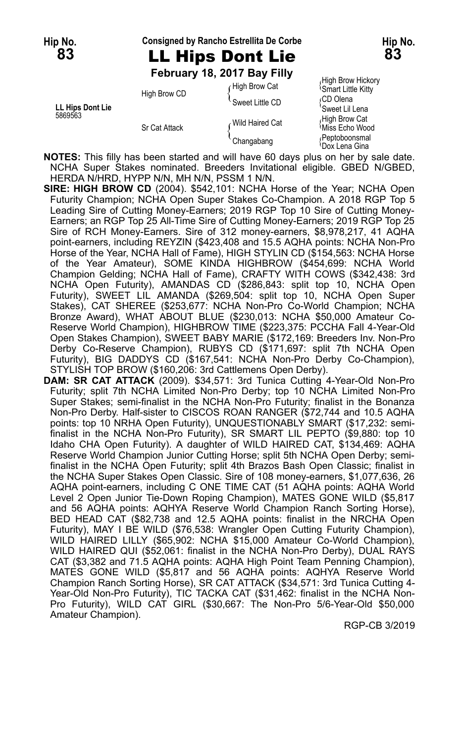#### **Hip No. Consigned by Rancho Estrellita De Corbe Hip No.**

## **83** LL Hips Dont Lie **83**

**February 18, 2017 Bay Filly**

| LL Hips Dont Lie<br>5869563 | High Brow CD<br><b>Sr Cat Attack</b> | High Brow Catز  | <b>Smart Little Kitty</b>       |
|-----------------------------|--------------------------------------|-----------------|---------------------------------|
|                             |                                      | Sweet Little CD | ∩CD Olena<br>'Sweet Lil Lena    |
|                             |                                      | Wild Haired Cat | High Brow Cat<br>Miss Echo Wood |
|                             |                                      | Changabang      | Peptoboonsmal<br>≀Dox Lena Gina |

High Brow Hickory<br><sup>{</sup>Smart Little Kitty Sweet Lil Len<mark>a</mark><br>High Brow Cat Dox Lena Gina

**NOTES:** This filly has been started and will have 60 days plus on her by sale date. NCHA Super Stakes nominated. Breeders Invitational eligible. GBED N/GBED, HERDA N/HRD, HYPP N/N, MH N/N, PSSM 1 N/N.

**SIRE: HIGH BROW CD** (2004). \$542,101: NCHA Horse of the Year; NCHA Open Futurity Champion; NCHA Open Super Stakes Co-Champion. A 2018 RGP Top 5 Leading Sire of Cutting Money-Earners; 2019 RGP Top 10 Sire of Cutting Money-Earners; an RGP Top 25 All-Time Sire of Cutting Money-Earners; 2019 RGP Top 25 Sire of RCH Money-Earners. Sire of 312 money-earners, \$8,978,217, 41 AQHA point-earners, including REYZIN (\$423,408 and 15.5 AQHA points: NCHA Non-Pro Horse of the Year, NCHA Hall of Fame), HIGH STYLIN CD (\$154,563: NCHA Horse of the Year Amateur), SOME KINDA HIGHBROW (\$454,699: NCHA World Champion Gelding; NCHA Hall of Fame), CRAFTY WITH COWS (\$342,438: 3rd NCHA Open Futurity), AMANDAS CD (\$286,843: split top 10, NCHA Open Futurity), SWEET LIL AMANDA (\$269,504: split top 10, NCHA Open Super Stakes), CAT SHEREE (\$253,677: NCHA Non-Pro Co-World Champion; NCHA Bronze Award), WHAT ABOUT BLUE (\$230,013: NCHA \$50,000 Amateur Co-Reserve World Champion), HIGHBROW TIME (\$223,375: PCCHA Fall 4-Year-Old Open Stakes Champion), SWEET BABY MARIE (\$172,169: Breeders Inv. Non-Pro Derby Co-Reserve Champion), RUBYS CD (\$171,697: split 7th NCHA Open Futurity), BIG DADDYS CD (\$167,541: NCHA Non-Pro Derby Co-Champion), STYLISH TOP BROW (\$160,206: 3rd Cattlemens Open Derby).

**DAM: SR CAT ATTACK** (2009). \$34,571: 3rd Tunica Cutting 4-Year-Old Non-Pro Futurity; split 7th NCHA Limited Non-Pro Derby; top 10 NCHA Limited Non-Pro Super Stakes; semi-finalist in the NCHA Non-Pro Futurity; finalist in the Bonanza Non-Pro Derby. Half-sister to CISCOS ROAN RANGER (\$72,744 and 10.5 AQHA points: top 10 NRHA Open Futurity), UNQUESTIONABLY SMART (\$17,232: semifinalist in the NCHA Non-Pro Futurity), SR SMART LIL PEPTO (\$9,880: top 10 Idaho CHA Open Futurity). A daughter of WILD HAIRED CAT, \$134,469: AQHA Reserve World Champion Junior Cutting Horse; split 5th NCHA Open Derby; semifinalist in the NCHA Open Futurity; split 4th Brazos Bash Open Classic; finalist in the NCHA Super Stakes Open Classic. Sire of 108 money-earners, \$1,077,636, 26 AQHA point-earners, including C ONE TIME CAT (51 AQHA points: AQHA World Level 2 Open Junior Tie-Down Roping Champion), MATES GONE WILD (\$5,817 and 56 AQHA points: AQHYA Reserve World Champion Ranch Sorting Horse), BED HEAD CAT (\$82,738 and 12.5 AQHA points: finalist in the NRCHA Open Futurity), MAY I BE WILD (\$76,538: Wrangler Open Cutting Futurity Champion), WILD HAIRED LILLY (\$65,902: NCHA \$15,000 Amateur Co-World Champion), WILD HAIRED QUI (\$52,061: finalist in the NCHA Non-Pro Derby), DUAL RAYS CAT (\$3,382 and 71.5 AQHA points: AQHA High Point Team Penning Champion), MATES GONE WILD (\$5,817 and 56 AQHA points: AQHYA Reserve World Champion Ranch Sorting Horse), SR CAT ATTACK (\$34,571: 3rd Tunica Cutting 4- Year-Old Non-Pro Futurity), TIC TACKA CAT (\$31,462: finalist in the NCHA Non-Pro Futurity), WILD CAT GIRL (\$30,667: The Non-Pro 5/6-Year-Old \$50,000 Amateur Champion).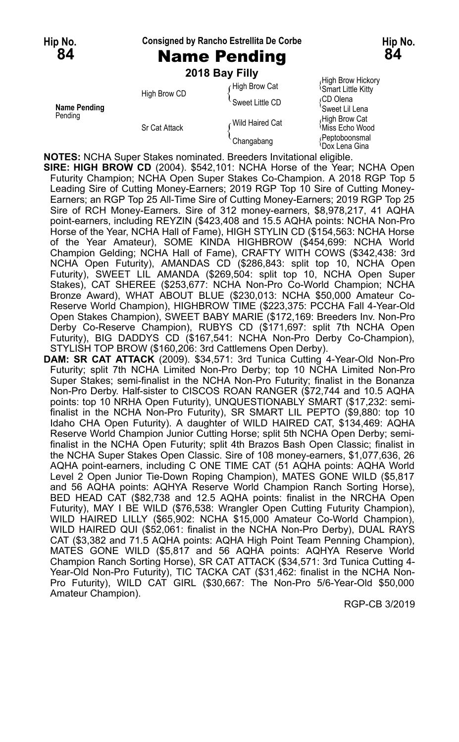#### **Hip No. Consigned by Rancho Estrellita De Corbe Hip No.**

## **84** Name Pending **84**

|  | 2018 Bay Filly |  |  |  |
|--|----------------|--|--|--|
|  |                |  |  |  |

|                         | ZU 10 DAY FIIIY      |                 |                                                |
|-------------------------|----------------------|-----------------|------------------------------------------------|
|                         | High Brow CD         | High Brow Cat   | High Brow Hickory<br><b>Smart Little Kitty</b> |
| Name Pending<br>Pending |                      | Sweet Little CD | ∩CD Olena<br>'Sweet Lil Lena                   |
|                         | <b>Sr Cat Attack</b> | Wild Haired Cat | High Brow Cat<br>Miss Echo Wood                |
|                         |                      | Changabang      | Peptoboonsmal<br>∖Dox Lena Gina                |

**NOTES:** NCHA Super Stakes nominated. Breeders Invitational eligible.

- **SIRE: HIGH BROW CD** (2004). \$542,101: NCHA Horse of the Year; NCHA Open Futurity Champion; NCHA Open Super Stakes Co-Champion. A 2018 RGP Top 5 Leading Sire of Cutting Money-Earners; 2019 RGP Top 10 Sire of Cutting Money-Earners; an RGP Top 25 All-Time Sire of Cutting Money-Earners; 2019 RGP Top 25 Sire of RCH Money-Earners. Sire of 312 money-earners, \$8,978,217, 41 AQHA point-earners, including REYZIN (\$423,408 and 15.5 AQHA points: NCHA Non-Pro Horse of the Year, NCHA Hall of Fame), HIGH STYLIN CD (\$154,563: NCHA Horse of the Year Amateur), SOME KINDA HIGHBROW (\$454,699: NCHA World Champion Gelding; NCHA Hall of Fame), CRAFTY WITH COWS (\$342,438: 3rd NCHA Open Futurity), AMANDAS CD (\$286,843: split top 10, NCHA Open Futurity), SWEET LIL AMANDA (\$269,504: split top 10, NCHA Open Super Stakes), CAT SHEREE (\$253,677: NCHA Non-Pro Co-World Champion; NCHA Bronze Award), WHAT ABOUT BLUE (\$230,013: NCHA \$50,000 Amateur Co-Reserve World Champion), HIGHBROW TIME (\$223,375: PCCHA Fall 4-Year-Old Open Stakes Champion), SWEET BABY MARIE (\$172,169: Breeders Inv. Non-Pro Derby Co-Reserve Champion), RUBYS CD (\$171,697: split 7th NCHA Open Futurity), BIG DADDYS CD (\$167,541: NCHA Non-Pro Derby Co-Champion), STYLISH TOP BROW (\$160,206: 3rd Cattlemens Open Derby).
- **DAM: SR CAT ATTACK** (2009). \$34,571: 3rd Tunica Cutting 4-Year-Old Non-Pro Futurity; split 7th NCHA Limited Non-Pro Derby; top 10 NCHA Limited Non-Pro Super Stakes; semi-finalist in the NCHA Non-Pro Futurity; finalist in the Bonanza Non-Pro Derby. Half-sister to CISCOS ROAN RANGER (\$72,744 and 10.5 AQHA points: top 10 NRHA Open Futurity), UNQUESTIONABLY SMART (\$17,232: semifinalist in the NCHA Non-Pro Futurity), SR SMART LIL PEPTO (\$9,880: top 10 Idaho CHA Open Futurity). A daughter of WILD HAIRED CAT, \$134,469: AQHA Reserve World Champion Junior Cutting Horse; split 5th NCHA Open Derby; semifinalist in the NCHA Open Futurity; split 4th Brazos Bash Open Classic; finalist in the NCHA Super Stakes Open Classic. Sire of 108 money-earners, \$1,077,636, 26 AQHA point-earners, including C ONE TIME CAT (51 AQHA points: AQHA World Level 2 Open Junior Tie-Down Roping Champion), MATES GONE WILD (\$5,817 and 56 AQHA points: AQHYA Reserve World Champion Ranch Sorting Horse), BED HEAD CAT (\$82,738 and 12.5 AQHA points: finalist in the NRCHA Open Futurity), MAY I BE WILD (\$76,538: Wrangler Open Cutting Futurity Champion), WILD HAIRED LILLY (\$65,902: NCHA \$15,000 Amateur Co-World Champion), WILD HAIRED QUI (\$52,061: finalist in the NCHA Non-Pro Derby), DUAL RAYS CAT (\$3,382 and 71.5 AQHA points: AQHA High Point Team Penning Champion), MATES GONE WILD (\$5,817 and 56 AQHA points: AQHYA Reserve World Champion Ranch Sorting Horse), SR CAT ATTACK (\$34,571: 3rd Tunica Cutting 4- Year-Old Non-Pro Futurity), TIC TACKA CAT (\$31,462: finalist in the NCHA Non-Pro Futurity), WILD CAT GIRL (\$30,667: The Non-Pro 5/6-Year-Old \$50,000 Amateur Champion).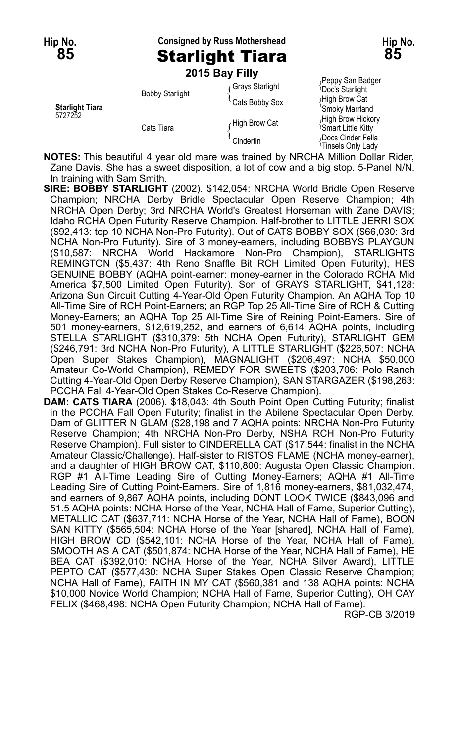**Hip No. Consigned by Russ Mothershead Hip No.**

|                                   |                        | 2015 Bay Filly  |                                                      |
|-----------------------------------|------------------------|-----------------|------------------------------------------------------|
| <b>Starlight Tiara</b><br>5727252 |                        | Grays Starlight | Peppy San Badger<br><b>Doc's Starlight</b>           |
|                                   | <b>Bobby Starlight</b> | Cats Bobby Sox  | High Brow Cat<br>'Smoky Marrland                     |
|                                   | Cats Tiara             | High Brow Cat   | High Brow Hickory<br><sup>1</sup> Smart Little Kitty |
|                                   |                        | Cindertin       | Docs Cinder Fella<br><sup>≀</sup> Tinsels Only Lady  |

<sub>/</sub>Peppy San Badger<br><sup>(</sup>Doc's Starlight High Brow Cat **Smoky Marrland**<br>High Brow Hickory

**NOTES:** This beautiful 4 year old mare was trained by NRCHA Million Dollar Rider, Zane Davis. She has a sweet disposition, a lot of cow and a big stop. 5-Panel N/N. In training with Sam Smith.

- **SIRE: BOBBY STARLIGHT** (2002). \$142,054: NRCHA World Bridle Open Reserve Champion; NRCHA Derby Bridle Spectacular Open Reserve Champion; 4th NRCHA Open Derby; 3rd NRCHA World's Greatest Horseman with Zane DAVIS; Idaho RCHA Open Futurity Reserve Champion. Half-brother to LITTLE JERRI SOX (\$92,413: top 10 NCHA Non-Pro Futurity). Out of CATS BOBBY SOX (\$66,030: 3rd NCHA Non-Pro Futurity). Sire of 3 money-earners, including BOBBYS PLAYGUN (\$10,587: NRCHA World Hackamore Non-Pro Champion), STARLIGHTS REMINGTON (\$5,437: 4th Reno Snaffle Bit RCH Limited Open Futurity), HES GENUINE BOBBY (AQHA point-earner: money-earner in the Colorado RCHA Mid America \$7,500 Limited Open Futurity). Son of GRAYS STARLIGHT, \$41,128: Arizona Sun Circuit Cutting 4-Year-Old Open Futurity Champion. An AQHA Top 10 All-Time Sire of RCH Point-Earners; an RGP Top 25 All-Time Sire of RCH & Cutting Money-Earners; an AQHA Top 25 All-Time Sire of Reining Point-Earners. Sire of 501 money-earners, \$12,619,252, and earners of 6,614 AQHA points, including STELLA STARLIGHT (\$310,379: 5th NCHA Open Futurity), STARLIGHT GEM (\$246,791: 3rd NCHA Non-Pro Futurity), A LITTLE STARLIGHT (\$226,507: NCHA Open Super Stakes Champion), MAGNALIGHT (\$206,497: NCHA \$50,000 Amateur Co-World Champion), REMEDY FOR SWEETS (\$203,706: Polo Ranch Cutting 4-Year-Old Open Derby Reserve Champion), SAN STARGAZER (\$198,263: PCCHA Fall 4-Year-Old Open Stakes Co-Reserve Champion).
- **DAM: CATS TIARA** (2006). \$18,043: 4th South Point Open Cutting Futurity; finalist in the PCCHA Fall Open Futurity; finalist in the Abilene Spectacular Open Derby. Dam of GLITTER N GLAM (\$28,198 and 7 AQHA points: NRCHA Non-Pro Futurity Reserve Champion; 4th NRCHA Non-Pro Derby, NSHA RCH Non-Pro Futurity Reserve Champion). Full sister to CINDERELLA CAT (\$17,544: finalist in the NCHA Amateur Classic/Challenge). Half-sister to RISTOS FLAME (NCHA money-earner), and a daughter of HIGH BROW CAT, \$110,800: Augusta Open Classic Champion. RGP #1 All-Time Leading Sire of Cutting Money-Earners; AQHA #1 All-Time Leading Sire of Cutting Point-Earners. Sire of 1,816 money-earners, \$81,032,474, and earners of 9,867 AQHA points, including DONT LOOK TWICE (\$843,096 and 51.5 AQHA points: NCHA Horse of the Year, NCHA Hall of Fame, Superior Cutting), METALLIC CAT (\$637,711: NCHA Horse of the Year, NCHA Hall of Fame), BOON SAN KITTY (\$565,504: NCHA Horse of the Year [shared], NCHA Hall of Fame), HIGH BROW CD (\$542,101: NCHA Horse of the Year, NCHA Hall of Fame), SMOOTH AS A CAT (\$501,874: NCHA Horse of the Year, NCHA Hall of Fame), HE BEA CAT (\$392,010: NCHA Horse of the Year, NCHA Silver Award), LITTLE PEPTO CAT (\$577,430: NCHA Super Stakes Open Classic Reserve Champion; NCHA Hall of Fame), FAITH IN MY CAT (\$560,381 and 138 AQHA points: NCHA \$10,000 Novice World Champion; NCHA Hall of Fame, Superior Cutting), OH CAY FELIX (\$468,498: NCHA Open Futurity Champion; NCHA Hall of Fame).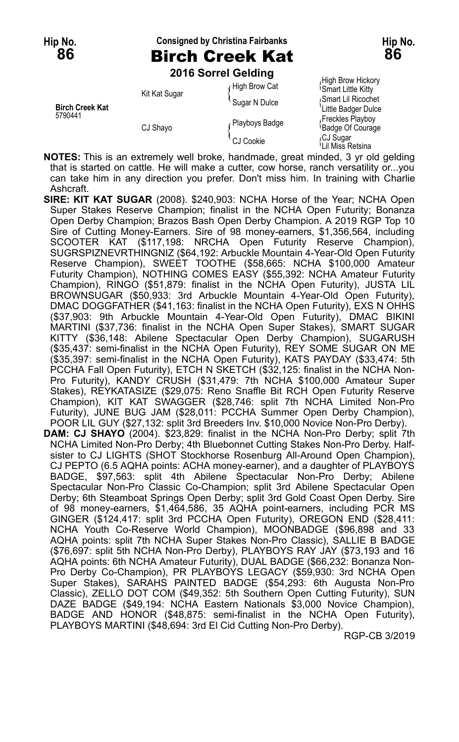### **Hip No. Consigned by Christina Fairbanks Hip No. 86** Birch Creek Kat **86**

**2016 Sorrel Gelding**

|                                   | Kit Kat Sugar | High Brow Cat    | י יישוטיי ייש יש יישיין<br><b>Smart Little Kitty</b> |
|-----------------------------------|---------------|------------------|------------------------------------------------------|
| <b>Birch Creek Kat</b><br>5790441 |               | Sugar N Dulce    | Smart Lil Ricochet<br>Little Badger Dulce            |
|                                   | CJ Shayo      | Playboys Badge   | Freckles Playboy<br><sup>1</sup> Badge Of Courage    |
|                                   |               | <b>CJ Cookie</b> | CJ Sugar،<br><sup>1</sup> Lil Miss Retsina           |

High Brow Hickory<br><sup>{</sup>Smart Little Kitty **Rittle Badger Dulce**<br>Freckles Plavbov Lil Miss Retsina

**NOTES:** This is an extremely well broke, handmade, great minded, 3 yr old gelding that is started on cattle. He will make a cutter, cow horse, ranch versatility or...you can take him in any direction you prefer. Don't miss him. In training with Charlie Ashcraft.

**SIRE: KIT KAT SUGAR** (2008). \$240,903: NCHA Horse of the Year; NCHA Open Super Stakes Reserve Champion; finalist in the NCHA Open Futurity; Bonanza Open Derby Champion; Brazos Bash Open Derby Champion. A 2019 RGP Top 10 Sire of Cutting Money-Earners. Sire of 98 money-earners, \$1,356,564, including SCOOTER KAT (\$117,198: NRCHA Open Futurity Reserve Champion), SUGRSPIZNEVRTHINGNIZ (\$64,192: Arbuckle Mountain 4-Year-Old Open Futurity Reserve Champion), SWEET TOOTHE (\$58,665: NCHA \$100,000 Amateur Futurity Champion), NOTHING COMES EASY (\$55,392: NCHA Amateur Futurity Champion), RINGO (\$51,879: finalist in the NCHA Open Futurity), JUSTA LIL BROWNSUGAR (\$50,933: 3rd Arbuckle Mountain 4-Year-Old Open Futurity), DMAC DOGGFATHER (\$41,163: finalist in the NCHA Open Futurity), EXS N OHHS (\$37,903: 9th Arbuckle Mountain 4-Year-Old Open Futurity), DMAC BIKINI MARTINI (\$37,736: finalist in the NCHA Open Super Stakes), SMART SUGAR KITTY (\$36,148: Abilene Spectacular Open Derby Champion), SUGARUSH (\$35,437: semi-finalist in the NCHA Open Futurity), REY SOME SUGAR ON ME (\$35,397: semi-finalist in the NCHA Open Futurity), KATS PAYDAY (\$33,474: 5th PCCHA Fall Open Futurity), ETCH N SKETCH (\$32,125: finalist in the NCHA Non-Pro Futurity), KANDY CRUSH (\$31,479: 7th NCHA \$100,000 Amateur Super Stakes), REYKATASIZE (\$29,075: Reno Snaffle Bit RCH Open Futurity Reserve Champion), KIT KAT SWAGGER (\$28,746: split 7th NCHA Limited Non-Pro Futurity), JUNE BUG JAM (\$28,011: PCCHA Summer Open Derby Champion), POOR LIL GUY (\$27,132: split 3rd Breeders Inv. \$10,000 Novice Non-Pro Derby). **DAM: CJ SHAYO** (2004). \$23,829: finalist in the NCHA Non-Pro Derby; split 7th NCHA Limited Non-Pro Derby; 4th Bluebonnet Cutting Stakes Non-Pro Derby. Halfsister to CJ LIGHTS (SHOT Stockhorse Rosenburg All-Around Open Champion), CJ PEPTO (6.5 AQHA points: ACHA money-earner), and a daughter of PLAYBOYS BADGE, \$97,563: split 4th Abilene Spectacular Non-Pro Derby; Abilene Spectacular Non-Pro Classic Co-Champion; split 3rd Abilene Spectacular Open Derby; 6th Steamboat Springs Open Derby; split 3rd Gold Coast Open Derby. Sire of 98 money-earners, \$1,464,586, 35 AQHA point-earners, including PCR MS GINGER (\$124,417: split 3rd PCCHA Open Futurity), OREGON END (\$28,411: NCHA Youth Co-Reserve World Champion), MOONBADGE (\$96,898 and 33 AQHA points: split 7th NCHA Super Stakes Non-Pro Classic), SALLIE B BADGE (\$76,697: split 5th NCHA Non-Pro Derby), PLAYBOYS RAY JAY (\$73,193 and 16 AQHA points: 6th NCHA Amateur Futurity), DUAL BADGE (\$66,232: Bonanza Non-Pro Derby Co-Champion), PR PLAYBOYS LEGACY (\$59,930: 3rd NCHA Open Super Stakes), SARAHS PAINTED BADGE (\$54,293: 6th Augusta Non-Pro Classic), ZELLO DOT COM (\$49,352: 5th Southern Open Cutting Futurity), SUN DAZE BADGE (\$49,194: NCHA Eastern Nationals \$3,000 Novice Champion),

BADGE AND HONOR (\$48,875: semi-finalist in the NCHA Open Futurity), PLAYBOYS MARTINI (\$48,694: 3rd El Cid Cutting Non-Pro Derby).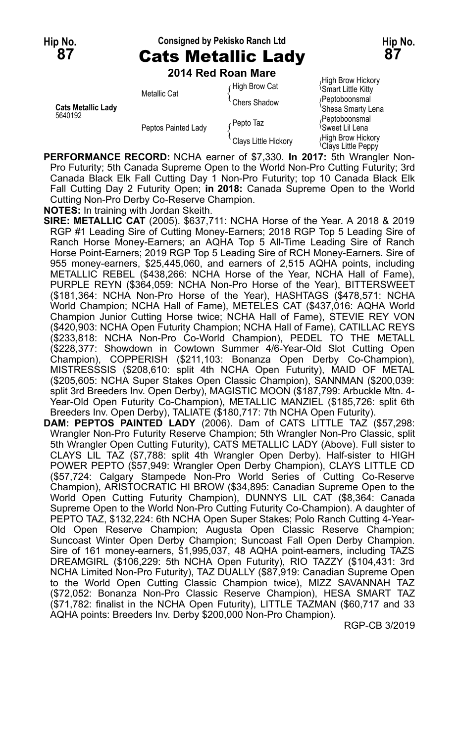### **Hip No. Consigned by Pekisko Ranch Ltd Hip No. 87** Cats Metallic Lady **87**

**2014 Red Roan Mare**

| <b>Cats Metallic Ladv</b><br>5640192 | Metallic Cat        | High Brow Cat)،           | <sup>1</sup> Smart Little Kitty              |
|--------------------------------------|---------------------|---------------------------|----------------------------------------------|
|                                      |                     | <sup>'</sup> Chers Shadow | (Peptoboonsmal                               |
|                                      | Peptos Painted Lady |                           | 'Shesa Smarty Lena                           |
|                                      |                     | ∤Pepto Taz                | Peptoboonsmal<br><sup>≀</sup> Sweet Lil Lena |
|                                      |                     | Clays Little Hickory      | High Brow Hickory<br>$0$ Playe Little Denny  |

High Brow Hickory<br>Smart Little Kitty **Chesa Smarty Lena** <sup>t</sup>Clays Little Peppy

**PERFORMANCE RECORD:** NCHA earner of \$7,330. **In 2017:** 5th Wrangler Non-Pro Futurity; 5th Canada Supreme Open to the World Non-Pro Cutting Futurity; 3rd Canada Black Elk Fall Cutting Day 1 Non-Pro Futurity; top 10 Canada Black Elk Fall Cutting Day 2 Futurity Open; **in 2018:** Canada Supreme Open to the World Cutting Non-Pro Derby Co-Reserve Champion.

**NOTES:** In training with Jordan Skeith.

- **SIRE: METALLIC CAT** (2005). \$637,711: NCHA Horse of the Year. A 2018 & 2019 RGP #1 Leading Sire of Cutting Money-Earners; 2018 RGP Top 5 Leading Sire of Ranch Horse Money-Earners; an AQHA Top 5 All-Time Leading Sire of Ranch Horse Point-Earners; 2019 RGP Top 5 Leading Sire of RCH Money-Earners. Sire of 955 money-earners, \$25,445,060, and earners of 2,515 AQHA points, including METALLIC REBEL (\$438,266: NCHA Horse of the Year, NCHA Hall of Fame), PURPLE REYN (\$364,059: NCHA Non-Pro Horse of the Year), BITTERSWEET (\$181,364: NCHA Non-Pro Horse of the Year), HASHTAGS (\$478,571: NCHA World Champion; NCHA Hall of Fame), METELES CAT (\$437,016: AQHA World Champion Junior Cutting Horse twice; NCHA Hall of Fame), STEVIE REY VON (\$420,903: NCHA Open Futurity Champion; NCHA Hall of Fame), CATILLAC REYS (\$233,818: NCHA Non-Pro Co-World Champion), PEDEL TO THE METALL (\$228,377: Showdown in Cowtown Summer 4/6-Year-Old Slot Cutting Open Champion), COPPERISH (\$211,103: Bonanza Open Derby Co-Champion), MISTRESSSIS (\$208,610: split 4th NCHA Open Futurity), MAID OF METAL (\$205,605: NCHA Super Stakes Open Classic Champion), SANNMAN (\$200,039: split 3rd Breeders Inv. Open Derby), MAGISTIC MOON (\$187,799: Arbuckle Mtn. 4- Year-Old Open Futurity Co-Champion), METALLIC MANZIEL (\$185,726: split 6th Breeders Inv. Open Derby), TALIATE (\$180,717: 7th NCHA Open Futurity).
- **DAM: PEPTOS PAINTED LADY** (2006). Dam of CATS LITTLE TAZ (\$57,298: Wrangler Non-Pro Futurity Reserve Champion; 5th Wrangler Non-Pro Classic, split 5th Wrangler Open Cutting Futurity), CATS METALLIC LADY (Above). Full sister to CLAYS LIL TAZ (\$7,788: split 4th Wrangler Open Derby). Half-sister to HIGH POWER PEPTO (\$57,949: Wrangler Open Derby Champion), CLAYS LITTLE CD (\$57,724: Calgary Stampede Non-Pro World Series of Cutting Co-Reserve Champion), ARISTOCRATIC HI BROW (\$34,895: Canadian Supreme Open to the World Open Cutting Futurity Champion), DUNNYS LIL CAT (\$8,364: Canada Supreme Open to the World Non-Pro Cutting Futurity Co-Champion). A daughter of PEPTO TAZ, \$132,224: 6th NCHA Open Super Stakes; Polo Ranch Cutting 4-Year-Old Open Reserve Champion; Augusta Open Classic Reserve Champion; Suncoast Winter Open Derby Champion; Suncoast Fall Open Derby Champion. Sire of 161 money-earners, \$1,995,037, 48 AQHA point-earners, including TAZS DREAMGIRL (\$106,229: 5th NCHA Open Futurity), RIO TAZZY (\$104,431: 3rd NCHA Limited Non-Pro Futurity), TAZ DUALLY (\$87,919: Canadian Supreme Open to the World Open Cutting Classic Champion twice), MIZZ SAVANNAH TAZ (\$72,052: Bonanza Non-Pro Classic Reserve Champion), HESA SMART TAZ (\$71,782: finalist in the NCHA Open Futurity), LITTLE TAZMAN (\$60,717 and 33 AQHA points: Breeders Inv. Derby \$200,000 Non-Pro Champion).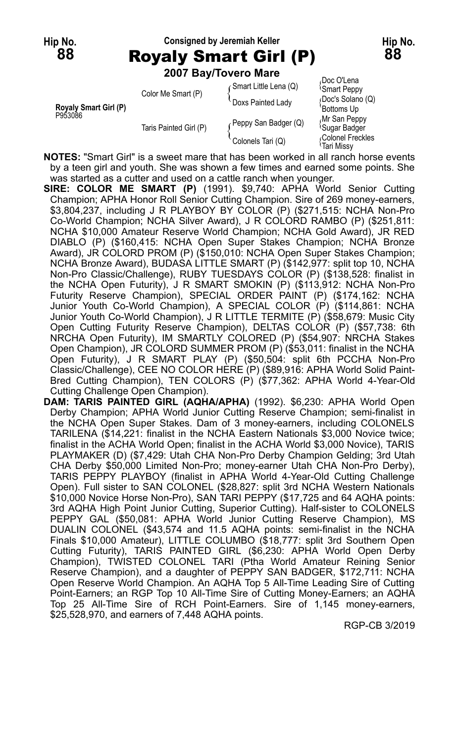## **Hip No. Consigned by Jeremiah Keller Hip No. 88** Royaly Smart Girl (P) **88**

**2007 Bay/Tovero Mare**

|                                  |                        | <b>ZUUT BAVITOVERO MATE</b> |                                           |
|----------------------------------|------------------------|-----------------------------|-------------------------------------------|
|                                  | Color Me Smart (P)     | (Smart Little Lena (Q)      | Doc O'Lena<br><i><b>Smart Peppy</b></i>   |
| Royaly Smart Girl (P)<br>P953086 |                        | Doxs Painted Lady           | Doc's Solano (Q)<br>Bottoms Up            |
|                                  | Taris Painted Girl (P) | Peppy San Badger (Q)        | Mr San Peppy<br><sup>l</sup> Sugar Badger |
|                                  |                        | Colonels Tari (Q)           | Colonel Freckles<br>Tari Missv            |

**NOTES:** "Smart Girl" is a sweet mare that has been worked in all ranch horse events by a teen girl and youth. She was shown a few times and earned some points. She was started as a cutter and used on a cattle ranch when younger.

- **SIRE: COLOR ME SMART (P)** (1991). \$9,740: APHA World Senior Cutting Champion; APHA Honor Roll Senior Cutting Champion. Sire of 269 money-earners, \$3,804,237, including J R PLAYBOY BY COLOR (P) (\$271,515: NCHA Non-Pro Co-World Champion; NCHA Silver Award), J R COLORD RAMBO (P) (\$251,811: NCHA \$10,000 Amateur Reserve World Champion; NCHA Gold Award), JR RED DIABLO (P) (\$160,415: NCHA Open Super Stakes Champion; NCHA Bronze Award), JR COLORD PROM (P) (\$150,010: NCHA Open Super Stakes Champion; NCHA Bronze Award), BUDASA LITTLE SMART (P) (\$142,977: split top 10, NCHA Non-Pro Classic/Challenge), RUBY TUESDAYS COLOR (P) (\$138,528: finalist in the NCHA Open Futurity), J R SMART SMOKIN (P) (\$113,912: NCHA Non-Pro Futurity Reserve Champion), SPECIAL ORDER PAINT (P) (\$174,162: NCHA Junior Youth Co-World Champion), A SPECIAL COLOR (P) (\$114,861: NCHA Junior Youth Co-World Champion), J R LITTLE TERMITE (P) (\$58,679: Music City Open Cutting Futurity Reserve Champion), DELTAS COLOR (P) (\$57,738: 6th NRCHA Open Futurity), IM SMARTLY COLORED (P) (\$54,907: NRCHA Stakes Open Champion), JR COLORD SUMMER PROM (P) (\$53,011: finalist in the NCHA Open Futurity), J R SMART PLAY (P) (\$50,504: split 6th PCCHA Non-Pro Classic/Challenge), CEE NO COLOR HERE (P) (\$89,916: APHA World Solid Paint-Bred Cutting Champion), TEN COLORS (P) (\$77,362: APHA World 4-Year-Old Cutting Challenge Open Champion).
- **DAM: TARIS PAINTED GIRL (AQHA/APHA)** (1992). \$6,230: APHA World Open Derby Champion; APHA World Junior Cutting Reserve Champion; semi-finalist in the NCHA Open Super Stakes. Dam of 3 money-earners, including COLONELS TARILENA (\$14,221: finalist in the NCHA Eastern Nationals \$3,000 Novice twice; finalist in the ACHA World Open; finalist in the ACHA World \$3,000 Novice), TARIS PLAYMAKER (D) (\$7,429: Utah CHA Non-Pro Derby Champion Gelding; 3rd Utah CHA Derby \$50,000 Limited Non-Pro; money-earner Utah CHA Non-Pro Derby), TARIS PEPPY PLAYBOY (finalist in APHA World 4-Year-Old Cutting Challenge Open). Full sister to SAN COLONEL (\$28,827: split 3rd NCHA Western Nationals \$10,000 Novice Horse Non-Pro), SAN TARI PEPPY (\$17,725 and 64 AQHA points: 3rd AQHA High Point Junior Cutting, Superior Cutting). Half-sister to COLONELS PEPPY GAL (\$50,081: APHA World Junior Cutting Reserve Champion), MS DUALIN COLONEL (\$43,574 and 11.5 AQHA points: semi-finalist in the NCHA Finals \$10,000 Amateur), LITTLE COLUMBO (\$18,777: split 3rd Southern Open Cutting Futurity), TARIS PAINTED GIRL (\$6,230: APHA World Open Derby Champion), TWISTED COLONEL TARI (Ptha World Amateur Reining Senior Reserve Champion), and a daughter of PEPPY SAN BADGER, \$172,711: NCHA Open Reserve World Champion. An AQHA Top 5 All-Time Leading Sire of Cutting Point-Earners; an RGP Top 10 All-Time Sire of Cutting Money-Earners; an AQHA Top 25 All-Time Sire of RCH Point-Earners. Sire of 1,145 money-earners, \$25,528,970, and earners of 7,448 AQHA points.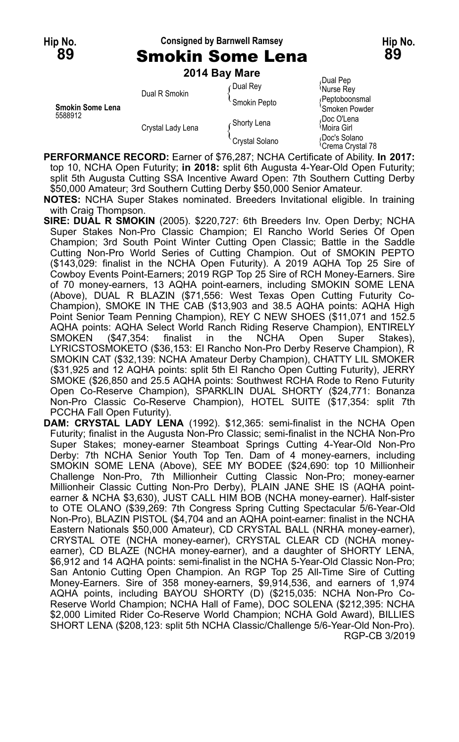## **Hip No. Consigned by Barnwell Ramsey Hip No.**

| 89 | <b>Smokin Some Lena</b> | 89 |
|----|-------------------------|----|
|    | $2014$ Ray Maro         |    |

|                             | $2014$ Day Marc   |                           |                                               |  |
|-----------------------------|-------------------|---------------------------|-----------------------------------------------|--|
| Smokin Some Lena<br>5588912 | Dual R Smokin     | Dual Rey                  | Dual Pep،<br>Murse Rey                        |  |
|                             |                   | <sup>t</sup> Smokin Pepto | <b>Peptoboonsmal</b><br>'Smoken Powder        |  |
|                             | Crystal Lady Lena | Ghorty Lena               | Doc O'Lena،<br><sup>∖</sup> Moira Girl        |  |
|                             |                   | Crystal Solano            | Doc's Solano<br><sup>{</sup> Crema Crystal 78 |  |

**PERFORMANCE RECORD:** Earner of \$76,287; NCHA Certificate of Ability. **In 2017:** top 10, NCHA Open Futurity; **in 2018:** split 6th Augusta 4-Year-Old Open Futurity; split 5th Augusta Cutting SSA Incentive Award Open: 7th Southern Cutting Derby \$50,000 Amateur; 3rd Southern Cutting Derby \$50,000 Senior Amateur.

**NOTES:** NCHA Super Stakes nominated. Breeders Invitational eligible. In training with Craig Thompson.

- **SIRE: DUAL R SMOKIN** (2005). \$220,727: 6th Breeders Inv. Open Derby; NCHA Super Stakes Non-Pro Classic Champion; El Rancho World Series Of Open Champion; 3rd South Point Winter Cutting Open Classic; Battle in the Saddle Cutting Non-Pro World Series of Cutting Champion. Out of SMOKIN PEPTO (\$143,029: finalist in the NCHA Open Futurity). A 2019 AQHA Top 25 Sire of Cowboy Events Point-Earners; 2019 RGP Top 25 Sire of RCH Money-Earners. Sire of 70 money-earners, 13 AQHA point-earners, including SMOKIN SOME LENA (Above), DUAL R BLAZIN (\$71,556: West Texas Open Cutting Futurity Co-Champion), SMOKE IN THE CAB (\$13,903 and 38.5 AQHA points: AQHA High Point Senior Team Penning Champion), REY C NEW SHOES (\$11,071 and 152.5 AQHA points: AQHA Select World Ranch Riding Reserve Champion), ENTIRELY SMOKEN (\$47,354: finalist in the NCHA Open Super Stakes), LYRICSTOSMOKETO (\$36,153: El Rancho Non-Pro Derby Reserve Champion), R SMOKIN CAT (\$32,139: NCHA Amateur Derby Champion), CHATTY LIL SMOKER (\$31,925 and 12 AQHA points: split 5th El Rancho Open Cutting Futurity), JERRY SMOKE (\$26,850 and 25.5 AQHA points: Southwest RCHA Rode to Reno Futurity Open Co-Reserve Champion), SPARKLIN DUAL SHORTY (\$24,771: Bonanza Non-Pro Classic Co-Reserve Champion), HOTEL SUITE (\$17,354: split 7th PCCHA Fall Open Futurity).
- **DAM: CRYSTAL LADY LENA** (1992). \$12,365: semi-finalist in the NCHA Open Futurity; finalist in the Augusta Non-Pro Classic; semi-finalist in the NCHA Non-Pro Super Stakes; money-earner Steamboat Springs Cutting 4-Year-Old Non-Pro Derby: 7th NCHA Senior Youth Top Ten. Dam of 4 money-earners, including SMOKIN SOME LENA (Above), SEE MY BODEE (\$24,690: top 10 Millionheir Challenge Non-Pro, 7th Millionheir Cutting Classic Non-Pro; money-earner Millionheir Classic Cutting Non-Pro Derby), PLAIN JANE SHE IS (AQHA pointearner & NCHA \$3,630), JUST CALL HIM BOB (NCHA money-earner). Half-sister to OTE OLANO (\$39,269: 7th Congress Spring Cutting Spectacular 5/6-Year-Old Non-Pro), BLAZIN PISTOL (\$4,704 and an AQHA point-earner: finalist in the NCHA Eastern Nationals \$50,000 Amateur), CD CRYSTAL BALL (NRHA money-earner), CRYSTAL OTE (NCHA money-earner), CRYSTAL CLEAR CD (NCHA moneyearner), CD BLAZE (NCHA money-earner), and a daughter of SHORTY LENA, \$6,912 and 14 AQHA points: semi-finalist in the NCHA 5-Year-Old Classic Non-Pro; San Antonio Cutting Open Champion. An RGP Top 25 All-Time Sire of Cutting Money-Earners. Sire of 358 money-earners, \$9,914,536, and earners of 1,974 AQHA points, including BAYOU SHORTY (D) (\$215,035: NCHA Non-Pro Co-Reserve World Champion; NCHA Hall of Fame), DOC SOLENA (\$212,395: NCHA \$2,000 Limited Rider Co-Reserve World Champion; NCHA Gold Award), BILLIES SHORT LENA (\$208,123: split 5th NCHA Classic/Challenge 5/6-Year-Old Non-Pro). RGP-CB 3/2019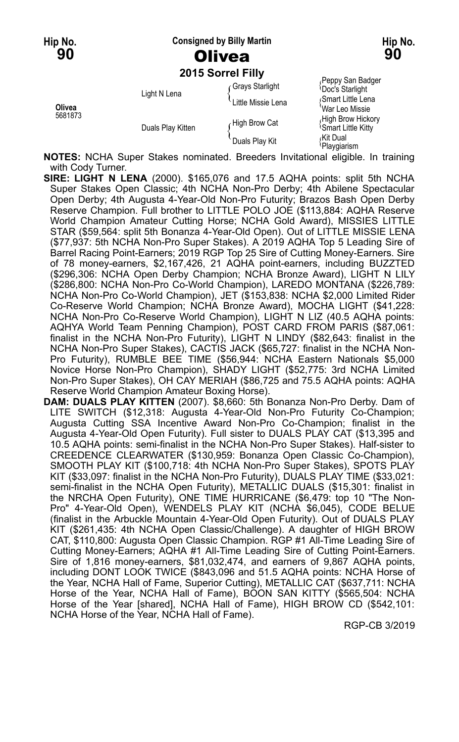**Hip No. Consigned by Billy Martin Hip No.**

**2015 Sorrel Filly**

| Olivea<br>5681873 | Light N Lena      | Grays Starlight<br>Little Missie Lena | Peppy San Badger<br><b>Doc's Starlight</b><br>Smart Little Lena<br>War Leo Missie |
|-------------------|-------------------|---------------------------------------|-----------------------------------------------------------------------------------|
|                   | Duals Play Kitten | High Brow Cat                         | High Brow Hickory<br><sup>1</sup> Smart Little Kitty                              |
|                   |                   | Duals Play Kit                        | اKit Dual،<br><sup>≀</sup> Playgiarism                                            |

**NOTES:** NCHA Super Stakes nominated. Breeders Invitational eligible. In training with Cody Turner.

- **SIRE: LIGHT N LENA** (2000). \$165,076 and 17.5 AQHA points: split 5th NCHA Super Stakes Open Classic; 4th NCHA Non-Pro Derby; 4th Abilene Spectacular Open Derby; 4th Augusta 4-Year-Old Non-Pro Futurity; Brazos Bash Open Derby Reserve Champion. Full brother to LITTLE POLO JOE (\$113,884: AQHA Reserve World Champion Amateur Cutting Horse; NCHA Gold Award), MISSIES LITTLE STAR (\$59,564: split 5th Bonanza 4-Year-Old Open). Out of LITTLE MISSIE LENA (\$77,937: 5th NCHA Non-Pro Super Stakes). A 2019 AQHA Top 5 Leading Sire of Barrel Racing Point-Earners; 2019 RGP Top 25 Sire of Cutting Money-Earners. Sire of 78 money-earners, \$2,167,426, 21 AQHA point-earners, including BUZZTED (\$296,306: NCHA Open Derby Champion; NCHA Bronze Award), LIGHT N LILY (\$286,800: NCHA Non-Pro Co-World Champion), LAREDO MONTANA (\$226,789: NCHA Non-Pro Co-World Champion), JET (\$153,838: NCHA \$2,000 Limited Rider Co-Reserve World Champion; NCHA Bronze Award), MOCHA LIGHT (\$41,228: NCHA Non-Pro Co-Reserve World Champion), LIGHT N LIZ (40.5 AQHA points: AQHYA World Team Penning Champion), POST CARD FROM PARIS (\$87,061: finalist in the NCHA Non-Pro Futurity), LIGHT N LINDY (\$82,643: finalist in the NCHA Non-Pro Super Stakes), CACTIS JACK (\$65,727: finalist in the NCHA Non-Pro Futurity), RUMBLE BEE TIME (\$56,944: NCHA Eastern Nationals \$5,000 Novice Horse Non-Pro Champion), SHADY LIGHT (\$52,775: 3rd NCHA Limited Non-Pro Super Stakes), OH CAY MERIAH (\$86,725 and 75.5 AQHA points: AQHA Reserve World Champion Amateur Boxing Horse).
- **DAM: DUALS PLAY KITTEN** (2007). \$8,660: 5th Bonanza Non-Pro Derby. Dam of LITE SWITCH (\$12,318: Augusta 4-Year-Old Non-Pro Futurity Co-Champion; Augusta Cutting SSA Incentive Award Non-Pro Co-Champion; finalist in the Augusta 4-Year-Old Open Futurity). Full sister to DUALS PLAY CAT (\$13,395 and 10.5 AQHA points: semi-finalist in the NCHA Non-Pro Super Stakes). Half-sister to CREEDENCE CLEARWATER (\$130,959: Bonanza Open Classic Co-Champion), SMOOTH PLAY KIT (\$100,718: 4th NCHA Non-Pro Super Stakes), SPOTS PLAY KIT (\$33,097: finalist in the NCHA Non-Pro Futurity), DUALS PLAY TIME (\$33,021: semi-finalist in the NCHA Open Futurity), METALLIC DUALS (\$15,301: finalist in the NRCHA Open Futurity), ONE TIME HURRICANE (\$6,479: top 10 "The Non-Pro" 4-Year-Old Open), WENDELS PLAY KIT (NCHA \$6,045), CODE BELUE (finalist in the Arbuckle Mountain 4-Year-Old Open Futurity). Out of DUALS PLAY KIT (\$261,435: 4th NCHA Open Classic/Challenge). A daughter of HIGH BROW CAT, \$110,800: Augusta Open Classic Champion. RGP #1 All-Time Leading Sire of Cutting Money-Earners; AQHA #1 All-Time Leading Sire of Cutting Point-Earners. Sire of 1,816 money-earners, \$81,032,474, and earners of 9,867 AQHA points, including DONT LOOK TWICE (\$843,096 and 51.5 AQHA points: NCHA Horse of the Year, NCHA Hall of Fame, Superior Cutting), METALLIC CAT (\$637,711: NCHA Horse of the Year, NCHA Hall of Fame), BOON SAN KITTY (\$565,504: NCHA Horse of the Year [shared], NCHA Hall of Fame), HIGH BROW CD (\$542,101: NCHA Horse of the Year, NCHA Hall of Fame).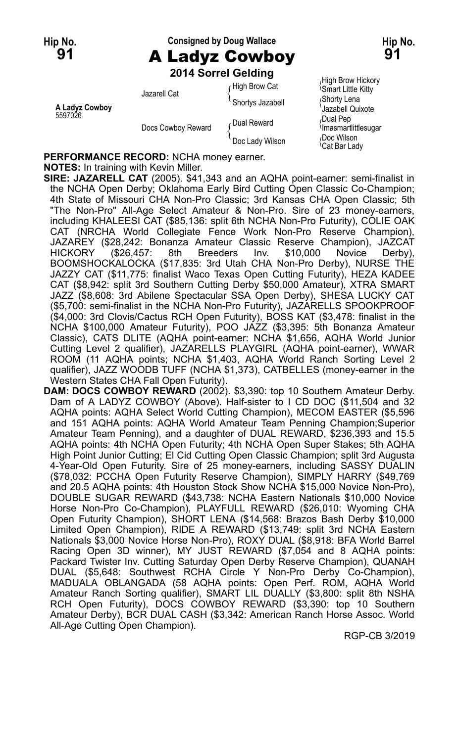## **Hip No. Consigned by Doug Wallace Hip No. 91** A Ladyz Cowboy **91**

**2014 Sorrel Gelding**

| A Ladyz Cowboy<br>5597026 | Jazarell Cat       | High Brow Cat<br>Shortys Jazabell | <b>Smart Little Kitty</b><br>Shorty Lena<br>Jazabell Quixote |
|---------------------------|--------------------|-----------------------------------|--------------------------------------------------------------|
|                           | Docs Cowboy Reward | ∠Dual Reward                      | Dual Pep<br>Umasmartlittlesugar                              |
|                           |                    | Doc Lady Wilson                   | Doc Wilson<br><sup>≀</sup> Cat Bar Ladv                      |

<sub>/</sub>High Brow Hickory<br><sup>\</sup>Smart Little Kitty **A** Shorty Lena<br><sup>{</sup> Jazabell Quixote<br>*D*ual Pep <sup>{Cat Bar Lady}</sup>

**PERFORMANCE RECORD:** NCHA money earner.

#### **NOTES:** In training with Kevin Miller.

**SIRE: JAZARELL CAT** (2005). \$41,343 and an AQHA point-earner: semi-finalist in the NCHA Open Derby; Oklahoma Early Bird Cutting Open Classic Co-Champion; 4th State of Missouri CHA Non-Pro Classic; 3rd Kansas CHA Open Classic; 5th "The Non-Pro" All-Age Select Amateur & Non-Pro. Sire of 23 money-earners, including KHALEESI CAT (\$85,136: split 6th NCHA Non-Pro Futurity), COLIE OAK CAT (NRCHA World Collegiate Fence Work Non-Pro Reserve Champion), JAZAREY (\$28,242: Bonanza Amateur Classic Reserve Champion), JAZCAT HICKORY (\$26,457: 8th Breeders Inv. \$10,000 Novice Derby), BOOMSHOCKALOCKA (\$17,835: 3rd Utah CHA Non-Pro Derby), NURSE THE JAZZY CAT (\$11,775: finalist Waco Texas Open Cutting Futurity), HEZA KADEE CAT (\$8,942: split 3rd Southern Cutting Derby \$50,000 Amateur), XTRA SMART JAZZ (\$8,608: 3rd Abilene Spectacular SSA Open Derby), SHESA LUCKY CAT (\$5,700: semi-finalist in the NCHA Non-Pro Futurity), JAZARELLS SPOOKPROOF (\$4,000: 3rd Clovis/Cactus RCH Open Futurity), BOSS KAT (\$3,478: finalist in the NCHA \$100,000 Amateur Futurity), POO JAZZ (\$3,395: 5th Bonanza Amateur Classic), CATS DLITE (AQHA point-earner: NCHA \$1,656, AQHA World Junior Cutting Level 2 qualifier), JAZARELLS PLAYGIRL (AQHA point-earner), WWAR ROOM (11 AQHA points; NCHA \$1,403, AQHA World Ranch Sorting Level 2 qualifier), JAZZ WOODB TUFF (NCHA \$1,373), CATBELLES (money-earner in the Western States CHA Fall Open Futurity).

**DAM: DOCS COWBOY REWARD** (2002). \$3,390: top 10 Southern Amateur Derby. Dam of A LADYZ COWBOY (Above). Half-sister to I CD DOC (\$11,504 and 32 AQHA points: AQHA Select World Cutting Champion), MECOM EASTER (\$5,596 and 151 AQHA points: AQHA World Amateur Team Penning Champion;Superior Amateur Team Penning), and a daughter of DUAL REWARD, \$236,393 and 15.5 AQHA points: 4th NCHA Open Futurity; 4th NCHA Open Super Stakes; 5th AQHA High Point Junior Cutting; El Cid Cutting Open Classic Champion; split 3rd Augusta 4-Year-Old Open Futurity. Sire of 25 money-earners, including SASSY DUALIN (\$78,032: PCCHA Open Futurity Reserve Champion), SIMPLY HARRY (\$49,769 and 20.5 AQHA points: 4th Houston Stock Show NCHA \$15,000 Novice Non-Pro), DOUBLE SUGAR REWARD (\$43,738: NCHA Eastern Nationals \$10,000 Novice Horse Non-Pro Co-Champion), PLAYFULL REWARD (\$26,010: Wyoming CHA Open Futurity Champion), SHORT LENA (\$14,568: Brazos Bash Derby \$10,000 Limited Open Champion), RIDE A REWARD (\$13,749: split 3rd NCHA Eastern Nationals \$3,000 Novice Horse Non-Pro), ROXY DUAL (\$8,918: BFA World Barrel Racing Open 3D winner), MY JUST REWARD (\$7,054 and 8 AQHA points: Packard Twister Inv. Cutting Saturday Open Derby Reserve Champion), QUANAH DUAL (\$5,648: Southwest RCHA Circle Y Non-Pro Derby Co-Champion), MADUALA OBLANGADA (58 AQHA points: Open Perf. ROM, AQHA World Amateur Ranch Sorting qualifier), SMART LIL DUALLY (\$3,800: split 8th NSHA RCH Open Futurity), DOCS COWBOY REWARD (\$3,390: top 10 Southern Amateur Derby), BCR DUAL CASH (\$3,342: American Ranch Horse Assoc. World All-Age Cutting Open Champion).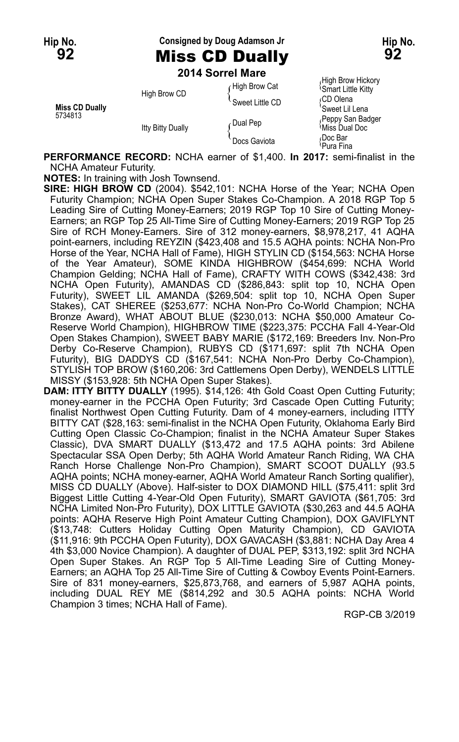## **Hip No. Consigned by Doug Adamson Jr Hip No. 92** Miss CD Dually **92**

**2014 Sorrel Mare**

|                                  |                          | ZU 14 JUNEL MAI <del>U</del>     |                                                                   |
|----------------------------------|--------------------------|----------------------------------|-------------------------------------------------------------------|
| <b>Miss CD Dually</b><br>5734813 | High Brow CD             | High Brow Cat<br>Sweet Little CD | High Brow Hickory<br><b>Smart Little Kitty</b><br>∩CD Olena       |
|                                  | <b>Itty Bitty Dually</b> | Dual Pep                         | 'Sweet Lil Lena<br>Peppy San Badger<br><sup>{</sup> Miss Dual Doc |
|                                  |                          | Docs Gaviota                     | Doc Bar،<br><sup>∖</sup> Pura Fina                                |

**PERFORMANCE RECORD:** NCHA earner of \$1,400. **In 2017:** semi-finalist in the NCHA Amateur Futurity.

**NOTES:** In training with Josh Townsend.

**SIRE: HIGH BROW CD** (2004). \$542,101: NCHA Horse of the Year; NCHA Open Futurity Champion; NCHA Open Super Stakes Co-Champion. A 2018 RGP Top 5 Leading Sire of Cutting Money-Earners; 2019 RGP Top 10 Sire of Cutting Money-Earners; an RGP Top 25 All-Time Sire of Cutting Money-Earners; 2019 RGP Top 25 Sire of RCH Money-Earners. Sire of 312 money-earners, \$8,978,217, 41 AQHA point-earners, including REYZIN (\$423,408 and 15.5 AQHA points: NCHA Non-Pro Horse of the Year, NCHA Hall of Fame), HIGH STYLIN CD (\$154,563: NCHA Horse of the Year Amateur), SOME KINDA HIGHBROW (\$454,699: NCHA World Champion Gelding; NCHA Hall of Fame), CRAFTY WITH COWS (\$342,438: 3rd NCHA Open Futurity), AMANDAS CD (\$286,843: split top 10, NCHA Open Futurity), SWEET LIL AMANDA (\$269,504: split top 10, NCHA Open Super Stakes), CAT SHEREE (\$253,677: NCHA Non-Pro Co-World Champion; NCHA Bronze Award), WHAT ABOUT BLUE (\$230,013: NCHA \$50,000 Amateur Co-Reserve World Champion), HIGHBROW TIME (\$223,375: PCCHA Fall 4-Year-Old Open Stakes Champion), SWEET BABY MARIE (\$172,169: Breeders Inv. Non-Pro Derby Co-Reserve Champion), RUBYS CD (\$171,697: split 7th NCHA Open Futurity), BIG DADDYS CD (\$167,541: NCHA Non-Pro Derby Co-Champion), STYLISH TOP BROW (\$160,206: 3rd Cattlemens Open Derby), WENDELS LITTLE MISSY (\$153,928: 5th NCHA Open Super Stakes).

**DAM: ITTY BITTY DUALLY** (1995). \$14,126: 4th Gold Coast Open Cutting Futurity; money-earner in the PCCHA Open Futurity; 3rd Cascade Open Cutting Futurity; finalist Northwest Open Cutting Futurity. Dam of 4 money-earners, including ITTY BITTY CAT (\$28,163: semi-finalist in the NCHA Open Futurity, Oklahoma Early Bird Cutting Open Classic Co-Champion; finalist in the NCHA Amateur Super Stakes Classic), DVA SMART DUALLY (\$13,472 and 17.5 AQHA points: 3rd Abilene Spectacular SSA Open Derby; 5th AQHA World Amateur Ranch Riding, WA CHA Ranch Horse Challenge Non-Pro Champion), SMART SCOOT DUALLY (93.5 AQHA points; NCHA money-earner, AQHA World Amateur Ranch Sorting qualifier), MISS CD DUALLY (Above). Half-sister to DOX DIAMOND HILL (\$75,411: split 3rd Biggest Little Cutting 4-Year-Old Open Futurity), SMART GAVIOTA (\$61,705: 3rd NCHA Limited Non-Pro Futurity), DOX LITTLE GAVIOTA (\$30,263 and 44.5 AQHA points: AQHA Reserve High Point Amateur Cutting Champion), DOX GAVIFLYNT (\$13,748: Cutters Holiday Cutting Open Maturity Champion), CD GAVIOTA (\$11,916: 9th PCCHA Open Futurity), DOX GAVACASH (\$3,881: NCHA Day Area 4 4th \$3,000 Novice Champion). A daughter of DUAL PEP, \$313,192: split 3rd NCHA Open Super Stakes. An RGP Top 5 All-Time Leading Sire of Cutting Money-Earners; an AQHA Top 25 All-Time Sire of Cutting & Cowboy Events Point-Earners. Sire of 831 money-earners, \$25,873,768, and earners of 5,987 AQHA points, including DUAL REY ME (\$814,292 and 30.5 AQHA points: NCHA World Champion 3 times; NCHA Hall of Fame).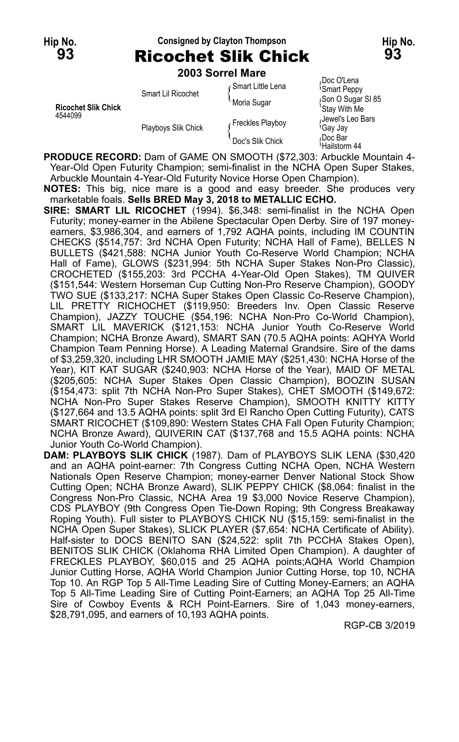### **Hip No. Consigned by Clayton Thompson Hip No. 93** Ricochet Slik Chick **93**

**2003 Sorrel Mare**

| <b>Ricochet Slik Chick</b><br>4544099 | Smart Lil Ricochet  | ⊊Smart Little Lena<br>Moria Sugar | Doc O'Lena<br><b>Smart Peppy</b><br>Son O Sugar SI 85<br>'Stay With Me |
|---------------------------------------|---------------------|-----------------------------------|------------------------------------------------------------------------|
|                                       | Playboys Slik Chick | Freckles Playboy                  | Jewel's Leo Bars<br>≀Gaγ Jaγ                                           |
|                                       |                     | Doc's Slik Chick                  | Doc Bar،<br>Hailstorm 44                                               |

**PRODUCE RECORD:** Dam of GAME ON SMOOTH (\$72,303: Arbuckle Mountain 4- Year-Old Open Futurity Champion; semi-finalist in the NCHA Open Super Stakes, Arbuckle Mountain 4-Year-Old Futurity Novice Horse Open Champion).

**NOTES:** This big, nice mare is a good and easy breeder. She produces very marketable foals. **Sells BRED May 3, 2018 to METALLIC ECHO.**

- **SIRE: SMART LIL RICOCHET** (1994). \$6,348: semi-finalist in the NCHA Open Futurity; money-earner in the Abilene Spectacular Open Derby. Sire of 197 moneyearners, \$3,986,304, and earners of 1,792 AQHA points, including IM COUNTIN CHECKS (\$514,757: 3rd NCHA Open Futurity; NCHA Hall of Fame), BELLES N BULLETS (\$421,588: NCHA Junior Youth Co-Reserve World Champion; NCHA Hall of Fame), GLOWS (\$231,994: 5th NCHA Super Stakes Non-Pro Classic), CROCHETED (\$155,203: 3rd PCCHA 4-Year-Old Open Stakes), TM QUIVER (\$151,544: Western Horseman Cup Cutting Non-Pro Reserve Champion), GOODY TWO SUE (\$133,217: NCHA Super Stakes Open Classic Co-Reserve Champion), LIL PRETTY RICHOCHET (\$119,950: Breeders Inv. Open Classic Reserve Champion), JAZZY TOUCHE (\$54,196: NCHA Non-Pro Co-World Champion), SMART LIL MAVERICK (\$121,153: NCHA Junior Youth Co-Reserve World Champion; NCHA Bronze Award), SMART SAN (70.5 AQHA points: AQHYA World Champion Team Penning Horse). A Leading Maternal Grandsire. Sire of the dams of \$3,259,320, including LHR SMOOTH JAMIE MAY (\$251,430: NCHA Horse of the Year), KIT KAT SUGAR (\$240,903: NCHA Horse of the Year), MAID OF METAL (\$205,605: NCHA Super Stakes Open Classic Champion), BOOZIN SUSAN (\$154,473: split 7th NCHA Non-Pro Super Stakes), CHET SMOOTH (\$149,672: NCHA Non-Pro Super Stakes Reserve Champion), SMOOTH KNITTY KITTY (\$127,664 and 13.5 AQHA points: split 3rd El Rancho Open Cutting Futurity), CATS SMART RICOCHET (\$109,890: Western States CHA Fall Open Futurity Champion; NCHA Bronze Award), QUIVERIN CAT (\$137,768 and 15.5 AQHA points: NCHA Junior Youth Co-World Champion).
- **DAM: PLAYBOYS SLIK CHICK** (1987). Dam of PLAYBOYS SLIK LENA (\$30,420 and an AQHA point-earner: 7th Congress Cutting NCHA Open, NCHA Western Nationals Open Reserve Champion; money-earner Denver National Stock Show Cutting Open; NCHA Bronze Award), SLIK PEPPY CHICK (\$8,064: finalist in the Congress Non-Pro Classic, NCHA Area 19 \$3,000 Novice Reserve Champion), CDS PLAYBOY (9th Congress Open Tie-Down Roping; 9th Congress Breakaway Roping Youth). Full sister to PLAYBOYS CHICK NU (\$15,159: semi-finalist in the NCHA Open Super Stakes), SLICK PLAYER (\$7,654: NCHA Certificate of Ability). Half-sister to DOCS BENITO SAN (\$24,522: split 7th PCCHA Stakes Open), BENITOS SLIK CHICK (Oklahoma RHA Limited Open Champion). A daughter of FRECKLES PLAYBOY, \$60,015 and 25 AQHA points;AQHA World Champion Junior Cutting Horse, AQHA World Champion Junior Cutting Horse, top 10, NCHA Top 10. An RGP Top 5 All-Time Leading Sire of Cutting Money-Earners; an AQHA Top 5 All-Time Leading Sire of Cutting Point-Earners; an AQHA Top 25 All-Time Sire of Cowboy Events & RCH Point-Earners. Sire of 1,043 money-earners, \$28,791,095, and earners of 10,193 AQHA points.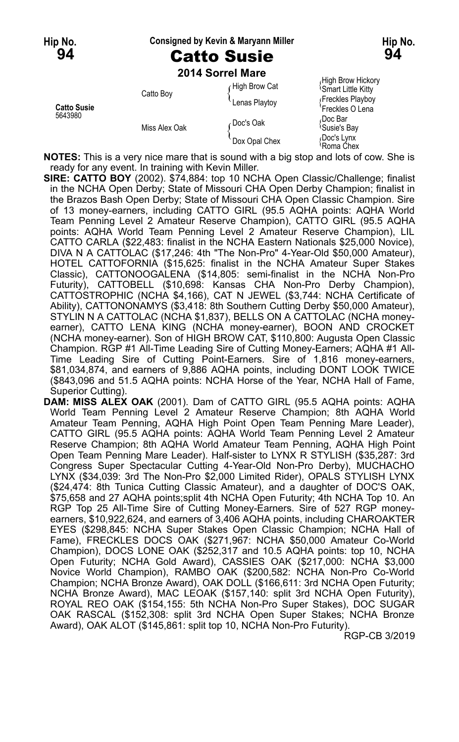#### **Hip No. Consigned by Kevin & Maryann Miller Hip No.**

## **94** Catto Susie **94**

|                               |               | 2014 Sorrel Mare |                                                |
|-------------------------------|---------------|------------------|------------------------------------------------|
| <b>Catto Susie</b><br>5643980 | Catto Boy     | High Brow Cat    | High Brow Hickory<br><b>Smart Little Kitty</b> |
|                               |               | Lenas Playtoy    | Freckles Playboy<br>Freckles O Lena            |
|                               | Miss Alex Oak | ⊱Doc's Oak       | Doc Bar،<br><sup>l</sup> Susie's Bay           |
|                               |               | Dox Opal Chex    | Doc's Lynx<br>≀Roma Chex                       |

**NOTES:** This is a very nice mare that is sound with a big stop and lots of cow. She is ready for any event. In training with Kevin Miller.

**SIRE: CATTO BOY** (2002). \$74,884: top 10 NCHA Open Classic/Challenge; finalist in the NCHA Open Derby; State of Missouri CHA Open Derby Champion; finalist in the Brazos Bash Open Derby; State of Missouri CHA Open Classic Champion. Sire of 13 money-earners, including CATTO GIRL (95.5 AQHA points: AQHA World Team Penning Level 2 Amateur Reserve Champion), CATTO GIRL (95.5 AQHA points: AQHA World Team Penning Level 2 Amateur Reserve Champion), LIL CATTO CARLA (\$22,483: finalist in the NCHA Eastern Nationals \$25,000 Novice), DIVA N A CATTOLAC (\$17,246: 4th "The Non-Pro" 4-Year-Old \$50,000 Amateur), HOTEL CATTOFORNIA (\$15,625: finalist in the NCHA Amateur Super Stakes Classic), CATTONOOGALENA (\$14,805: semi-finalist in the NCHA Non-Pro Futurity), CATTOBELL (\$10,698: Kansas CHA Non-Pro Derby Champion), CATTOSTROPHIC (NCHA \$4,166), CAT N JEWEL (\$3,744: NCHA Certificate of Ability), CATTONONAMYS (\$3,418: 8th Southern Cutting Derby \$50,000 Amateur), STYLIN N A CATTOLAC (NCHA \$1,837), BELLS ON A CATTOLAC (NCHA moneyearner), CATTO LENA KING (NCHA money-earner), BOON AND CROCKET (NCHA money-earner). Son of HIGH BROW CAT, \$110,800: Augusta Open Classic Champion. RGP #1 All-Time Leading Sire of Cutting Money-Earners; AQHA #1 All-Time Leading Sire of Cutting Point-Earners. Sire of 1,816 money-earners, \$81,034,874, and earners of 9,886 AQHA points, including DONT LOOK TWICE (\$843,096 and 51.5 AQHA points: NCHA Horse of the Year, NCHA Hall of Fame, Superior Cutting).

**DAM: MISS ALEX OAK** (2001). Dam of CATTO GIRL (95.5 AQHA points: AQHA World Team Penning Level 2 Amateur Reserve Champion; 8th AQHA World Amateur Team Penning, AQHA High Point Open Team Penning Mare Leader), CATTO GIRL (95.5 AQHA points: AQHA World Team Penning Level 2 Amateur Reserve Champion; 8th AQHA World Amateur Team Penning, AQHA High Point Open Team Penning Mare Leader). Half-sister to LYNX R STYLISH (\$35,287: 3rd Congress Super Spectacular Cutting 4-Year-Old Non-Pro Derby), MUCHACHO LYNX (\$34,039: 3rd The Non-Pro \$2,000 Limited Rider), OPALS STYLISH LYNX (\$24,474: 8th Tunica Cutting Classic Amateur), and a daughter of DOC'S OAK, \$75,658 and 27 AQHA points;split 4th NCHA Open Futurity; 4th NCHA Top 10. An RGP Top 25 All-Time Sire of Cutting Money-Earners. Sire of 527 RGP moneyearners, \$10,922,624, and earners of 3,406 AQHA points, including CHAROAKTER EYES (\$298,845: NCHA Super Stakes Open Classic Champion; NCHA Hall of Fame), FRECKLES DOCS OAK (\$271,967: NCHA \$50,000 Amateur Co-World Champion), DOCS LONE OAK (\$252,317 and 10.5 AQHA points: top 10, NCHA Open Futurity; NCHA Gold Award), CASSIES OAK (\$217,000: NCHA \$3,000 Novice World Champion), RAMBO OAK (\$200,582: NCHA Non-Pro Co-World Champion; NCHA Bronze Award), OAK DOLL (\$166,611: 3rd NCHA Open Futurity; NCHA Bronze Award), MAC LEOAK (\$157,140: split 3rd NCHA Open Futurity), ROYAL REO OAK (\$154,155: 5th NCHA Non-Pro Super Stakes), DOC SUGAR OAK RASCAL (\$152,308: split 3rd NCHA Open Super Stakes; NCHA Bronze Award), OAK ALOT (\$145,861: split top 10, NCHA Non-Pro Futurity).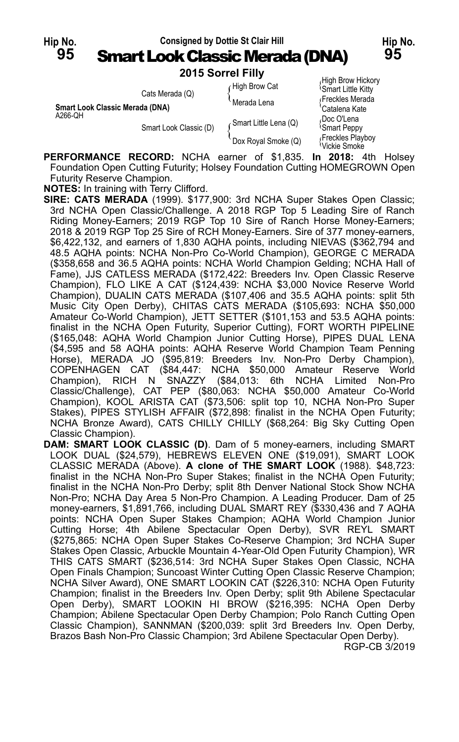

|                                            | <b>LUIJ JULIEI LIIIV</b> |                       |                                                      |
|--------------------------------------------|--------------------------|-----------------------|------------------------------------------------------|
|                                            | Cats Merada (Q)          | High Brow Cat         | High Brow Hickory<br><sup>1</sup> Smart Little Kitty |
| Smart Look Classic Merada (DNA)<br>A266-QH |                          | Merada Lena           | Freckles Merada<br>'Catalena Kate                    |
|                                            | Smart Look Classic (D)   | Smart Little Lena (Q) | Doc O'Lena،<br><b>Smart Peppy</b>                    |
|                                            |                          | Dox Royal Smoke (Q)   | Freckles Playboy<br><sup>{</sup> Vickie Smoke        |

**PERFORMANCE RECORD:** NCHA earner of \$1,835. **In 2018:** 4th Holsey Foundation Open Cutting Futurity; Holsey Foundation Cutting HOMEGROWN Open Futurity Reserve Champion.

**NOTES:** In training with Terry Clifford.

**SIRE: CATS MERADA** (1999). \$177,900: 3rd NCHA Super Stakes Open Classic; 3rd NCHA Open Classic/Challenge. A 2018 RGP Top 5 Leading Sire of Ranch Riding Money-Earners; 2019 RGP Top 10 Sire of Ranch Horse Money-Earners; 2018 & 2019 RGP Top 25 Sire of RCH Money-Earners. Sire of 377 money-earners, \$6,422,132, and earners of 1,830 AQHA points, including NIEVAS (\$362,794 and 48.5 AQHA points: NCHA Non-Pro Co-World Champion), GEORGE C MERADA (\$358,658 and 36.5 AQHA points: NCHA World Champion Gelding; NCHA Hall of Fame), JJS CATLESS MERADA (\$172,422: Breeders Inv. Open Classic Reserve Champion), FLO LIKE A CAT (\$124,439: NCHA \$3,000 Novice Reserve World Champion), DUALIN CATS MERADA (\$107,406 and 35.5 AQHA points: split 5th Music City Open Derby), CHITAS CATS MERADA (\$105,693: NCHA \$50,000 Amateur Co-World Champion), JETT SETTER (\$101,153 and 53.5 AQHA points: finalist in the NCHA Open Futurity, Superior Cutting), FORT WORTH PIPELINE (\$165,048: AQHA World Champion Junior Cutting Horse), PIPES DUAL LENA (\$4,595 and 58 AQHA points: AQHA Reserve World Champion Team Penning Horse), MERADA JO (\$95,819: Breeders Inv. Non-Pro Derby Champion), COPENHAGEN CAT (\$84,447: NCHA \$50,000 Amateur Reserve World Champion), RICH N SNAZZY (\$84,013: 6th NCHA Limited Non-Pro Classic/Challenge), CAT PEP (\$80,063: NCHA \$50,000 Amateur Co-World Champion), KOOL ARISTA CAT (\$73,506: split top 10, NCHA Non-Pro Super Stakes), PIPES STYLISH AFFAIR (\$72,898: finalist in the NCHA Open Futurity; NCHA Bronze Award), CATS CHILLY CHILLY (\$68,264: Big Sky Cutting Open Classic Champion).

**DAM: SMART LOOK CLASSIC (D)**. Dam of 5 money-earners, including SMART LOOK DUAL (\$24,579), HEBREWS ELEVEN ONE (\$19,091), SMART LOOK CLASSIC MERADA (Above). **A clone of THE SMART LOOK** (1988). \$48,723: finalist in the NCHA Non-Pro Super Stakes; finalist in the NCHA Open Futurity; finalist in the NCHA Non-Pro Derby; split 8th Denver National Stock Show NCHA Non-Pro; NCHA Day Area 5 Non-Pro Champion. A Leading Producer. Dam of 25 money-earners, \$1,891,766, including DUAL SMART REY (\$330,436 and 7 AQHA points: NCHA Open Super Stakes Champion; AQHA World Champion Junior Cutting Horse; 4th Abilene Spectacular Open Derby), SVR REYL SMART (\$275,865: NCHA Open Super Stakes Co-Reserve Champion; 3rd NCHA Super Stakes Open Classic, Arbuckle Mountain 4-Year-Old Open Futurity Champion), WR THIS CATS SMART (\$236,514: 3rd NCHA Super Stakes Open Classic, NCHA Open Finals Champion; Suncoast Winter Cutting Open Classic Reserve Champion; NCHA Silver Award), ONE SMART LOOKIN CAT (\$226,310: NCHA Open Futurity Champion; finalist in the Breeders Inv. Open Derby; split 9th Abilene Spectacular Open Derby), SMART LOOKIN HI BROW (\$216,395: NCHA Open Derby Champion; Abilene Spectacular Open Derby Champion; Polo Ranch Cutting Open Classic Champion), SANNMAN (\$200,039: split 3rd Breeders Inv. Open Derby, Brazos Bash Non-Pro Classic Champion; 3rd Abilene Spectacular Open Derby). RGP-CB 3/2019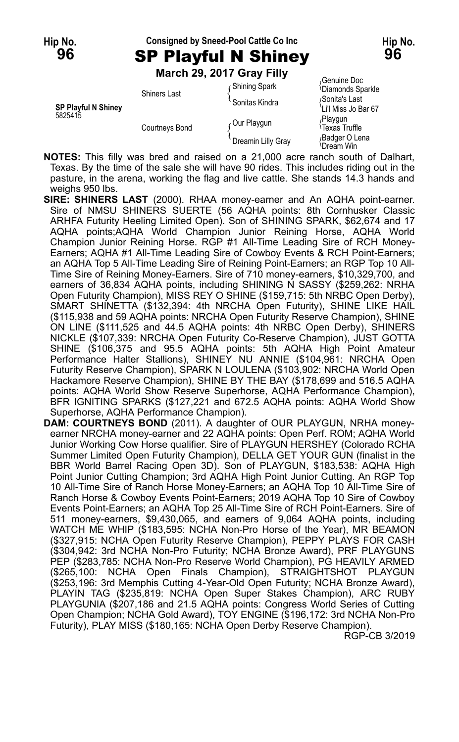**96** SP Playful N Shiney **96**

### **Hip No. Consigned by Sneed-Pool Cattle Co Inc Hip No.**

**March 29, 2017 Gray Filly**

|                                       | MAICH 29, 2017 GIAY FIIIY |                      |                                                   |
|---------------------------------------|---------------------------|----------------------|---------------------------------------------------|
| <b>SP Playful N Shiney</b><br>5825415 | <b>Shiners Last</b>       | <b>Shining Spark</b> | Genuine Doc<br><sup>1</sup> Diamonds Sparkle      |
|                                       |                           | Sonitas Kindra       | Sonita's Last<br>'Li'l Miss Jo Bar 67             |
|                                       | <b>Courtneys Bond</b>     | Our Playgun          | Playgun <sub></sub><br><sup>≀</sup> Texas Truffle |
|                                       |                           | Dreamin Lilly Gray   | Badger O Lena<br><sup>≀</sup> Dream Win           |

**NOTES:** This filly was bred and raised on a 21,000 acre ranch south of Dalhart, Texas. By the time of the sale she will have 90 rides. This includes riding out in the pasture, in the arena, working the flag and live cattle. She stands 14.3 hands and weighs 950 lbs.

- **SIRE: SHINERS LAST** (2000). RHAA money-earner and An AQHA point-earner. Sire of NMSU SHINERS SUERTE (56 AQHA points: 8th Cornhusker Classic ARHFA Futurity Heeling Limited Open). Son of SHINING SPARK, \$62,674 and 17 AQHA points;AQHA World Champion Junior Reining Horse, AQHA World Champion Junior Reining Horse. RGP #1 All-Time Leading Sire of RCH Money-Earners; AQHA #1 All-Time Leading Sire of Cowboy Events & RCH Point-Earners; an AQHA Top 5 All-Time Leading Sire of Reining Point-Earners; an RGP Top 10 All-Time Sire of Reining Money-Earners. Sire of 710 money-earners, \$10,329,700, and earners of 36,834 AQHA points, including SHINING N SASSY (\$259,262: NRHA Open Futurity Champion), MISS REY O SHINE (\$159,715: 5th NRBC Open Derby), SMART SHINETTA (\$132,394: 4th NRCHA Open Futurity), SHINE LIKE HAIL (\$115,938 and 59 AQHA points: NRCHA Open Futurity Reserve Champion), SHINE ON LINE (\$111,525 and 44.5 AQHA points: 4th NRBC Open Derby), SHINERS NICKLE (\$107,339: NRCHA Open Futurity Co-Reserve Champion), JUST GOTTA SHINE (\$106,375 and 95.5 AQHA points: 5th AQHA High Point Amateur Performance Halter Stallions), SHINEY NU ANNIE (\$104,961: NRCHA Open Futurity Reserve Champion), SPARK N LOULENA (\$103,902: NRCHA World Open Hackamore Reserve Champion), SHINE BY THE BAY (\$178,699 and 516.5 AQHA points: AQHA World Show Reserve Superhorse, AQHA Performance Champion), BFR IGNITING SPARKS (\$127,221 and 672.5 AQHA points: AQHA World Show Superhorse, AQHA Performance Champion).
- **DAM: COURTNEYS BOND** (2011). A daughter of OUR PLAYGUN, NRHA moneyearner NRCHA money-earner and 22 AQHA points: Open Perf. ROM; AQHA World Junior Working Cow Horse qualifier. Sire of PLAYGUN HERSHEY (Colorado RCHA Summer Limited Open Futurity Champion), DELLA GET YOUR GUN (finalist in the BBR World Barrel Racing Open 3D). Son of PLAYGUN, \$183,538: AQHA High Point Junior Cutting Champion; 3rd AQHA High Point Junior Cutting. An RGP Top 10 All-Time Sire of Ranch Horse Money-Earners; an AQHA Top 10 All-Time Sire of Ranch Horse & Cowboy Events Point-Earners; 2019 AQHA Top 10 Sire of Cowboy Events Point-Earners; an AQHA Top 25 All-Time Sire of RCH Point-Earners. Sire of 511 money-earners, \$9,430,065, and earners of 9,064 AQHA points, including WATCH ME WHIP (\$183,595: NCHA Non-Pro Horse of the Year), MR BEAMON (\$327,915: NCHA Open Futurity Reserve Champion), PEPPY PLAYS FOR CASH (\$304,942: 3rd NCHA Non-Pro Futurity; NCHA Bronze Award), PRF PLAYGUNS PEP (\$283,785: NCHA Non-Pro Reserve World Champion), PG HEAVILY ARMED (\$265,100: NCHA Open Finals Champion), STRAIGHTSHOT PLAYGUN (\$253,196: 3rd Memphis Cutting 4-Year-Old Open Futurity; NCHA Bronze Award), PLAYIN TAG (\$235,819: NCHA Open Super Stakes Champion), ARC RUBY PLAYGUNIA (\$207,186 and 21.5 AQHA points: Congress World Series of Cutting Open Champion; NCHA Gold Award), TOY ENGINE (\$196,172: 3rd NCHA Non-Pro Futurity), PLAY MISS (\$180,165: NCHA Open Derby Reserve Champion).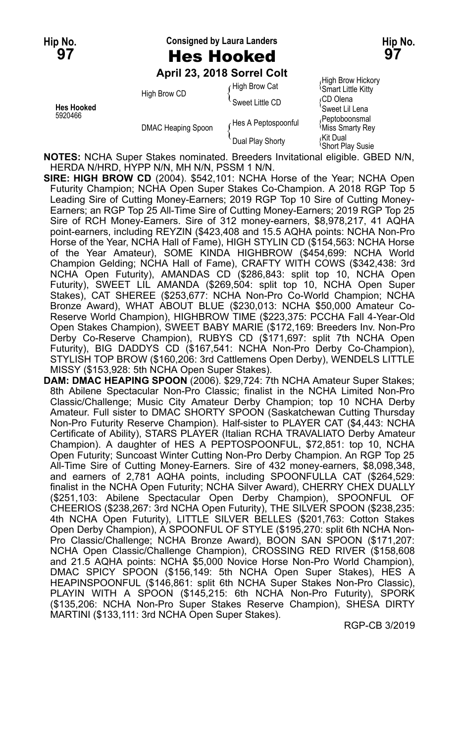**Hip No. Consigned by Laura Landers Hip No.**

**97** Hes Hooked **97**

**April 23, 2018 Sorrel Colt**

|                              |                    | April 23, 2018 Sorrel Colt |                                                |
|------------------------------|--------------------|----------------------------|------------------------------------------------|
| <b>Hes Hooked</b><br>5920466 | High Brow CD       | High Brow Cat              | High Brow Hickory<br><b>Smart Little Kitty</b> |
|                              |                    | Sweet Little CD            | ∩CD Olena<br>'Sweet Lil Lena                   |
|                              | DMAC Heaping Spoon | Hes A Peptospoonful        | Peptoboonsmal<br>Miss Smarty Rey               |
|                              |                    | Dual Play Shorty           | اKit Dual،<br><b>Short Play Susie</b>          |

**NOTES:** NCHA Super Stakes nominated. Breeders Invitational eligible. GBED N/N, HERDA N/HRD, HYPP N/N, MH N/N, PSSM 1 N/N.

- **SIRE: HIGH BROW CD** (2004). \$542,101: NCHA Horse of the Year; NCHA Open Futurity Champion; NCHA Open Super Stakes Co-Champion. A 2018 RGP Top 5 Leading Sire of Cutting Money-Earners; 2019 RGP Top 10 Sire of Cutting Money-Earners; an RGP Top 25 All-Time Sire of Cutting Money-Earners; 2019 RGP Top 25 Sire of RCH Money-Earners. Sire of 312 money-earners, \$8,978,217, 41 AQHA point-earners, including REYZIN (\$423,408 and 15.5 AQHA points: NCHA Non-Pro Horse of the Year, NCHA Hall of Fame), HIGH STYLIN CD (\$154,563: NCHA Horse of the Year Amateur), SOME KINDA HIGHBROW (\$454,699: NCHA World Champion Gelding; NCHA Hall of Fame), CRAFTY WITH COWS (\$342,438: 3rd NCHA Open Futurity), AMANDAS CD (\$286,843: split top 10, NCHA Open Futurity), SWEET LIL AMANDA (\$269,504: split top 10, NCHA Open Super Stakes), CAT SHEREE (\$253,677: NCHA Non-Pro Co-World Champion; NCHA Bronze Award), WHAT ABOUT BLUE (\$230,013: NCHA \$50,000 Amateur Co-Reserve World Champion), HIGHBROW TIME (\$223,375: PCCHA Fall 4-Year-Old Open Stakes Champion), SWEET BABY MARIE (\$172,169: Breeders Inv. Non-Pro Derby Co-Reserve Champion), RUBYS CD (\$171,697: split 7th NCHA Open Futurity), BIG DADDYS CD (\$167,541: NCHA Non-Pro Derby Co-Champion), STYLISH TOP BROW (\$160,206: 3rd Cattlemens Open Derby), WENDELS LITTLE MISSY (\$153,928: 5th NCHA Open Super Stakes).
- **DAM: DMAC HEAPING SPOON** (2006). \$29,724: 7th NCHA Amateur Super Stakes; 8th Abilene Spectacular Non-Pro Classic; finalist in the NCHA Limited Non-Pro Classic/Challenge; Music City Amateur Derby Champion; top 10 NCHA Derby Amateur. Full sister to DMAC SHORTY SPOON (Saskatchewan Cutting Thursday Non-Pro Futurity Reserve Champion). Half-sister to PLAYER CAT (\$4,443: NCHA Certificate of Ability), STARS PLAYER (Italian RCHA TRAVALIATO Derby Amateur Champion). A daughter of HES A PEPTOSPOONFUL, \$72,851: top 10, NCHA Open Futurity; Suncoast Winter Cutting Non-Pro Derby Champion. An RGP Top 25 All-Time Sire of Cutting Money-Earners. Sire of 432 money-earners, \$8,098,348, and earners of 2,781 AQHA points, including SPOONFULLA CAT (\$264,529: finalist in the NCHA Open Futurity; NCHA Silver Award), CHERRY CHEX DUALLY (\$251,103: Abilene Spectacular Open Derby Champion), SPOONFUL OF CHEERIOS (\$238,267: 3rd NCHA Open Futurity), THE SILVER SPOON (\$238,235: 4th NCHA Open Futurity), LITTLE SILVER BELLES (\$201,763: Cotton Stakes Open Derby Champion), A SPOONFUL OF STYLE (\$195,270: split 6th NCHA Non-Pro Classic/Challenge; NCHA Bronze Award), BOON SAN SPOON (\$171,207: NCHA Open Classic/Challenge Champion), CROSSING RED RIVER (\$158,608 and 21.5 AQHA points: NCHA \$5,000 Novice Horse Non-Pro World Champion), DMAC SPICY SPOON (\$156,149: 5th NCHA Open Super Stakes), HES A HEAPINSPOONFUL (\$146,861: split 6th NCHA Super Stakes Non-Pro Classic), PLAYIN WITH A SPOON (\$145,215: 6th NCHA Non-Pro Futurity), SPORK (\$135,206: NCHA Non-Pro Super Stakes Reserve Champion), SHESA DIRTY MARTINI (\$133,111: 3rd NCHA Open Super Stakes).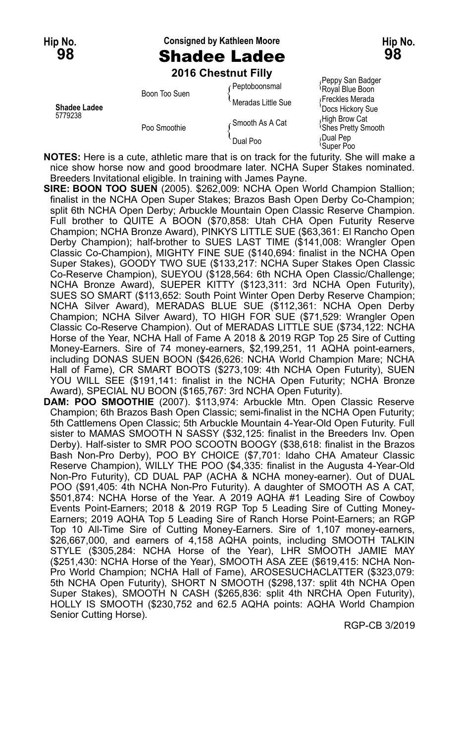## **Hip No. Consigned by Kathleen Moore Hip No. 98** Shadee Ladee **98**

**2016 Chestnut Filly**

| <b>Shadee Ladee</b><br>5779238 | Boon Too Suen | Peptoboonsmal      | r chhy oan naug<br>Royal Blue Boon             |
|--------------------------------|---------------|--------------------|------------------------------------------------|
|                                |               | Meradas Little Sue | Freckles Merada<br>'Docs Hickory Sue           |
|                                | Poo Smoothie  | Smooth As A Cat    | High Brow Cat<br><sup>1</sup> Shes Pretty Smor |
|                                |               | Dual Poo           | Dual Pep،<br><i><b>Super Poo</b></i>           |

<sub>/</sub>Peppy San Badger<br><sup>\</sup>Royal Blue Boon <sup>'</sup>Docs Hickory Sue<br>*،*High Brow Cat <sup>{</sup>Shes Pretty Smooth Gual Pep<br>Super Poo

**NOTES:** Here is a cute, athletic mare that is on track for the futurity. She will make a nice show horse now and good broodmare later. NCHA Super Stakes nominated. Breeders Invitational eligible. In training with James Payne.

- **SIRE: BOON TOO SUEN** (2005). \$262,009: NCHA Open World Champion Stallion; finalist in the NCHA Open Super Stakes; Brazos Bash Open Derby Co-Champion; split 6th NCHA Open Derby; Arbuckle Mountain Open Classic Reserve Champion. Full brother to QUITE A BOON (\$70,858: Utah CHA Open Futurity Reserve Champion; NCHA Bronze Award), PINKYS LITTLE SUE (\$63,361: El Rancho Open Derby Champion); half-brother to SUES LAST TIME (\$141,008: Wrangler Open Classic Co-Champion), MIGHTY FINE SUE (\$140,694: finalist in the NCHA Open Super Stakes), GOODY TWO SUE (\$133,217: NCHA Super Stakes Open Classic Co-Reserve Champion), SUEYOU (\$128,564: 6th NCHA Open Classic/Challenge; NCHA Bronze Award), SUEPER KITTY (\$123,311: 3rd NCHA Open Futurity), SUES SO SMART (\$113,652: South Point Winter Open Derby Reserve Champion; NCHA Silver Award), MERADAS BLUE SUE (\$112,361: NCHA Open Derby Champion; NCHA Silver Award), TO HIGH FOR SUE (\$71,529: Wrangler Open Classic Co-Reserve Champion). Out of MERADAS LITTLE SUE (\$734,122: NCHA Horse of the Year, NCHA Hall of Fame A 2018 & 2019 RGP Top 25 Sire of Cutting Money-Earners. Sire of 74 money-earners, \$2,199,251, 11 AQHA point-earners, including DONAS SUEN BOON (\$426,626: NCHA World Champion Mare; NCHA Hall of Fame), CR SMART BOOTS (\$273,109: 4th NCHA Open Futurity), SUEN YOU WILL SEE (\$191,141: finalist in the NCHA Open Futurity; NCHA Bronze Award), SPECIAL NU BOON (\$165,767: 3rd NCHA Open Futurity).
- **DAM: POO SMOOTHIE** (2007). \$113,974: Arbuckle Mtn. Open Classic Reserve Champion; 6th Brazos Bash Open Classic; semi-finalist in the NCHA Open Futurity; 5th Cattlemens Open Classic; 5th Arbuckle Mountain 4-Year-Old Open Futurity. Full sister to MAMAS SMOOTH N SASSY (\$32,125: finalist in the Breeders Inv. Open Derby). Half-sister to SMR POO SCOOTN BOOGY (\$38,618: finalist in the Brazos Bash Non-Pro Derby), POO BY CHOICE (\$7,701: Idaho CHA Amateur Classic Reserve Champion), WILLY THE POO (\$4,335: finalist in the Augusta 4-Year-Old Non-Pro Futurity), CD DUAL PAP (ACHA & NCHA money-earner). Out of DUAL POO (\$91,405: 4th NCHA Non-Pro Futurity). A daughter of SMOOTH AS A CAT, \$501,874: NCHA Horse of the Year. A 2019 AQHA #1 Leading Sire of Cowboy Events Point-Earners; 2018 & 2019 RGP Top 5 Leading Sire of Cutting Money-Earners; 2019 AQHA Top 5 Leading Sire of Ranch Horse Point-Earners; an RGP Top 10 All-Time Sire of Cutting Money-Earners. Sire of 1,107 money-earners, \$26,667,000, and earners of 4,158 AQHA points, including SMOOTH TALKIN STYLE (\$305,284: NCHA Horse of the Year), LHR SMOOTH JAMIE MAY (\$251,430: NCHA Horse of the Year), SMOOTH ASA ZEE (\$619,415: NCHA Non-Pro World Champion; NCHA Hall of Fame), AROSESUCHACLATTER (\$323,079: 5th NCHA Open Futurity), SHORT N SMOOTH (\$298,137: split 4th NCHA Open Super Stakes), SMOOTH N CASH (\$265,836: split 4th NRCHA Open Futurity), HOLLY IS SMOOTH (\$230,752 and 62.5 AQHA points: AQHA World Champion Senior Cutting Horse).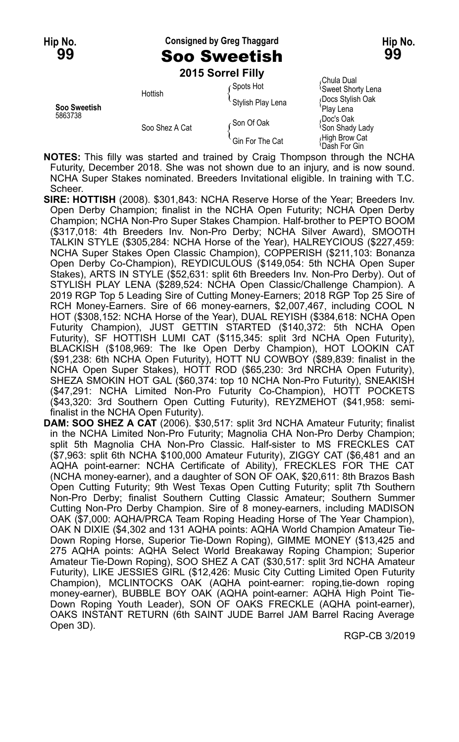**Hip No. Consigned by Greg Thaggard Hip No. 99** Soo Sweetish **99**

**2015 Sorrel Filly**

|                         | EVIV OVIIVI I IIIY |                   |                                                         |
|-------------------------|--------------------|-------------------|---------------------------------------------------------|
| Soo Sweetish<br>5863738 | Hottish            | Spots Hot         | Chula Dual<br><b>Sweet Shorty Lena</b>                  |
|                         |                    | Stylish Play Lena | Docs Stylish Oak                                        |
|                         | Soo Shez A Cat     | ∠Son Of Oak       | 'Play Lena<br>Doc's Oak،<br><sup>1</sup> Son Shady Lady |
|                         |                    | Gin For The Cat   | High Brow Cat<br>Dash For Gin                           |

**NOTES:** This filly was started and trained by Craig Thompson through the NCHA Futurity, December 2018. She was not shown due to an injury, and is now sound. NCHA Super Stakes nominated. Breeders Invitational eligible. In training with T.C. Scheer.

**SIRE: HOTTISH** (2008). \$301,843: NCHA Reserve Horse of the Year; Breeders Inv. Open Derby Champion; finalist in the NCHA Open Futurity; NCHA Open Derby Champion; NCHA Non-Pro Super Stakes Champion. Half-brother to PEPTO BOOM (\$317,018: 4th Breeders Inv. Non-Pro Derby; NCHA Silver Award), SMOOTH TALKIN STYLE (\$305,284: NCHA Horse of the Year), HALREYCIOUS (\$227,459: NCHA Super Stakes Open Classic Champion), COPPERISH (\$211,103: Bonanza Open Derby Co-Champion), REYDICULOUS (\$149,054: 5th NCHA Open Super Stakes), ARTS IN STYLE (\$52,631: split 6th Breeders Inv. Non-Pro Derby). Out of STYLISH PLAY LENA (\$289,524: NCHA Open Classic/Challenge Champion). A 2019 RGP Top 5 Leading Sire of Cutting Money-Earners; 2018 RGP Top 25 Sire of RCH Money-Earners. Sire of 66 money-earners, \$2,007,467, including COOL N HOT (\$308,152: NCHA Horse of the Year), DUAL REYISH (\$384,618: NCHA Open Futurity Champion), JUST GETTIN STARTED (\$140,372: 5th NCHA Open Futurity), SF HOTTISH LUMI CAT (\$115,345: split 3rd NCHA Open Futurity), BLACKISH (\$108,969: The Ike Open Derby Champion), HOT LOOKIN CAT (\$91,238: 6th NCHA Open Futurity), HOTT NU COWBOY (\$89,839: finalist in the NCHA Open Super Stakes), HOTT ROD (\$65,230: 3rd NRCHA Open Futurity), SHEZA SMOKIN HOT GAL (\$60,374: top 10 NCHA Non-Pro Futurity), SNEAKISH (\$47,291: NCHA Limited Non-Pro Futurity Co-Champion), HOTT POCKETS (\$43,320: 3rd Southern Open Cutting Futurity), REYZMEHOT (\$41,958: semifinalist in the NCHA Open Futurity).

**DAM: SOO SHEZ A CAT** (2006). \$30,517: split 3rd NCHA Amateur Futurity; finalist in the NCHA Limited Non-Pro Futurity; Magnolia CHA Non-Pro Derby Champion; split 5th Magnolia CHA Non-Pro Classic. Half-sister to MS FRECKLES CAT (\$7,963: split 6th NCHA \$100,000 Amateur Futurity), ZIGGY CAT (\$6,481 and an AQHA point-earner: NCHA Certificate of Ability), FRECKLES FOR THE CAT (NCHA money-earner), and a daughter of SON OF OAK, \$20,611: 8th Brazos Bash Open Cutting Futurity; 9th West Texas Open Cutting Futurity; split 7th Southern Non-Pro Derby; finalist Southern Cutting Classic Amateur; Southern Summer Cutting Non-Pro Derby Champion. Sire of 8 money-earners, including MADISON OAK (\$7,000: AQHA/PRCA Team Roping Heading Horse of The Year Champion), OAK N DIXIE (\$4,302 and 131 AQHA points: AQHA World Champion Amateur Tie-Down Roping Horse, Superior Tie-Down Roping), GIMME MONEY (\$13,425 and 275 AQHA points: AQHA Select World Breakaway Roping Champion; Superior Amateur Tie-Down Roping), SOO SHEZ A CAT (\$30,517: split 3rd NCHA Amateur Futurity), LIKE JESSIES GIRL (\$12,426: Music City Cutting Limited Open Futurity Champion), MCLINTOCKS OAK (AQHA point-earner: roping,tie-down roping money-earner), BUBBLE BOY OAK (AQHA point-earner: AQHA High Point Tie-Down Roping Youth Leader), SON OF OAKS FRECKLE (AQHA point-earner), OAKS INSTANT RETURN (6th SAINT JUDE Barrel JAM Barrel Racing Average Open 3D).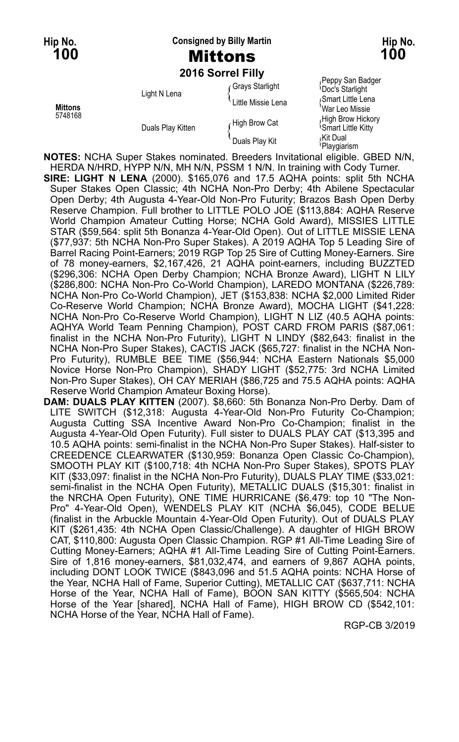**Hip No. Consigned by Billy Martin Hip No. 100** Mittons **100**

**2016 Sorrel Filly**

|                           |                   | <b>ZUTO SUITEL FIIIV</b> |                                                      |
|---------------------------|-------------------|--------------------------|------------------------------------------------------|
| <b>Mittons</b><br>5748168 | Light N Lena      | Grays Starlight          | Peppy San Badger<br><b>Doc's Starlight</b>           |
|                           |                   | Little Missie Lena       | Smart Little Lena<br>War Leo Missie                  |
|                           | Duals Play Kitten | High Brow Cat            | High Brow Hickory<br><sup>1</sup> Smart Little Kitty |
|                           |                   | Duals Play Kit           | اKit Dual،<br>Playgiarism                            |

**NOTES:** NCHA Super Stakes nominated. Breeders Invitational eligible. GBED N/N, HERDA N/HRD, HYPP N/N, MH N/N, PSSM 1 N/N. In training with Cody Turner. **SIRE: LIGHT N LENA** (2000). \$165,076 and 17.5 AQHA points: split 5th NCHA Super Stakes Open Classic; 4th NCHA Non-Pro Derby; 4th Abilene Spectacular Open Derby; 4th Augusta 4-Year-Old Non-Pro Futurity; Brazos Bash Open Derby Reserve Champion. Full brother to LITTLE POLO JOE (\$113,884: AQHA Reserve World Champion Amateur Cutting Horse; NCHA Gold Award), MISSIES LITTLE STAR (\$59,564: split 5th Bonanza 4-Year-Old Open). Out of LITTLE MISSIE LENA (\$77,937: 5th NCHA Non-Pro Super Stakes). A 2019 AQHA Top 5 Leading Sire of Barrel Racing Point-Earners; 2019 RGP Top 25 Sire of Cutting Money-Earners. Sire of 78 money-earners, \$2,167,426, 21 AQHA point-earners, including BUZZTED (\$296,306: NCHA Open Derby Champion; NCHA Bronze Award), LIGHT N LILY (\$286,800: NCHA Non-Pro Co-World Champion), LAREDO MONTANA (\$226,789: NCHA Non-Pro Co-World Champion), JET (\$153,838: NCHA \$2,000 Limited Rider Co-Reserve World Champion; NCHA Bronze Award), MOCHA LIGHT (\$41,228: NCHA Non-Pro Co-Reserve World Champion), LIGHT N LIZ (40.5 AQHA points: AQHYA World Team Penning Champion), POST CARD FROM PARIS (\$87,061: finalist in the NCHA Non-Pro Futurity), LIGHT N LINDY (\$82,643: finalist in the NCHA Non-Pro Super Stakes), CACTIS JACK (\$65,727: finalist in the NCHA Non-Pro Futurity), RUMBLE BEE TIME (\$56,944: NCHA Eastern Nationals \$5,000 Novice Horse Non-Pro Champion), SHADY LIGHT (\$52,775: 3rd NCHA Limited Non-Pro Super Stakes), OH CAY MERIAH (\$86,725 and 75.5 AQHA points: AQHA Reserve World Champion Amateur Boxing Horse).

**DAM: DUALS PLAY KITTEN** (2007). \$8,660: 5th Bonanza Non-Pro Derby. Dam of LITE SWITCH (\$12,318: Augusta 4-Year-Old Non-Pro Futurity Co-Champion; Augusta Cutting SSA Incentive Award Non-Pro Co-Champion; finalist in the Augusta 4-Year-Old Open Futurity). Full sister to DUALS PLAY CAT (\$13,395 and 10.5 AQHA points: semi-finalist in the NCHA Non-Pro Super Stakes). Half-sister to CREEDENCE CLEARWATER (\$130,959: Bonanza Open Classic Co-Champion), SMOOTH PLAY KIT (\$100,718: 4th NCHA Non-Pro Super Stakes), SPOTS PLAY KIT (\$33,097: finalist in the NCHA Non-Pro Futurity), DUALS PLAY TIME (\$33,021: semi-finalist in the NCHA Open Futurity), METALLIC DUALS (\$15,301: finalist in the NRCHA Open Futurity), ONE TIME HURRICANE (\$6,479: top 10 "The Non-Pro" 4-Year-Old Open), WENDELS PLAY KIT (NCHA \$6,045), CODE BELUE (finalist in the Arbuckle Mountain 4-Year-Old Open Futurity). Out of DUALS PLAY KIT (\$261,435: 4th NCHA Open Classic/Challenge). A daughter of HIGH BROW CAT, \$110,800: Augusta Open Classic Champion. RGP #1 All-Time Leading Sire of Cutting Money-Earners; AQHA #1 All-Time Leading Sire of Cutting Point-Earners. Sire of 1,816 money-earners, \$81,032,474, and earners of 9,867 AQHA points, including DONT LOOK TWICE (\$843,096 and 51.5 AQHA points: NCHA Horse of the Year, NCHA Hall of Fame, Superior Cutting), METALLIC CAT (\$637,711: NCHA Horse of the Year, NCHA Hall of Fame), BOON SAN KITTY (\$565,504: NCHA Horse of the Year [shared], NCHA Hall of Fame), HIGH BROW CD (\$542,101: NCHA Horse of the Year, NCHA Hall of Fame).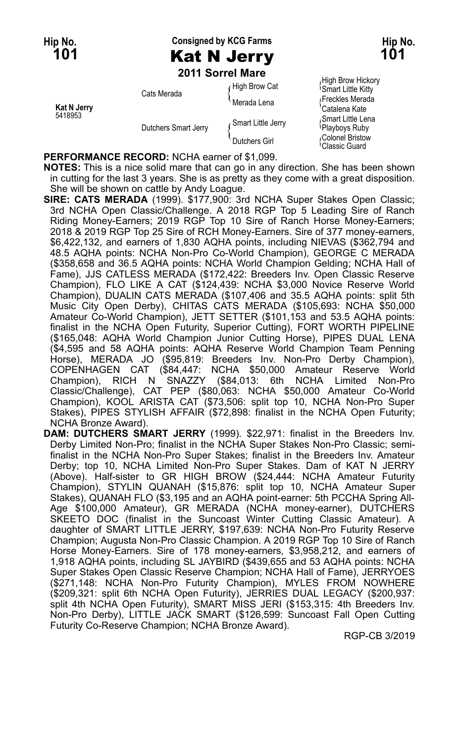**Hip No. Consigned by KCG Farms Hip No. 101** Kat N Jerry **101**

**2011 Sorrel Mare**

| Kat N Jerry<br>5418953 | Cats Merada<br>Dutchers Smart Jerry | High Brow Cat      | <sup>1</sup> Smart Little Kitty                      |
|------------------------|-------------------------------------|--------------------|------------------------------------------------------|
|                        |                                     | Merada Lena        | Freckles Merada<br>'Catalena Kate                    |
|                        |                                     | Smart Little Jerry | Smart Little Lena<br>Playboys Ruby                   |
|                        |                                     | Dutchers Girl      | Colonel Bristow<br><sup><i>I</i></sup> Classic Guard |

High Brow Hickory<br><sup>{</sup>Smart Little Kitty  $\tilde{\mathcal{E}}$ Freckles Merada <sup>\</sup>Catalena Kate<br><sub>‹</sub>Smart Little Lena

**PERFORMANCE RECORD:** NCHA earner of \$1,099.

**NOTES:** This is a nice solid mare that can go in any direction. She has been shown in cutting for the last 3 years. She is as pretty as they come with a great disposition. She will be shown on cattle by Andy Loague.

- **SIRE: CATS MERADA** (1999). \$177,900: 3rd NCHA Super Stakes Open Classic; 3rd NCHA Open Classic/Challenge. A 2018 RGP Top 5 Leading Sire of Ranch Riding Money-Earners; 2019 RGP Top 10 Sire of Ranch Horse Money-Earners; 2018 & 2019 RGP Top 25 Sire of RCH Money-Earners. Sire of 377 money-earners, \$6,422,132, and earners of 1,830 AQHA points, including NIEVAS (\$362,794 and 48.5 AQHA points: NCHA Non-Pro Co-World Champion), GEORGE C MERADA (\$358,658 and 36.5 AQHA points: NCHA World Champion Gelding; NCHA Hall of Fame), JJS CATLESS MERADA (\$172,422: Breeders Inv. Open Classic Reserve Champion), FLO LIKE A CAT (\$124,439: NCHA \$3,000 Novice Reserve World Champion), DUALIN CATS MERADA (\$107,406 and 35.5 AQHA points: split 5th Music City Open Derby), CHITAS CATS MERADA (\$105,693: NCHA \$50,000 Amateur Co-World Champion), JETT SETTER (\$101,153 and 53.5 AQHA points: finalist in the NCHA Open Futurity, Superior Cutting), FORT WORTH PIPELINE (\$165,048: AQHA World Champion Junior Cutting Horse), PIPES DUAL LENA (\$4,595 and 58 AQHA points: AQHA Reserve World Champion Team Penning Horse), MERADA JO (\$95,819: Breeders Inv. Non-Pro Derby Champion), COPENHAGEN CAT (\$84,447: NCHA \$50,000 Amateur Reserve World Champion), RICH N SNAZZY (\$84,013: 6th NCHA Limited Non-Pro Classic/Challenge), CAT PEP (\$80,063: NCHA \$50,000 Amateur Co-World Champion), KOOL ARISTA CAT (\$73,506: split top 10, NCHA Non-Pro Super Stakes), PIPES STYLISH AFFAIR (\$72,898: finalist in the NCHA Open Futurity; NCHA Bronze Award).
- **DAM: DUTCHERS SMART JERRY** (1999). \$22,971: finalist in the Breeders Inv. Derby Limited Non-Pro; finalist in the NCHA Super Stakes Non-Pro Classic; semifinalist in the NCHA Non-Pro Super Stakes; finalist in the Breeders Inv. Amateur Derby; top 10, NCHA Limited Non-Pro Super Stakes. Dam of KAT N JERRY (Above). Half-sister to GR HIGH BROW (\$24,444: NCHA Amateur Futurity Champion), STYLIN QUANAH (\$15,876: split top 10, NCHA Amateur Super Stakes), QUANAH FLO (\$3,195 and an AQHA point-earner: 5th PCCHA Spring All-Age \$100,000 Amateur), GR MERADA (NCHA money-earner), DUTCHERS SKEETO DOC (finalist in the Suncoast Winter Cutting Classic Amateur). A daughter of SMART LITTLE JERRY, \$197,639: NCHA Non-Pro Futurity Reserve Champion; Augusta Non-Pro Classic Champion. A 2019 RGP Top 10 Sire of Ranch Horse Money-Earners. Sire of 178 money-earners, \$3,958,212, and earners of 1,918 AQHA points, including SL JAYBIRD (\$439,655 and 53 AQHA points: NCHA Super Stakes Open Classic Reserve Champion; NCHA Hall of Fame), JERRYOES (\$271,148: NCHA Non-Pro Futurity Champion), MYLES FROM NOWHERE (\$209,321: split 6th NCHA Open Futurity), JERRIES DUAL LEGACY (\$200,937: split 4th NCHA Open Futurity), SMART MISS JERI (\$153,315: 4th Breeders Inv. Non-Pro Derby), LITTLE JACK SMART (\$126,599: Suncoast Fall Open Cutting Futurity Co-Reserve Champion; NCHA Bronze Award).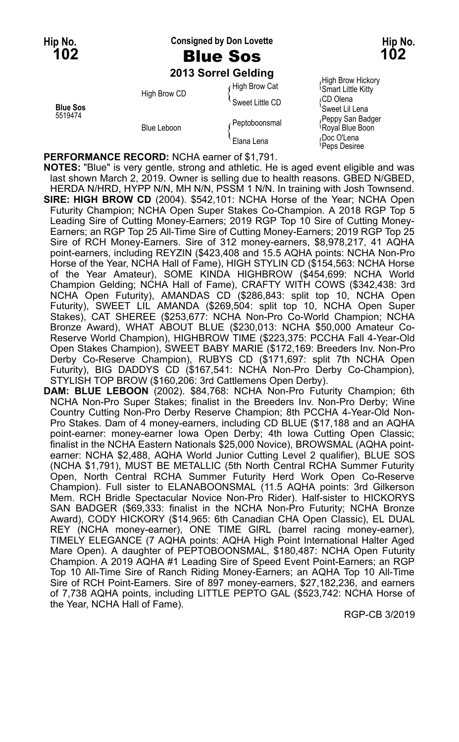### **Hip No. Consigned by Don Lovette Hip No. 102** Blue Sos **102**

## **2013 Sorrel Gelding**

**Blue Sos**<br>5519474 **Blue Sos State Software Solution**<br>Performance of the Performance of the Peppy San Badger

High Brow CD  $\left\{\begin{array}{c} \text{Smeet Little CD} \\ \text{Sweet Little CD} \end{array}\right\}$ 

 $\int$  High Brow Cat (High Brow Hickory Feppy San Badger Peptoboonsmal (Peptoboonsmal (Peppy San Badger Peppy San Badger Peppy San Badger Peppy San Badge Blue Leboon  $\left\{\begin{array}{l} \{ \begin{array}{c} \{ \end{array} \} \\ \{ \end{array} \}$  Elana Lena  $\{ \begin{array}{c} \{ \end{array} \}$  Doc O'Lena Docino Peps Desiree

**PERFORMANCE RECORD:** NCHA earner of \$1,791.

**NOTES:** "Blue" is very gentle, strong and athletic. He is aged event eligible and was last shown March 2, 2019. Owner is selling due to health reasons. GBED N/GBED, HERDA N/HRD, HYPP N/N, MH N/N, PSSM 1 N/N. In training with Josh Townsend. **SIRE: HIGH BROW CD** (2004). \$542,101: NCHA Horse of the Year; NCHA Open Futurity Champion; NCHA Open Super Stakes Co-Champion. A 2018 RGP Top 5 Leading Sire of Cutting Money-Earners; 2019 RGP Top 10 Sire of Cutting Money-Earners; an RGP Top 25 All-Time Sire of Cutting Money-Earners; 2019 RGP Top 25 Sire of RCH Money-Earners. Sire of 312 money-earners, \$8,978,217, 41 AQHA point-earners, including REYZIN (\$423,408 and 15.5 AQHA points: NCHA Non-Pro Horse of the Year, NCHA Hall of Fame), HIGH STYLIN CD (\$154,563: NCHA Horse of the Year Amateur), SOME KINDA HIGHBROW (\$454,699: NCHA World Champion Gelding; NCHA Hall of Fame), CRAFTY WITH COWS (\$342,438: 3rd NCHA Open Futurity), AMANDAS CD (\$286,843: split top 10, NCHA Open Futurity), SWEET LIL AMANDA (\$269,504: split top 10, NCHA Open Super Stakes), CAT SHEREE (\$253,677: NCHA Non-Pro Co-World Champion; NCHA Bronze Award), WHAT ABOUT BLUE (\$230,013: NCHA \$50,000 Amateur Co-Reserve World Champion), HIGHBROW TIME (\$223,375: PCCHA Fall 4-Year-Old Open Stakes Champion), SWEET BABY MARIE (\$172,169: Breeders Inv. Non-Pro Derby Co-Reserve Champion), RUBYS CD (\$171,697: split 7th NCHA Open Futurity), BIG DADDYS CD (\$167,541: NCHA Non-Pro Derby Co-Champion), STYLISH TOP BROW (\$160,206: 3rd Cattlemens Open Derby).

**DAM: BLUE LEBOON** (2002). \$84,768: NCHA Non-Pro Futurity Champion; 6th NCHA Non-Pro Super Stakes; finalist in the Breeders Inv. Non-Pro Derby; Wine Country Cutting Non-Pro Derby Reserve Champion; 8th PCCHA 4-Year-Old Non-Pro Stakes. Dam of 4 money-earners, including CD BLUE (\$17,188 and an AQHA point-earner: money-earner Iowa Open Derby; 4th Iowa Cutting Open Classic; finalist in the NCHA Eastern Nationals \$25,000 Novice), BROWSMAL (AQHA pointearner: NCHA \$2,488, AQHA World Junior Cutting Level 2 qualifier), BLUE SOS (NCHA \$1,791), MUST BE METALLIC (5th North Central RCHA Summer Futurity Open, North Central RCHA Summer Futurity Herd Work Open Co-Reserve Champion). Full sister to ELANABOONSMAL (11.5 AQHA points: 3rd Gilkerson Mem. RCH Bridle Spectacular Novice Non-Pro Rider). Half-sister to HICKORYS SAN BADGER (\$69,333: finalist in the NCHA Non-Pro Futurity; NCHA Bronze Award), CODY HICKORY (\$14,965: 6th Canadian CHA Open Classic), EL DUAL REY (NCHA money-earner), ONE TIME GIRL (barrel racing money-earner), TIMELY ELEGANCE (7 AQHA points: AQHA High Point International Halter Aged Mare Open). A daughter of PEPTOBOONSMAL, \$180,487: NCHA Open Futurity Champion. A 2019 AQHA #1 Leading Sire of Speed Event Point-Earners; an RGP Top 10 All-Time Sire of Ranch Riding Money-Earners; an AQHA Top 10 All-Time Sire of RCH Point-Earners. Sire of 897 money-earners, \$27,182,236, and earners of 7,738 AQHA points, including LITTLE PEPTO GAL (\$523,742: NCHA Horse of the Year, NCHA Hall of Fame).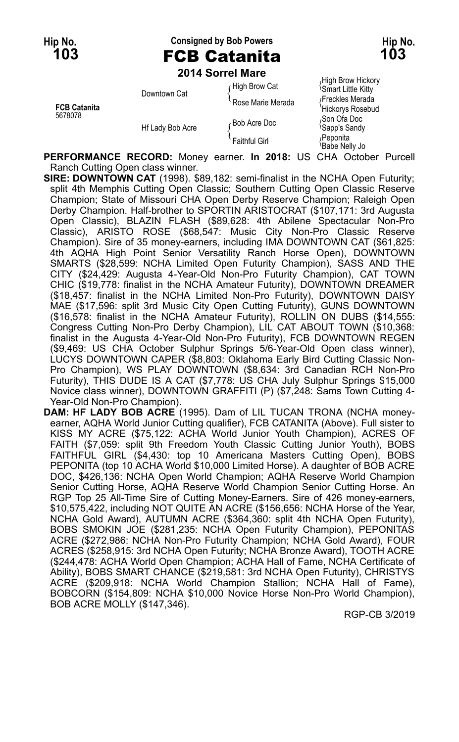**Hip No. Consigned by Bob Powers Hip No. 103** FCB Catanita **103**

**2014 Sorrel Mare**

High Brow Hickory High Brow Hickory<br>figh Brow Cat (Smart Little Kitty Smart Little Kitty Downtown Cat  $\{^{\text{Fock}}_{\text{Rose}}\}$  Merada  $\{^{\text{Frock}}_{\text{trick}}\}$  Merada  $\{^{\text{Fock}}_{\text{trick}}\}$ **FCB Catanita FCB Catanita FCB Catanita Hickorys Rosebud**<br>5678078 (Son Ofa Doc Son Ofa Doc<br>Hf Lady Bob Acre (Bob Acre Doc (Sapp's Sandy Hf Lady Bob Acre (Bob Acre Sapp's Sandy<br>Reponita { Faithful Girl { Peponita }<br>Babe Nelly Jo { Peace Nelly Jo }

**PERFORMANCE RECORD:** Money earner. **In 2018:** US CHA October Purcell Ranch Cutting Open class winner.

**SIRE: DOWNTOWN CAT** (1998). \$89,182: semi-finalist in the NCHA Open Futurity; split 4th Memphis Cutting Open Classic; Southern Cutting Open Classic Reserve Champion; State of Missouri CHA Open Derby Reserve Champion; Raleigh Open Derby Champion. Half-brother to SPORTIN ARISTOCRAT (\$107,171: 3rd Augusta Open Classic), BLAZIN FLASH (\$89,628: 4th Abilene Spectacular Non-Pro Classic), ARISTO ROSE (\$68,547: Music City Non-Pro Classic Reserve Champion). Sire of 35 money-earners, including IMA DOWNTOWN CAT (\$61,825: 4th AQHA High Point Senior Versatility Ranch Horse Open), DOWNTOWN SMARTS (\$28,599: NCHA Limited Open Futurity Champion), SASS AND THE CITY (\$24,429: Augusta 4-Year-Old Non-Pro Futurity Champion), CAT TOWN CHIC (\$19,778: finalist in the NCHA Amateur Futurity), DOWNTOWN DREAMER (\$18,457: finalist in the NCHA Limited Non-Pro Futurity), DOWNTOWN DAISY MAE (\$17,596: split 3rd Music City Open Cutting Futurity), GUNS DOWNTOWN (\$16,578: finalist in the NCHA Amateur Futurity), ROLLIN ON DUBS (\$14,555: Congress Cutting Non-Pro Derby Champion), LIL CAT ABOUT TOWN (\$10,368: finalist in the Augusta 4-Year-Old Non-Pro Futurity), FCB DOWNTOWN REGEN (\$9,469: US CHA October Sulphur Springs 5/6-Year-Old Open class winner), LUCYS DOWNTOWN CAPER (\$8,803: Oklahoma Early Bird Cutting Classic Non-Pro Champion), WS PLAY DOWNTOWN (\$8,634: 3rd Canadian RCH Non-Pro Futurity), THIS DUDE IS A CAT (\$7,778: US CHA July Sulphur Springs \$15,000 Novice class winner), DOWNTOWN GRAFFITI (P) (\$7,248: Sams Town Cutting 4- Year-Old Non-Pro Champion).

**DAM: HF LADY BOB ACRE** (1995). Dam of LIL TUCAN TRONA (NCHA moneyearner, AQHA World Junior Cutting qualifier), FCB CATANITA (Above). Full sister to KISS MY ACRE (\$75,122: ACHA World Junior Youth Champion), ACRES OF FAITH (\$7,059: split 9th Freedom Youth Classic Cutting Junior Youth), BOBS FAITHFUL GIRL (\$4,430: top 10 Americana Masters Cutting Open), BOBS PEPONITA (top 10 ACHA World \$10,000 Limited Horse). A daughter of BOB ACRE DOC, \$426,136: NCHA Open World Champion; AQHA Reserve World Champion Senior Cutting Horse, AQHA Reserve World Champion Senior Cutting Horse. An RGP Top 25 All-Time Sire of Cutting Money-Earners. Sire of 426 money-earners, \$10,575,422, including NOT QUITE AN ACRE (\$156,656: NCHA Horse of the Year, NCHA Gold Award), AUTUMN ACRE (\$364,360: split 4th NCHA Open Futurity), BOBS SMOKIN JOE (\$281,235: NCHA Open Futurity Champion), PEPONITAS ACRE (\$272,986: NCHA Non-Pro Futurity Champion; NCHA Gold Award), FOUR ACRES (\$258,915: 3rd NCHA Open Futurity; NCHA Bronze Award), TOOTH ACRE (\$244,478: ACHA World Open Champion; ACHA Hall of Fame, NCHA Certificate of Ability), BOBS SMART CHANCE (\$219,581: 3rd NCHA Open Futurity), CHRISTYS ACRE (\$209,918: NCHA World Champion Stallion; NCHA Hall of Fame), BOBCORN (\$154,809: NCHA \$10,000 Novice Horse Non-Pro World Champion), BOB ACRE MOLLY (\$147,346).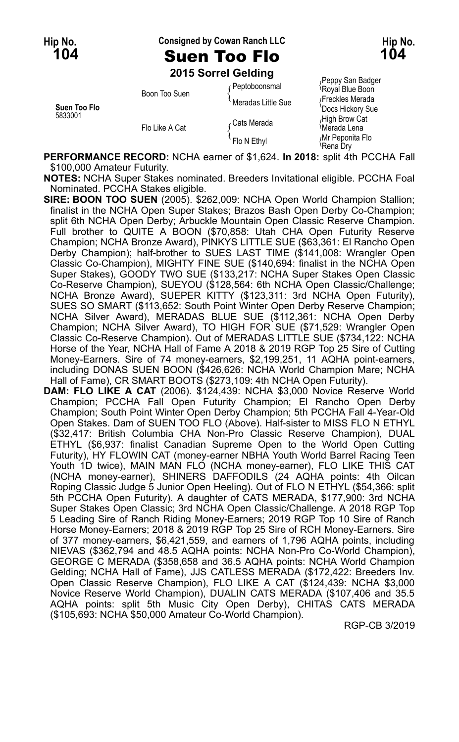**Hip No. Consigned by Cowan Ranch LLC Hip No.**

## **104** Suen Too Flo **104**

**2015 Sorrel Gelding**

| Suen Too Flo<br>5833001 | Boon Too Suen  | Peptoboonsmal      | i vyyy van baago<br>Royal Blue Boon  |
|-------------------------|----------------|--------------------|--------------------------------------|
|                         |                | Meradas Little Sue | Freckles Merada<br>'Docs Hickory Sue |
|                         | Flo Like A Cat | ∠Cats Merada       | High Brow Cat<br>Merada Lena         |
|                         |                | Flo N Ethyl        | Mr Peponita Flo<br>≀Rena Drv         |

<sub>/</sub>Peppy San Badger<br><sup>\</sup>Royal Blue Boon Rena Dry

**PERFORMANCE RECORD:** NCHA earner of \$1,624. **In 2018:** split 4th PCCHA Fall \$100,000 Amateur Futurity.

**NOTES:** NCHA Super Stakes nominated. Breeders Invitational eligible. PCCHA Foal Nominated. PCCHA Stakes eligible.

**SIRE: BOON TOO SUEN** (2005). \$262,009: NCHA Open World Champion Stallion; finalist in the NCHA Open Super Stakes; Brazos Bash Open Derby Co-Champion; split 6th NCHA Open Derby; Arbuckle Mountain Open Classic Reserve Champion. Full brother to QUITE A BOON (\$70,858: Utah CHA Open Futurity Reserve Champion; NCHA Bronze Award), PINKYS LITTLE SUE (\$63,361: El Rancho Open Derby Champion); half-brother to SUES LAST TIME (\$141,008: Wrangler Open Classic Co-Champion), MIGHTY FINE SUE (\$140,694: finalist in the NCHA Open Super Stakes), GOODY TWO SUE (\$133,217: NCHA Super Stakes Open Classic Co-Reserve Champion), SUEYOU (\$128,564: 6th NCHA Open Classic/Challenge; NCHA Bronze Award), SUEPER KITTY (\$123,311: 3rd NCHA Open Futurity), SUES SO SMART (\$113,652: South Point Winter Open Derby Reserve Champion; NCHA Silver Award), MERADAS BLUE SUE (\$112,361: NCHA Open Derby Champion; NCHA Silver Award), TO HIGH FOR SUE (\$71,529: Wrangler Open Classic Co-Reserve Champion). Out of MERADAS LITTLE SUE (\$734,122: NCHA Horse of the Year, NCHA Hall of Fame A 2018 & 2019 RGP Top 25 Sire of Cutting Money-Earners. Sire of 74 money-earners, \$2,199,251, 11 AQHA point-earners, including DONAS SUEN BOON (\$426,626: NCHA World Champion Mare; NCHA Hall of Fame), CR SMART BOOTS (\$273,109: 4th NCHA Open Futurity).

**DAM: FLO LIKE A CAT** (2006). \$124,439: NCHA \$3,000 Novice Reserve World Champion; PCCHA Fall Open Futurity Champion; El Rancho Open Derby Champion; South Point Winter Open Derby Champion; 5th PCCHA Fall 4-Year-Old Open Stakes. Dam of SUEN TOO FLO (Above). Half-sister to MISS FLO N ETHYL (\$32,417: British Columbia CHA Non-Pro Classic Reserve Champion), DUAL ETHYL (\$6,937: finalist Canadian Supreme Open to the World Open Cutting Futurity), HY FLOWIN CAT (money-earner NBHA Youth World Barrel Racing Teen Youth 1D twice), MAIN MAN FLO (NCHA money-earner), FLO LIKE THIS CAT (NCHA money-earner), SHINERS DAFFODILS (24 AQHA points: 4th Oilcan Roping Classic Judge 5 Junior Open Heeling). Out of FLO N ETHYL (\$54,366: split 5th PCCHA Open Futurity). A daughter of CATS MERADA, \$177,900: 3rd NCHA Super Stakes Open Classic; 3rd NCHA Open Classic/Challenge. A 2018 RGP Top 5 Leading Sire of Ranch Riding Money-Earners; 2019 RGP Top 10 Sire of Ranch Horse Money-Earners; 2018 & 2019 RGP Top 25 Sire of RCH Money-Earners. Sire of 377 money-earners, \$6,421,559, and earners of 1,796 AQHA points, including NIEVAS (\$362,794 and 48.5 AQHA points: NCHA Non-Pro Co-World Champion), GEORGE C MERADA (\$358,658 and 36.5 AQHA points: NCHA World Champion Gelding; NCHA Hall of Fame), JJS CATLESS MERADA (\$172,422: Breeders Inv. Open Classic Reserve Champion), FLO LIKE A CAT (\$124,439: NCHA \$3,000 Novice Reserve World Champion), DUALIN CATS MERADA (\$107,406 and 35.5 AQHA points: split 5th Music City Open Derby), CHITAS CATS MERADA (\$105,693: NCHA \$50,000 Amateur Co-World Champion).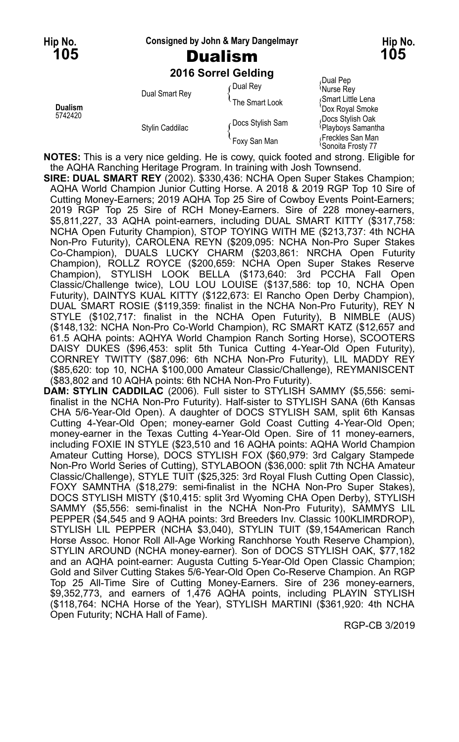#### **Hip No. Consigned by John & Mary Dangelmayr Hip No.**

# **105** Dualism **105**

**2016 Sorrel Gelding**

|                           |                 | <b>ZUTO SUITEL OBIGING</b> |                                                    |
|---------------------------|-----------------|----------------------------|----------------------------------------------------|
| <b>Dualism</b><br>5742420 | Dual Smart Rey  | ∩Dual Rey                  | Dual Pep<br>Murse Rey                              |
|                           |                 | The Smart Look             | Smart Little Lena<br>'Dox Royal Smoke              |
|                           | Stylin Caddilac | Docs Stylish Sam           | Docs Stylish Oak<br><sup>{</sup> Playboys Samantha |
|                           |                 | Foxy San Man               | Freckles San Man<br><sup>≀</sup> Sonoita Frosty 77 |

**NOTES:** This is a very nice gelding. He is cowy, quick footed and strong. Eligible for the AQHA Ranching Heritage Program. In training with Josh Townsend.

- **SIRE: DUAL SMART REY** (2002). \$330,436: NCHA Open Super Stakes Champion; AQHA World Champion Junior Cutting Horse. A 2018 & 2019 RGP Top 10 Sire of Cutting Money-Earners; 2019 AQHA Top 25 Sire of Cowboy Events Point-Earners; 2019 RGP Top 25 Sire of RCH Money-Earners. Sire of 228 money-earners, \$5,811,227, 33 AQHA point-earners, including DUAL SMART KITTY (\$317,758: NCHA Open Futurity Champion), STOP TOYING WITH ME (\$213,737: 4th NCHA Non-Pro Futurity), CAROLENA REYN (\$209,095: NCHA Non-Pro Super Stakes Co-Champion), DUALS LUCKY CHARM (\$203,861: NRCHA Open Futurity Champion), ROLLZ ROYCE (\$200,659: NCHA Open Super Stakes Reserve Champion), STYLISH LOOK BELLA (\$173,640: 3rd PCCHA Fall Open Classic/Challenge twice), LOU LOU LOUISE (\$137,586: top 10, NCHA Open Futurity), DAINTYS KUAL KITTY (\$122,673: El Rancho Open Derby Champion), DUAL SMART ROSIE (\$119,359: finalist in the NCHA Non-Pro Futurity), REY N STYLE (\$102,717: finalist in the NCHA Open Futurity), B NIMBLE (AUS) (\$148,132: NCHA Non-Pro Co-World Champion), RC SMART KATZ (\$12,657 and 61.5 AQHA points: AQHYA World Champion Ranch Sorting Horse), SCOOTERS DAISY DUKES (\$96,453: split 5th Tunica Cutting 4-Year-Old Open Futurity), CORNREY TWITTY (\$87,096: 6th NCHA Non-Pro Futurity), LIL MADDY REY (\$85,620: top 10, NCHA \$100,000 Amateur Classic/Challenge), REYMANISCENT (\$83,802 and 10 AQHA points: 6th NCHA Non-Pro Futurity).
- **DAM: STYLIN CADDILAC** (2006). Full sister to STYLISH SAMMY (\$5,556: semifinalist in the NCHA Non-Pro Futurity). Half-sister to STYLISH SANA (6th Kansas CHA 5/6-Year-Old Open). A daughter of DOCS STYLISH SAM, split 6th Kansas Cutting 4-Year-Old Open; money-earner Gold Coast Cutting 4-Year-Old Open; money-earner in the Texas Cutting 4-Year-Old Open. Sire of 11 money-earners, including FOXIE IN STYLE (\$23,510 and 16 AQHA points: AQHA World Champion Amateur Cutting Horse), DOCS STYLISH FOX (\$60,979: 3rd Calgary Stampede Non-Pro World Series of Cutting), STYLABOON (\$36,000: split 7th NCHA Amateur Classic/Challenge), STYLE TUIT (\$25,325: 3rd Royal Flush Cutting Open Classic), FOXY SAMNTHA (\$18,279: semi-finalist in the NCHA Non-Pro Super Stakes), DOCS STYLISH MISTY (\$10,415: split 3rd Wyoming CHA Open Derby), STYLISH SAMMY (\$5,556: semi-finalist in the NCHA Non-Pro Futurity), SAMMYS LIL PEPPER (\$4,545 and 9 AQHA points: 3rd Breeders Inv. Classic 100KLIMRDROP), STYLISH LIL PEPPER (NCHA \$3,040), STYLIN TUIT (\$9,154American Ranch Horse Assoc. Honor Roll All-Age Working Ranchhorse Youth Reserve Champion), STYLIN AROUND (NCHA money-earner). Son of DOCS STYLISH OAK, \$77,182 and an AQHA point-earner: Augusta Cutting 5-Year-Old Open Classic Champion; Gold and Silver Cutting Stakes 5/6-Year-Old Open Co-Reserve Champion. An RGP Top 25 All-Time Sire of Cutting Money-Earners. Sire of 236 money-earners, \$9,352,773, and earners of 1,476 AQHA points, including PLAYIN STYLISH (\$118,764: NCHA Horse of the Year), STYLISH MARTINI (\$361,920: 4th NCHA Open Futurity; NCHA Hall of Fame).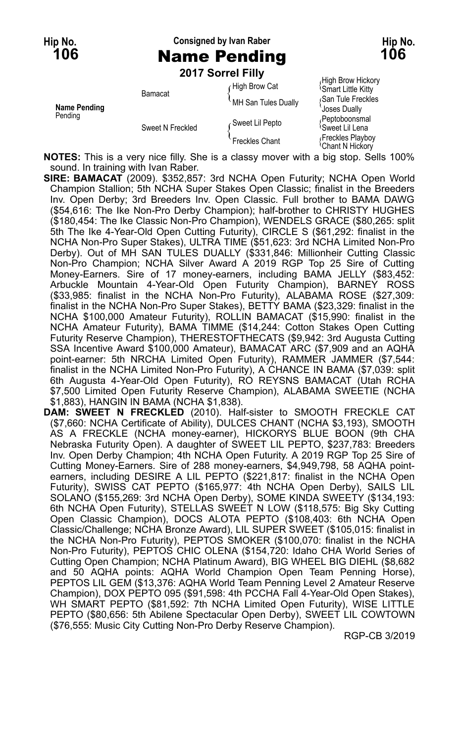## **Hip No. Consigned by Ivan Raber Hip No. 106** Name Pending **106**

**2017 Sorrel Filly**

| Name Pending<br>Pending | Bamacat          | High Brow Cat<br>MH San Tules Dually | High Brow Hickory<br><b>Smart Little Kitty</b><br>San Tule Freckles |
|-------------------------|------------------|--------------------------------------|---------------------------------------------------------------------|
|                         | Sweet N Freckled | Sweet Lil Pepto                      | Joses Dually<br>Peptoboonsmal<br><sup>≀</sup> Sweet Lil Lena        |
|                         |                  | <b>Freckles Chant</b>                | Freckles Playboy<br><sup>≀</sup> Chant N Hickorv                    |

**NOTES:** This is a very nice filly. She is a classy mover with a big stop. Sells 100% sound. In training with Ivan Raber.

- **SIRE: BAMACAT** (2009). \$352,857: 3rd NCHA Open Futurity; NCHA Open World Champion Stallion; 5th NCHA Super Stakes Open Classic; finalist in the Breeders Inv. Open Derby; 3rd Breeders Inv. Open Classic. Full brother to BAMA DAWG (\$54,616: The Ike Non-Pro Derby Champion); half-brother to CHRISTY HUGHES (\$180,454: The Ike Classic Non-Pro Champion), WENDELS GRACE (\$80,265: split 5th The Ike 4-Year-Old Open Cutting Futurity), CIRCLE S (\$61,292: finalist in the NCHA Non-Pro Super Stakes), ULTRA TIME (\$51,623: 3rd NCHA Limited Non-Pro Derby). Out of MH SAN TULES DUALLY (\$331,846: Millionheir Cutting Classic Non-Pro Champion; NCHA Silver Award A 2019 RGP Top 25 Sire of Cutting Money-Earners. Sire of 17 money-earners, including BAMA JELLY (\$83,452: Arbuckle Mountain 4-Year-Old Open Futurity Champion), BARNEY ROSS (\$33,985: finalist in the NCHA Non-Pro Futurity), ALABAMA ROSE (\$27,309: finalist in the NCHA Non-Pro Super Stakes), BETTY BAMA (\$23,329: finalist in the NCHA \$100,000 Amateur Futurity), ROLLIN BAMACAT (\$15,990: finalist in the NCHA Amateur Futurity), BAMA TIMME (\$14,244: Cotton Stakes Open Cutting Futurity Reserve Champion), THERESTOFTHECATS (\$9,942: 3rd Augusta Cutting SSA Incentive Award \$100,000 Amateur), BAMACAT ARC (\$7,909 and an AQHA point-earner: 5th NRCHA Limited Open Futurity), RAMMER JAMMER (\$7,544: finalist in the NCHA Limited Non-Pro Futurity), A CHANCE IN BAMA (\$7,039: split 6th Augusta 4-Year-Old Open Futurity), RO REYSNS BAMACAT (Utah RCHA \$7,500 Limited Open Futurity Reserve Champion), ALABAMA SWEETIE (NCHA \$1,883), HANGIN IN BAMA (NCHA \$1,838).
- **DAM: SWEET N FRECKLED** (2010). Half-sister to SMOOTH FRECKLE CAT (\$7,660: NCHA Certificate of Ability), DULCES CHANT (NCHA \$3,193), SMOOTH AS A FRECKLE (NCHA money-earner), HICKORYS BLUE BOON (9th CHA Nebraska Futurity Open). A daughter of SWEET LIL PEPTO, \$237,783: Breeders Inv. Open Derby Champion; 4th NCHA Open Futurity. A 2019 RGP Top 25 Sire of Cutting Money-Earners. Sire of 288 money-earners, \$4,949,798, 58 AQHA pointearners, including DESIRE A LIL PEPTO (\$221,817: finalist in the NCHA Open Futurity), SWISS CAT PEPTO (\$165,977: 4th NCHA Open Derby), SAILS LIL SOLANO (\$155,269: 3rd NCHA Open Derby), SOME KINDA SWEETY (\$134,193: 6th NCHA Open Futurity), STELLAS SWEET N LOW (\$118,575: Big Sky Cutting Open Classic Champion), DOCS ALOTA PEPTO (\$108,403: 6th NCHA Open Classic/Challenge; NCHA Bronze Award), LIL SUPER SWEET (\$105,015: finalist in the NCHA Non-Pro Futurity), PEPTOS SMOKER (\$100,070: finalist in the NCHA Non-Pro Futurity), PEPTOS CHIC OLENA (\$154,720: Idaho CHA World Series of Cutting Open Champion; NCHA Platinum Award), BIG WHEEL BIG DIEHL (\$8,682 and 50 AQHA points: AQHA World Champion Open Team Penning Horse), PEPTOS LIL GEM (\$13,376: AQHA World Team Penning Level 2 Amateur Reserve Champion), DOX PEPTO 095 (\$91,598: 4th PCCHA Fall 4-Year-Old Open Stakes), WH SMART PEPTO (\$81,592: 7th NCHA Limited Open Futurity), WISE LITTLE PEPTO (\$80,656: 5th Abilene Spectacular Open Derby), SWEET LIL COWTOWN (\$76,555: Music City Cutting Non-Pro Derby Reserve Champion).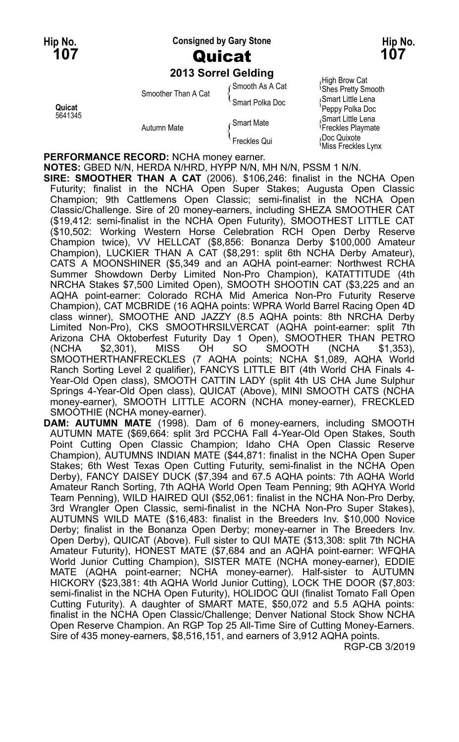### **Hip No. Consigned by Gary Stone Hip No. 107** Quicat **107**

#### **2013 Sorrel Gelding**

| Quicat<br>5641345 | Smoother Than A Cat<br>Autumn Mate | ⊆Smooth As A Cat | High Brow Cat<br><b>Shes Pretty Smooth</b>          |
|-------------------|------------------------------------|------------------|-----------------------------------------------------|
|                   |                                    | Smart Polka Doc  | Smart Little Lena<br>'Peppy Polka Doc               |
|                   |                                    | ∠ Smart Mate     | Smart Little Lena<br><sup>{</sup> Freckles Playmate |
|                   |                                    | Freckles Qui     | Doc Quixote<br>Miss Freckles Lynx                   |

**PERFORMANCE RECORD:** NCHA money earner.

**NOTES:** GBED N/N, HERDA N/HRD, HYPP N/N, MH N/N, PSSM 1 N/N. **SIRE: SMOOTHER THAN A CAT** (2006). \$106,246: finalist in the NCHA Open Futurity; finalist in the NCHA Open Super Stakes; Augusta Open Classic Champion; 9th Cattlemens Open Classic; semi-finalist in the NCHA Open Classic/Challenge. Sire of 20 money-earners, including SHEZA SMOOTHER CAT (\$19,412: semi-finalist in the NCHA Open Futurity), SMOOTHEST LITTLE CAT (\$10,502: Working Western Horse Celebration RCH Open Derby Reserve Champion twice), VV HELLCAT (\$8,856: Bonanza Derby \$100,000 Amateur Champion), LUCKIER THAN A CAT (\$8,291: split 6th NCHA Derby Amateur), CATS A MOONSHINER (\$5,349 and an AQHA point-earner: Northwest RCHA Summer Showdown Derby Limited Non-Pro Champion), KATATTITUDE (4th NRCHA Stakes \$7,500 Limited Open), SMOOTH SHOOTIN CAT (\$3,225 and an AQHA point-earner: Colorado RCHA Mid America Non-Pro Futurity Reserve Champion), CAT MCBRIDE (16 AQHA points: WPRA World Barrel Racing Open 4D class winner), SMOOTHE AND JAZZY (8.5 AQHA points: 8th NRCHA Derby Limited Non-Pro), CKS SMOOTHRSILVERCAT (AQHA point-earner: split 7th Arizona CHA Oktoberfest Futurity Day 1 Open), SMOOTHER THAN PETRO<br>(NCHA \$2,301), MISS OH SO SMOOTH (NCHA \$1,353), (NCHA \$2,301), MISS OH SO SMOOTH (NCHA \$1,353), SMOOTHERTHANFRECKLES (7 AQHA points; NCHA \$1,089, AQHA World Ranch Sorting Level 2 qualifier), FANCYS LITTLE BIT (4th World CHA Finals 4- Year-Old Open class), SMOOTH CATTIN LADY (split 4th US CHA June Sulphur Springs 4-Year-Old Open class), QUICAT (Above), MINI SMOOTH CATS (NCHA money-earner), SMOOTH LITTLE ACORN (NCHA money-earner), FRECKLED SMOOTHIE (NCHA money-earner).

**DAM: AUTUMN MATE** (1998). Dam of 6 money-earners, including SMOOTH AUTUMN MATE (\$69,664: split 3rd PCCHA Fall 4-Year-Old Open Stakes, South Point Cutting Open Classic Champion; Idaho CHA Open Classic Reserve Champion), AUTUMNS INDIAN MATE (\$44,871: finalist in the NCHA Open Super Stakes; 6th West Texas Open Cutting Futurity, semi-finalist in the NCHA Open Derby), FANCY DAISEY DUCK (\$7,394 and 67.5 AQHA points: 7th AQHA World Amateur Ranch Sorting, 7th AQHA World Open Team Penning; 9th AQHYA World Team Penning), WILD HAIRED QUI (\$52,061: finalist in the NCHA Non-Pro Derby, 3rd Wrangler Open Classic, semi-finalist in the NCHA Non-Pro Super Stakes), AUTUMNS WILD MATE (\$16,483: finalist in the Breeders Inv. \$10,000 Novice Derby; finalist in the Bonanza Open Derby; money-earner in The Breeders Inv. Open Derby), QUICAT (Above). Full sister to QUI MATE (\$13,308: split 7th NCHA Amateur Futurity), HONEST MATE (\$7,684 and an AQHA point-earner: WFQHA World Junior Cutting Champion), SISTER MATE (NCHA money-earner), EDDIE MATE (AQHA point-earner; NCHA money-earner). Half-sister to AUTUMN HICKORY (\$23,381: 4th AQHA World Junior Cutting), LOCK THE DOOR (\$7,803: semi-finalist in the NCHA Open Futurity), HOLIDOC QUI (finalist Tomato Fall Open Cutting Futurity). A daughter of SMART MATE, \$50,072 and 5.5 AQHA points: finalist in the NCHA Open Classic/Challenge; Denver National Stock Show NCHA Open Reserve Champion. An RGP Top 25 All-Time Sire of Cutting Money-Earners. Sire of 435 money-earners, \$8,516,151, and earners of 3,912 AQHA points.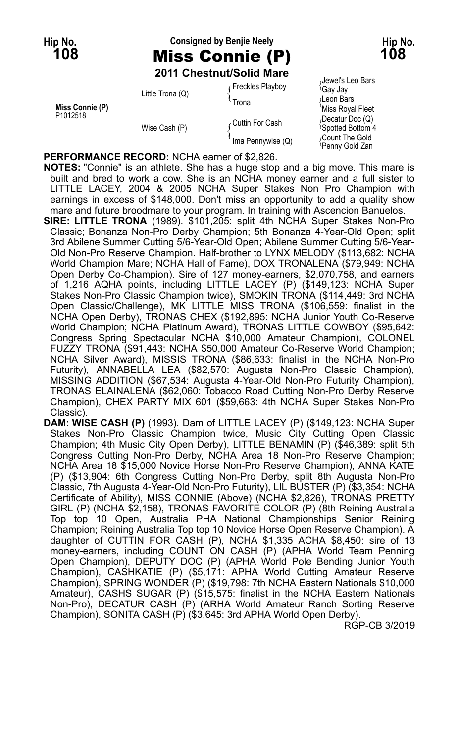## **Hip No. Consigned by Benjie Neely Hip No. 108** Miss Connie (P) **108 2011 Chestnut/Solid Mare**

| Miss Connie (P)<br>P1012518 | Little Trona (Q) | Freckles Playboy<br>Trona | Jewel's Leo Bars<br>≀Gaγ Jaγ<br>∧Leon Bars<br>'Miss Royal Fleet |
|-----------------------------|------------------|---------------------------|-----------------------------------------------------------------|
|                             | Wise Cash (P)    | ∠Cuttin For Cash          | (Decatur Doc (Q)<br><sup>l</sup> Spotted Bottom 4               |
|                             |                  | 'Ima Pennywise (Q)        | Count The Gold،<br><sup>≀</sup> Penny Gold Zan                  |

**PERFORMANCE RECORD:** NCHA earner of \$2,826.

**NOTES:** "Connie" is an athlete. She has a huge stop and a big move. This mare is built and bred to work a cow. She is an NCHA money earner and a full sister to LITTLE LACEY, 2004 & 2005 NCHA Super Stakes Non Pro Champion with earnings in excess of \$148,000. Don't miss an opportunity to add a quality show mare and future broodmare to your program. In training with Ascencion Banuelos.

- **SIRE: LITTLE TRONA** (1989). \$101,205: split 4th NCHA Super Stakes Non-Pro Classic; Bonanza Non-Pro Derby Champion; 5th Bonanza 4-Year-Old Open; split 3rd Abilene Summer Cutting 5/6-Year-Old Open; Abilene Summer Cutting 5/6-Year-Old Non-Pro Reserve Champion. Half-brother to LYNX MELODY (\$113,682: NCHA World Champion Mare; NCHA Hall of Fame), DOX TRONALENA (\$79,949: NCHA Open Derby Co-Champion). Sire of 127 money-earners, \$2,070,758, and earners of 1,216 AQHA points, including LITTLE LACEY (P) (\$149,123: NCHA Super Stakes Non-Pro Classic Champion twice), SMOKIN TRONA (\$114,449: 3rd NCHA Open Classic/Challenge), MK LITTLE MISS TRONA (\$106,559: finalist in the NCHA Open Derby), TRONAS CHEX (\$192,895: NCHA Junior Youth Co-Reserve World Champion; NCHA Platinum Award), TRONAS LITTLE COWBOY (\$95,642: Congress Spring Spectacular NCHA \$10,000 Amateur Champion), COLONEL FUZZY TRONA (\$91,443: NCHA \$50,000 Amateur Co-Reserve World Champion; NCHA Silver Award), MISSIS TRONA (\$86,633: finalist in the NCHA Non-Pro Futurity), ANNABELLA LEA (\$82,570: Augusta Non-Pro Classic Champion), MISSING ADDITION (\$67,534: Augusta 4-Year-Old Non-Pro Futurity Champion), TRONAS ELAINALENA (\$62,060: Tobacco Road Cutting Non-Pro Derby Reserve Champion), CHEX PARTY MIX 601 (\$59,663: 4th NCHA Super Stakes Non-Pro Classic).
- **DAM: WISE CASH (P)** (1993). Dam of LITTLE LACEY (P) (\$149,123: NCHA Super Stakes Non-Pro Classic Champion twice, Music City Cutting Open Classic Champion; 4th Music City Open Derby), LITTLE BENAMIN (P) (\$46,389: split 5th Congress Cutting Non-Pro Derby, NCHA Area 18 Non-Pro Reserve Champion; NCHA Area 18 \$15,000 Novice Horse Non-Pro Reserve Champion), ANNA KATE (P) (\$13,904: 6th Congress Cutting Non-Pro Derby, split 8th Augusta Non-Pro Classic, 7th Augusta 4-Year-Old Non-Pro Futurity), LIL BUSTER (P) (\$3,354: NCHA Certificate of Ability), MISS CONNIE (Above) (NCHA \$2,826), TRONAS PRETTY GIRL (P) (NCHA \$2,158), TRONAS FAVORITE COLOR (P) (8th Reining Australia Top top 10 Open, Australia PHA National Championships Senior Reining Champion; Reining Australia Top top 10 Novice Horse Open Reserve Champion). A daughter of CUTTIN FOR CASH (P), NCHA \$1,335 ACHA \$8,450: sire of 13 money-earners, including COUNT ON CASH (P) (APHA World Team Penning Open Champion), DEPUTY DOC (P) (APHA World Pole Bending Junior Youth Champion), CASHKATIE (P) (\$5,171: APHA World Cutting Amateur Reserve Champion), SPRING WONDER (P) (\$19,798: 7th NCHA Eastern Nationals \$10,000 Amateur), CASHS SUGAR (P) (\$15,575: finalist in the NCHA Eastern Nationals Non-Pro), DECATUR CASH (P) (ARHA World Amateur Ranch Sorting Reserve Champion), SONITA CASH (P) (\$3,645: 3rd APHA World Open Derby).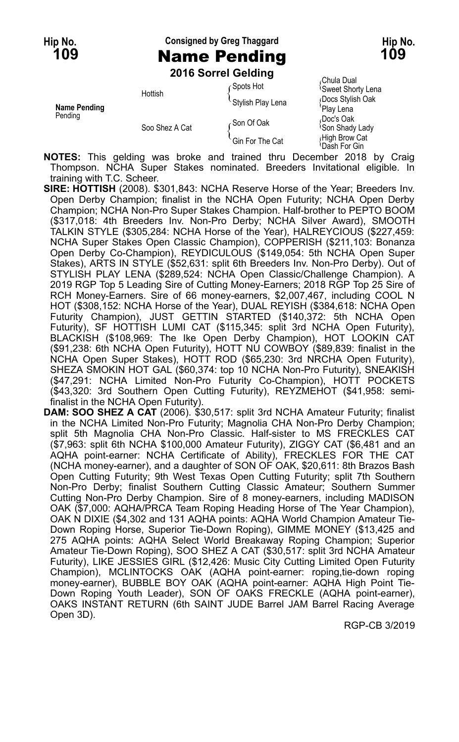### **Hip No. Consigned by Greg Thaggard Hip No. 109** Name Pending **109**

**2016 Sorrel Gelding**

|                     |                                                          | <b>LUTU JULICI OCIUILU</b>    |                                           |
|---------------------|----------------------------------------------------------|-------------------------------|-------------------------------------------|
|                     | Spots Hot<br>Hottish<br>Stylish Play Lena<br>∠Son Of Oak |                               | Chula Dual<br><b>Sweet Shorty Lena</b>    |
| <b>Name Pending</b> |                                                          | Docs Stylish Oak<br>Play Lena |                                           |
| Pending             | Soo Shez A Cat                                           |                               | Doc's Oak،<br><sup>1</sup> Son Shady Lady |
|                     |                                                          | Gin For The Cat               | High Brow Cat<br>Dash For Gin             |

**NOTES:** This gelding was broke and trained thru December 2018 by Craig Thompson. NCHA Super Stakes nominated. Breeders Invitational eligible. In training with T.C. Scheer.

**SIRE: HOTTISH** (2008). \$301,843: NCHA Reserve Horse of the Year; Breeders Inv. Open Derby Champion; finalist in the NCHA Open Futurity; NCHA Open Derby Champion; NCHA Non-Pro Super Stakes Champion. Half-brother to PEPTO BOOM (\$317,018: 4th Breeders Inv. Non-Pro Derby; NCHA Silver Award), SMOOTH TALKIN STYLE (\$305,284: NCHA Horse of the Year), HALREYCIOUS (\$227,459: NCHA Super Stakes Open Classic Champion), COPPERISH (\$211,103: Bonanza Open Derby Co-Champion), REYDICULOUS (\$149,054: 5th NCHA Open Super Stakes), ARTS IN STYLE (\$52,631: split 6th Breeders Inv. Non-Pro Derby). Out of STYLISH PLAY LENA (\$289,524: NCHA Open Classic/Challenge Champion). A 2019 RGP Top 5 Leading Sire of Cutting Money-Earners; 2018 RGP Top 25 Sire of RCH Money-Earners. Sire of 66 money-earners, \$2,007,467, including COOL N HOT (\$308,152: NCHA Horse of the Year), DUAL REYISH (\$384,618: NCHA Open Futurity Champion), JUST GETTIN STARTED (\$140,372: 5th NCHA Open Futurity), SF HOTTISH LUMI CAT (\$115,345: split 3rd NCHA Open Futurity), BLACKISH (\$108,969: The Ike Open Derby Champion), HOT LOOKIN CAT (\$91,238: 6th NCHA Open Futurity), HOTT NU COWBOY (\$89,839: finalist in the NCHA Open Super Stakes), HOTT ROD (\$65,230: 3rd NRCHA Open Futurity), SHEZA SMOKIN HOT GAL (\$60,374: top 10 NCHA Non-Pro Futurity), SNEAKISH (\$47,291: NCHA Limited Non-Pro Futurity Co-Champion), HOTT POCKETS (\$43,320: 3rd Southern Open Cutting Futurity), REYZMEHOT (\$41,958: semifinalist in the NCHA Open Futurity).

**DAM: SOO SHEZ A CAT** (2006). \$30,517: split 3rd NCHA Amateur Futurity; finalist in the NCHA Limited Non-Pro Futurity; Magnolia CHA Non-Pro Derby Champion; split 5th Magnolia CHA Non-Pro Classic. Half-sister to MS FRECKLES CAT (\$7,963: split 6th NCHA \$100,000 Amateur Futurity), ZIGGY CAT (\$6,481 and an AQHA point-earner: NCHA Certificate of Ability), FRECKLES FOR THE CAT (NCHA money-earner), and a daughter of SON OF OAK, \$20,611: 8th Brazos Bash Open Cutting Futurity; 9th West Texas Open Cutting Futurity; split 7th Southern Non-Pro Derby; finalist Southern Cutting Classic Amateur; Southern Summer Cutting Non-Pro Derby Champion. Sire of 8 money-earners, including MADISON OAK (\$7,000: AQHA/PRCA Team Roping Heading Horse of The Year Champion), OAK N DIXIE (\$4,302 and 131 AQHA points: AQHA World Champion Amateur Tie-Down Roping Horse, Superior Tie-Down Roping), GIMME MONEY (\$13,425 and 275 AQHA points: AQHA Select World Breakaway Roping Champion; Superior Amateur Tie-Down Roping), SOO SHEZ A CAT (\$30,517: split 3rd NCHA Amateur Futurity), LIKE JESSIES GIRL (\$12,426: Music City Cutting Limited Open Futurity Champion), MCLINTOCKS OAK (AQHA point-earner: roping,tie-down roping money-earner), BUBBLE BOY OAK (AQHA point-earner: AQHA High Point Tie-Down Roping Youth Leader), SON OF OAKS FRECKLE (AQHA point-earner), OAKS INSTANT RETURN (6th SAINT JUDE Barrel JAM Barrel Racing Average Open 3D).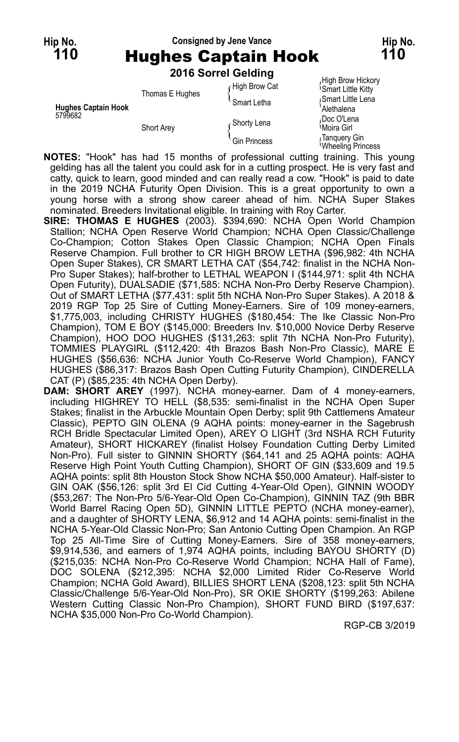### **Hip No. Consigned by Jene Vance Hip No. 110** Hughes Captain Hook **110**

|                            |                 | 2016 Sorrel Gelding |                                                |
|----------------------------|-----------------|---------------------|------------------------------------------------|
|                            |                 | High Brow Cat       | High Brow Hickory<br><b>Smart Little Kitty</b> |
| <b>Hughes Captain Hook</b> | Thomas E Hughes | <b>Smart Letha</b>  | Smart Little Lena<br>Alethalena                |
| 5799682                    | Short Arey      | Ghorty Lena         | Doc O'Lena،<br><sup>∖</sup> Moira Girl         |
|                            |                 | Gin Princess        | √Tanquery Gin<br>Wheeling Princess             |

**NOTES:** "Hook" has had 15 months of professional cutting training. This young gelding has all the talent you could ask for in a cutting prospect. He is very fast and catty, quick to learn, good minded and can really read a cow. "Hook" is paid to date in the 2019 NCHA Futurity Open Division. This is a great opportunity to own a young horse with a strong show career ahead of him. NCHA Super Stakes nominated. Breeders Invitational eligible. In training with Roy Carter.

**SIRE: THOMAS E HUGHES** (2003). \$394,690: NCHA Open World Champion Stallion; NCHA Open Reserve World Champion; NCHA Open Classic/Challenge Co-Champion; Cotton Stakes Open Classic Champion; NCHA Open Finals Reserve Champion. Full brother to CR HIGH BROW LETHA (\$96,982: 4th NCHA Open Super Stakes), CR SMART LETHA CAT (\$54,742: finalist in the NCHA Non-Pro Super Stakes); half-brother to LETHAL WEAPON I (\$144,971: split 4th NCHA Open Futurity), DUALSADIE (\$71,585: NCHA Non-Pro Derby Reserve Champion). Out of SMART LETHA (\$77,431: split 5th NCHA Non-Pro Super Stakes). A 2018 & 2019 RGP Top 25 Sire of Cutting Money-Earners. Sire of 109 money-earners, \$1,775,003, including CHRISTY HUGHES (\$180,454: The Ike Classic Non-Pro Champion), TOM E BOY (\$145,000: Breeders Inv. \$10,000 Novice Derby Reserve Champion), HOO DOO HUGHES (\$131,263: split 7th NCHA Non-Pro Futurity), TOMMIES PLAYGIRL (\$112,420: 4th Brazos Bash Non-Pro Classic), MARE E HUGHES (\$56,636: NCHA Junior Youth Co-Reserve World Champion), FANCY HUGHES (\$86,317: Brazos Bash Open Cutting Futurity Champion), CINDERELLA CAT (P) (\$85,235: 4th NCHA Open Derby).

**DAM: SHORT AREY** (1997). NCHA money-earner. Dam of 4 money-earners, including HIGHREY TO HELL (\$8,535: semi-finalist in the NCHA Open Super Stakes; finalist in the Arbuckle Mountain Open Derby; split 9th Cattlemens Amateur Classic), PEPTO GIN OLENA (9 AQHA points: money-earner in the Sagebrush RCH Bridle Spectacular Limited Open), AREY O LIGHT (3rd NSHA RCH Futurity Amateur), SHORT HICKAREY (finalist Holsey Foundation Cutting Derby Limited Non-Pro). Full sister to GINNIN SHORTY (\$64,141 and 25 AQHA points: AQHA Reserve High Point Youth Cutting Champion), SHORT OF GIN (\$33,609 and 19.5 AQHA points: split 8th Houston Stock Show NCHA \$50,000 Amateur). Half-sister to GIN OAK (\$56,126: split 3rd El Cid Cutting 4-Year-Old Open), GINNIN WOODY (\$53,267: The Non-Pro 5/6-Year-Old Open Co-Champion), GINNIN TAZ (9th BBR World Barrel Racing Open 5D), GINNIN LITTLE PEPTO (NCHA money-earner), and a daughter of SHORTY LENA, \$6,912 and 14 AQHA points: semi-finalist in the NCHA 5-Year-Old Classic Non-Pro; San Antonio Cutting Open Champion. An RGP Top 25 All-Time Sire of Cutting Money-Earners. Sire of 358 money-earners, \$9,914,536, and earners of 1,974 AQHA points, including BAYOU SHORTY (D) (\$215,035: NCHA Non-Pro Co-Reserve World Champion; NCHA Hall of Fame), DOC SOLENA (\$212,395: NCHA \$2,000 Limited Rider Co-Reserve World Champion; NCHA Gold Award), BILLIES SHORT LENA (\$208,123: split 5th NCHA Classic/Challenge 5/6-Year-Old Non-Pro), SR OKIE SHORTY (\$199,263: Abilene Western Cutting Classic Non-Pro Champion), SHORT FUND BIRD (\$197,637: NCHA \$35,000 Non-Pro Co-World Champion).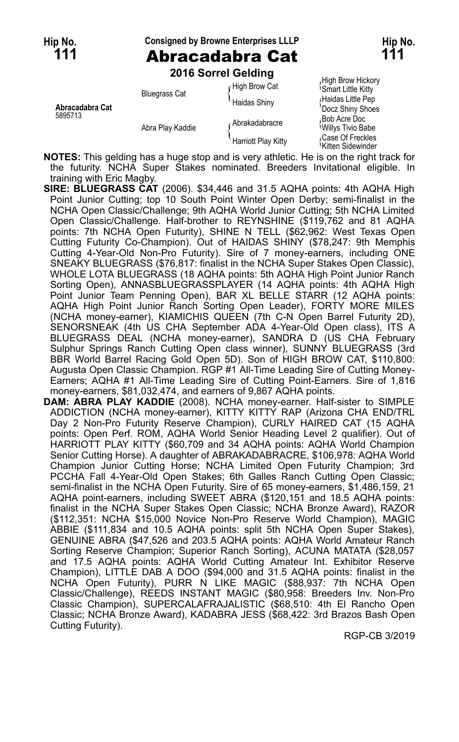# **Hip No. Consigned by Browne Enterprises LLLP Hip No. Ahracadahra Cat Hip No. 111**

**111** Abracadabra Cat **111 2016 Sorrel Gelding**

|                 | <b>LUTU OUTER OCIUIN</b> |                                       |                                                      |
|-----------------|--------------------------|---------------------------------------|------------------------------------------------------|
|                 | <b>Bluegrass Cat</b>     | High Brow Cat                         | High Brow Hickory<br><sup>1</sup> Smart Little Kitty |
| Abracadabra Cat |                          | <b>Haidas Shiny</b><br>Abrakadabracre | Haidas Little Pep<br>'Docz Shiny Shoes               |
| 5895713         | Abra Play Kaddie         |                                       | Bob Acre Doc<br>Willys Tivio Babe                    |
|                 |                          | Harriott Play Kitty                   | Case Of Freckles<br><sup>1</sup> Kitten Sidewinder   |

**NOTES:** This gelding has a huge stop and is very athletic. He is on the right track for the futurity. NCHA Super Stakes nominated. Breeders Invitational eligible. In training with Eric Magby.

- **SIRE: BLUEGRASS CAT** (2006). \$34,446 and 31.5 AQHA points: 4th AQHA High Point Junior Cutting; top 10 South Point Winter Open Derby; semi-finalist in the NCHA Open Classic/Challenge; 9th AQHA World Junior Cutting; 5th NCHA Limited Open Classic/Challenge. Half-brother to REYNSHINE (\$119,762 and 81 AQHA points: 7th NCHA Open Futurity), SHINE N TELL (\$62,962: West Texas Open Cutting Futurity Co-Champion). Out of HAIDAS SHINY (\$78,247: 9th Memphis Cutting 4-Year-Old Non-Pro Futurity). Sire of 7 money-earners, including ONE SNEAKY BLUEGRASS (\$76,817: finalist in the NCHA Super Stakes Open Classic), WHOLE LOTA BLUEGRASS (18 AQHA points: 5th AQHA High Point Junior Ranch Sorting Open), ANNASBLUEGRASSPLAYER (14 AQHA points: 4th AQHA High Point Junior Team Penning Open), BAR XL BELLE STARR (12 AQHA points: AQHA High Point Junior Ranch Sorting Open Leader), FORTY MORE MILES (NCHA money-earner), KIAMICHIS QUEEN (7th C-N Open Barrel Futurity 2D), SENORSNEAK (4th US CHA September ADA 4-Year-Old Open class), ITS A BLUEGRASS DEAL (NCHA money-earner), SANDRA D (US CHA February Sulphur Springs Ranch Cutting Open class winner), SUNNY BLUEGRASS (3rd BBR World Barrel Racing Gold Open 5D). Son of HIGH BROW CAT, \$110,800: Augusta Open Classic Champion. RGP #1 All-Time Leading Sire of Cutting Money-Earners; AQHA #1 All-Time Leading Sire of Cutting Point-Earners. Sire of 1,816 money-earners, \$81,032,474, and earners of 9,867 AQHA points.
- **DAM: ABRA PLAY KADDIE** (2008). NCHA money-earner. Half-sister to SIMPLE ADDICTION (NCHA money-earner), KITTY KITTY RAP (Arizona CHA END/TRL Day 2 Non-Pro Futurity Reserve Champion), CURLY HAIRED CAT (15 AQHA points: Open Perf. ROM, AQHA World Senior Heading Level 2 qualifier). Out of HARRIOTT PLAY KITTY (\$60,709 and 34 AQHA points: AQHA World Champion Senior Cutting Horse). A daughter of ABRAKADABRACRE, \$106,978: AQHA World Champion Junior Cutting Horse; NCHA Limited Open Futurity Champion; 3rd PCCHA Fall 4-Year-Old Open Stakes; 6th Galles Ranch Cutting Open Classic; semi-finalist in the NCHA Open Futurity. Sire of 65 money-earners, \$1,486,159, 21 AQHA point-earners, including SWEET ABRA (\$120,151 and 18.5 AQHA points: finalist in the NCHA Super Stakes Open Classic; NCHA Bronze Award), RAZOR (\$112,351: NCHA \$15,000 Novice Non-Pro Reserve World Champion), MAGIC ABBIE (\$111,834 and 10.5 AQHA points: split 5th NCHA Open Super Stakes), GENUINE ABRA (\$47,526 and 203.5 AQHA points: AQHA World Amateur Ranch Sorting Reserve Champion; Superior Ranch Sorting), ACUNA MATATA (\$28,057 and 17.5 AQHA points: AQHA World Cutting Amateur Int. Exhibitor Reserve Champion), LITTLE DAB A DOO (\$94,000 and 31.5 AQHA points: finalist in the NCHA Open Futurity), PURR N LIKE MAGIC (\$88,937: 7th NCHA Open Classic/Challenge), REEDS INSTANT MAGIC (\$80,958: Breeders Inv. Non-Pro Classic Champion), SUPERCALAFRAJALISTIC (\$68,510: 4th El Rancho Open Classic; NCHA Bronze Award), KADABRA JESS (\$68,422: 3rd Brazos Bash Open Cutting Futurity).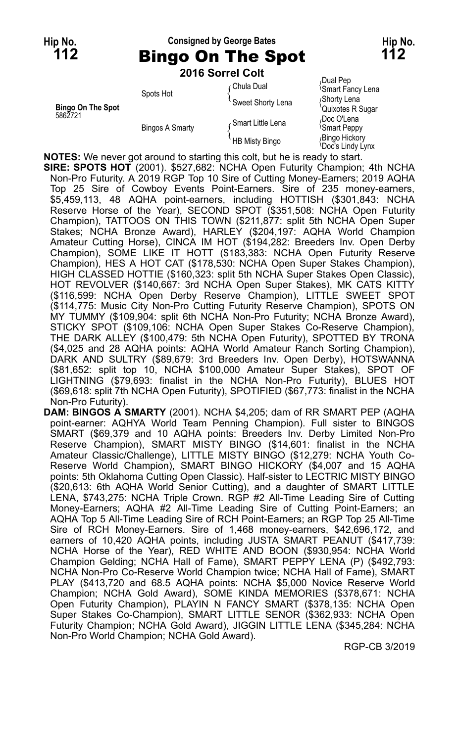### **Hip No. Consigned by George Bates Hip No. 112** Bingo On The Spot **112**

### **2016 Sorrel Colt**

|                                     |                        | ZU IU JULITI VUIL                   |                                                                              |
|-------------------------------------|------------------------|-------------------------------------|------------------------------------------------------------------------------|
|                                     | Spots Hot              | ∩Chula Dual<br>Sweet Shorty Lena    | Dual Pep،<br><sup>1</sup> Smart Fancy Lena<br>Shorty Lena                    |
| <b>Bingo On The Spot</b><br>5862721 | <b>Bingos A Smarty</b> | Smart Little Lena<br>HB Misty Bingo | Quixotes R Sugar<br>Doc O'Lena<br><i><b>Smart Peppy</b></i><br>Bingo Hickory |
|                                     |                        |                                     | Doc's Lindy Lynx                                                             |

**NOTES:** We never got around to starting this colt, but he is ready to start.

**SIRE: SPOTS HOT** (2001). \$527,682: NCHA Open Futurity Champion; 4th NCHA Non-Pro Futurity. A 2019 RGP Top 10 Sire of Cutting Money-Earners; 2019 AQHA Top 25 Sire of Cowboy Events Point-Earners. Sire of 235 money-earners, \$5,459,113, 48 AQHA point-earners, including HOTTISH (\$301,843: NCHA Reserve Horse of the Year), SECOND SPOT (\$351,508: NCHA Open Futurity Champion), TATTOOS ON THIS TOWN (\$211,877: split 5th NCHA Open Super Stakes; NCHA Bronze Award), HARLEY (\$204,197: AQHA World Champion Amateur Cutting Horse), CINCA IM HOT (\$194,282: Breeders Inv. Open Derby Champion), SOME LIKE IT HOTT (\$183,383: NCHA Open Futurity Reserve Champion), HES A HOT CAT (\$178,530: NCHA Open Super Stakes Champion), HIGH CLASSED HOTTIE (\$160,323: split 5th NCHA Super Stakes Open Classic), HOT REVOLVER (\$140,667: 3rd NCHA Open Super Stakes), MK CATS KITTY (\$116,599: NCHA Open Derby Reserve Champion), LITTLE SWEET SPOT (\$114,775: Music City Non-Pro Cutting Futurity Reserve Champion), SPOTS ON MY TUMMY (\$109,904: split 6th NCHA Non-Pro Futurity; NCHA Bronze Award), STICKY SPOT (\$109,106: NCHA Open Super Stakes Co-Reserve Champion), THE DARK ALLEY (\$100,479: 5th NCHA Open Futurity), SPOTTED BY TRONA (\$4,025 and 28 AQHA points: AQHA World Amateur Ranch Sorting Champion), DARK AND SULTRY (\$89,679: 3rd Breeders Inv. Open Derby), HOTSWANNA (\$81,652: split top 10, NCHA \$100,000 Amateur Super Stakes), SPOT OF LIGHTNING (\$79,693: finalist in the NCHA Non-Pro Futurity), BLUES HOT (\$69,618: split 7th NCHA Open Futurity), SPOTIFIED (\$67,773: finalist in the NCHA Non-Pro Futurity).

**DAM: BINGOS A SMARTY** (2001). NCHA \$4,205; dam of RR SMART PEP (AQHA point-earner: AQHYA World Team Penning Champion). Full sister to BINGOS SMART (\$69,379 and 10 AQHA points: Breeders Inv. Derby Limited Non-Pro Reserve Champion), SMART MISTY BINGO (\$14,601: finalist in the NCHA Amateur Classic/Challenge), LITTLE MISTY BINGO (\$12,279: NCHA Youth Co-Reserve World Champion), SMART BINGO HICKORY (\$4,007 and 15 AQHA points: 5th Oklahoma Cutting Open Classic). Half-sister to LECTRIC MISTY BINGO (\$20,613: 6th AQHA World Senior Cutting), and a daughter of SMART LITTLE LENA, \$743,275: NCHA Triple Crown. RGP #2 All-Time Leading Sire of Cutting Money-Earners; AQHA #2 All-Time Leading Sire of Cutting Point-Earners; an AQHA Top 5 All-Time Leading Sire of RCH Point-Earners; an RGP Top 25 All-Time Sire of RCH Money-Earners. Sire of 1,468 money-earners, \$42,696,172, and earners of 10,420 AQHA points, including JUSTA SMART PEANUT (\$417,739: NCHA Horse of the Year), RED WHITE AND BOON (\$930,954: NCHA World Champion Gelding; NCHA Hall of Fame), SMART PEPPY LENA (P) (\$492,793: NCHA Non-Pro Co-Reserve World Champion twice; NCHA Hall of Fame), SMART PLAY (\$413,720 and 68.5 AQHA points: NCHA \$5,000 Novice Reserve World Champion; NCHA Gold Award), SOME KINDA MEMORIES (\$378,671: NCHA Open Futurity Champion), PLAYIN N FANCY SMART (\$378,135: NCHA Open Super Stakes Co-Champion), SMART LITTLE SENOR (\$362,933: NCHA Open Futurity Champion; NCHA Gold Award), JIGGIN LITTLE LENA (\$345,284: NCHA Non-Pro World Champion; NCHA Gold Award).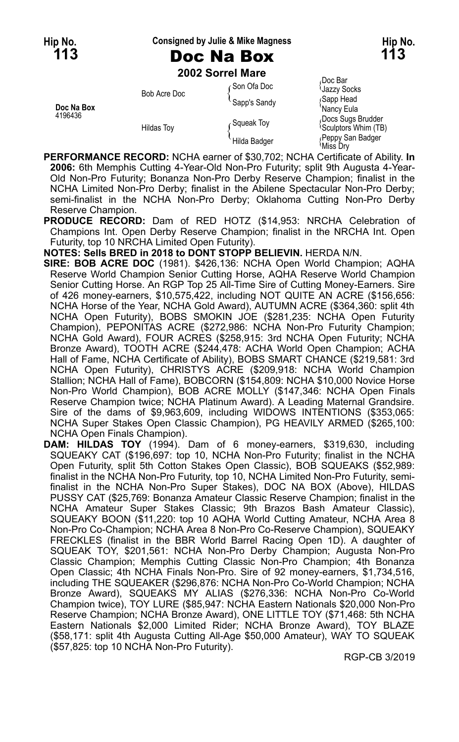# **Hip No. Consigned by Julie & Mike Magness Hip No.**

## **113** Doc Na Box **113**

**2002 Sorrel Mare**

|            |                   | LVVL OVIIVI MUIV    |                                                                       |
|------------|-------------------|---------------------|-----------------------------------------------------------------------|
| Doc Na Box | Bob Acre Doc      | ⊊Son Ofa Doc        | ≀Doc Bar<br><b>Jazzy Socks</b>                                        |
|            |                   | Sapp's Sandy        | Sapp Head                                                             |
| 4196436    | <b>Hildas Toy</b> | Squeak Toy          | `Nancv Eula<br>Docs Sugs Brudder<br><i><b>Sculptors Whim (TB)</b></i> |
|            |                   | <b>Hilda Badger</b> | Peppy San Badger<br>Miss Drv                                          |

- **PERFORMANCE RECORD:** NCHA earner of \$30,702; NCHA Certificate of Ability. **In 2006:** 6th Memphis Cutting 4-Year-Old Non-Pro Futurity; split 9th Augusta 4-Year-Old Non-Pro Futurity; Bonanza Non-Pro Derby Reserve Champion; finalist in the NCHA Limited Non-Pro Derby; finalist in the Abilene Spectacular Non-Pro Derby; semi-finalist in the NCHA Non-Pro Derby; Oklahoma Cutting Non-Pro Derby Reserve Champion.
- **PRODUCE RECORD:** Dam of RED HOTZ (\$14,953: NRCHA Celebration of Champions Int. Open Derby Reserve Champion; finalist in the NRCHA Int. Open Futurity, top 10 NRCHA Limited Open Futurity).

**NOTES: Sells BRED in 2018 to DONT STOPP BELIEVIN.** HERDA N/N.

- **SIRE: BOB ACRE DOC** (1981). \$426,136: NCHA Open World Champion; AQHA Reserve World Champion Senior Cutting Horse, AQHA Reserve World Champion Senior Cutting Horse. An RGP Top 25 All-Time Sire of Cutting Money-Earners. Sire of 426 money-earners, \$10,575,422, including NOT QUITE AN ACRE (\$156,656: NCHA Horse of the Year, NCHA Gold Award), AUTUMN ACRE (\$364,360: split 4th NCHA Open Futurity), BOBS SMOKIN JOE (\$281,235: NCHA Open Futurity Champion), PEPONITAS ACRE (\$272,986: NCHA Non-Pro Futurity Champion; NCHA Gold Award), FOUR ACRES (\$258,915: 3rd NCHA Open Futurity; NCHA Bronze Award), TOOTH ACRE (\$244,478: ACHA World Open Champion; ACHA Hall of Fame, NCHA Certificate of Ability), BOBS SMART CHANCE (\$219,581: 3rd NCHA Open Futurity), CHRISTYS ACRE (\$209,918: NCHA World Champion Stallion; NCHA Hall of Fame), BOBCORN (\$154,809: NCHA \$10,000 Novice Horse Non-Pro World Champion), BOB ACRE MOLLY (\$147,346: NCHA Open Finals Reserve Champion twice; NCHA Platinum Award). A Leading Maternal Grandsire. Sire of the dams of \$9,963,609, including WIDOWS INTENTIONS (\$353,065: NCHA Super Stakes Open Classic Champion), PG HEAVILY ARMED (\$265,100: NCHA Open Finals Champion).
- **DAM: HILDAS TOY** (1994). Dam of 6 money-earners, \$319,630, including SQUEAKY CAT (\$196,697: top 10, NCHA Non-Pro Futurity; finalist in the NCHA Open Futurity, split 5th Cotton Stakes Open Classic), BOB SQUEAKS (\$52,989: finalist in the NCHA Non-Pro Futurity, top 10, NCHA Limited Non-Pro Futurity, semifinalist in the NCHA Non-Pro Super Stakes), DOC NA BOX (Above), HILDAS PUSSY CAT (\$25,769: Bonanza Amateur Classic Reserve Champion; finalist in the NCHA Amateur Super Stakes Classic; 9th Brazos Bash Amateur Classic), SQUEAKY BOON (\$11,220: top 10 AQHA World Cutting Amateur, NCHA Area 8 Non-Pro Co-Champion; NCHA Area 8 Non-Pro Co-Reserve Champion), SQUEAKY FRECKLES (finalist in the BBR World Barrel Racing Open 1D). A daughter of SQUEAK TOY, \$201,561: NCHA Non-Pro Derby Champion; Augusta Non-Pro Classic Champion; Memphis Cutting Classic Non-Pro Champion; 4th Bonanza Open Classic; 4th NCHA Finals Non-Pro. Sire of 92 money-earners, \$1,734,516, including THE SQUEAKER (\$296,876: NCHA Non-Pro Co-World Champion; NCHA Bronze Award), SQUEAKS MY ALIAS (\$276,336: NCHA Non-Pro Co-World Champion twice), TOY LURE (\$85,947: NCHA Eastern Nationals \$20,000 Non-Pro Reserve Champion; NCHA Bronze Award), ONE LITTLE TOY (\$71,468: 5th NCHA Eastern Nationals \$2,000 Limited Rider; NCHA Bronze Award), TOY BLAZE (\$58,171: split 4th Augusta Cutting All-Age \$50,000 Amateur), WAY TO SQUEAK (\$57,825: top 10 NCHA Non-Pro Futurity).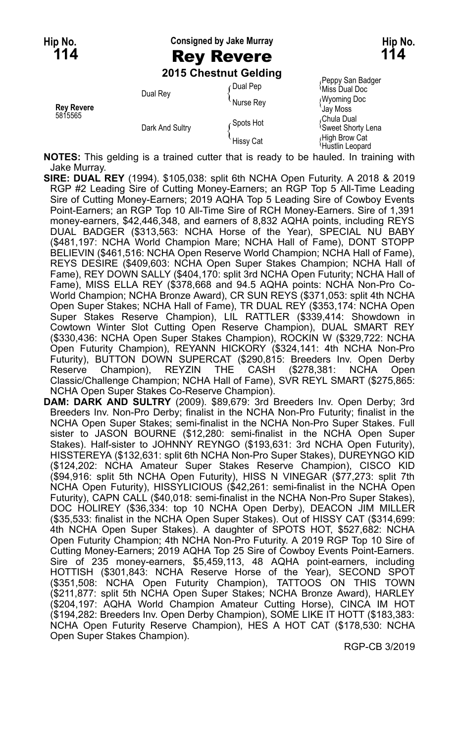**Hip No. Consigned by Jake Murray Hip No.**

### **114** Rey Revere **114**

**2015 Chestnut Gelding**

Peppy San Badger Contract Dual Pep and Contract Pual Pep {Peppy San Badger \text{ Nurse Rey \text{ Nurse Rey \text{ Nurse Rey \text{ Nurse Rey \text{ Nurse Rey \text{ Nurse Rey \text{ Nurse Rey \text{ Nurse Rey \text{ Nurs **Rey Revere** Collective Collection Collection Change Rey (Wyoming Doc<br>1997 Murse Rey (Jay Moss) Jay Moss<br>Chula Dual Change Chula Dual Collection Chula Dual Chula Dual Chula Dual Chula Dual Chula Dual Chula Dual Chula 5815565<br>Chula Dual و Spots Hot { Spots Hot { Spots Hot }<br>Dark And Sultar { Spots Hot { Spot { Spot { Spot { Spo Dark And Sultry (المحافظة Sweet Shorty Lena و Sweet Shorty Lena )<br>Hissy Cat (Hissy Cat باس Hustlin Leopard

**NOTES:** This gelding is a trained cutter that is ready to be hauled. In training with Jake Murray.

- **SIRE: DUAL REY** (1994). \$105,038: split 6th NCHA Open Futurity. A 2018 & 2019 RGP #2 Leading Sire of Cutting Money-Earners; an RGP Top 5 All-Time Leading Sire of Cutting Money-Earners; 2019 AQHA Top 5 Leading Sire of Cowboy Events Point-Earners; an RGP Top 10 All-Time Sire of RCH Money-Earners. Sire of 1,391 money-earners, \$42,446,348, and earners of 8,832 AQHA points, including REYS DUAL BADGER (\$313,563: NCHA Horse of the Year), SPECIAL NU BABY (\$481,197: NCHA World Champion Mare; NCHA Hall of Fame), DONT STOPP BELIEVIN (\$461,516: NCHA Open Reserve World Champion; NCHA Hall of Fame), REYS DESIRE (\$409,603: NCHA Open Super Stakes Champion; NCHA Hall of Fame), REY DOWN SALLY (\$404,170: split 3rd NCHA Open Futurity; NCHA Hall of Fame), MISS ELLA REY (\$378,668 and 94.5 AQHA points: NCHA Non-Pro Co-World Champion; NCHA Bronze Award), CR SUN REYS (\$371,053: split 4th NCHA Open Super Stakes; NCHA Hall of Fame), TR DUAL REY (\$353,174: NCHA Open Super Stakes Reserve Champion), LIL RATTLER (\$339,414: Showdown in Cowtown Winter Slot Cutting Open Reserve Champion), DUAL SMART REY (\$330,436: NCHA Open Super Stakes Champion), ROCKIN W (\$329,722: NCHA Open Futurity Champion), REYANN HICKORY (\$324,141: 4th NCHA Non-Pro Futurity), BUTTON DOWN SUPERCAT (\$290,815: Breeders Inv. Open Derby Reserve Champion), REYZIN THE CASH (\$278,381: NCHA Open Classic/Challenge Champion; NCHA Hall of Fame), SVR REYL SMART (\$275,865: NCHA Open Super Stakes Co-Reserve Champion).
- **DAM: DARK AND SULTRY** (2009). \$89,679: 3rd Breeders Inv. Open Derby; 3rd Breeders Inv. Non-Pro Derby; finalist in the NCHA Non-Pro Futurity; finalist in the NCHA Open Super Stakes; semi-finalist in the NCHA Non-Pro Super Stakes. Full sister to JASON BOURNE (\$12,280: semi-finalist in the NCHA Open Super Stakes). Half-sister to JOHNNY REYNGO (\$193,631: 3rd NCHA Open Futurity), HISSTEREYA (\$132,631: split 6th NCHA Non-Pro Super Stakes), DUREYNGO KID (\$124,202: NCHA Amateur Super Stakes Reserve Champion), CISCO KID (\$94,916: split 5th NCHA Open Futurity), HISS N VINEGAR (\$77,273: split 7th NCHA Open Futurity), HISSYLICIOUS (\$42,261: semi-finalist in the NCHA Open Futurity), CAPN CALL (\$40,018: semi-finalist in the NCHA Non-Pro Super Stakes), DOC HOLIREY (\$36,334: top 10 NCHA Open Derby), DEACON JIM MILLER (\$35,533: finalist in the NCHA Open Super Stakes). Out of HISSY CAT (\$314,699: 4th NCHA Open Super Stakes). A daughter of SPOTS HOT, \$527,682: NCHA Open Futurity Champion; 4th NCHA Non-Pro Futurity. A 2019 RGP Top 10 Sire of Cutting Money-Earners; 2019 AQHA Top 25 Sire of Cowboy Events Point-Earners. Sire of 235 money-earners, \$5,459,113, 48 AQHA point-earners, including HOTTISH (\$301,843: NCHA Reserve Horse of the Year), SECOND SPOT (\$351,508: NCHA Open Futurity Champion), TATTOOS ON THIS TOWN (\$211,877: split 5th NCHA Open Super Stakes; NCHA Bronze Award), HARLEY (\$204,197: AQHA World Champion Amateur Cutting Horse), CINCA IM HOT (\$194,282: Breeders Inv. Open Derby Champion), SOME LIKE IT HOTT (\$183,383: NCHA Open Futurity Reserve Champion), HES A HOT CAT (\$178,530: NCHA Open Super Stakes Champion).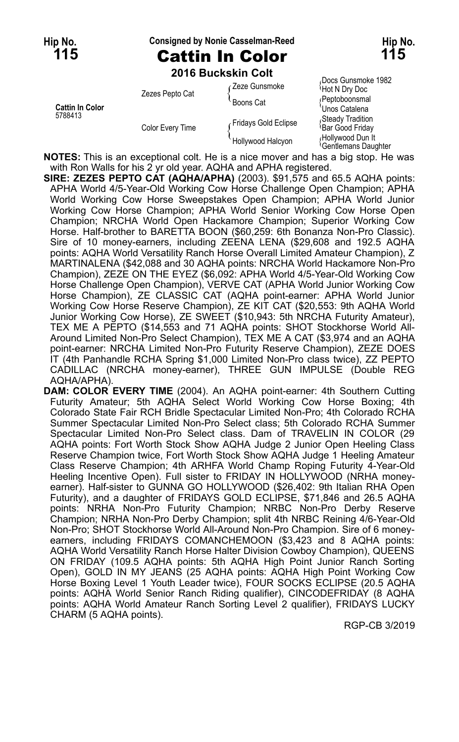#### **Hip No. Consigned by Nonie Casselman-Reed Hip No.**

Docs Gunsmoke 1982

**115** Cattin In Color **115**

| 2016 Buckskin Colt |               |  |
|--------------------|---------------|--|
| Zezes Pepto Cat    | Zeze Gunsmoke |  |

|                        | Zezes Pepto Cat  | Zeze Gunsmoke        | Hot N Dry Doc                                        |
|------------------------|------------------|----------------------|------------------------------------------------------|
|                        |                  | `Boons Cat           | (Peptoboonsmal                                       |
| <b>Cattin In Color</b> |                  |                      | 'Unos Catalena                                       |
| 5788413                |                  | Fridays Gold Eclipse | Steady Tradition                                     |
|                        | Color Every Time |                      | <sup>1</sup> Bar Good Friday                         |
|                        |                  | Hollywood Halcyon    | Hollywood Dun It<br><sup>t</sup> Gentlemans Daughter |

**NOTES:** This is an exceptional colt. He is a nice mover and has a big stop. He was with Ron Walls for his 2 yr old year. AQHA and APHA registered.

**SIRE: ZEZES PEPTO CAT (AQHA/APHA)** (2003). \$91,575 and 65.5 AQHA points: APHA World 4/5-Year-Old Working Cow Horse Challenge Open Champion; APHA World Working Cow Horse Sweepstakes Open Champion; APHA World Junior Working Cow Horse Champion; APHA World Senior Working Cow Horse Open Champion; NRCHA World Open Hackamore Champion; Superior Working Cow Horse. Half-brother to BARETTA BOON (\$60,259: 6th Bonanza Non-Pro Classic). Sire of 10 money-earners, including ZEENA LENA (\$29,608 and 192.5 AQHA points: AQHA World Versatility Ranch Horse Overall Limited Amateur Champion), Z MARTINALENA (\$42,088 and 30 AQHA points: NRCHA World Hackamore Non-Pro Champion), ZEZE ON THE EYEZ (\$6,092: APHA World 4/5-Year-Old Working Cow Horse Challenge Open Champion), VERVE CAT (APHA World Junior Working Cow Horse Champion), ZE CLASSIC CAT (AQHA point-earner: APHA World Junior Working Cow Horse Reserve Champion), ZE KIT CAT (\$20,553: 9th AQHA World Junior Working Cow Horse), ZE SWEET (\$10,943: 5th NRCHA Futurity Amateur), TEX ME A PEPTO (\$14,553 and 71 AQHA points: SHOT Stockhorse World All-Around Limited Non-Pro Select Champion), TEX ME A CAT (\$3,974 and an AQHA point-earner: NRCHA Limited Non-Pro Futurity Reserve Champion), ZEZE DOES IT (4th Panhandle RCHA Spring \$1,000 Limited Non-Pro class twice), ZZ PEPTO CADILLAC (NRCHA money-earner), THREE GUN IMPULSE (Double REG AQHA/APHA).

**DAM: COLOR EVERY TIME** (2004). An AQHA point-earner: 4th Southern Cutting Futurity Amateur; 5th AQHA Select World Working Cow Horse Boxing; 4th Colorado State Fair RCH Bridle Spectacular Limited Non-Pro; 4th Colorado RCHA Summer Spectacular Limited Non-Pro Select class; 5th Colorado RCHA Summer Spectacular Limited Non-Pro Select class. Dam of TRAVELIN IN COLOR (29 AQHA points: Fort Worth Stock Show AQHA Judge 2 Junior Open Heeling Class Reserve Champion twice, Fort Worth Stock Show AQHA Judge 1 Heeling Amateur Class Reserve Champion; 4th ARHFA World Champ Roping Futurity 4-Year-Old Heeling Incentive Open). Full sister to FRIDAY IN HOLLYWOOD (NRHA moneyearner). Half-sister to GUNNA GO HOLLYWOOD (\$26,402: 9th Italian RHA Open Futurity), and a daughter of FRIDAYS GOLD ECLIPSE, \$71,846 and 26.5 AQHA points: NRHA Non-Pro Futurity Champion; NRBC Non-Pro Derby Reserve Champion; NRHA Non-Pro Derby Champion; split 4th NRBC Reining 4/6-Year-Old Non-Pro; SHOT Stockhorse World All-Around Non-Pro Champion. Sire of 6 moneyearners, including FRIDAYS COMANCHEMOON (\$3,423 and 8 AQHA points: AQHA World Versatility Ranch Horse Halter Division Cowboy Champion), QUEENS ON FRIDAY (109.5 AQHA points: 5th AQHA High Point Junior Ranch Sorting Open), GOLD IN MY JEANS (25 AQHA points: AQHA High Point Working Cow Horse Boxing Level 1 Youth Leader twice), FOUR SOCKS ECLIPSE (20.5 AQHA points: AQHA World Senior Ranch Riding qualifier), CINCODEFRIDAY (8 AQHA points: AQHA World Amateur Ranch Sorting Level 2 qualifier), FRIDAYS LUCKY CHARM (5 AQHA points).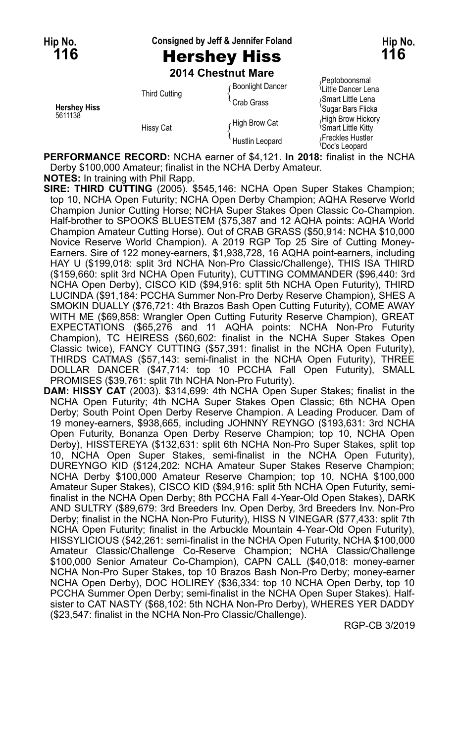**Hip No. Consigned by Jeff & Jennifer Foland Hip No.**

**116** Hershey Hiss **116**

| 2014 Chestnut Mare |                    |
|--------------------|--------------------|
|                    | - Roonlight Dancor |

| <b>Hershey Hiss</b><br>5611138 | <b>Third Cutting</b> | <b>Boonlight Dancer</b><br>Crab Grass | Peptoboonsmal<br><sup>1</sup> Little Dancer Lena<br>Smart Little Lena<br>'Sugar Bars Flicka |
|--------------------------------|----------------------|---------------------------------------|---------------------------------------------------------------------------------------------|
|                                | <b>Hissy Cat</b>     | High Brow Cat                         | High Brow Hickory<br><b>Smart Little Kitty</b>                                              |
|                                |                      | Hustlin Leopard                       | Freckles Hustler<br><sup>l</sup> Doc's Leopard                                              |

**PERFORMANCE RECORD:** NCHA earner of \$4,121. **In 2018:** finalist in the NCHA Derby \$100,000 Amateur; finalist in the NCHA Derby Amateur.

**NOTES:** In training with Phil Rapp.

**SIRE: THIRD CUTTING** (2005). \$545,146: NCHA Open Super Stakes Champion; top 10, NCHA Open Futurity; NCHA Open Derby Champion; AQHA Reserve World Champion Junior Cutting Horse; NCHA Super Stakes Open Classic Co-Champion. Half-brother to SPOOKS BLUESTEM (\$75,387 and 12 AQHA points: AQHA World Champion Amateur Cutting Horse). Out of CRAB GRASS (\$50,914: NCHA \$10,000 Novice Reserve World Champion). A 2019 RGP Top 25 Sire of Cutting Money-Earners. Sire of 122 money-earners, \$1,938,728, 16 AQHA point-earners, including HAY U (\$199,018: split 3rd NCHA Non-Pro Classic/Challenge), THIS ISA THIRD (\$159,660: split 3rd NCHA Open Futurity), CUTTING COMMANDER (\$96,440: 3rd NCHA Open Derby), CISCO KID (\$94,916: split 5th NCHA Open Futurity), THIRD LUCINDA (\$91,184: PCCHA Summer Non-Pro Derby Reserve Champion), SHES A SMOKIN DUALLY (\$76,721: 4th Brazos Bash Open Cutting Futurity), COME AWAY WITH ME (\$69,858: Wrangler Open Cutting Futurity Reserve Champion), GREAT EXPECTATIONS (\$65,276 and 11 AQHA points: NCHA Non-Pro Futurity Champion), TC HEIRESS (\$60,602: finalist in the NCHA Super Stakes Open Classic twice), FANCY CUTTING (\$57,391: finalist in the NCHA Open Futurity), THIRDS CATMAS (\$57,143: semi-finalist in the NCHA Open Futurity), THREE DOLLAR DANCER (\$47,714: top 10 PCCHA Fall Open Futurity), SMALL PROMISES (\$39,761: split 7th NCHA Non-Pro Futurity).

**DAM: HISSY CAT** (2003). \$314,699: 4th NCHA Open Super Stakes; finalist in the NCHA Open Futurity; 4th NCHA Super Stakes Open Classic; 6th NCHA Open Derby; South Point Open Derby Reserve Champion. A Leading Producer. Dam of 19 money-earners, \$938,665, including JOHNNY REYNGO (\$193,631: 3rd NCHA Open Futurity, Bonanza Open Derby Reserve Champion; top 10, NCHA Open Derby), HISSTEREYA (\$132,631: split 6th NCHA Non-Pro Super Stakes, split top 10, NCHA Open Super Stakes, semi-finalist in the NCHA Open Futurity), DUREYNGO KID (\$124,202: NCHA Amateur Super Stakes Reserve Champion; NCHA Derby \$100,000 Amateur Reserve Champion; top 10, NCHA \$100,000 Amateur Super Stakes), CISCO KID (\$94,916: split 5th NCHA Open Futurity, semifinalist in the NCHA Open Derby; 8th PCCHA Fall 4-Year-Old Open Stakes), DARK AND SULTRY (\$89,679: 3rd Breeders Inv. Open Derby, 3rd Breeders Inv. Non-Pro Derby; finalist in the NCHA Non-Pro Futurity), HISS N VINEGAR (\$77,433: split 7th NCHA Open Futurity; finalist in the Arbuckle Mountain 4-Year-Old Open Futurity), HISSYLICIOUS (\$42,261: semi-finalist in the NCHA Open Futurity, NCHA \$100,000 Amateur Classic/Challenge Co-Reserve Champion; NCHA Classic/Challenge \$100,000 Senior Amateur Co-Champion), CAPN CALL (\$40,018: money-earner NCHA Non-Pro Super Stakes, top 10 Brazos Bash Non-Pro Derby; money-earner NCHA Open Derby), DOC HOLIREY (\$36,334: top 10 NCHA Open Derby, top 10 PCCHA Summer Open Derby; semi-finalist in the NCHA Open Super Stakes). Halfsister to CAT NASTY (\$68,102: 5th NCHA Non-Pro Derby), WHERES YER DADDY (\$23,547: finalist in the NCHA Non-Pro Classic/Challenge).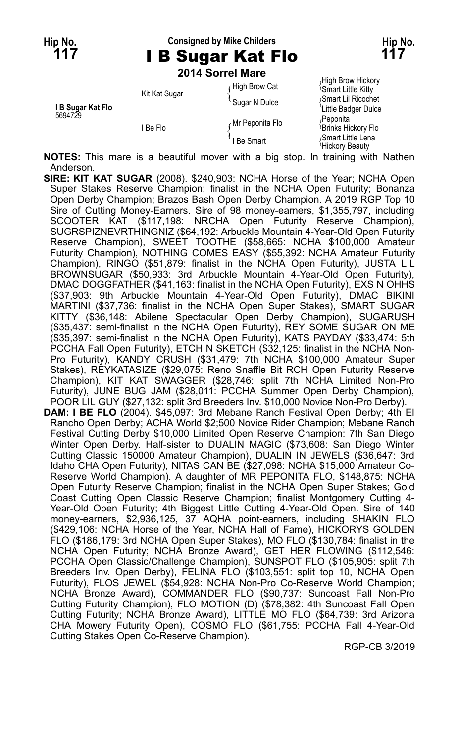### **Hip No. Consigned by Mike Childers Hip No. 117** I B Sugar Kat Flo **117**

**2014 Sorrel Mare**

|                   |               | ס ואו וס ווטט <del>ד</del> ו טב |                                                      |
|-------------------|---------------|---------------------------------|------------------------------------------------------|
|                   | Kit Kat Sugar | High Brow Cat                   | High Brow Hickory<br><sup>1</sup> Smart Little Kitty |
| I B Sugar Kat Flo |               | Sugar N Dulce                   | Smart Lil Ricochet<br>'Little Badger Dulce           |
| 5694729           | l Be Flo      | <sub>∩</sub> Mr Peponita Flo    | Peponita<br>Brinks Hickory Flo                       |
|                   |               | I Be Smart                      | Smart Little Lena<br>Hickory Beauty                  |

**NOTES:** This mare is a beautiful mover with a big stop. In training with Nathen Anderson.

**SIRE: KIT KAT SUGAR** (2008). \$240,903: NCHA Horse of the Year; NCHA Open Super Stakes Reserve Champion; finalist in the NCHA Open Futurity; Bonanza Open Derby Champion; Brazos Bash Open Derby Champion. A 2019 RGP Top 10 Sire of Cutting Money-Earners. Sire of 98 money-earners, \$1,355,797, including SCOOTER KAT (\$117,198: NRCHA Open Futurity Reserve Champion), SUGRSPIZNEVRTHINGNIZ (\$64,192: Arbuckle Mountain 4-Year-Old Open Futurity Reserve Champion), SWEET TOOTHE (\$58,665: NCHA \$100,000 Amateur Futurity Champion), NOTHING COMES EASY (\$55,392: NCHA Amateur Futurity Champion), RINGO (\$51,879: finalist in the NCHA Open Futurity), JUSTA LIL BROWNSUGAR (\$50,933: 3rd Arbuckle Mountain 4-Year-Old Open Futurity), DMAC DOGGFATHER (\$41,163: finalist in the NCHA Open Futurity), EXS N OHHS (\$37,903: 9th Arbuckle Mountain 4-Year-Old Open Futurity), DMAC BIKINI MARTINI (\$37,736: finalist in the NCHA Open Super Stakes), SMART SUGAR KITTY (\$36,148: Abilene Spectacular Open Derby Champion), SUGARUSH (\$35,437: semi-finalist in the NCHA Open Futurity), REY SOME SUGAR ON ME (\$35,397: semi-finalist in the NCHA Open Futurity), KATS PAYDAY (\$33,474: 5th PCCHA Fall Open Futurity), ETCH N SKETCH (\$32,125: finalist in the NCHA Non-Pro Futurity), KANDY CRUSH (\$31,479: 7th NCHA \$100,000 Amateur Super Stakes), REYKATASIZE (\$29,075: Reno Snaffle Bit RCH Open Futurity Reserve Champion), KIT KAT SWAGGER (\$28,746: split 7th NCHA Limited Non-Pro Futurity), JUNE BUG JAM (\$28,011: PCCHA Summer Open Derby Champion), POOR LIL GUY (\$27,132: split 3rd Breeders Inv. \$10,000 Novice Non-Pro Derby). **DAM: I BE FLO** (2004). \$45,097: 3rd Mebane Ranch Festival Open Derby; 4th El Rancho Open Derby; ACHA World \$2;500 Novice Rider Champion; Mebane Ranch Festival Cutting Derby \$10,000 Limited Open Reserve Champion: 7th San Diego Winter Open Derby. Half-sister to DUALIN MAGIC (\$73,608: San Diego Winter Cutting Classic 150000 Amateur Champion), DUALIN IN JEWELS (\$36,647: 3rd Idaho CHA Open Futurity), NITAS CAN BE (\$27,098: NCHA \$15,000 Amateur Co-Reserve World Champion). A daughter of MR PEPONITA FLO, \$148,875: NCHA Open Futurity Reserve Champion; finalist in the NCHA Open Super Stakes; Gold Coast Cutting Open Classic Reserve Champion; finalist Montgomery Cutting 4- Year-Old Open Futurity; 4th Biggest Little Cutting 4-Year-Old Open. Sire of 140 money-earners, \$2,936,125, 37 AQHA point-earners, including SHAKIN FLO (\$429,106: NCHA Horse of the Year, NCHA Hall of Fame), HICKORYS GOLDEN FLO (\$186,179: 3rd NCHA Open Super Stakes), MO FLO (\$130,784: finalist in the NCHA Open Futurity; NCHA Bronze Award), GET HER FLOWING (\$112,546: PCCHA Open Classic/Challenge Champion), SUNSPOT FLO (\$105,905: split 7th Breeders Inv. Open Derby), FELINA FLO (\$103,551: split top 10, NCHA Open Futurity), FLOS JEWEL (\$54,928: NCHA Non-Pro Co-Reserve World Champion; NCHA Bronze Award), COMMANDER FLO (\$90,737: Suncoast Fall Non-Pro Cutting Futurity Champion), FLO MOTION (D) (\$78,382: 4th Suncoast Fall Open Cutting Futurity; NCHA Bronze Award), LITTLE MO FLO (\$64,739: 3rd Arizona CHA Mowery Futurity Open), COSMO FLO (\$61,755: PCCHA Fall 4-Year-Old Cutting Stakes Open Co-Reserve Champion).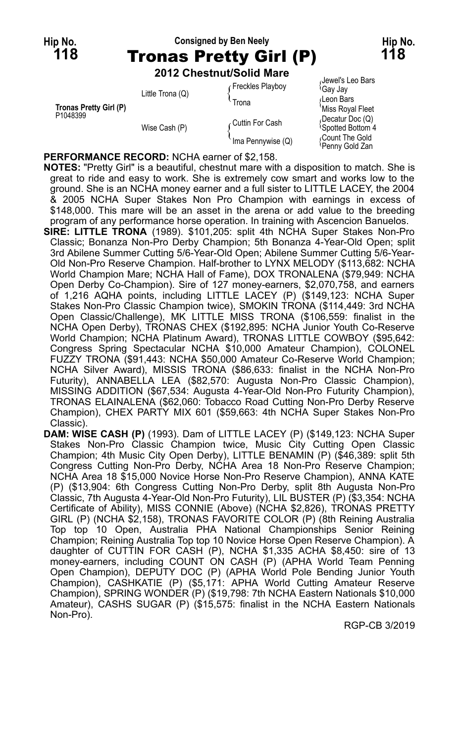# **Hip No. Consigned by Ben Neely Hip No. 118** Tronas Pretty Girl (P) **118**

**2012 Chestnut/Solid Mare**

| Tronas Pretty Girl (P)<br>P1048399 | Little Trona (Q) | Freckles Playboy<br>Trona | Jewel's Leo Bars<br>≀Gaγ Jaγ<br>Leon Bars<br>'Miss Royal Fleet |
|------------------------------------|------------------|---------------------------|----------------------------------------------------------------|
|                                    | Wise Cash (P)    | ∠Cuttin For Cash          | (Decatur Doc (Q)<br><sup>1</sup> Spotted Bottom 4              |
|                                    |                  | Ima Pennywise (Q)         | Count The Gold<br>Penny Gold Zan                               |

**PERFORMANCE RECORD:** NCHA earner of \$2,158.

**NOTES:** "Pretty Girl" is a beautiful, chestnut mare with a disposition to match. She is great to ride and easy to work. She is extremely cow smart and works low to the ground. She is an NCHA money earner and a full sister to LITTLE LACEY, the 2004 & 2005 NCHA Super Stakes Non Pro Champion with earnings in excess of \$148,000. This mare will be an asset in the arena or add value to the breeding program of any performance horse operation. In training with Ascencion Banuelos.

- **SIRE: LITTLE TRONA** (1989). \$101,205: split 4th NCHA Super Stakes Non-Pro Classic; Bonanza Non-Pro Derby Champion; 5th Bonanza 4-Year-Old Open; split 3rd Abilene Summer Cutting 5/6-Year-Old Open; Abilene Summer Cutting 5/6-Year-Old Non-Pro Reserve Champion. Half-brother to LYNX MELODY (\$113,682: NCHA World Champion Mare; NCHA Hall of Fame), DOX TRONALENA (\$79,949: NCHA Open Derby Co-Champion). Sire of 127 money-earners, \$2,070,758, and earners of 1,216 AQHA points, including LITTLE LACEY (P) (\$149,123: NCHA Super Stakes Non-Pro Classic Champion twice), SMOKIN TRONA (\$114,449: 3rd NCHA Open Classic/Challenge), MK LITTLE MISS TRONA (\$106,559: finalist in the NCHA Open Derby), TRONAS CHEX (\$192,895: NCHA Junior Youth Co-Reserve World Champion; NCHA Platinum Award), TRONAS LITTLE COWBOY (\$95,642: Congress Spring Spectacular NCHA \$10,000 Amateur Champion), COLONEL FUZZY TRONA (\$91,443: NCHA \$50,000 Amateur Co-Reserve World Champion; NCHA Silver Award), MISSIS TRONA (\$86,633: finalist in the NCHA Non-Pro Futurity), ANNABELLA LEA (\$82,570: Augusta Non-Pro Classic Champion), MISSING ADDITION (\$67,534: Augusta 4-Year-Old Non-Pro Futurity Champion), TRONAS ELAINALENA (\$62,060: Tobacco Road Cutting Non-Pro Derby Reserve Champion), CHEX PARTY MIX 601 (\$59,663: 4th NCHA Super Stakes Non-Pro Classic).
- **DAM: WISE CASH (P)** (1993). Dam of LITTLE LACEY (P) (\$149,123: NCHA Super Stakes Non-Pro Classic Champion twice, Music City Cutting Open Classic Champion; 4th Music City Open Derby), LITTLE BENAMIN (P) (\$46,389: split 5th Congress Cutting Non-Pro Derby, NCHA Area 18 Non-Pro Reserve Champion; NCHA Area 18 \$15,000 Novice Horse Non-Pro Reserve Champion), ANNA KATE (P) (\$13,904: 6th Congress Cutting Non-Pro Derby, split 8th Augusta Non-Pro Classic, 7th Augusta 4-Year-Old Non-Pro Futurity), LIL BUSTER (P) (\$3,354: NCHA Certificate of Ability), MISS CONNIE (Above) (NCHA \$2,826), TRONAS PRETTY GIRL (P) (NCHA \$2,158), TRONAS FAVORITE COLOR (P) (8th Reining Australia Top top 10 Open, Australia PHA National Championships Senior Reining Champion; Reining Australia Top top 10 Novice Horse Open Reserve Champion). A daughter of CUTTIN FOR CASH (P), NCHA \$1,335 ACHA \$8,450: sire of 13 money-earners, including COUNT ON CASH (P) (APHA World Team Penning Open Champion), DEPUTY DOC (P) (APHA World Pole Bending Junior Youth Champion), CASHKATIE (P) (\$5,171: APHA World Cutting Amateur Reserve Champion), SPRING WONDER (P) (\$19,798: 7th NCHA Eastern Nationals \$10,000 Amateur), CASHS SUGAR (P) (\$15,575: finalist in the NCHA Eastern Nationals Non-Pro).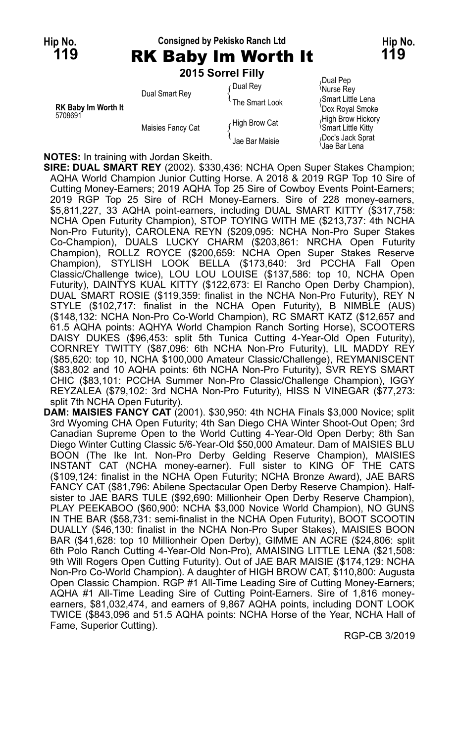#### **Hip No. Consigned by Pekisko Ranch Ltd Hip No. 119** RK Baby Im Worth It **119 2015 Sorrel Filly**

|                                       |                   | <b>ZUTS SUITEL FIIIV</b>    |                                                |
|---------------------------------------|-------------------|-----------------------------|------------------------------------------------|
|                                       | Dual Smart Rey    | Dual Rey                    | Dual Pep<br><sup>l</sup> Nurse Rev             |
| <b>RK Baby Im Worth It</b><br>5708691 |                   | <sup>t</sup> The Smart Look | Smart Little Lena<br>'Dox Royal Smoke          |
|                                       | Maisies Fancy Cat | High Brow Cat               | High Brow Hickory<br><b>Smart Little Kitty</b> |
|                                       |                   | Jae Bar Maisie              | Doc's Jack Sprat<br>Jae Bar Lena               |

**NOTES:** In training with Jordan Skeith.

**SIRE: DUAL SMART REY** (2002). \$330,436: NCHA Open Super Stakes Champion; AQHA World Champion Junior Cutting Horse. A 2018 & 2019 RGP Top 10 Sire of Cutting Money-Earners; 2019 AQHA Top 25 Sire of Cowboy Events Point-Earners; 2019 RGP Top 25 Sire of RCH Money-Earners. Sire of 228 money-earners, \$5,811,227, 33 AQHA point-earners, including DUAL SMART KITTY (\$317,758: NCHA Open Futurity Champion), STOP TOYING WITH ME (\$213,737: 4th NCHA Non-Pro Futurity), CAROLENA REYN (\$209,095: NCHA Non-Pro Super Stakes Co-Champion), DUALS LUCKY CHARM (\$203,861: NRCHA Open Futurity Champion), ROLLZ ROYCE (\$200,659: NCHA Open Super Stakes Reserve Champion), STYLISH LOOK BELLA (\$173,640: 3rd PCCHA Fall Open Classic/Challenge twice), LOU LOU LOUISE (\$137,586: top 10, NCHA Open Futurity), DAINTYS KUAL KITTY (\$122,673: El Rancho Open Derby Champion), DUAL SMART ROSIE (\$119,359: finalist in the NCHA Non-Pro Futurity), REY N STYLE (\$102,717: finalist in the NCHA Open Futurity), B NIMBLE (AUS) (\$148,132: NCHA Non-Pro Co-World Champion), RC SMART KATZ (\$12,657 and 61.5 AQHA points: AQHYA World Champion Ranch Sorting Horse), SCOOTERS DAISY DUKES (\$96,453: split 5th Tunica Cutting 4-Year-Old Open Futurity), CORNREY TWITTY (\$87,096: 6th NCHA Non-Pro Futurity), LIL MADDY REY (\$85,620: top 10, NCHA \$100,000 Amateur Classic/Challenge), REYMANISCENT (\$83,802 and 10 AQHA points: 6th NCHA Non-Pro Futurity), SVR REYS SMART CHIC (\$83,101: PCCHA Summer Non-Pro Classic/Challenge Champion), IGGY REYZALEA (\$79,102: 3rd NCHA Non-Pro Futurity), HISS N VINEGAR (\$77,273: split 7th NCHA Open Futurity).

**DAM: MAISIES FANCY CAT** (2001). \$30,950: 4th NCHA Finals \$3,000 Novice; split 3rd Wyoming CHA Open Futurity; 4th San Diego CHA Winter Shoot-Out Open; 3rd Canadian Supreme Open to the World Cutting 4-Year-Old Open Derby; 8th San Diego Winter Cutting Classic 5/6-Year-Old \$50,000 Amateur. Dam of MAISIES BLU BOON (The Ike Int. Non-Pro Derby Gelding Reserve Champion), MAISIES INSTANT CAT (NCHA money-earner). Full sister to KING OF THE CATS (\$109,124: finalist in the NCHA Open Futurity; NCHA Bronze Award), JAE BARS FANCY CAT (\$81,796: Abilene Spectacular Open Derby Reserve Champion). Halfsister to JAE BARS TULE (\$92,690: Millionheir Open Derby Reserve Champion), PLAY PEEKABOO (\$60,900: NCHA \$3,000 Novice World Champion), NO GUNS IN THE BAR (\$58,731: semi-finalist in the NCHA Open Futurity), BOOT SCOOTIN DUALLY (\$46,130: finalist in the NCHA Non-Pro Super Stakes), MAISIES BOON BAR (\$41,628: top 10 Millionheir Open Derby), GIMME AN ACRE (\$24,806: split 6th Polo Ranch Cutting 4-Year-Old Non-Pro), AMAISING LITTLE LENA (\$21,508: 9th Will Rogers Open Cutting Futurity). Out of JAE BAR MAISIE (\$174,129: NCHA Non-Pro Co-World Champion). A daughter of HIGH BROW CAT, \$110,800: Augusta Open Classic Champion. RGP #1 All-Time Leading Sire of Cutting Money-Earners; AQHA #1 All-Time Leading Sire of Cutting Point-Earners. Sire of 1,816 moneyearners, \$81,032,474, and earners of 9,867 AQHA points, including DONT LOOK TWICE (\$843,096 and 51.5 AQHA points: NCHA Horse of the Year, NCHA Hall of Fame, Superior Cutting).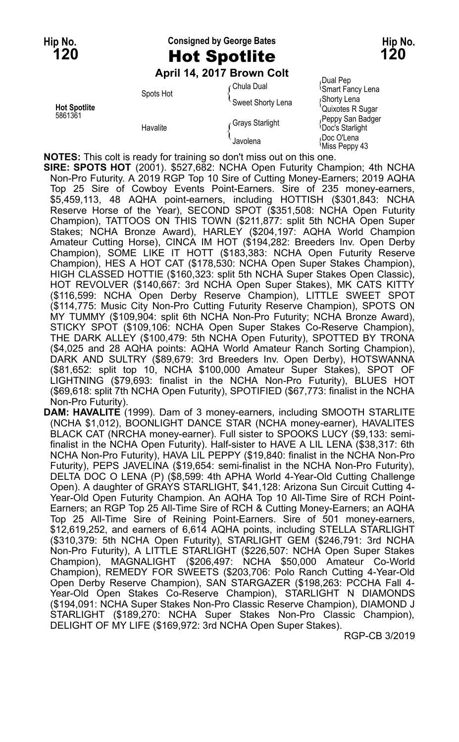## **Hip No. Consigned by George Bates Hip No. 120** Hot Spotlite **120**

#### **April 14, 2017 Brown Colt**

Spots Hot <br>
Spots Hot {<br>
Sweet Shorty Lena { Shorty Lena { Shorty Lena } Feppy San Badger Grays Starlight (Feppy San Badger Grays Starlight (Feppy San Badger Grays Starlight

Chula Dual Pep<br>
Chula Dual **Chula Dual Communist** Smart Fancy Lena Hot Spotlite<br>
1986 Factor States Register of the Spotling Contract of the Contract of the Peppy San Badger<br>
2000 Care Charliett Contract of Peppy San Badger Havalite و Polay Starlight { Doc's Starlight<br>| Javolena {<br>| Javolena {Miss Peppy 43}

**NOTES:** This colt is ready for training so don't miss out on this one.

**SIRE: SPOTS HOT** (2001). \$527,682: NCHA Open Futurity Champion; 4th NCHA Non-Pro Futurity. A 2019 RGP Top 10 Sire of Cutting Money-Earners; 2019 AQHA Top 25 Sire of Cowboy Events Point-Earners. Sire of 235 money-earners, \$5,459,113, 48 AQHA point-earners, including HOTTISH (\$301,843: NCHA Reserve Horse of the Year), SECOND SPOT (\$351,508: NCHA Open Futurity Champion), TATTOOS ON THIS TOWN (\$211,877: split 5th NCHA Open Super Stakes; NCHA Bronze Award), HARLEY (\$204,197: AQHA World Champion Amateur Cutting Horse), CINCA IM HOT (\$194,282: Breeders Inv. Open Derby Champion), SOME LIKE IT HOTT (\$183,383: NCHA Open Futurity Reserve Champion), HES A HOT CAT (\$178,530: NCHA Open Super Stakes Champion), HIGH CLASSED HOTTIE (\$160,323: split 5th NCHA Super Stakes Open Classic), HOT REVOLVER (\$140,667: 3rd NCHA Open Super Stakes), MK CATS KITTY (\$116,599: NCHA Open Derby Reserve Champion), LITTLE SWEET SPOT (\$114,775: Music City Non-Pro Cutting Futurity Reserve Champion), SPOTS ON MY TUMMY (\$109,904: split 6th NCHA Non-Pro Futurity; NCHA Bronze Award), STICKY SPOT (\$109,106: NCHA Open Super Stakes Co-Reserve Champion), THE DARK ALLEY (\$100,479: 5th NCHA Open Futurity), SPOTTED BY TRONA (\$4,025 and 28 AQHA points: AQHA World Amateur Ranch Sorting Champion), DARK AND SULTRY (\$89,679: 3rd Breeders Inv. Open Derby), HOTSWANNA (\$81,652: split top 10, NCHA \$100,000 Amateur Super Stakes), SPOT OF LIGHTNING (\$79,693: finalist in the NCHA Non-Pro Futurity), BLUES HOT (\$69,618: split 7th NCHA Open Futurity), SPOTIFIED (\$67,773: finalist in the NCHA Non-Pro Futurity).

**DAM: HAVALITE** (1999). Dam of 3 money-earners, including SMOOTH STARLITE (NCHA \$1,012), BOONLIGHT DANCE STAR (NCHA money-earner), HAVALITES BLACK CAT (NRCHA money-earner). Full sister to SPOOKS LUCY (\$9,133: semifinalist in the NCHA Open Futurity). Half-sister to HAVE A LIL LENA (\$38,317: 6th NCHA Non-Pro Futurity), HAVA LIL PEPPY (\$19,840: finalist in the NCHA Non-Pro Futurity), PEPS JAVELINA (\$19,654: semi-finalist in the NCHA Non-Pro Futurity), DELTA DOC O LENA (P) (\$8,599: 4th APHA World 4-Year-Old Cutting Challenge Open). A daughter of GRAYS STARLIGHT, \$41,128: Arizona Sun Circuit Cutting 4- Year-Old Open Futurity Champion. An AQHA Top 10 All-Time Sire of RCH Point-Earners; an RGP Top 25 All-Time Sire of RCH & Cutting Money-Earners; an AQHA Top 25 All-Time Sire of Reining Point-Earners. Sire of 501 money-earners, \$12,619,252, and earners of 6,614 AQHA points, including STELLA STARLIGHT (\$310,379: 5th NCHA Open Futurity), STARLIGHT GEM (\$246,791: 3rd NCHA Non-Pro Futurity), A LITTLE STARLIGHT (\$226,507: NCHA Open Super Stakes Champion), MAGNALIGHT (\$206,497: NCHA \$50,000 Amateur Co-World Champion), REMEDY FOR SWEETS (\$203,706: Polo Ranch Cutting 4-Year-Old Open Derby Reserve Champion), SAN STARGAZER (\$198,263: PCCHA Fall 4- Year-Old Open Stakes Co-Reserve Champion), STARLIGHT N DIAMONDS (\$194,091: NCHA Super Stakes Non-Pro Classic Reserve Champion), DIAMOND J STARLIGHT (\$189,270: NCHA Super Stakes Non-Pro Classic Champion), DELIGHT OF MY LIFE (\$169,972: 3rd NCHA Open Super Stakes).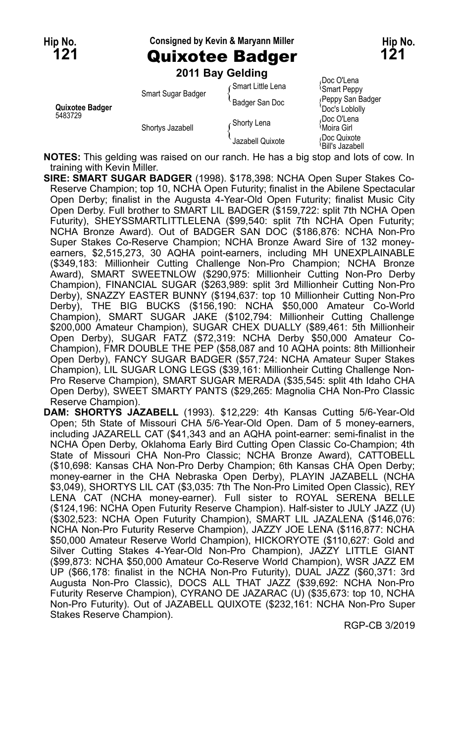**Hip No. Consigned by Kevin & Maryann Miller Hip No.**

**121** Quixotee Badger **121**

|                            |                    | 2011 Bay Gelding   |                                       |
|----------------------------|--------------------|--------------------|---------------------------------------|
| Quixotee Badger<br>5483729 | Smart Sugar Badger | ∈Smart Little Lena | Doc O'Lena<br><b>Smart Peppy</b>      |
|                            |                    | Badger San Doc     | Peppy San Badger<br>Doc's Loblolly    |
|                            | Shortys Jazabell   | ∈Shorty Lena       | Doc O'Lena<br><sup>∖</sup> Moira Girl |
|                            |                    | Jazabell Quixote   | Doc Quixote<br>'Bill's Jazabell       |

**NOTES:** This gelding was raised on our ranch. He has a big stop and lots of cow. In training with Kevin Miller.

**SIRE: SMART SUGAR BADGER** (1998). \$178,398: NCHA Open Super Stakes Co-Reserve Champion; top 10, NCHA Open Futurity; finalist in the Abilene Spectacular Open Derby; finalist in the Augusta 4-Year-Old Open Futurity; finalist Music City Open Derby. Full brother to SMART LIL BADGER (\$159,722: split 7th NCHA Open Futurity), SHEYSSMARTLITTLELENA (\$99,540: split 7th NCHA Open Futurity; NCHA Bronze Award). Out of BADGER SAN DOC (\$186,876: NCHA Non-Pro Super Stakes Co-Reserve Champion; NCHA Bronze Award Sire of 132 moneyearners, \$2,515,273, 30 AQHA point-earners, including MH UNEXPLAINABLE (\$349,183: Millionheir Cutting Challenge Non-Pro Champion; NCHA Bronze Award), SMART SWEETNLOW (\$290,975: Millionheir Cutting Non-Pro Derby Champion), FINANCIAL SUGAR (\$263,989: split 3rd Millionheir Cutting Non-Pro Derby), SNAZZY EASTER BUNNY (\$194,637: top 10 Millionheir Cutting Non-Pro Derby), THE BIG BUCKS (\$156,190: NCHA \$50,000 Amateur Co-World Champion), SMART SUGAR JAKE (\$102,794: Millionheir Cutting Challenge \$200,000 Amateur Champion), SUGAR CHEX DUALLY (\$89,461: 5th Millionheir Open Derby), SUGAR FATZ (\$72,319: NCHA Derby \$50,000 Amateur Co-Champion), FMR DOUBLE THE PEP (\$58,087 and 10 AQHA points: 8th Millionheir Open Derby), FANCY SUGAR BADGER (\$57,724: NCHA Amateur Super Stakes Champion), LIL SUGAR LONG LEGS (\$39,161: Millionheir Cutting Challenge Non-Pro Reserve Champion), SMART SUGAR MERADA (\$35,545: split 4th Idaho CHA Open Derby), SWEET SMARTY PANTS (\$29,265: Magnolia CHA Non-Pro Classic Reserve Champion).

**DAM: SHORTYS JAZABELL** (1993). \$12,229: 4th Kansas Cutting 5/6-Year-Old Open; 5th State of Missouri CHA 5/6-Year-Old Open. Dam of 5 money-earners, including JAZARELL CAT (\$41,343 and an AQHA point-earner: semi-finalist in the NCHA Open Derby, Oklahoma Early Bird Cutting Open Classic Co-Champion; 4th State of Missouri CHA Non-Pro Classic; NCHA Bronze Award), CATTOBELL (\$10,698: Kansas CHA Non-Pro Derby Champion; 6th Kansas CHA Open Derby; money-earner in the CHA Nebraska Open Derby), PLAYIN JAZABELL (NCHA \$3,049), SHORTYS LIL CAT (\$3,035: 7th The Non-Pro Limited Open Classic), REY LENA CAT (NCHA money-earner). Full sister to ROYAL SERENA BELLE (\$124,196: NCHA Open Futurity Reserve Champion). Half-sister to JULY JAZZ (U) (\$302,523: NCHA Open Futurity Champion), SMART LIL JAZALENA (\$146,076: NCHA Non-Pro Futurity Reserve Champion), JAZZY JOE LENA (\$116,877: NCHA \$50,000 Amateur Reserve World Champion), HICKORYOTE (\$110,627: Gold and Silver Cutting Stakes 4-Year-Old Non-Pro Champion), JAZZY LITTLE GIANT (\$99,873: NCHA \$50,000 Amateur Co-Reserve World Champion), WSR JAZZ EM UP (\$66,178: finalist in the NCHA Non-Pro Futurity), DUAL JAZZ (\$60,371: 3rd Augusta Non-Pro Classic), DOCS ALL THAT JAZZ (\$39,692: NCHA Non-Pro Futurity Reserve Champion), CYRANO DE JAZARAC (U) (\$35,673: top 10, NCHA Non-Pro Futurity). Out of JAZABELL QUIXOTE (\$232,161: NCHA Non-Pro Super Stakes Reserve Champion).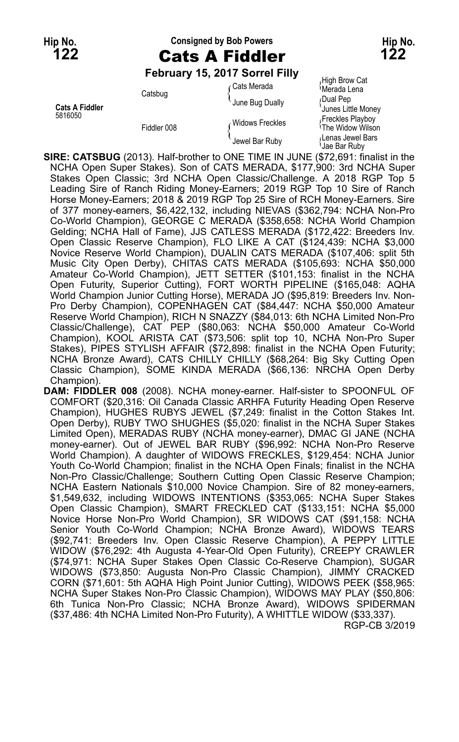### **Hip No. Consigned by Bob Powers Hip No. 122** Cats A Fiddler **122**

#### **February 15, 2017 Sorrel Filly**

High Brow Cat Cats Merada<br>Catsbug {Cats Merada Lena {Merada Lena<br>June Bug Dually {Dual Pep June Bug Dually Cats **A Fiddler** Cats Cats Cats Cats A Fiddler<br>Junes Little Money<br>Freckles Playbov (Person Little Money) Medicing Cats A Freckles Playbov Freckles (Freckles (Freckles (Freckles Freekles Free Alayboy<br>The Widow Wilson Fiddler 008 The Widow Wilson { Lenas Jewel Bars Jewel Bar Ruby { Jae Bar Ruby

**SIRE: CATSBUG** (2013). Half-brother to ONE TIME IN JUNE (\$72,691: finalist in the NCHA Open Super Stakes). Son of CATS MERADA, \$177,900: 3rd NCHA Super Stakes Open Classic; 3rd NCHA Open Classic/Challenge. A 2018 RGP Top 5 Leading Sire of Ranch Riding Money-Earners; 2019 RGP Top 10 Sire of Ranch Horse Money-Earners; 2018 & 2019 RGP Top 25 Sire of RCH Money-Earners. Sire of 377 money-earners, \$6,422,132, including NIEVAS (\$362,794: NCHA Non-Pro Co-World Champion), GEORGE C MERADA (\$358,658: NCHA World Champion Gelding; NCHA Hall of Fame), JJS CATLESS MERADA (\$172,422: Breeders Inv. Open Classic Reserve Champion), FLO LIKE A CAT (\$124,439: NCHA \$3,000 Novice Reserve World Champion), DUALIN CATS MERADA (\$107,406: split 5th Music City Open Derby), CHITAS CATS MERADA (\$105,693: NCHA \$50,000 Amateur Co-World Champion), JETT SETTER (\$101,153: finalist in the NCHA Open Futurity, Superior Cutting), FORT WORTH PIPELINE (\$165,048: AQHA World Champion Junior Cutting Horse), MERADA JO (\$95,819: Breeders Inv. Non-Pro Derby Champion), COPENHAGEN CAT (\$84,447: NCHA \$50,000 Amateur Reserve World Champion), RICH N SNAZZY (\$84,013: 6th NCHA Limited Non-Pro Classic/Challenge), CAT PEP (\$80,063: NCHA \$50,000 Amateur Co-World Champion), KOOL ARISTA CAT (\$73,506: split top 10, NCHA Non-Pro Super Stakes), PIPES STYLISH AFFAIR (\$72,898: finalist in the NCHA Open Futurity; NCHA Bronze Award), CATS CHILLY CHILLY (\$68,264: Big Sky Cutting Open Classic Champion), SOME KINDA MERADA (\$66,136: NRCHA Open Derby Champion).

**DAM: FIDDLER 008** (2008). NCHA money-earner. Half-sister to SPOONFUL OF COMFORT (\$20,316: Oil Canada Classic ARHFA Futurity Heading Open Reserve Champion), HUGHES RUBYS JEWEL (\$7,249: finalist in the Cotton Stakes Int. Open Derby), RUBY TWO SHUGHES (\$5,020: finalist in the NCHA Super Stakes Limited Open), MERADAS RUBY (NCHA money-earner), DMAC GI JANE (NCHA money-earner). Out of JEWEL BAR RUBY (\$96,992: NCHA Non-Pro Reserve World Champion). A daughter of WIDOWS FRECKLES, \$129,454: NCHA Junior Youth Co-World Champion; finalist in the NCHA Open Finals; finalist in the NCHA Non-Pro Classic/Challenge; Southern Cutting Open Classic Reserve Champion; NCHA Eastern Nationals \$10,000 Novice Champion. Sire of 82 money-earners, \$1,549,632, including WIDOWS INTENTIONS (\$353,065: NCHA Super Stakes Open Classic Champion), SMART FRECKLED CAT (\$133,151: NCHA \$5,000 Novice Horse Non-Pro World Champion), SR WIDOWS CAT (\$91,158: NCHA Senior Youth Co-World Champion; NCHA Bronze Award), WIDOWS TEARS (\$92,741: Breeders Inv. Open Classic Reserve Champion), A PEPPY LITTLE WIDOW (\$76,292: 4th Augusta 4-Year-Old Open Futurity), CREEPY CRAWLER (\$74,971: NCHA Super Stakes Open Classic Co-Reserve Champion), SUGAR WIDOWS (\$73,850: Augusta Non-Pro Classic Champion), JIMMY CRACKED CORN (\$71,601: 5th AQHA High Point Junior Cutting), WIDOWS PEEK (\$58,965: NCHA Super Stakes Non-Pro Classic Champion), WIDOWS MAY PLAY (\$50,806: 6th Tunica Non-Pro Classic; NCHA Bronze Award), WIDOWS SPIDERMAN (\$37,486: 4th NCHA Limited Non-Pro Futurity), A WHITTLE WIDOW (\$33,337). RGP-CB 3/2019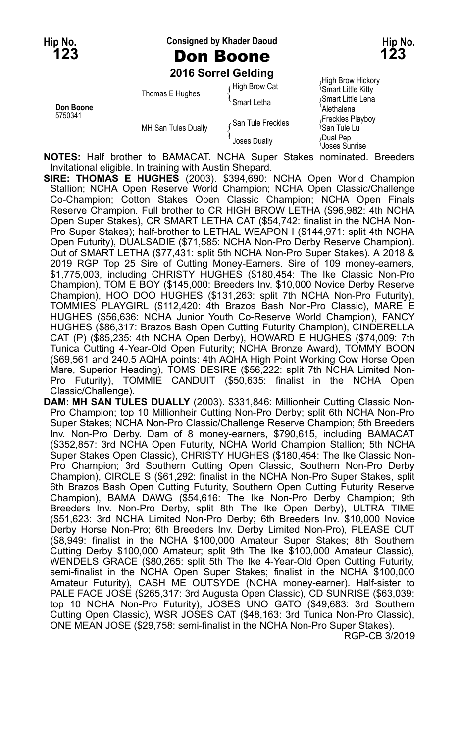**Hip No. Consigned by Khader Daoud Hip No.**

**123** Don Boone **123**

**2016 Sorrel Gelding**

| Don Boone<br>5750341 | Thomas E Hughes     | High Brow Cat      | High Brow Hickory<br><sup>1</sup> Smart Little Kitty |
|----------------------|---------------------|--------------------|------------------------------------------------------|
|                      |                     | Smart Letha        | Smart Little Lena<br>Alethalena                      |
|                      | MH San Tules Dually | ∠San Tule Freckles | Freckles Playboy<br><sup>≀</sup> San Tule Lu         |
|                      |                     | Joses Dually       | Dual Pep<br>Joses Sunrise                            |

**NOTES:** Half brother to BAMACAT. NCHA Super Stakes nominated. Breeders Invitational eligible. In training with Austin Shepard.

**SIRE: THOMAS E HUGHES** (2003). \$394,690: NCHA Open World Champion Stallion; NCHA Open Reserve World Champion; NCHA Open Classic/Challenge Co-Champion; Cotton Stakes Open Classic Champion; NCHA Open Finals Reserve Champion. Full brother to CR HIGH BROW LETHA (\$96,982: 4th NCHA Open Super Stakes), CR SMART LETHA CAT (\$54,742: finalist in the NCHA Non-Pro Super Stakes); half-brother to LETHAL WEAPON I (\$144,971: split 4th NCHA Open Futurity), DUALSADIE (\$71,585: NCHA Non-Pro Derby Reserve Champion). Out of SMART LETHA (\$77,431: split 5th NCHA Non-Pro Super Stakes). A 2018 & 2019 RGP Top 25 Sire of Cutting Money-Earners. Sire of 109 money-earners, \$1,775,003, including CHRISTY HUGHES (\$180,454: The Ike Classic Non-Pro Champion), TOM E BOY (\$145,000: Breeders Inv. \$10,000 Novice Derby Reserve Champion), HOO DOO HUGHES (\$131,263: split 7th NCHA Non-Pro Futurity), TOMMIES PLAYGIRL (\$112,420: 4th Brazos Bash Non-Pro Classic), MARE E HUGHES (\$56,636: NCHA Junior Youth Co-Reserve World Champion), FANCY HUGHES (\$86,317: Brazos Bash Open Cutting Futurity Champion), CINDERELLA CAT (P) (\$85,235: 4th NCHA Open Derby), HOWARD E HUGHES (\$74,009: 7th Tunica Cutting 4-Year-Old Open Futurity; NCHA Bronze Award), TOMMY BOON (\$69,561 and 240.5 AQHA points: 4th AQHA High Point Working Cow Horse Open Mare, Superior Heading), TOMS DESIRE (\$56,222: split 7th NCHA Limited Non-Pro Futurity), TOMMIE CANDUIT (\$50,635: finalist in the NCHA Open Classic/Challenge).

**DAM: MH SAN TULES DUALLY** (2003). \$331,846: Millionheir Cutting Classic Non-Pro Champion; top 10 Millionheir Cutting Non-Pro Derby; split 6th NCHA Non-Pro Super Stakes; NCHA Non-Pro Classic/Challenge Reserve Champion; 5th Breeders Inv. Non-Pro Derby. Dam of 8 money-earners, \$790,615, including BAMACAT (\$352,857: 3rd NCHA Open Futurity, NCHA World Champion Stallion; 5th NCHA Super Stakes Open Classic), CHRISTY HUGHES (\$180,454: The Ike Classic Non-Pro Champion; 3rd Southern Cutting Open Classic, Southern Non-Pro Derby Champion), CIRCLE S (\$61,292: finalist in the NCHA Non-Pro Super Stakes, split 6th Brazos Bash Open Cutting Futurity, Southern Open Cutting Futurity Reserve Champion), BAMA DAWG (\$54,616: The Ike Non-Pro Derby Champion; 9th Breeders Inv. Non-Pro Derby, split 8th The Ike Open Derby), ULTRA TIME (\$51,623: 3rd NCHA Limited Non-Pro Derby; 6th Breeders Inv. \$10,000 Novice Derby Horse Non-Pro; 6th Breeders Inv. Derby Limited Non-Pro), PLEASE CUT (\$8,949: finalist in the NCHA \$100,000 Amateur Super Stakes; 8th Southern Cutting Derby \$100,000 Amateur; split 9th The Ike \$100,000 Amateur Classic), WENDELS GRACE (\$80,265: split 5th The Ike 4-Year-Old Open Cutting Futurity, semi-finalist in the NCHA Open Super Stakes; finalist in the NCHA \$100,000 Amateur Futurity), CASH ME OUTSYDE (NCHA money-earner). Half-sister to PALE FACE JOSE (\$265,317: 3rd Augusta Open Classic), CD SUNRISE (\$63,039: top 10 NCHA Non-Pro Futurity), JOSES UNO GATO (\$49,683: 3rd Southern Cutting Open Classic), WSR JOSES CAT (\$48,163: 3rd Tunica Non-Pro Classic), ONE MEAN JOSE (\$29,758: semi-finalist in the NCHA Non-Pro Super Stakes).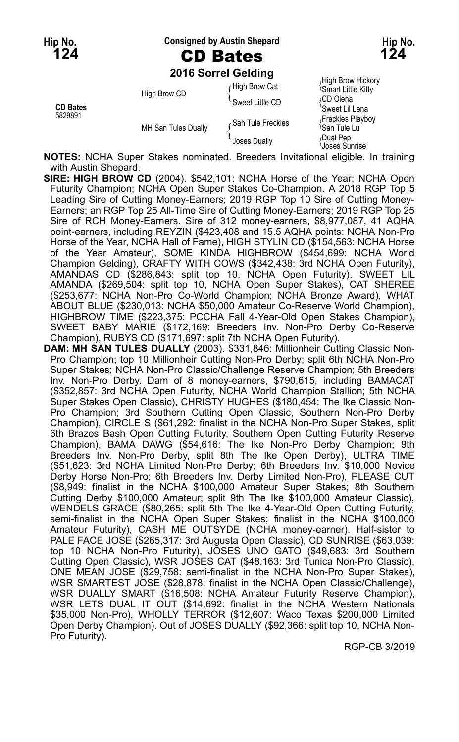**Hip No. Consigned by Austin Shepard Hip No.**

### **124** CD Bates **124**

**2016 Sorrel Gelding**

|                            |                     | 2016 Sorrel Gelding |                                                                                                                    |
|----------------------------|---------------------|---------------------|--------------------------------------------------------------------------------------------------------------------|
| <b>CD Bates</b><br>5829891 | High Brow CD        | High Brow Cat       | High Brow Hickory<br><b>Smart Little Kitty</b><br>∩CD Olena<br>'Sweet Lil Lena<br>Freckles Playboy<br>ੇSan Tule Lu |
|                            |                     | Sweet Little CD     |                                                                                                                    |
|                            | MH San Tules Dually | San Tule Freckles   |                                                                                                                    |
|                            |                     | Joses Dually        | Dual Pep،<br>Joses Sunrise                                                                                         |

**NOTES:** NCHA Super Stakes nominated. Breeders Invitational eligible. In training with Austin Shepard.

- **SIRE: HIGH BROW CD** (2004). \$542,101: NCHA Horse of the Year; NCHA Open Futurity Champion; NCHA Open Super Stakes Co-Champion. A 2018 RGP Top 5 Leading Sire of Cutting Money-Earners; 2019 RGP Top 10 Sire of Cutting Money-Earners; an RGP Top 25 All-Time Sire of Cutting Money-Earners; 2019 RGP Top 25 Sire of RCH Money-Earners. Sire of 312 money-earners, \$8,977,087, 41 AQHA point-earners, including REYZIN (\$423,408 and 15.5 AQHA points: NCHA Non-Pro Horse of the Year, NCHA Hall of Fame), HIGH STYLIN CD (\$154,563: NCHA Horse of the Year Amateur), SOME KINDA HIGHBROW (\$454,699: NCHA World Champion Gelding), CRAFTY WITH COWS (\$342,438: 3rd NCHA Open Futurity), AMANDAS CD (\$286,843: split top 10, NCHA Open Futurity), SWEET LIL AMANDA (\$269,504: split top 10, NCHA Open Super Stakes), CAT SHEREE (\$253,677: NCHA Non-Pro Co-World Champion; NCHA Bronze Award), WHAT ABOUT BLUE (\$230,013: NCHA \$50,000 Amateur Co-Reserve World Champion), HIGHBROW TIME (\$223,375: PCCHA Fall 4-Year-Old Open Stakes Champion), SWEET BABY MARIE (\$172,169: Breeders Inv. Non-Pro Derby Co-Reserve Champion), RUBYS CD (\$171,697: split 7th NCHA Open Futurity).
- **DAM: MH SAN TULES DUALLY** (2003). \$331,846: Millionheir Cutting Classic Non-Pro Champion; top 10 Millionheir Cutting Non-Pro Derby; split 6th NCHA Non-Pro Super Stakes; NCHA Non-Pro Classic/Challenge Reserve Champion; 5th Breeders Inv. Non-Pro Derby. Dam of 8 money-earners, \$790,615, including BAMACAT (\$352,857: 3rd NCHA Open Futurity, NCHA World Champion Stallion; 5th NCHA Super Stakes Open Classic), CHRISTY HUGHES (\$180,454: The Ike Classic Non-Pro Champion; 3rd Southern Cutting Open Classic, Southern Non-Pro Derby Champion), CIRCLE S (\$61,292: finalist in the NCHA Non-Pro Super Stakes, split 6th Brazos Bash Open Cutting Futurity, Southern Open Cutting Futurity Reserve Champion), BAMA DAWG (\$54,616: The Ike Non-Pro Derby Champion; 9th Breeders Inv. Non-Pro Derby, split 8th The Ike Open Derby), ULTRA TIME (\$51,623: 3rd NCHA Limited Non-Pro Derby; 6th Breeders Inv. \$10,000 Novice Derby Horse Non-Pro; 6th Breeders Inv. Derby Limited Non-Pro), PLEASE CUT (\$8,949: finalist in the NCHA \$100,000 Amateur Super Stakes; 8th Southern Cutting Derby \$100,000 Amateur; split 9th The Ike \$100,000 Amateur Classic), WENDELS GRACE (\$80,265: split 5th The Ike 4-Year-Old Open Cutting Futurity, semi-finalist in the NCHA Open Super Stakes; finalist in the NCHA \$100,000 Amateur Futurity), CASH ME OUTSYDE (NCHA money-earner). Half-sister to PALE FACE JOSE (\$265,317: 3rd Augusta Open Classic), CD SUNRISE (\$63,039: top 10 NCHA Non-Pro Futurity), JOSES UNO GATO (\$49,683: 3rd Southern Cutting Open Classic), WSR JOSES CAT (\$48,163: 3rd Tunica Non-Pro Classic), ONE MEAN JOSE (\$29,758: semi-finalist in the NCHA Non-Pro Super Stakes), WSR SMARTEST JOSE (\$28,878: finalist in the NCHA Open Classic/Challenge), WSR DUALLY SMART (\$16,508: NCHA Amateur Futurity Reserve Champion), WSR LETS DUAL IT OUT (\$14,692: finalist in the NCHA Western Nationals \$35,000 Non-Pro), WHOLLY TERROR (\$12,607: Waco Texas \$200,000 Limited Open Derby Champion). Out of JOSES DUALLY (\$92,366: split top 10, NCHA Non-Pro Futurity).